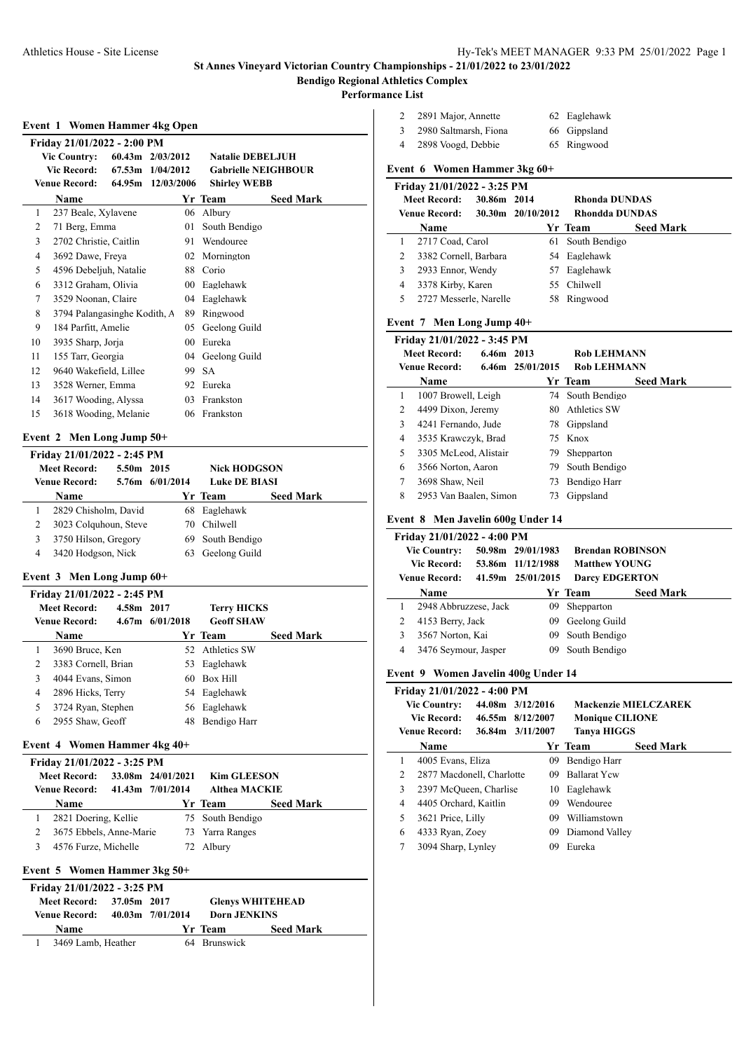#### **Performance List**

#### **Event 1 Women Hammer 4kg Open**

|    | Friday 21/01/2022 - 2:00 PM  |                      |           |        |                            |                  |  |  |  |
|----|------------------------------|----------------------|-----------|--------|----------------------------|------------------|--|--|--|
|    | <b>Vic Country:</b>          | $60.43m$ $2/03/2012$ |           |        | <b>Natalie DEBELJUH</b>    |                  |  |  |  |
|    | <b>Vic Record:</b>           | 67.53m               | 1/04/2012 |        | <b>Gabrielle NEIGHBOUR</b> |                  |  |  |  |
|    | Venue Record:                | 64.95m 12/03/2006    |           |        | <b>Shirley WEBB</b>        |                  |  |  |  |
|    | Name                         |                      |           |        | Yr Team                    | <b>Seed Mark</b> |  |  |  |
| 1  | 237 Beale, Xylavene          |                      |           | 06     | Albury                     |                  |  |  |  |
| 2  | 71 Berg, Emma                |                      |           | 01     | South Bendigo              |                  |  |  |  |
| 3  | 2702 Christie, Caitlin       |                      |           | 91     | Wendouree                  |                  |  |  |  |
| 4  | 3692 Dawe, Freya             |                      |           | 02     | Mornington                 |                  |  |  |  |
| 5  | 4596 Debeljuh, Natalie       |                      |           | 88     | Corio                      |                  |  |  |  |
| 6  | 3312 Graham, Olivia          |                      |           | $00\,$ | Eaglehawk                  |                  |  |  |  |
| 7  | 3529 Noonan, Claire          |                      |           | 04     | Eaglehawk                  |                  |  |  |  |
| 8  | 3794 Palangasinghe Kodith, A |                      |           | 89     | Ringwood                   |                  |  |  |  |
| 9  | 184 Parfitt, Amelie          |                      |           | 05     | Geelong Guild              |                  |  |  |  |
| 10 | 3935 Sharp, Jorja            |                      |           | 00     | Eureka                     |                  |  |  |  |
| 11 | 155 Tarr, Georgia            |                      |           |        | 04 Geelong Guild           |                  |  |  |  |
| 12 | 9640 Wakefield, Lillee       |                      |           | 99     | <b>SA</b>                  |                  |  |  |  |
| 13 | 3528 Werner, Emma            |                      |           | 92     | Eureka                     |                  |  |  |  |
| 14 | 3617 Wooding, Alyssa         |                      |           | 03     | Frankston                  |                  |  |  |  |
| 15 | 3618 Wooding, Melanie        |                      |           |        | 06 Frankston               |                  |  |  |  |
|    |                              |                      |           |        |                            |                  |  |  |  |

# **Event 2 Men Long Jump 50+**

|   | Friday 21/01/2022 - 2:45 PM |            |                 |                      |                  |  |  |  |  |  |
|---|-----------------------------|------------|-----------------|----------------------|------------------|--|--|--|--|--|
|   | <b>Meet Record:</b>         | 5.50m 2015 |                 | <b>Nick HODGSON</b>  |                  |  |  |  |  |  |
|   | <b>Venue Record:</b>        |            | 5.76m 6/01/2014 | <b>Luke DE BIASI</b> |                  |  |  |  |  |  |
|   | <b>Name</b>                 |            |                 | Yr Team              | <b>Seed Mark</b> |  |  |  |  |  |
|   | 2829 Chisholm, David        |            |                 | 68 Eaglehawk         |                  |  |  |  |  |  |
| 2 | 3023 Colquhoun, Steve       |            | 70.             | Chilwell             |                  |  |  |  |  |  |
| 3 | 3750 Hilson, Gregory        |            |                 | 69 South Bendigo     |                  |  |  |  |  |  |
| 4 | 3420 Hodgson, Nick          |            | 63              | Geelong Guild        |                  |  |  |  |  |  |

## **Event 3 Men Long Jump 60+**

| Friday 21/01/2022 - 2:45 PM |                      |            |                 |                    |                  |  |  |  |  |
|-----------------------------|----------------------|------------|-----------------|--------------------|------------------|--|--|--|--|
|                             | Meet Record:         | 4.58m 2017 |                 | <b>Terry HICKS</b> |                  |  |  |  |  |
|                             | <b>Venue Record:</b> |            | 4.67m 6/01/2018 | <b>Geoff SHAW</b>  |                  |  |  |  |  |
|                             | <b>Name</b>          |            |                 | Yr Team            | <b>Seed Mark</b> |  |  |  |  |
|                             | 3690 Bruce, Ken      |            |                 | 52 Athletics SW    |                  |  |  |  |  |
| 2                           | 3383 Cornell, Brian  |            |                 | 53 Eaglehawk       |                  |  |  |  |  |
| 3                           | 4044 Evans, Simon    |            | 60              | Box Hill           |                  |  |  |  |  |
| 4                           | 2896 Hicks, Terry    |            |                 | 54 Eaglehawk       |                  |  |  |  |  |
| 5                           | 3724 Ryan, Stephen   |            |                 | 56 Eaglehawk       |                  |  |  |  |  |
| 6                           | 2955 Shaw, Geoff     |            | 48              | Bendigo Harr       |                  |  |  |  |  |
|                             |                      |            |                 |                    |                  |  |  |  |  |

## **Event 4 Women Hammer 4kg 40+**

| Friday 21/01/2022 - 3:25 PM |  |                   |                      |                  |  |  |  |  |  |
|-----------------------------|--|-------------------|----------------------|------------------|--|--|--|--|--|
| Meet Record:                |  | 33.08m 24/01/2021 | <b>Kim GLEESON</b>   |                  |  |  |  |  |  |
| <b>Venue Record:</b>        |  | 41.43m 7/01/2014  | <b>Althea MACKIE</b> |                  |  |  |  |  |  |
| <b>Name</b>                 |  |                   | Yr Team              | <b>Seed Mark</b> |  |  |  |  |  |
| 2821 Doering, Kellie        |  |                   | 75 South Bendigo     |                  |  |  |  |  |  |
| 3675 Ebbels, Anne-Marie     |  |                   | 73 Yarra Ranges      |                  |  |  |  |  |  |
| 4576 Furze, Michelle        |  |                   | 72 Albury            |                  |  |  |  |  |  |
|                             |  |                   |                      |                  |  |  |  |  |  |

## **Event 5 Women Hammer 3kg 50+**

| Friday 21/01/2022 - 3:25 PM |                          |  |                       |                         |                  |  |  |  |
|-----------------------------|--------------------------|--|-----------------------|-------------------------|------------------|--|--|--|
|                             | Meet Record: 37.05m 2017 |  |                       | <b>Glenys WHITEHEAD</b> |                  |  |  |  |
|                             | <b>Venue Record:</b>     |  | $40.03$ m $7/01/2014$ | <b>Dorn JENKINS</b>     |                  |  |  |  |
|                             | <b>Name</b>              |  |                       | Yr Team                 | <b>Seed Mark</b> |  |  |  |
|                             | 3469 Lamb, Heather       |  |                       | 64 Brunswick            |                  |  |  |  |

|   | 2891 Major, Annette   | 62 Eaglehawk |
|---|-----------------------|--------------|
|   | 2980 Saltmarsh, Fiona | 66 Gippsland |
| 4 | 2898 Voogd, Debbie    | 65 Ringwood  |

## **Event 6 Women Hammer 3kg 60+**

|    | <b>Meet Record:</b><br><b>Venue Record:</b> | 30.86m 2014 | 30.30m 20/10/2012 | Rhonda DUNDAS<br><b>Rhondda DUNDAS</b> |                  |
|----|---------------------------------------------|-------------|-------------------|----------------------------------------|------------------|
|    | Name                                        |             |                   | Yr Team                                | <b>Seed Mark</b> |
|    | 2717 Coad, Carol                            |             |                   | 61 South Bendigo                       |                  |
| 2  | 3382 Cornell, Barbara                       |             |                   | 54 Eaglehawk                           |                  |
| 3  | 2933 Ennor, Wendy                           |             |                   | 57 Eaglehawk                           |                  |
| 4  | 3378 Kirby, Karen                           |             |                   | 55 Chilwell                            |                  |
| 5. | 2727 Messerle, Narelle                      |             |                   | 58 Ringwood                            |                  |

## **Event 7 Men Long Jump 40+**

| Friday 21/01/2022 - 3:45 PM |                        |            |                  |                    |                  |  |  |  |
|-----------------------------|------------------------|------------|------------------|--------------------|------------------|--|--|--|
|                             | <b>Meet Record:</b>    | 6.46m 2013 |                  | <b>Rob LEHMANN</b> |                  |  |  |  |
|                             | <b>Venue Record:</b>   |            | 6.46m 25/01/2015 | <b>Rob LEHMANN</b> |                  |  |  |  |
|                             | <b>Name</b>            |            |                  | Yr Team            | <b>Seed Mark</b> |  |  |  |
| 1                           | 1007 Browell, Leigh    |            |                  | 74 South Bendigo   |                  |  |  |  |
| 2                           | 4499 Dixon, Jeremy     |            | 80.              | Athletics SW       |                  |  |  |  |
| 3                           | 4241 Fernando, Jude    |            | 78               | Gippsland          |                  |  |  |  |
| 4                           | 3535 Krawczyk, Brad    |            |                  | 75 Knox            |                  |  |  |  |
| 5                           | 3305 McLeod, Alistair  |            | 79               | Shepparton         |                  |  |  |  |
| 6                           | 3566 Norton, Aaron     |            | 79.              | South Bendigo      |                  |  |  |  |
| 7                           | 3698 Shaw, Neil        |            | 73               | Bendigo Harr       |                  |  |  |  |
| 8                           | 2953 Van Baalen, Simon |            | 73               | Gippsland          |                  |  |  |  |

## **Event 8 Men Javelin 600g Under 14**

| Friday 21/01/2022 - 4:00 PM |                       |  |                   |                         |                  |  |  |  |
|-----------------------------|-----------------------|--|-------------------|-------------------------|------------------|--|--|--|
|                             | <b>Vic Country:</b>   |  | 50.98m 29/01/1983 | <b>Brendan ROBINSON</b> |                  |  |  |  |
|                             | Vic Record:           |  | 53.86m 11/12/1988 | <b>Matthew YOUNG</b>    |                  |  |  |  |
|                             | <b>Venue Record:</b>  |  | 41.59m 25/01/2015 | <b>Darcy EDGERTON</b>   |                  |  |  |  |
|                             | <b>Name</b>           |  |                   | Yr Team                 | <b>Seed Mark</b> |  |  |  |
|                             | 2948 Abbruzzese, Jack |  | 09                | Shepparton              |                  |  |  |  |
| 2                           | 4153 Berry, Jack      |  | 09.               | Geelong Guild           |                  |  |  |  |
| 3                           | 3567 Norton, Kai      |  |                   | 09 South Bendigo        |                  |  |  |  |
| 4                           | 3476 Seymour, Jasper  |  | 09                | South Bendigo           |                  |  |  |  |

## **Event 9 Women Javelin 400g Under 14**

|   | Friday 21/01/2022 - 4:00 PM |  |                  |    |                        |                             |  |  |  |
|---|-----------------------------|--|------------------|----|------------------------|-----------------------------|--|--|--|
|   | <b>Vic Country:</b>         |  | 44.08m 3/12/2016 |    |                        | <b>Mackenzie MIELCZAREK</b> |  |  |  |
|   | <b>Vic Record:</b>          |  | 46.55m 8/12/2007 |    | <b>Monique CILIONE</b> |                             |  |  |  |
|   | <b>Venue Record:</b>        |  | 36.84m 3/11/2007 |    | <b>Tanya HIGGS</b>     |                             |  |  |  |
|   | Name                        |  |                  |    | Yr Team                | <b>Seed Mark</b>            |  |  |  |
| 1 | 4005 Evans, Eliza           |  |                  | 09 | Bendigo Harr           |                             |  |  |  |
| 2 | 2877 Macdonell, Charlotte   |  |                  | 09 | <b>Ballarat Ycw</b>    |                             |  |  |  |
| 3 | 2397 McQueen, Charlise      |  |                  | 10 | Eaglehawk              |                             |  |  |  |
| 4 | 4405 Orchard, Kaitlin       |  |                  | 09 | Wendouree              |                             |  |  |  |
| 5 | 3621 Price, Lilly           |  |                  | 09 | Williamstown           |                             |  |  |  |
| 6 | 4333 Ryan, Zoey             |  |                  | 09 | Diamond Valley         |                             |  |  |  |
| 7 | 3094 Sharp, Lynley          |  |                  | 09 | Eureka                 |                             |  |  |  |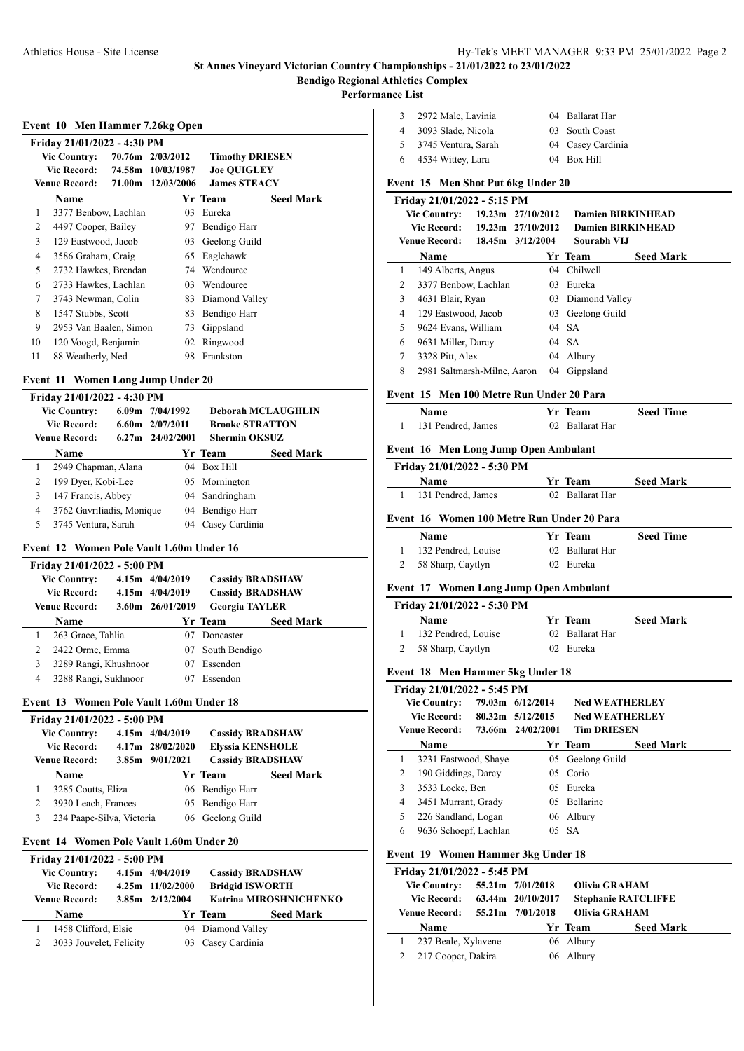**Event 10 Men Hammer 7.26kg Open**

#### **St Annes Vineyard Victorian Country Championships - 21/01/2022 to 23/01/2022 Bendigo Regional Athletics Complex**

#### **Performance List**

| 3 | 2972 Male, Lavinia    | 04 Ballarat Har   |
|---|-----------------------|-------------------|
| 4 | 3093 Slade, Nicola    | 03 South Coast    |
|   | 5 3745 Ventura, Sarah | 04 Casey Cardinia |
|   | 6 4534 Wittey, Lara   | 04 Box Hill       |

## **Event 15 Men Shot Put 6kg Under 20**

|        | Friday 21/01/2022 - 5:15 PM |  |                       |                    |                          |  |  |  |  |
|--------|-----------------------------|--|-----------------------|--------------------|--------------------------|--|--|--|--|
|        | <b>Vic Country:</b>         |  | $19.23m$ $27/10/2012$ |                    | <b>Damien BIRKINHEAD</b> |  |  |  |  |
|        | Vic Record:                 |  | $19.23m$ $27/10/2012$ |                    | <b>Damien BIRKINHEAD</b> |  |  |  |  |
|        | Venue Record:               |  | $18.45m$ $3/12/2004$  | Sourabh VLJ        |                          |  |  |  |  |
|        | <b>Name</b>                 |  |                       | Yr Team            | <b>Seed Mark</b>         |  |  |  |  |
| 1      | 149 Alberts, Angus          |  | $^{04}$               | Chilwell           |                          |  |  |  |  |
| 2      | 3377 Benbow, Lachlan        |  | 0 <sup>3</sup>        | Eureka             |                          |  |  |  |  |
| 3      | 4631 Blair, Ryan            |  |                       | 03 Diamond Valley  |                          |  |  |  |  |
| 4      | 129 Eastwood, Jacob         |  |                       | 03 Geelong Guild   |                          |  |  |  |  |
| 5      | 9624 Evans, William         |  |                       | $04\quad\text{SA}$ |                          |  |  |  |  |
| 6      | 9631 Miller, Darcy          |  |                       | 04 SA              |                          |  |  |  |  |
| $\tau$ | 3328 Pitt, Alex             |  |                       | 04 Albury          |                          |  |  |  |  |
| 8      | 2981 Saltmarsh-Milne, Aaron |  | 04                    | Gippsland          |                          |  |  |  |  |

#### **Event 15 Men 100 Metre Run Under 20 Para**

| Name               | Yr Team         | <b>Seed Time</b> |
|--------------------|-----------------|------------------|
| 131 Pendred, James | 02 Ballarat Har |                  |

#### **Event 16 Men Long Jump Open Ambulant**

| Friday 21/01/2022 - 5:30 PM |                 |                  |
|-----------------------------|-----------------|------------------|
| <b>Name</b>                 | <b>Yr</b> Team  | <b>Seed Mark</b> |
| 131 Pendred, James          | 02 Ballarat Har |                  |

## **Event 16 Women 100 Metre Run Under 20 Para**

| <b>Name</b>           | Yr Team         | <b>Seed Time</b> |
|-----------------------|-----------------|------------------|
| 1 132 Pendred, Louise | 02 Ballarat Har |                  |
| 2 58 Sharp, Caytlyn   | 02 Eureka       |                  |

## **Event 17 Women Long Jump Open Ambulant**

| Friday 21/01/2022 - 5:30 PM |                             |  |
|-----------------------------|-----------------------------|--|
| <b>Name</b>                 | Yr Team<br><b>Seed Mark</b> |  |
| 132 Pendred, Louise         | 02 Ballarat Har             |  |
| 2 58 Sharp, Caytlyn         | 02 Eureka                   |  |

#### **Event 18 Men Hammer 5kg Under 18**

|   | Friday 21/01/2022 - 5:45 PM |  |                      |                       |                  |  |  |
|---|-----------------------------|--|----------------------|-----------------------|------------------|--|--|
|   | <b>Vic Country:</b>         |  | 79.03m 6/12/2014     | <b>Ned WEATHERLEY</b> |                  |  |  |
|   | Vic Record: -               |  | $80.32m$ $5/12/2015$ | <b>Ned WEATHERLEY</b> |                  |  |  |
|   | Venue Record:               |  | 73.66m 24/02/2001    | <b>Tim DRIESEN</b>    |                  |  |  |
|   | Name                        |  |                      | Yr Team               | <b>Seed Mark</b> |  |  |
|   | 3231 Eastwood, Shaye        |  | 05                   | Geelong Guild         |                  |  |  |
| 2 | 190 Giddings, Darcy         |  |                      | 05 Corio              |                  |  |  |
| 3 | 3533 Locke, Ben             |  | 05                   | Eureka                |                  |  |  |
| 4 | 3451 Murrant, Grady         |  | 05.                  | <b>Bellarine</b>      |                  |  |  |
| 5 | 226 Sandland, Logan         |  |                      | 06 Albury             |                  |  |  |
| 6 | 9636 Schoepf, Lachlan       |  |                      | $05\quad SA$          |                  |  |  |
|   |                             |  |                      |                       |                  |  |  |

#### **Event 19 Women Hammer 3kg Under 18**

| Friday 21/01/2022 - 5:45 PM |  |                   |           |                            |  |  |  |
|-----------------------------|--|-------------------|-----------|----------------------------|--|--|--|
| <b>Vic Country:</b>         |  | 55.21m 7/01/2018  |           | <b>Olivia GRAHAM</b>       |  |  |  |
| <b>Vic Record:</b>          |  | 63.44m 20/10/2017 |           | <b>Stephanie RATCLIFFE</b> |  |  |  |
| <b>Venue Record:</b>        |  | 55.21m 7/01/2018  |           | <b>Olivia GRAHAM</b>       |  |  |  |
| <b>Name</b>                 |  |                   | Yr Team   | <b>Seed Mark</b>           |  |  |  |
| 237 Beale, Xylavene         |  |                   | 06 Albury |                            |  |  |  |
| 217 Cooper, Dakira          |  |                   | 06 Albury |                            |  |  |  |

|    | Friday 21/01/2022 - 4:30 PM |        |                  |                        |                  |
|----|-----------------------------|--------|------------------|------------------------|------------------|
|    | <b>Vic Country:</b>         |        | 70.76m 2/03/2012 | <b>Timothy DRIESEN</b> |                  |
|    | Vic Record:                 | 74.58m | 10/03/1987       | <b>Joe OUIGLEY</b>     |                  |
|    | <b>Venue Record:</b>        | 71.00m | 12/03/2006       | <b>James STEACY</b>    |                  |
|    | Name                        |        |                  | Yr Team                | <b>Seed Mark</b> |
| 1  | 3377 Benbow, Lachlan        |        | 03               | Eureka                 |                  |
| 2  | 4497 Cooper, Bailey         |        | 97               | Bendigo Harr           |                  |
| 3  | 129 Eastwood, Jacob         |        | 03               | Geelong Guild          |                  |
| 4  | 3586 Graham, Craig          |        | 65               | Eaglehawk              |                  |
| 5  | 2732 Hawkes, Brendan        |        | 74               | Wendouree              |                  |
| 6  | 2733 Hawkes, Lachlan        |        | 03               | Wendouree              |                  |
| 7  | 3743 Newman, Colin          |        | 83               | Diamond Valley         |                  |
| 8  | 1547 Stubbs, Scott          |        | 83               | Bendigo Harr           |                  |
| 9  | 2953 Van Baalen, Simon      |        | 73               | Gippsland              |                  |
| 10 | 120 Voogd, Benjamin         |        | 02               | Ringwood               |                  |
| 11 | 88 Weatherly, Ned           |        | 98               | Frankston              |                  |

#### **Event 11 Women Long Jump Under 20**

|   | Friday 21/01/2022 - 4:30 PM |  |                      |                           |                  |  |  |  |
|---|-----------------------------|--|----------------------|---------------------------|------------------|--|--|--|
|   | <b>Vic Country:</b>         |  | $6.09m$ $7/04/1992$  | <b>Deborah MCLAUGHLIN</b> |                  |  |  |  |
|   | <b>Vic Record:</b>          |  | $6.60$ m $2/07/2011$ | <b>Brooke STRATTON</b>    |                  |  |  |  |
|   | <b>Venue Record:</b>        |  | $6.27m$ $24/02/2001$ | <b>Shermin OKSUZ</b>      |                  |  |  |  |
|   | <b>Name</b>                 |  |                      | Yr Team                   | <b>Seed Mark</b> |  |  |  |
|   | 2949 Chapman, Alana         |  |                      | 04 Box Hill               |                  |  |  |  |
| 2 | 199 Dyer, Kobi-Lee          |  |                      | 05 Mornington             |                  |  |  |  |
| 3 | 147 Francis, Abbey          |  |                      | 04 Sandringham            |                  |  |  |  |
| 4 | 3762 Gavriliadis, Monique   |  |                      | 04 Bendigo Harr           |                  |  |  |  |
| 5 | 3745 Ventura, Sarah         |  | 04                   | Casey Cardinia            |                  |  |  |  |

## **Event 12 Women Pole Vault 1.60m Under 16**

|   | Friday 21/01/2022 - 5:00 PM |  |                  |                         |                  |  |  |  |
|---|-----------------------------|--|------------------|-------------------------|------------------|--|--|--|
|   | <b>Vic Country:</b>         |  | 4.15m 4/04/2019  | <b>Cassidy BRADSHAW</b> |                  |  |  |  |
|   | <b>Vic Record:</b>          |  | 4.15m 4/04/2019  | <b>Cassidy BRADSHAW</b> |                  |  |  |  |
|   | Venue Record:               |  | 3.60m 26/01/2019 | <b>Georgia TAYLER</b>   |                  |  |  |  |
|   | <b>Name</b>                 |  |                  | Yr Team                 | <b>Seed Mark</b> |  |  |  |
|   | 263 Grace, Tahlia           |  | 07               | Doncaster               |                  |  |  |  |
| 2 | 2422 Orme, Emma             |  | 07               | South Bendigo           |                  |  |  |  |
| 3 | 3289 Rangi, Khushnoor       |  | 07               | Essendon                |                  |  |  |  |
| 4 | 3288 Rangi, Sukhnoor        |  | 07               | Essendon                |                  |  |  |  |
|   |                             |  |                  |                         |                  |  |  |  |

## **Event 13 Women Pole Vault 1.60m Under 18**

| Friday 21/01/2022 - 5:00 PM |  |                     |                         |                  |  |  |  |  |
|-----------------------------|--|---------------------|-------------------------|------------------|--|--|--|--|
| <b>Vic Country:</b>         |  | 4.15m 4/04/2019     | <b>Cassidy BRADSHAW</b> |                  |  |  |  |  |
| <b>Vic Record:</b>          |  | 4.17m 28/02/2020    | <b>Elyssia KENSHOLE</b> |                  |  |  |  |  |
| <b>Venue Record:</b>        |  | $3.85m$ $9/01/2021$ | <b>Cassidy BRADSHAW</b> |                  |  |  |  |  |
| Name                        |  |                     | Yr Team                 | <b>Seed Mark</b> |  |  |  |  |
|                             |  |                     |                         |                  |  |  |  |  |
| 3285 Coutts, Eliza          |  |                     | 06 Bendigo Harr         |                  |  |  |  |  |
| 3930 Leach, Frances         |  |                     | 05 Bendigo Harr         |                  |  |  |  |  |

## **Event 14 Women Pole Vault 1.60m Under 20**

| Friday 21/01/2022 - 5:00 PM |                         |  |                  |                   |                         |  |  |
|-----------------------------|-------------------------|--|------------------|-------------------|-------------------------|--|--|
|                             | <b>Vic Country:</b>     |  | 4.15m 4/04/2019  |                   | <b>Cassidy BRADSHAW</b> |  |  |
|                             | <b>Vic Record:</b>      |  | 4.25m 11/02/2000 |                   | <b>Bridgid ISWORTH</b>  |  |  |
|                             | <b>Venue Record:</b>    |  | 3.85m 2/12/2004  |                   | Katrina MIROSHNICHENKO  |  |  |
|                             | Name                    |  |                  | Yr Team           | <b>Seed Mark</b>        |  |  |
|                             | 1458 Clifford, Elsie    |  |                  | 04 Diamond Valley |                         |  |  |
|                             | 3033 Jouvelet, Felicity |  | 0 <sup>3</sup>   | Casey Cardinia    |                         |  |  |
|                             |                         |  |                  |                   |                         |  |  |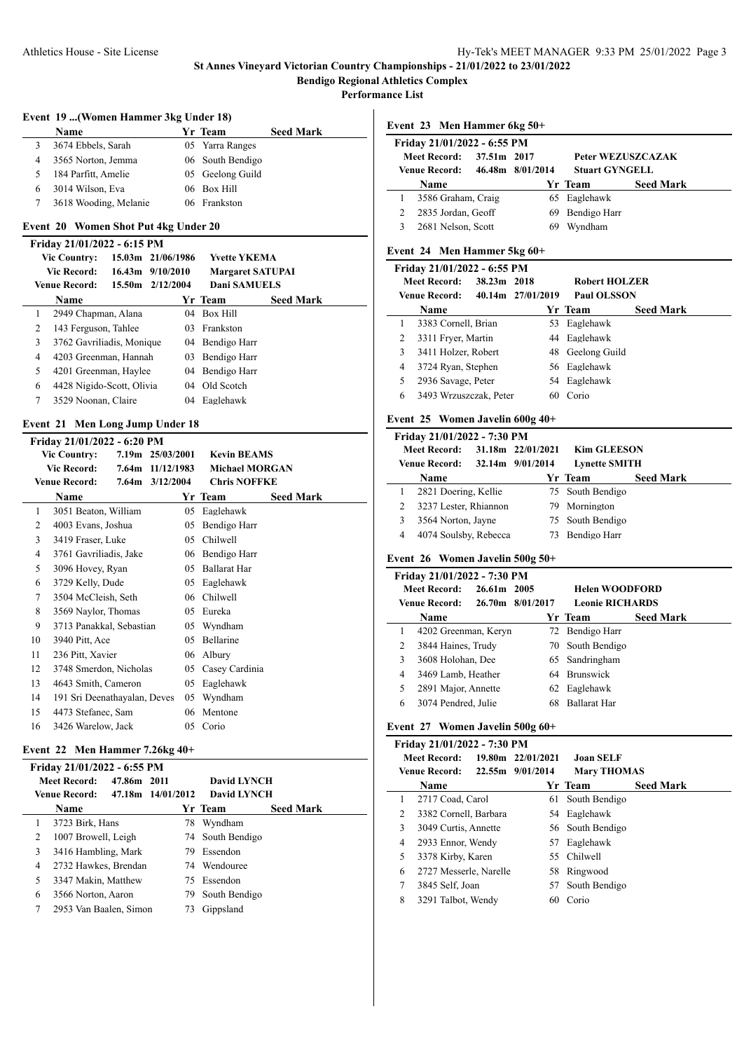# Athletics House - Site License Hy-Tek's MEET MANAGER 9:33 PM 25/01/2022 Page 3

## **St Annes Vineyard Victorian Country Championships - 21/01/2022 to 23/01/2022 Bendigo Regional Athletics Complex**

**Performance List**

j.

## **Event 19 ...(Women Hammer 3kg Under 18)**

|   | Name                  | Yr Team          | <b>Seed Mark</b> |
|---|-----------------------|------------------|------------------|
|   | 3674 Ebbels, Sarah    | 05 Yarra Ranges  |                  |
| 4 | 3565 Norton, Jemma    | 06 South Bendigo |                  |
| 5 | 184 Parfitt, Amelie   | 05 Geelong Guild |                  |
| 6 | 3014 Wilson, Eva      | 06 Box Hill      |                  |
|   | 3618 Wooding, Melanie | 06 Frankston     |                  |

#### **Event 20 Women Shot Put 4kg Under 20**

|   | Friday 21/01/2022 - 6:15 PM |  |                      |                         |                  |  |  |  |  |  |
|---|-----------------------------|--|----------------------|-------------------------|------------------|--|--|--|--|--|
|   | <b>Vic Country:</b>         |  | 15.03m 21/06/1986    | <b>Yvette YKEMA</b>     |                  |  |  |  |  |  |
|   | <b>Vic Record:</b>          |  | $16.43m$ $9/10/2010$ | <b>Margaret SATUPAI</b> |                  |  |  |  |  |  |
|   | <b>Venue Record:</b>        |  | 15.50m 2/12/2004     | <b>Dani SAMUELS</b>     |                  |  |  |  |  |  |
|   | <b>Name</b>                 |  |                      | Yr Team                 | <b>Seed Mark</b> |  |  |  |  |  |
|   | 2949 Chapman, Alana         |  |                      | 04 Box Hill             |                  |  |  |  |  |  |
| 2 | 143 Ferguson, Tahlee        |  |                      | 03 Frankston            |                  |  |  |  |  |  |
| 3 | 3762 Gavriliadis, Monique   |  |                      | 04 Bendigo Harr         |                  |  |  |  |  |  |
| 4 | 4203 Greenman, Hannah       |  | 03                   | Bendigo Harr            |                  |  |  |  |  |  |
| 5 | 4201 Greenman, Haylee       |  |                      | 04 Bendigo Harr         |                  |  |  |  |  |  |
| 6 | 4428 Nigido-Scott, Olivia   |  |                      | 04 Old Scotch           |                  |  |  |  |  |  |
| 7 | 3529 Noonan, Claire         |  | 04                   | Eaglehawk               |                  |  |  |  |  |  |
|   |                             |  |                      |                         |                  |  |  |  |  |  |

## **Event 21 Men Long Jump Under 18**

|    | Friday 21/01/2022 - 6:20 PM  |                  |                       |                  |
|----|------------------------------|------------------|-----------------------|------------------|
|    | <b>Vic Country:</b>          | 7.19m 25/03/2001 | <b>Kevin BEAMS</b>    |                  |
|    | Vic Record:                  | 7.64m 11/12/1983 | <b>Michael MORGAN</b> |                  |
|    | <b>Venue Record:</b>         | 7.64m 3/12/2004  | <b>Chris NOFFKE</b>   |                  |
|    | Name                         |                  | Yr Team               | <b>Seed Mark</b> |
| 1  | 3051 Beaton, William         | 05               | Eaglehawk             |                  |
| 2  | 4003 Evans, Joshua           | 05               | Bendigo Harr          |                  |
| 3  | 3419 Fraser, Luke            | 05               | Chilwell              |                  |
| 4  | 3761 Gavriliadis, Jake       | 06               | Bendigo Harr          |                  |
| 5  | 3096 Hovey, Ryan             | 05               | <b>Ballarat Har</b>   |                  |
| 6  | 3729 Kelly, Dude             | 05               | Eaglehawk             |                  |
| 7  | 3504 McCleish, Seth          | 06               | Chilwell              |                  |
| 8  | 3569 Naylor, Thomas          | 05               | Eureka                |                  |
| 9  | 3713 Panakkal, Sebastian     | 05               | Wyndham               |                  |
| 10 | 3940 Pitt, Ace               | 05               | Bellarine             |                  |
| 11 | 236 Pitt, Xavier             | 06               | Albury                |                  |
| 12 | 3748 Smerdon, Nicholas       | 05               | Casey Cardinia        |                  |
| 13 | 4643 Smith, Cameron          | 05               | Eaglehawk             |                  |
| 14 | 191 Sri Deenathayalan, Deves | 05               | Wyndham               |                  |
| 15 | 4473 Stefanec, Sam           | 06               | Mentone               |                  |
| 16 | 3426 Warelow, Jack           | 05               | Corio                 |                  |

## **Event 22 Men Hammer 7.26kg 40+**

|               | Friday 21/01/2022 - 6:55 PM        |                   |                    |                  |                  |  |  |  |  |
|---------------|------------------------------------|-------------------|--------------------|------------------|------------------|--|--|--|--|
|               | <b>Meet Record:</b><br>47.86m 2011 |                   | <b>David LYNCH</b> |                  |                  |  |  |  |  |
| Venue Record: |                                    | 47.18m 14/01/2012 | <b>David LYNCH</b> |                  |                  |  |  |  |  |
|               | <b>Name</b>                        |                   |                    | Yr Team          | <b>Seed Mark</b> |  |  |  |  |
|               | 3723 Birk, Hans                    |                   | 78                 | Wyndham          |                  |  |  |  |  |
| 2             | 1007 Browell, Leigh                |                   |                    | 74 South Bendigo |                  |  |  |  |  |
| 3             | 3416 Hambling, Mark                |                   |                    | 79 Essendon      |                  |  |  |  |  |
| 4             | 2732 Hawkes, Brendan               |                   |                    | 74 Wendouree     |                  |  |  |  |  |
| 5             | 3347 Makin, Matthew                |                   |                    | 75 Essendon      |                  |  |  |  |  |
| 6             | 3566 Norton, Aaron                 |                   |                    | 79 South Bendigo |                  |  |  |  |  |
| 7             | 2953 Van Baalen, Simon             |                   | 73                 | Gippsland        |                  |  |  |  |  |
|               |                                    |                   |                    |                  |                  |  |  |  |  |

**Event 23 Men Hammer 6kg 50+**

| Friday 21/01/2022 - 6:55 PM          |             |                  |                       |                   |  |  |  |
|--------------------------------------|-------------|------------------|-----------------------|-------------------|--|--|--|
| <b>Meet Record:</b><br>Venue Record: | 37.51m 2017 | 46.48m 8/01/2014 | <b>Stuart GYNGELL</b> | Peter WEZUSZCAZAK |  |  |  |
| Name                                 |             |                  | Yr Team               | <b>Seed Mark</b>  |  |  |  |
|                                      |             |                  |                       |                   |  |  |  |
| 3586 Graham, Craig                   |             |                  | 65 Eaglehawk          |                   |  |  |  |
| 2835 Jordan, Geoff                   |             |                  | 69 Bendigo Harr       |                   |  |  |  |
| 2681 Nelson, Scott                   |             | 69               | Wyndham               |                   |  |  |  |

## **Event 24 Men Hammer 5kg 60+**

| Friday 21/01/2022 - 6:55 PM |                        |             |                   |                      |                  |  |  |  |
|-----------------------------|------------------------|-------------|-------------------|----------------------|------------------|--|--|--|
|                             | <b>Meet Record:</b>    | 38.23m 2018 |                   | <b>Robert HOLZER</b> |                  |  |  |  |
|                             | <b>Venue Record:</b>   |             | 40.14m 27/01/2019 | <b>Paul OLSSON</b>   |                  |  |  |  |
|                             | Name                   |             |                   | Yr Team              | <b>Seed Mark</b> |  |  |  |
|                             | 3383 Cornell, Brian    |             | 53                | Eaglehawk            |                  |  |  |  |
| 2                           | 3311 Fryer, Martin     |             |                   | 44 Eaglehawk         |                  |  |  |  |
| 3                           | 3411 Holzer, Robert    |             | 48.               | Geelong Guild        |                  |  |  |  |
| 4                           | 3724 Ryan, Stephen     |             |                   | 56 Eaglehawk         |                  |  |  |  |
| 5                           | 2936 Savage, Peter     |             |                   | 54 Eaglehawk         |                  |  |  |  |
| 6                           | 3493 Wrzuszczak, Peter |             | 60                | Corio                |                  |  |  |  |
|                             |                        |             |                   |                      |                  |  |  |  |

## **Event 25 Women Javelin 600g 40+**

|   | Friday 21/01/2022 - 7:30 PM |  |                   |                      |                  |  |  |  |
|---|-----------------------------|--|-------------------|----------------------|------------------|--|--|--|
|   | <b>Meet Record:</b>         |  | 31.18m 22/01/2021 | <b>Kim GLEESON</b>   |                  |  |  |  |
|   | <b>Venue Record:</b>        |  | 32.14m 9/01/2014  | <b>Lynette SMITH</b> |                  |  |  |  |
|   | <b>Name</b>                 |  |                   | Yr Team              | <b>Seed Mark</b> |  |  |  |
|   | 2821 Doering, Kellie        |  |                   | 75 South Bendigo     |                  |  |  |  |
| 2 | 3237 Lester, Rhiannon       |  |                   | 79 Mornington        |                  |  |  |  |
| 3 | 3564 Norton, Jayne          |  |                   | 75 South Bendigo     |                  |  |  |  |
| 4 | 4074 Soulsby, Rebecca       |  |                   | 73 Bendigo Harr      |                  |  |  |  |

# **Event 26 Women Javelin 500g 50+**

|   | Friday 21/01/2022 - 7:30 PM |             |                  |                        |                  |  |  |  |
|---|-----------------------------|-------------|------------------|------------------------|------------------|--|--|--|
|   | Meet Record:                | 26.61m 2005 |                  | <b>Helen WOODFORD</b>  |                  |  |  |  |
|   | <b>Venue Record:</b>        |             | 26.70m 8/01/2017 | <b>Leonie RICHARDS</b> |                  |  |  |  |
|   | <b>Name</b>                 |             |                  | Yr Team                | <b>Seed Mark</b> |  |  |  |
|   | 4202 Greenman, Keryn        |             |                  | 72 Bendigo Harr        |                  |  |  |  |
| 2 | 3844 Haines, Trudy          |             |                  | 70 South Bendigo       |                  |  |  |  |
| 3 | 3608 Holohan, Dee           |             |                  | 65 Sandringham         |                  |  |  |  |
| 4 | 3469 Lamb, Heather          |             |                  | 64 Brunswick           |                  |  |  |  |
| 5 | 2891 Major, Annette         |             |                  | 62 Eaglehawk           |                  |  |  |  |
| 6 | 3074 Pendred, Julie         |             | 68               | <b>Ballarat Har</b>    |                  |  |  |  |

## **Event 27 Women Javelin 500g 60+**

|   | Friday 21/01/2022 - 7:30 PM |  |                   |                    |                  |  |  |  |  |
|---|-----------------------------|--|-------------------|--------------------|------------------|--|--|--|--|
|   | <b>Meet Record:</b>         |  | 19.80m 22/01/2021 | Joan SELF          |                  |  |  |  |  |
|   | <b>Venue Record:</b>        |  | 22.55m 9/01/2014  | <b>Mary THOMAS</b> |                  |  |  |  |  |
|   | <b>Name</b>                 |  |                   | Yr Team            | <b>Seed Mark</b> |  |  |  |  |
| 1 | 2717 Coad, Carol            |  |                   | 61 South Bendigo   |                  |  |  |  |  |
| 2 | 3382 Cornell, Barbara       |  |                   | 54 Eaglehawk       |                  |  |  |  |  |
| 3 | 3049 Curtis, Annette        |  |                   | 56 South Bendigo   |                  |  |  |  |  |
| 4 | 2933 Ennor, Wendy           |  | 57                | Eaglehawk          |                  |  |  |  |  |
| 5 | 3378 Kirby, Karen           |  |                   | 55 Chilwell        |                  |  |  |  |  |
| 6 | 2727 Messerle, Narelle      |  |                   | 58 Ringwood        |                  |  |  |  |  |
| 7 | 3845 Self. Joan             |  |                   | 57 South Bendigo   |                  |  |  |  |  |
| 8 | 3291 Talbot, Wendy          |  | 60                | Corio              |                  |  |  |  |  |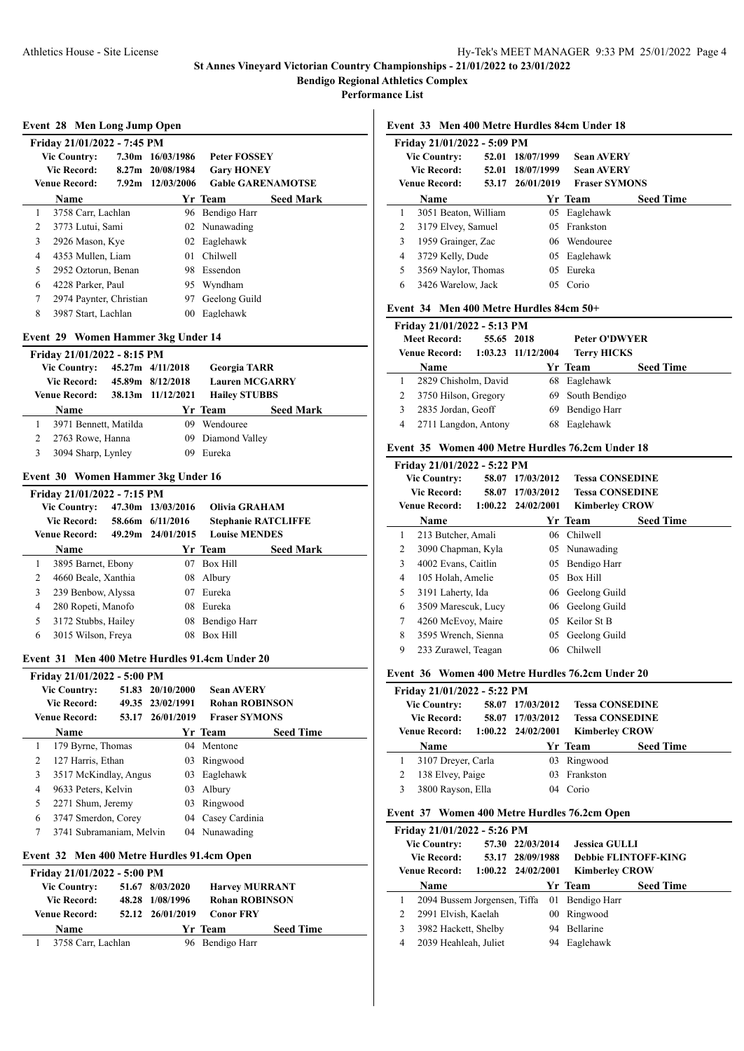**Performance List**

#### **Event 28 Men Long Jump Open**

|   | Friday 21/01/2022 - 7:45 PM |  |                  |                          |                  |  |  |  |  |
|---|-----------------------------|--|------------------|--------------------------|------------------|--|--|--|--|
|   | <b>Vic Country:</b>         |  | 7.30m 16/03/1986 | <b>Peter FOSSEY</b>      |                  |  |  |  |  |
|   | Vic Record:                 |  | 8.27m 20/08/1984 | <b>Gary HONEY</b>        |                  |  |  |  |  |
|   | <b>Venue Record:</b>        |  | 7.92m 12/03/2006 | <b>Gable GARENAMOTSE</b> |                  |  |  |  |  |
|   | Name                        |  |                  | Yr Team                  | <b>Seed Mark</b> |  |  |  |  |
| 1 | 3758 Carr, Lachlan          |  |                  | 96 Bendigo Harr          |                  |  |  |  |  |
| 2 | 3773 Lutui, Sami            |  |                  | 02 Nunawading            |                  |  |  |  |  |
| 3 | 2926 Mason, Kye             |  |                  | 02 Eaglehawk             |                  |  |  |  |  |
| 4 | 4353 Mullen, Liam           |  | 01               | <b>Chilwell</b>          |                  |  |  |  |  |
| 5 | 2952 Oztorun, Benan         |  | 98.              | Essendon                 |                  |  |  |  |  |
| 6 | 4228 Parker, Paul           |  | 95               | Wyndham                  |                  |  |  |  |  |
| 7 | 2974 Paynter, Christian     |  | 97               | Geelong Guild            |                  |  |  |  |  |
| 8 | 3987 Start, Lachlan         |  | 00 <sup>2</sup>  | Eaglehawk                |                  |  |  |  |  |

## **Event 29 Women Hammer 3kg Under 14**

|   | Friday 21/01/2022 - 8:15 PM |                    |                       |                   |                       |                  |  |  |  |
|---|-----------------------------|--------------------|-----------------------|-------------------|-----------------------|------------------|--|--|--|
|   | <b>Vic Country:</b>         |                    |                       | 45.27m 4/11/2018  | <b>Georgia TARR</b>   |                  |  |  |  |
|   |                             | <b>Vic Record:</b> |                       | 45.89m 8/12/2018  | <b>Lauren MCGARRY</b> |                  |  |  |  |
|   | <b>Venue Record:</b>        |                    |                       | 38.13m 11/12/2021 | <b>Hailey STUBBS</b>  |                  |  |  |  |
|   | Name                        |                    |                       |                   | Yr Team               | <b>Seed Mark</b> |  |  |  |
|   |                             |                    | 3971 Bennett, Matilda | 09                | Wendouree             |                  |  |  |  |
| 2 |                             | 2763 Rowe, Hanna   |                       |                   | 09 Diamond Valley     |                  |  |  |  |
| 3 |                             | 3094 Sharp, Lynley |                       | 09                | Eureka                |                  |  |  |  |

#### **Event 30 Women Hammer 3kg Under 16**

|                | Friday 21/01/2022 - 7:15 PM |  |                   |                            |                  |  |  |  |
|----------------|-----------------------------|--|-------------------|----------------------------|------------------|--|--|--|
|                | <b>Vic Country:</b>         |  | 47.30m 13/03/2016 | <b>Olivia GRAHAM</b>       |                  |  |  |  |
|                | <b>Vic Record:</b>          |  | 58.66m 6/11/2016  | <b>Stephanie RATCLIFFE</b> |                  |  |  |  |
|                | <b>Venue Record:</b>        |  | 49.29m 24/01/2015 | <b>Louise MENDES</b>       |                  |  |  |  |
|                | <b>Name</b>                 |  |                   | Yr Team                    | <b>Seed Mark</b> |  |  |  |
| 1              | 3895 Barnet, Ebony          |  | 07                | Box Hill                   |                  |  |  |  |
| $\mathfrak{D}$ | 4660 Beale, Xanthia         |  | 08                | Albury                     |                  |  |  |  |
| 3              | 239 Benbow, Alyssa          |  | 07                | Eureka                     |                  |  |  |  |
| 4              | 280 Ropeti, Manofo          |  | 08                | Eureka                     |                  |  |  |  |
| 5              | 3172 Stubbs, Hailey         |  | 08                | Bendigo Harr               |                  |  |  |  |
| 6              | 3015 Wilson, Freya          |  | 08                | Box Hill                   |                  |  |  |  |

#### **Event 31 Men 400 Metre Hurdles 91.4cm Under 20**

|   | Friday 21/01/2022 - 5:00 PM |       |                  |                       |                  |  |  |
|---|-----------------------------|-------|------------------|-----------------------|------------------|--|--|
|   | <b>Vic Country:</b>         |       | 51.83 20/10/2000 | <b>Sean AVERY</b>     |                  |  |  |
|   | <b>Vic Record:</b>          |       | 49.35 23/02/1991 | <b>Rohan ROBINSON</b> |                  |  |  |
|   | <b>Venue Record:</b>        | 53.17 | 26/01/2019       | <b>Fraser SYMONS</b>  |                  |  |  |
|   | Name                        |       |                  | Yr Team               | <b>Seed Time</b> |  |  |
| 1 | 179 Byrne, Thomas           |       | 04               | Mentone               |                  |  |  |
| 2 | 127 Harris, Ethan           |       | 03               | Ringwood              |                  |  |  |
| 3 | 3517 McKindlay, Angus       |       | 03               | Eaglehawk             |                  |  |  |
| 4 | 9633 Peters, Kelvin         |       | 0 <sup>3</sup>   | Alburv                |                  |  |  |
| 5 | 2271 Shum, Jeremy           |       | 03               | Ringwood              |                  |  |  |
| 6 | 3747 Smerdon, Corey         |       | 04               | Casev Cardinia        |                  |  |  |
| 7 | 3741 Subramaniam, Melvin    |       |                  | 04 Nunawading         |                  |  |  |

## **Event 32 Men 400 Metre Hurdles 91.4cm Open**

| Friday 21/01/2022 - 5:00 PM |  |                  |                       |                  |  |  |  |  |  |
|-----------------------------|--|------------------|-----------------------|------------------|--|--|--|--|--|
| <b>Vic Country:</b>         |  | 51.67 8/03/2020  | <b>Harvey MURRANT</b> |                  |  |  |  |  |  |
| Vic Record:                 |  | 48.28 1/08/1996  | <b>Rohan ROBINSON</b> |                  |  |  |  |  |  |
| <b>Venue Record:</b>        |  | 52.12 26/01/2019 | <b>Conor FRY</b>      |                  |  |  |  |  |  |
| <b>Name</b>                 |  |                  | Yr Team               | <b>Seed Time</b> |  |  |  |  |  |
| 3758 Carr, Lachlan          |  |                  | 96 Bendigo Harr       |                  |  |  |  |  |  |

#### **Event 33 Men 400 Metre Hurdles 84cm Under 18**

| Friday 21/01/2022 - 5:09 PM |   |                      |       |                  |                      |                  |  |  |  |  |
|-----------------------------|---|----------------------|-------|------------------|----------------------|------------------|--|--|--|--|
|                             |   | <b>Vic Country:</b>  |       | 52.01 18/07/1999 | <b>Sean AVERY</b>    |                  |  |  |  |  |
|                             |   | Vic Record:          | 52.01 | 18/07/1999       | <b>Sean AVERY</b>    |                  |  |  |  |  |
|                             |   | <b>Venue Record:</b> | 53.17 | 26/01/2019       | <b>Fraser SYMONS</b> |                  |  |  |  |  |
|                             |   | <b>Name</b>          |       |                  | <b>Yr Team</b>       | <b>Seed Time</b> |  |  |  |  |
|                             | 1 | 3051 Beaton, William |       | 05               | Eaglehawk            |                  |  |  |  |  |
|                             | 2 | 3179 Elvey, Samuel   |       |                  | 05 Frankston         |                  |  |  |  |  |
|                             | 3 | 1959 Grainger, Zac   |       |                  | 06 Wendouree         |                  |  |  |  |  |
|                             | 4 | 3729 Kelly, Dude     |       | 05               | Eaglehawk            |                  |  |  |  |  |
|                             | 5 | 3569 Naylor, Thomas  |       | 05               | Eureka               |                  |  |  |  |  |
|                             | 6 | 3426 Warelow, Jack   |       | 05.              | Corio                |                  |  |  |  |  |

## **Event 34 Men 400 Metre Hurdles 84cm 50+**

|                                   | Friday 21/01/2022 - 5:13 PM |                      |                    |                  |                  |  |  |  |  |  |
|-----------------------------------|-----------------------------|----------------------|--------------------|------------------|------------------|--|--|--|--|--|
| <b>Meet Record:</b><br>55.65 2018 |                             | <b>Peter O'DWYER</b> |                    |                  |                  |  |  |  |  |  |
| Venue Record: 1:03.23 11/12/2004  |                             |                      | <b>Terry HICKS</b> |                  |                  |  |  |  |  |  |
|                                   | <b>Name</b>                 |                      |                    | Yr Team          | <b>Seed Time</b> |  |  |  |  |  |
|                                   | 2829 Chisholm, David        |                      |                    | 68 Eaglehawk     |                  |  |  |  |  |  |
|                                   | 3750 Hilson, Gregory        |                      |                    | 69 South Bendigo |                  |  |  |  |  |  |
|                                   | 2835 Jordan, Geoff          |                      | 69                 | Bendigo Harr     |                  |  |  |  |  |  |
| 4                                 | 2711 Langdon, Antony        |                      | 68                 | Eaglehawk        |                  |  |  |  |  |  |

#### **Event 35 Women 400 Metre Hurdles 76.2cm Under 18**

|   | Friday 21/01/2022 - 5:22 PM  |  |                        |                        |                  |  |  |  |  |
|---|------------------------------|--|------------------------|------------------------|------------------|--|--|--|--|
|   | <b>Vic Country:</b><br>58.07 |  | 17/03/2012             | <b>Tessa CONSEDINE</b> |                  |  |  |  |  |
|   | <b>Vic Record:</b><br>58.07  |  | 17/03/2012             | <b>Tessa CONSEDINE</b> |                  |  |  |  |  |
|   | Venue Record:                |  | $1:00.22$ $24/02/2001$ | <b>Kimberley CROW</b>  |                  |  |  |  |  |
|   | Name                         |  |                        | Yr Team                | <b>Seed Time</b> |  |  |  |  |
| 1 | 213 Butcher, Amali           |  |                        | 06 Chilwell            |                  |  |  |  |  |
| 2 | 3090 Chapman, Kyla           |  |                        | 05 Nunawading          |                  |  |  |  |  |
| 3 | 4002 Evans, Caitlin          |  | 05                     | Bendigo Harr           |                  |  |  |  |  |
| 4 | 105 Holah, Amelie            |  | 05                     | Box Hill               |                  |  |  |  |  |
| 5 | 3191 Laherty, Ida            |  |                        | 06 Geelong Guild       |                  |  |  |  |  |
| 6 | 3509 Marescuk, Lucy          |  |                        | 06 Geelong Guild       |                  |  |  |  |  |
| 7 | 4260 McEvoy, Maire           |  |                        | 05 Keilor St B         |                  |  |  |  |  |
| 8 | 3595 Wrench, Sienna          |  | 05                     | Geelong Guild          |                  |  |  |  |  |
| 9 | 233 Zurawel, Teagan          |  | 06                     | Chilwell               |                  |  |  |  |  |

#### **Event 36 Women 400 Metre Hurdles 76.2cm Under 20**

|                      | Friday 21/01/2022 - 5:22 PM |                        |                        |                        |                  |  |  |  |  |  |
|----------------------|-----------------------------|------------------------|------------------------|------------------------|------------------|--|--|--|--|--|
| <b>Vic Country:</b>  |                             | 58.07 17/03/2012       | <b>Tessa CONSEDINE</b> |                        |                  |  |  |  |  |  |
|                      | <b>Vic Record:</b>          |                        | 58.07 17/03/2012       | <b>Tessa CONSEDINE</b> |                  |  |  |  |  |  |
| <b>Venue Record:</b> |                             | $1:00.22$ $24/02/2001$ | <b>Kimberley CROW</b>  |                        |                  |  |  |  |  |  |
|                      | Name                        |                        |                        | Yr Team                | <b>Seed Time</b> |  |  |  |  |  |
|                      | 3107 Dreyer, Carla          |                        |                        | 03 Ringwood            |                  |  |  |  |  |  |
|                      | 138 Elvey, Paige            |                        | 03                     | Frankston              |                  |  |  |  |  |  |
|                      | 3800 Rayson, Ella           |                        |                        | 04 Corio               |                  |  |  |  |  |  |
|                      |                             |                        |                        |                        |                  |  |  |  |  |  |

#### **Event 37 Women 400 Metre Hurdles 76.2cm Open**

|   | Friday 21/01/2022 - 5:26 PM  |                        |                  |                 |                             |                  |  |  |  |
|---|------------------------------|------------------------|------------------|-----------------|-----------------------------|------------------|--|--|--|
|   | <b>Vic Country:</b>          |                        | 57.30 22/03/2014 |                 | <b>Jessica GULLI</b>        |                  |  |  |  |
|   | <b>Vic Record:</b>           |                        | 53.17 28/09/1988 |                 | <b>Debbie FLINTOFF-KING</b> |                  |  |  |  |
|   | <b>Venue Record:</b>         | $1:00.22$ $24/02/2001$ |                  |                 | <b>Kimberley CROW</b>       |                  |  |  |  |
|   | Name                         |                        |                  |                 | Yr Team                     | <b>Seed Time</b> |  |  |  |
|   | 2094 Bussem Jorgensen, Tiffa |                        |                  |                 | 01 Bendigo Harr             |                  |  |  |  |
|   | 2991 Elvish, Kaelah          |                        |                  | 00 <sup>1</sup> | Ringwood                    |                  |  |  |  |
|   | 3982 Hackett, Shelby         |                        |                  | 94              | <b>Bellarine</b>            |                  |  |  |  |
| 4 | 2039 Heahleah, Juliet        |                        |                  | 94              | Eaglehawk                   |                  |  |  |  |
|   |                              |                        |                  |                 |                             |                  |  |  |  |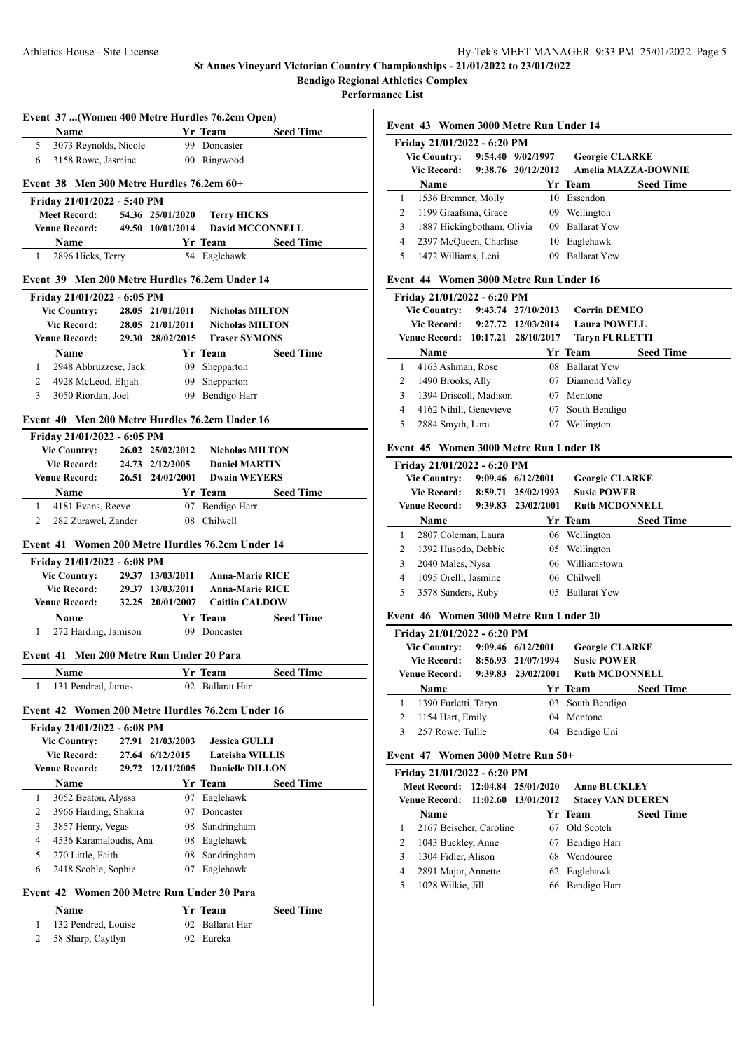**Performance List**

|                |                                              |       |                  | Event 37  (Women 400 Metre Hurdles 76.2cm Open)                      |                  |
|----------------|----------------------------------------------|-------|------------------|----------------------------------------------------------------------|------------------|
|                | Name                                         |       |                  | Yr Team                                                              | <b>Seed Time</b> |
| 5              | 3073 Reynolds, Nicole                        |       |                  | 99 Doncaster                                                         |                  |
| 6              | 3158 Rowe, Jasmine                           |       |                  | 00 Ringwood                                                          |                  |
|                | Event 38 Men 300 Metre Hurdles $76.2$ cm 60+ |       |                  |                                                                      |                  |
|                | Friday 21/01/2022 - 5:40 PM                  |       |                  |                                                                      |                  |
|                | <b>Meet Record:</b>                          |       | 54.36 25/01/2020 | <b>Terry HICKS</b>                                                   |                  |
|                | <b>Venue Record:</b>                         |       | 49.50 10/01/2014 | <b>David MCCONNELL</b>                                               |                  |
|                | Name                                         |       |                  | <b>Seed Time</b> Seed Time                                           |                  |
| $\mathbf{1}$   | 2896 Hicks, Terry                            |       |                  | 54 Eaglehawk                                                         |                  |
|                |                                              |       |                  | Event 39 Men 200 Metre Hurdles 76.2cm Under 14                       |                  |
|                | Friday 21/01/2022 - 6:05 PM                  |       |                  |                                                                      |                  |
|                | <b>Vic Country:</b>                          |       |                  | 28.05 21/01/2011 Nicholas MILTON<br>28.05 21/01/2011 Nicholas MILTON |                  |
|                | <b>Vic Record:</b>                           |       |                  | 29.30 28/02/2015 Fraser SYMONS                                       |                  |
|                | <b>Venue Record:</b>                         |       |                  |                                                                      |                  |
|                | <b>Name</b>                                  |       |                  | Yr Team Seed Time                                                    |                  |
| 1              | 2948 Abbruzzese, Jack                        |       |                  | 09 Shepparton                                                        |                  |
| 2              | 4928 McLeod, Elijah                          |       |                  | 09 Shepparton                                                        |                  |
| 3              | 3050 Riordan, Joel                           |       |                  | 09 Bendigo Harr                                                      |                  |
|                |                                              |       |                  | Event 40 Men 200 Metre Hurdles 76.2cm Under 16                       |                  |
|                | Friday 21/01/2022 - 6:05 PM                  |       |                  |                                                                      |                  |
|                | <b>Vic Country:</b>                          |       | 26.02 25/02/2012 | <b>Nicholas MILTON</b>                                               |                  |
|                | Vic Record:<br><b>Venue Record:</b>          |       | 24.73 2/12/2005  | <b>Daniel MARTIN</b><br><b>Dwain WEYERS</b>                          |                  |
|                |                                              |       | 26.51 24/02/2001 |                                                                      |                  |
|                | <b>Name</b>                                  |       |                  | Yr Team                                                              | <b>Seed Time</b> |
| 1              | 4181 Evans, Reeve                            |       |                  | 07 Bendigo Harr                                                      |                  |
| $\overline{2}$ | 282 Zurawel, Zander                          |       |                  | 08 Chilwell                                                          |                  |
|                |                                              |       |                  | Event 41 Women 200 Metre Hurdles 76.2cm Under 14                     |                  |
|                | Friday 21/01/2022 - 6:08 PM                  |       |                  |                                                                      |                  |
|                | <b>Vic Country:</b>                          |       | 29.37 13/03/2011 | <b>Anna-Marie RICE</b>                                               |                  |
|                | <b>Vic Record:</b>                           |       | 29.37 13/03/2011 | <b>Anna-Marie RICE</b>                                               |                  |
|                | <b>Venue Record:</b>                         |       | 32.25 20/01/2007 | <b>Caitlin CALDOW</b>                                                |                  |
|                | <b>Name</b>                                  |       |                  | Yr Team                                                              | <b>Seed Time</b> |
| 1              | 272 Harding, Jamison                         |       |                  | 09 Doncaster                                                         |                  |
|                | Event 41 Men 200 Metre Run Under 20 Para     |       |                  |                                                                      |                  |
|                | Name                                         |       |                  | Yr Team                                                              | <b>Seed Time</b> |
| 1              | 131 Pendred, James                           |       |                  | 02 Ballarat Har                                                      |                  |
|                |                                              |       |                  | Event 42 Women 200 Metre Hurdles 76.2cm Under 16                     |                  |
|                | Friday 21/01/2022 - 6:08 PM                  |       |                  |                                                                      |                  |
|                | <b>Vic Country:</b>                          | 27.91 | 21/03/2003       | <b>Jessica GULLI</b>                                                 |                  |
|                | <b>Vic Record:</b>                           |       | 27.64 6/12/2015  | Lateisha WILLIS                                                      |                  |
|                | <b>Venue Record:</b>                         | 29.72 | 12/11/2005       | <b>Danielle DILLON</b>                                               |                  |
|                | Name                                         |       |                  | Yr Team                                                              | <b>Seed Time</b> |
| 1              | 3052 Beaton, Alyssa                          |       |                  | 07 Eaglehawk                                                         |                  |
| 2              | 3966 Harding, Shakira                        |       |                  | 07 Doncaster                                                         |                  |
| 3              | 3857 Henry, Vegas                            |       |                  | 08 Sandringham                                                       |                  |
| 4              | 4536 Karamaloudis, Ana                       |       |                  | 08 Eaglehawk                                                         |                  |
| 5              | 270 Little, Faith                            |       | 08               | Sandringham                                                          |                  |
| 6              | 2418 Scoble, Sophie                          |       | 07               | Eaglehawk                                                            |                  |
|                |                                              |       |                  |                                                                      |                  |
|                | Event 42 Women 200 Metre Run Under 20 Para   |       |                  |                                                                      |                  |
|                | Name                                         |       |                  | Yr Team                                                              | <b>Seed Time</b> |
| 1              | 132 Pendred, Louise                          |       |                  | 02 Ballarat Har                                                      |                  |
| 2              | 58 Sharp, Caytlyn                            |       |                  | 02 Eureka                                                            |                  |

**Event 43 Women 3000 Metre Run Under 14**

|                     | Friday 21/01/2022 - 6:20 PM |                    |                       |                            |                  |  |  |  |  |  |
|---------------------|-----------------------------|--------------------|-----------------------|----------------------------|------------------|--|--|--|--|--|
| <b>Vic Country:</b> |                             | 9:54.40 9/02/1997  | <b>Georgie CLARKE</b> |                            |                  |  |  |  |  |  |
| <b>Vic Record:</b>  |                             | 9:38.76 20/12/2012 |                       | <b>Amelia MAZZA-DOWNIE</b> |                  |  |  |  |  |  |
|                     | Name                        |                    |                       | Yr Team                    | <b>Seed Time</b> |  |  |  |  |  |
| 1                   | 1536 Bremner, Molly         |                    | 10                    | Essendon                   |                  |  |  |  |  |  |
| 2                   | 1199 Graafsma, Grace        |                    | 09                    | Wellington                 |                  |  |  |  |  |  |
| 3                   | 1887 Hickingbotham, Olivia  |                    | 09                    | <b>Ballarat Yew</b>        |                  |  |  |  |  |  |
| 4                   | 2397 McQueen, Charlise      |                    | 10                    | Eaglehawk                  |                  |  |  |  |  |  |
| 5                   | 1472 Williams, Leni         |                    | 09                    | <b>Ballarat Ycw</b>        |                  |  |  |  |  |  |
|                     |                             |                    |                       |                            |                  |  |  |  |  |  |

## **Event 44 Women 3000 Metre Run Under 16**

| Friday 21/01/2022 - 6:20 PM |                                   |                    |                     |                       |                  |  |  |  |  |
|-----------------------------|-----------------------------------|--------------------|---------------------|-----------------------|------------------|--|--|--|--|
| <b>Vic Country:</b>         |                                   | 9:43.74 27/10/2013 | <b>Corrin DEMEO</b> |                       |                  |  |  |  |  |
|                             | Vic Record: 9:27.72 12/03/2014    |                    |                     | <b>Laura POWELL</b>   |                  |  |  |  |  |
|                             | Venue Record: 10:17.21 28/10/2017 |                    |                     | <b>Taryn FURLETTI</b> |                  |  |  |  |  |
|                             | Name                              |                    |                     | Yr Team               | <b>Seed Time</b> |  |  |  |  |
| 1                           | 4163 Ashman, Rose                 |                    | 08                  | <b>Ballarat Ycw</b>   |                  |  |  |  |  |
| 2                           | 1490 Brooks, Ally                 |                    | 07.                 | Diamond Valley        |                  |  |  |  |  |
| 3                           | 1394 Driscoll, Madison            |                    | 07                  | Mentone               |                  |  |  |  |  |
| 4                           | 4162 Nihill, Genevieve            |                    | 07                  | South Bendigo         |                  |  |  |  |  |
| 5                           | 2884 Smyth, Lara                  |                    | 07                  | Wellington            |                  |  |  |  |  |

#### **Event 45 Women 3000 Metre Run Under 18**

|                                    | Friday 21/01/2022 - 6:20 PM                |                    |                       |                     |                  |  |  |  |  |  |
|------------------------------------|--------------------------------------------|--------------------|-----------------------|---------------------|------------------|--|--|--|--|--|
| <b>Vic Country:</b><br>Vic Record: |                                            | 9:09.46 6/12/2001  | <b>Georgie CLARKE</b> |                     |                  |  |  |  |  |  |
|                                    |                                            | 8:59.71 25/02/1993 | <b>Susie POWER</b>    |                     |                  |  |  |  |  |  |
|                                    | 9:39.83 23/02/2001<br><b>Venue Record:</b> |                    | <b>Ruth MCDONNELL</b> |                     |                  |  |  |  |  |  |
|                                    | Name                                       |                    |                       | Yr Team             | <b>Seed Time</b> |  |  |  |  |  |
| 1                                  | 2807 Coleman, Laura                        |                    |                       | 06 Wellington       |                  |  |  |  |  |  |
| 2                                  | 1392 Husodo, Debbie                        |                    | 05                    | Wellington          |                  |  |  |  |  |  |
| 3                                  | 2040 Males, Nysa                           |                    | 06                    | Williamstown        |                  |  |  |  |  |  |
| 4                                  | 1095 Orelli, Jasmine                       |                    |                       | 06 Chilwell         |                  |  |  |  |  |  |
| 5                                  | 3578 Sanders, Ruby                         |                    | 05.                   | <b>Ballarat Yew</b> |                  |  |  |  |  |  |

# **Event 46 Women 3000 Metre Run Under 20**

| Friday 21/01/2022 - 6:20 PM |                      |                                          |                       |                  |                  |  |  |  |
|-----------------------------|----------------------|------------------------------------------|-----------------------|------------------|------------------|--|--|--|
| <b>Vic Country:</b>         |                      | 9:09.46 6/12/2001                        | <b>Georgie CLARKE</b> |                  |                  |  |  |  |
|                             | Vic Record:          | <b>Susie POWER</b><br>8:56.93 21/07/1994 |                       |                  |                  |  |  |  |
| <b>Venue Record:</b>        |                      | 9:39.83 23/02/2001                       | <b>Ruth MCDONNELL</b> |                  |                  |  |  |  |
|                             |                      |                                          |                       |                  |                  |  |  |  |
|                             | Name                 |                                          |                       | Yr Team          | <b>Seed Time</b> |  |  |  |
|                             | 1390 Furletti, Taryn |                                          |                       | 03 South Bendigo |                  |  |  |  |
|                             | 1154 Hart, Emily     |                                          | 04                    | Mentone          |                  |  |  |  |

## **Event 47 Women 3000 Metre Run 50+**

|   | Friday 21/01/2022 - 6:20 PM       |  |    |                          |                  |  |  |  |  |  |
|---|-----------------------------------|--|----|--------------------------|------------------|--|--|--|--|--|
|   | Meet Record: 12:04.84 25/01/2020  |  |    | <b>Anne BUCKLEY</b>      |                  |  |  |  |  |  |
|   | Venue Record: 11:02.60 13/01/2012 |  |    | <b>Stacey VAN DUEREN</b> |                  |  |  |  |  |  |
|   | Name                              |  |    | Yr Team                  | <b>Seed Time</b> |  |  |  |  |  |
|   | 2167 Beischer, Caroline           |  |    | 67 Old Scotch            |                  |  |  |  |  |  |
|   | 1043 Buckley, Anne                |  | 67 | Bendigo Harr             |                  |  |  |  |  |  |
|   | 1304 Fidler, Alison               |  | 68 | Wendouree                |                  |  |  |  |  |  |
| 4 | 2891 Major, Annette               |  | 62 | Eaglehawk                |                  |  |  |  |  |  |
|   | 1028 Wilkie, Jill                 |  |    | 66 Bendigo Harr          |                  |  |  |  |  |  |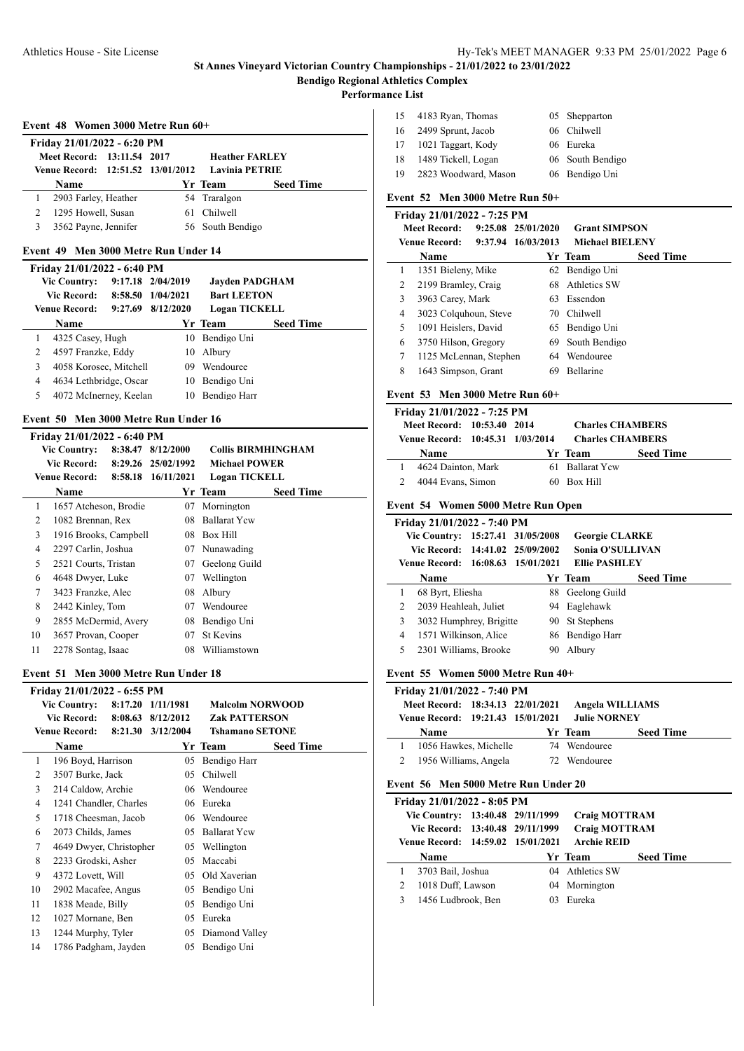**Performance List**

 $\overline{a}$ 

 $\overline{a}$ 

| Event 48 Women 3000 Metre Run 60+ |  |  |  |
|-----------------------------------|--|--|--|
|-----------------------------------|--|--|--|

| Friday 21/01/2022 - 6:20 PM       |  |  |                       |                  |  |  |  |  |
|-----------------------------------|--|--|-----------------------|------------------|--|--|--|--|
| Meet Record: 13:11.54 2017        |  |  | <b>Heather FARLEY</b> |                  |  |  |  |  |
| Venue Record: 12:51.52 13/01/2012 |  |  | <b>Lavinia PETRIE</b> |                  |  |  |  |  |
| <b>Name</b>                       |  |  | Yr Team               | <b>Seed Time</b> |  |  |  |  |
| 2903 Farley, Heather              |  |  | 54 Traralgon          |                  |  |  |  |  |
| 1295 Howell, Susan                |  |  | 61 Chilwell           |                  |  |  |  |  |
| 3562 Payne, Jennifer              |  |  | 56 South Bendigo      |                  |  |  |  |  |
|                                   |  |  |                       |                  |  |  |  |  |

## **Event 49 Men 3000 Metre Run Under 14**

|   | Friday 21/01/2022 - 6:40 PM |         |                   |                       |                  |  |
|---|-----------------------------|---------|-------------------|-----------------------|------------------|--|
|   | <b>Vic Country:</b>         |         | 9:17.18 2/04/2019 | <b>Jayden PADGHAM</b> |                  |  |
|   | <b>Vic Record:</b>          | 8:58.50 | 1/04/2021         | <b>Bart LEETON</b>    |                  |  |
|   | <b>Venue Record:</b>        | 9:27.69 | 8/12/2020         | <b>Logan TICKELL</b>  |                  |  |
|   | Name                        |         |                   | Yr Team               | <b>Seed Time</b> |  |
|   | 4325 Casey, Hugh            |         | 10                | Bendigo Uni           |                  |  |
| 2 | 4597 Franzke, Eddy          |         | 10                | Albury                |                  |  |
| 3 | 4058 Korosec, Mitchell      |         | 09                | Wendouree             |                  |  |
| 4 | 4634 Lethbridge, Oscar      |         | 10                | Bendigo Uni           |                  |  |
| 5 | 4072 McInerney, Keelan      |         | 10                | Bendigo Harr          |                  |  |

#### **Event 50 Men 3000 Metre Run Under 16**

|    | Friday 21/01/2022 - 6:40 PM |         |                    |                           |                  |
|----|-----------------------------|---------|--------------------|---------------------------|------------------|
|    | <b>Vic Country:</b>         | 8:38.47 | 8/12/2000          | <b>Collis BIRMHINGHAM</b> |                  |
|    | <b>Vic Record:</b>          |         | 8:29.26 25/02/1992 | <b>Michael POWER</b>      |                  |
|    | <b>Venue Record:</b>        | 8:58.18 | 16/11/2021         | <b>Logan TICKELL</b>      |                  |
|    | Name                        |         |                    | Yr Team                   | <b>Seed Time</b> |
| 1  | 1657 Atcheson, Brodie       |         | 07                 | Mornington                |                  |
| 2  | 1082 Brennan, Rex           |         | 08                 | <b>Ballarat Ycw</b>       |                  |
| 3  | 1916 Brooks, Campbell       |         | 08                 | Box Hill                  |                  |
| 4  | 2297 Carlin, Joshua         |         | 07                 | Nunawading                |                  |
| 5  | 2521 Courts, Tristan        |         | 07                 | Geelong Guild             |                  |
| 6  | 4648 Dwyer, Luke            |         | 07                 | Wellington                |                  |
| 7  | 3423 Franzke, Alec          |         | 08                 | Albury                    |                  |
| 8  | 2442 Kinley, Tom            |         | 07                 | Wendouree                 |                  |
| 9  | 2855 McDermid, Avery        |         | 08                 | Bendigo Uni               |                  |
| 10 | 3657 Provan, Cooper         |         | 07                 | <b>St Kevins</b>          |                  |
| 11 | 2278 Sontag, Isaac          |         | 08                 | Williamstown              |                  |

## **Event 51 Men 3000 Metre Run Under 18**

|    | Friday 21/01/2022 - 6:55 PM |         |                   |                        |                  |
|----|-----------------------------|---------|-------------------|------------------------|------------------|
|    | <b>Vic Country:</b>         | 8:17.20 | 1/11/1981         | <b>Malcolm NORWOOD</b> |                  |
|    | <b>Vic Record:</b>          | 8:08.63 | 8/12/2012         | <b>Zak PATTERSON</b>   |                  |
|    | Venue Record:               |         | 8:21.30 3/12/2004 | <b>Tshamano SETONE</b> |                  |
|    | Name                        |         |                   | Yr Team                | <b>Seed Time</b> |
| 1  | 196 Boyd, Harrison          |         | 05                | Bendigo Harr           |                  |
| 2  | 3507 Burke, Jack            |         | 05                | Chilwell               |                  |
| 3  | 214 Caldow, Archie          |         | 06                | Wendouree              |                  |
| 4  | 1241 Chandler, Charles      |         | 06                | Eureka                 |                  |
| 5  | 1718 Cheesman, Jacob        |         | 06                | Wendouree              |                  |
| 6  | 2073 Childs, James          |         | 05                | <b>Ballarat Ycw</b>    |                  |
| 7  | 4649 Dwyer, Christopher     |         | 05                | Wellington             |                  |
| 8  | 2233 Grodski, Asher         |         | 05                | Maccabi                |                  |
| 9  | 4372 Lovett, Will           |         | 05                | Old Xaverian           |                  |
| 10 | 2902 Macafee, Angus         |         | 05                | Bendigo Uni            |                  |
| 11 | 1838 Meade, Billy           |         | 05                | Bendigo Uni            |                  |
| 12 | 1027 Mornane, Ben           |         | 05                | Eureka                 |                  |
| 13 | 1244 Murphy, Tyler          |         | 05                | Diamond Valley         |                  |
| 14 | 1786 Padgham, Jayden        |         | 05                | Bendigo Uni            |                  |
|    |                             |         |                   |                        |                  |

| 15 | 4183 Ryan, Thomas    | 05 Shepparton    |
|----|----------------------|------------------|
| 16 | 2499 Sprunt, Jacob   | 06 Chilwell      |
| 17 | 1021 Taggart, Kody   | 06 Eureka        |
| 18 | 1489 Tickell, Logan  | 06 South Bendigo |
| 19 | 2823 Woodward, Mason | 06 Bendigo Uni   |

# **Event 52 Men 3000 Metre Run 50+**

|   | Friday 21/01/2022 - 7:25 PM |                        |                        |                  |
|---|-----------------------------|------------------------|------------------------|------------------|
|   | <b>Meet Record:</b>         | $9:25.08$ $25/01/2020$ | <b>Grant SIMPSON</b>   |                  |
|   | Venue Record:               | 9:37.94 16/03/2013     | <b>Michael BIELENY</b> |                  |
|   | Name                        |                        | Yr Team                | <b>Seed Time</b> |
| 1 | 1351 Bieleny, Mike          | 62                     | Bendigo Uni            |                  |
| 2 | 2199 Bramley, Craig         | 68                     | Athletics SW           |                  |
| 3 | 3963 Carey, Mark            | 63                     | Essendon               |                  |
| 4 | 3023 Colquhoun, Steve       |                        | 70 Chilwell            |                  |
| 5 | 1091 Heislers, David        | 65                     | Bendigo Uni            |                  |
| 6 | 3750 Hilson, Gregory        | 69.                    | South Bendigo          |                  |
| 7 | 1125 McLennan, Stephen      | 64.                    | Wendouree              |                  |
| 8 | 1643 Simpson, Grant         | 69                     | <b>Bellarine</b>       |                  |
|   |                             |                        |                        |                  |

## **Event 53 Men 3000 Metre Run 60+**

| Friday 21/01/2022 - 7:25 PM |                                  |  |  |                         |                  |  |  |
|-----------------------------|----------------------------------|--|--|-------------------------|------------------|--|--|
|                             | Meet Record: 10:53.40 2014       |  |  | <b>Charles CHAMBERS</b> |                  |  |  |
|                             | Venue Record: 10:45.31 1/03/2014 |  |  | <b>Charles CHAMBERS</b> |                  |  |  |
|                             | <b>Name</b>                      |  |  | Yr Team                 | <b>Seed Time</b> |  |  |
|                             | 4624 Dainton, Mark               |  |  | 61 Ballarat Yew         |                  |  |  |
|                             | 4044 Evans, Simon                |  |  | 60 Box Hill             |                  |  |  |
|                             |                                  |  |  |                         |                  |  |  |

## **Event 54 Women 5000 Metre Run Open**

|    | Friday 21/01/2022 - 7:40 PM       |    |                         |                  |
|----|-----------------------------------|----|-------------------------|------------------|
|    | Vic Country: 15:27.41 31/05/2008  |    | <b>Georgie CLARKE</b>   |                  |
|    | Vic Record: 14:41.02 25/09/2002   |    | <b>Sonia O'SULLIVAN</b> |                  |
|    | Venue Record: 16:08.63 15/01/2021 |    | <b>Ellie PASHLEY</b>    |                  |
|    | Name                              |    | Yr Team                 | <b>Seed Time</b> |
|    | 68 Byrt, Eliesha                  |    | 88 Geelong Guild        |                  |
| 2  | 2039 Heahleah, Juliet             |    | 94 Eaglehawk            |                  |
| 3  | 3032 Humphrey, Brigitte           |    | 90 St Stephens          |                  |
| 4  | 1571 Wilkinson, Alice             |    | 86 Bendigo Harr         |                  |
| 5. | 2301 Williams, Brooke             | 90 | Albury                  |                  |
|    |                                   |    |                         |                  |

## **Event 55 Women 5000 Metre Run 40+**

| Friday 21/01/2022 - 7:40 PM |                                   |  |  |                     |                  |  |  |
|-----------------------------|-----------------------------------|--|--|---------------------|------------------|--|--|
|                             | Meet Record: 18:34.13 22/01/2021  |  |  | Angela WILLIAMS     |                  |  |  |
|                             | Venue Record: 19:21.43 15/01/2021 |  |  | <b>Julie NORNEY</b> |                  |  |  |
|                             | <b>Name</b>                       |  |  | Yr Team             | <b>Seed Time</b> |  |  |
|                             | 1056 Hawkes, Michelle             |  |  | 74 Wendouree        |                  |  |  |
|                             | 1956 Williams, Angela             |  |  | 72 Wendouree        |                  |  |  |

#### **Event 56 Men 5000 Metre Run Under 20**

| Friday 21/01/2022 - 8:05 PM<br>Vic Country: 13:40.48 29/11/1999<br>Vic Record: 13:40.48 29/11/1999<br>Venue Record: 14:59.02 15/01/2021 |                    |  | <b>Craig MOTTRAM</b><br><b>Craig MOTTRAM</b><br><b>Archie REID</b> |                 |                  |
|-----------------------------------------------------------------------------------------------------------------------------------------|--------------------|--|--------------------------------------------------------------------|-----------------|------------------|
|                                                                                                                                         | <b>Name</b>        |  |                                                                    | Yr Team         | <b>Seed Time</b> |
|                                                                                                                                         | 3703 Bail, Joshua  |  |                                                                    | 04 Athletics SW |                  |
|                                                                                                                                         | 1018 Duff, Lawson  |  |                                                                    | 04 Mornington   |                  |
| 3                                                                                                                                       | 1456 Ludbrook, Ben |  | 03                                                                 | Eureka          |                  |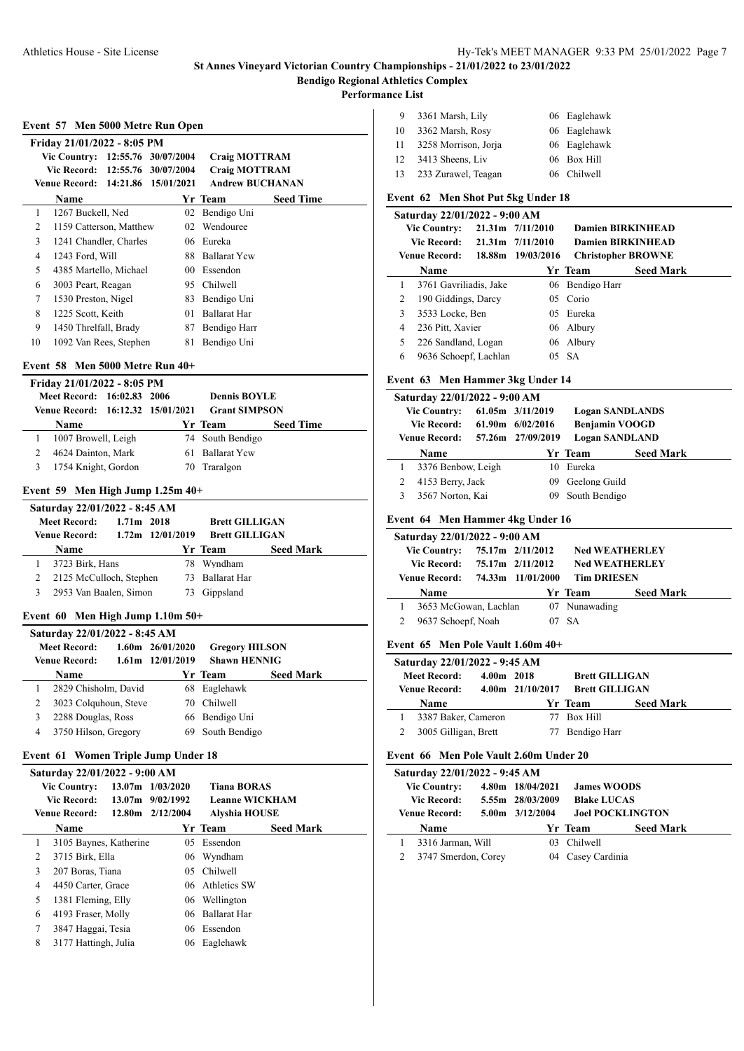$\overline{\phantom{a}}$ 

 $\overline{a}$ 

**Performance List**

| 9  | 3361 Marsh, Lily     | 06 Eaglehawk |
|----|----------------------|--------------|
| 10 | 3362 Marsh, Rosy     | 06 Eaglehawk |
| 11 | 3258 Morrison, Jorja | 06 Eaglehawk |
| 12 | 3413 Sheens, Liv     | 06 Box Hill  |
| 13 | 233 Zurawel, Teagan  | 06 Chilwell  |

# **Event 62 Men Shot Put 5kg Under 18**

|   | Saturday 22/01/2022 - 9:00 AM |                      |                           |                  |  |
|---|-------------------------------|----------------------|---------------------------|------------------|--|
|   | <b>Vic Country:</b>           | 21.31m 7/11/2010     | <b>Damien BIRKINHEAD</b>  |                  |  |
|   | Vic Record:                   | $21.31m$ $7/11/2010$ | <b>Damien BIRKINHEAD</b>  |                  |  |
|   | <b>Venue Record:</b>          | 18.88m 19/03/2016    | <b>Christopher BROWNE</b> |                  |  |
|   | Name                          |                      | Yr Team                   | <b>Seed Mark</b> |  |
|   | 3761 Gavriliadis, Jake        |                      | 06 Bendigo Harr           |                  |  |
| 2 | 190 Giddings, Darcy           |                      | 05 Corio                  |                  |  |
| 3 | 3533 Locke, Ben               |                      | 05 Eureka                 |                  |  |
| 4 | 236 Pitt, Xavier              |                      | 06 Albury                 |                  |  |
| 5 | 226 Sandland, Logan           |                      | 06 Albury                 |                  |  |
| 6 | 9636 Schoepf, Lachlan         |                      | 05 SA                     |                  |  |

#### **Event 63 Men Hammer 3kg Under 14**

|   | Saturday 22/01/2022 - 9:00 AM |  |                      |                        |                  |  |  |  |
|---|-------------------------------|--|----------------------|------------------------|------------------|--|--|--|
|   | <b>Vic Country:</b>           |  | 61.05m 3/11/2019     | <b>Logan SANDLANDS</b> |                  |  |  |  |
|   | Vic Record:                   |  | $61.90m$ $6/02/2016$ | <b>Benjamin VOOGD</b>  |                  |  |  |  |
|   | <b>Venue Record:</b>          |  | 57.26m 27/09/2019    | <b>Logan SANDLAND</b>  |                  |  |  |  |
|   | <b>Name</b>                   |  |                      | Yr Team                | <b>Seed Mark</b> |  |  |  |
| 1 | 3376 Benbow, Leigh            |  | 10                   | Eureka                 |                  |  |  |  |
|   | 4153 Berry, Jack              |  | 09                   | Geelong Guild          |                  |  |  |  |
| 3 | 3567 Norton, Kai              |  |                      | South Bendigo          |                  |  |  |  |
|   |                               |  |                      |                        |                  |  |  |  |

#### **Event 64 Men Hammer 4kg Under 16**

| Saturday 22/01/2022 - 9:00 AM |  |                   |                       |                  |  |  |  |
|-------------------------------|--|-------------------|-----------------------|------------------|--|--|--|
| <b>Vic Country:</b>           |  | 75.17m 2/11/2012  | <b>Ned WEATHERLEY</b> |                  |  |  |  |
| Vic Record:                   |  | 75.17m 2/11/2012  | <b>Ned WEATHERLEY</b> |                  |  |  |  |
| <b>Venue Record:</b>          |  | 74.33m 11/01/2000 | <b>Tim DRIESEN</b>    |                  |  |  |  |
|                               |  |                   |                       |                  |  |  |  |
| <b>Name</b>                   |  |                   | Yr Team               | <b>Seed Mark</b> |  |  |  |
| 3653 McGowan, Lachlan         |  |                   | 07 Nunawading         |                  |  |  |  |
| 9637 Schoepf, Noah            |  | 07                | - SA                  |                  |  |  |  |

#### **Event 65 Men Pole Vault 1.60m 40+**

| Saturday 22/01/2022 - 9:45 AM |              |                       |                       |                  |  |  |  |
|-------------------------------|--------------|-----------------------|-----------------------|------------------|--|--|--|
| <b>Meet Record:</b>           | $4.00m$ 2018 |                       | <b>Brett GILLIGAN</b> |                  |  |  |  |
| Venue Record:                 |              | $4.00$ m $21/10/2017$ | <b>Brett GILLIGAN</b> |                  |  |  |  |
|                               |              |                       |                       |                  |  |  |  |
| <b>Name</b>                   |              |                       | Yr Team               | <b>Seed Mark</b> |  |  |  |
| 3387 Baker, Cameron           |              |                       | Box Hill              |                  |  |  |  |

## **Event 66 Men Pole Vault 2.60m Under 20**

| Saturday 22/01/2022 - 9:45 AM |  |                     |                         |                  |  |  |
|-------------------------------|--|---------------------|-------------------------|------------------|--|--|
| <b>Vic Country:</b>           |  | 4.80m 18/04/2021    | <b>James WOODS</b>      |                  |  |  |
| <b>Vic Record:</b>            |  | 5.55m 28/03/2009    | <b>Blake LUCAS</b>      |                  |  |  |
| <b>Venue Record:</b>          |  | $5.00m$ $3/12/2004$ | <b>Joel POCKLINGTON</b> |                  |  |  |
| <b>Name</b>                   |  |                     | Yr Team                 | <b>Seed Mark</b> |  |  |
| 3316 Jarman, Will             |  | 03                  | Chilwell                |                  |  |  |
| 3747 Smerdon, Corey           |  |                     | 04 Casey Cardinia       |                  |  |  |

| Event 57 Men 5000 Metre Run Open |  |  |  |
|----------------------------------|--|--|--|
|                                  |  |  |  |

| Name |                                                                                                                                 |                                                                                                                                                                                                                                                  | <b>Seed Time</b>                                                   |                                                                                                                                                                            |
|------|---------------------------------------------------------------------------------------------------------------------------------|--------------------------------------------------------------------------------------------------------------------------------------------------------------------------------------------------------------------------------------------------|--------------------------------------------------------------------|----------------------------------------------------------------------------------------------------------------------------------------------------------------------------|
|      | 02                                                                                                                              |                                                                                                                                                                                                                                                  |                                                                    |                                                                                                                                                                            |
|      |                                                                                                                                 |                                                                                                                                                                                                                                                  |                                                                    |                                                                                                                                                                            |
|      | 06                                                                                                                              | Eureka                                                                                                                                                                                                                                           |                                                                    |                                                                                                                                                                            |
|      | 88                                                                                                                              |                                                                                                                                                                                                                                                  |                                                                    |                                                                                                                                                                            |
|      | 00 <sup>1</sup>                                                                                                                 | Essendon                                                                                                                                                                                                                                         |                                                                    |                                                                                                                                                                            |
|      | 95                                                                                                                              | <b>Chilwell</b>                                                                                                                                                                                                                                  |                                                                    |                                                                                                                                                                            |
|      | 83                                                                                                                              |                                                                                                                                                                                                                                                  |                                                                    |                                                                                                                                                                            |
|      | 01                                                                                                                              |                                                                                                                                                                                                                                                  |                                                                    |                                                                                                                                                                            |
|      | 87                                                                                                                              |                                                                                                                                                                                                                                                  |                                                                    |                                                                                                                                                                            |
|      | 81                                                                                                                              |                                                                                                                                                                                                                                                  |                                                                    |                                                                                                                                                                            |
|      | 1267 Buckell, Ned<br>1243 Ford, Will<br>3003 Peart, Reagan<br>1530 Preston, Nigel<br>1225 Scott, Keith<br>1450 Threlfall, Brady | Friday 21/01/2022 - 8:05 PM<br>Vic Country: 12:55.76 30/07/2004<br>Vic Record: 12:55.76 30/07/2004<br>Venue Record: 14:21.86 15/01/2021<br>1159 Catterson, Matthew<br>1241 Chandler, Charles<br>4385 Martello, Michael<br>1092 Van Rees, Stephen | елене <i>эт</i> элен эдди мене кин Орен<br>Yr Team<br>02 Wendouree | <b>Craig MOTTRAM</b><br><b>Craig MOTTRAM</b><br><b>Andrew BUCHANAN</b><br>Bendigo Uni<br><b>Ballarat Ycw</b><br>Bendigo Uni<br>Ballarat Har<br>Bendigo Harr<br>Bendigo Uni |

#### **Event 58 Men 5000 Metre Run 40+**

|   | Friday 21/01/2022 - 8:05 PM       |  |                      |                  |
|---|-----------------------------------|--|----------------------|------------------|
|   | Meet Record: 16:02.83 2006        |  | <b>Dennis BOYLE</b>  |                  |
|   | Venue Record: 16:12.32 15/01/2021 |  | <b>Grant SIMPSON</b> |                  |
|   | <b>Name</b>                       |  | Yr Team              | <b>Seed Time</b> |
|   | 1007 Browell, Leigh               |  | 74 South Bendigo     |                  |
|   | 4624 Dainton, Mark                |  | 61 Ballarat Yew      |                  |
| 3 | 1754 Knight, Gordon               |  | 70 Traralgon         |                  |

#### **Event 59 Men High Jump 1.25m 40+**

|   | Saturday 22/01/2022 - 8:45 AM |                      |  |                       |                  |  |
|---|-------------------------------|----------------------|--|-----------------------|------------------|--|
|   | Meet Record:                  | $1.71m$ 2018         |  | <b>Brett GILLIGAN</b> |                  |  |
|   | <b>Venue Record:</b>          | $1.72m$ $12/01/2019$ |  | <b>Brett GILLIGAN</b> |                  |  |
|   | <b>Name</b>                   |                      |  | Yr Team               | <b>Seed Mark</b> |  |
|   | 3723 Birk, Hans               |                      |  | 78 Wyndham            |                  |  |
|   | 2125 McCulloch, Stephen       |                      |  | 73 Ballarat Har       |                  |  |
| 3 | 2953 Van Baalen, Simon        |                      |  | 73 Gippsland          |                  |  |
|   |                               |                      |  |                       |                  |  |

## **Event 60 Men High Jump 1.10m 50+**

|   | Saturday 22/01/2022 - 8:45 AM<br>Meet Record:<br><b>Venue Record:</b> | $1.60$ m $26/01/2020$<br>$1.61m$ $12/01/2019$ | <b>Gregory HILSON</b><br><b>Shawn HENNIG</b> |                  |
|---|-----------------------------------------------------------------------|-----------------------------------------------|----------------------------------------------|------------------|
|   | <b>Name</b>                                                           |                                               | Yr Team                                      | <b>Seed Mark</b> |
|   | 2829 Chisholm, David                                                  |                                               | 68 Eaglehawk                                 |                  |
| 2 | 3023 Colquhoun, Steve                                                 |                                               | 70 Chilwell                                  |                  |
| 3 | 2288 Douglas, Ross                                                    |                                               | 66 Bendigo Uni                               |                  |
| 4 | 3750 Hilson, Gregory                                                  | 69                                            | South Bendigo                                |                  |

#### **Event 61 Women Triple Jump Under 18**

|   | Saturday 22/01/2022 - 9:00 AM |                      |                       |                  |
|---|-------------------------------|----------------------|-----------------------|------------------|
|   | <b>Vic Country:</b>           | 13.07m 1/03/2020     | <b>Tiana BORAS</b>    |                  |
|   | <b>Vic Record:</b>            | $13.07m$ $9/02/1992$ | <b>Leanne WICKHAM</b> |                  |
|   | <b>Venue Record:</b>          | $12.80m$ $2/12/2004$ | <b>Alyshia HOUSE</b>  |                  |
|   | Name                          |                      | Yr Team               | <b>Seed Mark</b> |
| 1 | 3105 Baynes, Katherine        |                      | 05 Essendon           |                  |
| 2 | 3715 Birk, Ella               |                      | 06 Wyndham            |                  |
| 3 | 207 Boras, Tiana              |                      | 05 Chilwell           |                  |
| 4 | 4450 Carter, Grace            |                      | 06 Athletics SW       |                  |
| 5 | 1381 Fleming, Elly            |                      | 06 Wellington         |                  |
| 6 | 4193 Fraser, Molly            |                      | 06 Ballarat Har       |                  |
| 7 | 3847 Haggai, Tesia            |                      | 06 Essendon           |                  |
| 8 | 3177 Hattingh, Julia          | 06                   | Eaglehawk             |                  |
|   |                               |                      |                       |                  |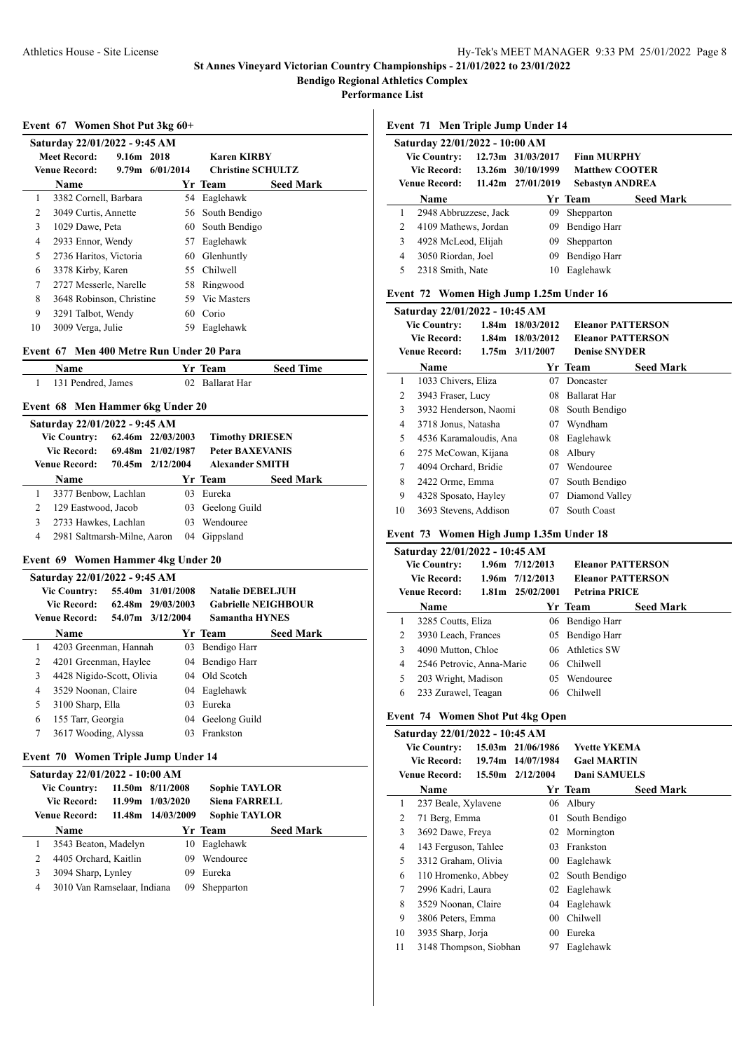**Performance List**

#### **Event 67 Women Shot Put 3kg 60+**

|    | Saturday 22/01/2022 - 9:45 AM |            |                   |                          |                  |
|----|-------------------------------|------------|-------------------|--------------------------|------------------|
|    | Meet Record:                  | 9.16m 2018 |                   | <b>Karen KIRBY</b>       |                  |
|    | <b>Venue Record:</b>          |            | $9.79m$ 6/01/2014 | <b>Christine SCHULTZ</b> |                  |
|    | Name                          |            |                   | Yr Team                  | <b>Seed Mark</b> |
| 1  | 3382 Cornell, Barbara         |            |                   | 54 Eaglehawk             |                  |
| 2  | 3049 Curtis, Annette          |            |                   | 56 South Bendigo         |                  |
| 3  | 1029 Dawe, Peta               |            |                   | 60 South Bendigo         |                  |
| 4  | 2933 Ennor, Wendy             |            | 57                | Eaglehawk                |                  |
| 5  | 2736 Haritos, Victoria        |            | 60                | Glenhuntly               |                  |
| 6  | 3378 Kirby, Karen             |            | 55.               | Chilwell                 |                  |
| 7  | 2727 Messerle, Narelle        |            |                   | 58 Ringwood              |                  |
| 8  | 3648 Robinson, Christine      |            |                   | 59 Vic Masters           |                  |
| 9  | 3291 Talbot, Wendy            |            | 60                | Corio                    |                  |
| 10 | 3009 Verga, Julie             |            | 59                | Eaglehawk                |                  |

#### **Event 67 Men 400 Metre Run Under 20 Para**

| Name               | Yr Team         | <b>Seed Time</b> |
|--------------------|-----------------|------------------|
| 131 Pendred, James | 02 Ballarat Har |                  |

#### **Event 68 Men Hammer 6kg Under 20**

|   | Saturday 22/01/2022 - 9:45 AM |  |                   |                        |                  |  |  |  |  |
|---|-------------------------------|--|-------------------|------------------------|------------------|--|--|--|--|
|   | <b>Vic Country:</b>           |  | 62.46m 22/03/2003 | <b>Timothy DRIESEN</b> |                  |  |  |  |  |
|   | <b>Vic Record:</b>            |  | 69.48m 21/02/1987 | <b>Peter BAXEVANIS</b> |                  |  |  |  |  |
|   | Venue Record:                 |  | 70.45m 2/12/2004  | <b>Alexander SMITH</b> |                  |  |  |  |  |
|   | <b>Name</b>                   |  |                   | Yr Team                | <b>Seed Mark</b> |  |  |  |  |
|   | 3377 Benbow, Lachlan          |  |                   | 03 Eureka              |                  |  |  |  |  |
|   | 129 Eastwood, Jacob           |  |                   | 03 Geelong Guild       |                  |  |  |  |  |
| 3 | 2733 Hawkes, Lachlan          |  | $03 -$            | Wendouree              |                  |  |  |  |  |
| 4 | 2981 Saltmarsh-Milne, Aaron   |  | 04                | Gippsland              |                  |  |  |  |  |

## **Event 69 Women Hammer 4kg Under 20**

|                      | Saturday 22/01/2022 - 9:45 AM |  |                   |              |                            |                  |  |  |  |
|----------------------|-------------------------------|--|-------------------|--------------|----------------------------|------------------|--|--|--|
| <b>Vic Country:</b>  |                               |  | 55.40m 31/01/2008 |              | <b>Natalie DEBELJUH</b>    |                  |  |  |  |
| <b>Vic Record:</b>   |                               |  | 62.48m 29/03/2003 |              | <b>Gabrielle NEIGHBOUR</b> |                  |  |  |  |
| <b>Venue Record:</b> |                               |  | 54.07m 3/12/2004  |              | <b>Samantha HYNES</b>      |                  |  |  |  |
|                      | Name                          |  |                   |              | Yr Team                    | <b>Seed Mark</b> |  |  |  |
| 1                    | 4203 Greenman, Hannah         |  |                   | 03           | Bendigo Harr               |                  |  |  |  |
| 2                    | 4201 Greenman, Haylee         |  |                   | 04           | Bendigo Harr               |                  |  |  |  |
| 3                    | 4428 Nigido-Scott, Olivia     |  |                   |              | 04 Old Scotch              |                  |  |  |  |
| 4                    | 3529 Noonan, Claire           |  |                   | $04^{\circ}$ | Eaglehawk                  |                  |  |  |  |
| 5                    | 3100 Sharp, Ella              |  |                   | 03           | Eureka                     |                  |  |  |  |
| 6                    | 155 Tarr, Georgia             |  |                   | 04           | Geelong Guild              |                  |  |  |  |
| 7                    | 3617 Wooding, Alyssa          |  |                   | 03           | Frankston                  |                  |  |  |  |
|                      |                               |  |                   |              |                            |                  |  |  |  |

## **Event 70 Women Triple Jump Under 14**

|                     | Saturday 22/01/2022 - 10:00 AM |                  |                      |                      |                  |  |  |  |  |
|---------------------|--------------------------------|------------------|----------------------|----------------------|------------------|--|--|--|--|
| <b>Vic Country:</b> |                                | 11.50m 8/11/2008 | <b>Sophie TAYLOR</b> |                      |                  |  |  |  |  |
| <b>Vic Record:</b>  |                                |                  | $11.99m$ $1/03/2020$ | <b>Siena FARRELL</b> |                  |  |  |  |  |
|                     | <b>Venue Record:</b>           | 11.48m           | 14/03/2009           | <b>Sophie TAYLOR</b> |                  |  |  |  |  |
|                     | <b>Name</b>                    |                  |                      | Yr Team              | <b>Seed Mark</b> |  |  |  |  |
| 1                   | 3543 Beaton, Madelyn           |                  | 10                   | Eaglehawk            |                  |  |  |  |  |
| 2                   | 4405 Orchard, Kaitlin          |                  | 09                   | Wendouree            |                  |  |  |  |  |
| 3                   | 3094 Sharp, Lynley             |                  | 09                   | Eureka               |                  |  |  |  |  |
| 4                   | 3010 Van Ramselaar, Indiana    |                  | 09                   | Shepparton           |                  |  |  |  |  |
|                     |                                |                  |                      |                      |                  |  |  |  |  |

**Event 71 Men Triple Jump Under 14**

|                     | Saturday 22/01/2022 - 10:00 AM |                                         |                       |                       |                        |                  |  |  |
|---------------------|--------------------------------|-----------------------------------------|-----------------------|-----------------------|------------------------|------------------|--|--|
| <b>Vic Country:</b> |                                | 12.73m 31/03/2017<br><b>Finn MURPHY</b> |                       |                       |                        |                  |  |  |
| <b>Vic Record:</b>  |                                | 13.26m 30/10/1999                       | <b>Matthew COOTER</b> |                       |                        |                  |  |  |
|                     |                                | <b>Venue Record:</b>                    |                       | $11.42m$ $27/01/2019$ | <b>Sebastyn ANDREA</b> |                  |  |  |
|                     |                                | Name                                    |                       |                       | Yr Team                | <b>Seed Mark</b> |  |  |
|                     |                                | 2948 Abbruzzese, Jack                   |                       | 09                    | Shepparton             |                  |  |  |
|                     | 2                              | 4109 Mathews, Jordan                    |                       | 09                    | Bendigo Harr           |                  |  |  |
|                     | 3                              | 4928 McLeod, Elijah                     |                       | 09                    | Shepparton             |                  |  |  |
|                     | 4                              | 3050 Riordan, Joel                      |                       | 09                    | Bendigo Harr           |                  |  |  |
|                     | 5                              | 2318 Smith, Nate                        |                       | 10                    | Eaglehawk              |                  |  |  |
|                     |                                |                                         |                       |                       |                        |                  |  |  |

## **Event 72 Women High Jump 1.25m Under 16**

|                      | Saturday 22/01/2022 - 10:45 AM |                     |                          |                          |                  |  |  |  |
|----------------------|--------------------------------|---------------------|--------------------------|--------------------------|------------------|--|--|--|
|                      | <b>Vic Country:</b>            |                     | 1.84m 18/03/2012         | <b>Eleanor PATTERSON</b> |                  |  |  |  |
| <b>Vic Record:</b>   |                                | 1.84m 18/03/2012    | <b>Eleanor PATTERSON</b> |                          |                  |  |  |  |
| <b>Venue Record:</b> |                                | $1.75m$ $3/11/2007$ | <b>Denise SNYDER</b>     |                          |                  |  |  |  |
|                      | Name                           |                     |                          | Yr Team                  | <b>Seed Mark</b> |  |  |  |
| 1                    | 1033 Chivers, Eliza            |                     | 07                       | Doncaster                |                  |  |  |  |
| 2                    | 3943 Fraser, Lucy              |                     | 08                       | <b>Ballarat Har</b>      |                  |  |  |  |
| 3                    | 3932 Henderson, Naomi          |                     | 08                       | South Bendigo            |                  |  |  |  |
| 4                    | 3718 Jonus, Natasha            |                     | 07                       | Wyndham                  |                  |  |  |  |
| 5                    | 4536 Karamaloudis, Ana         |                     | 08                       | Eaglehawk                |                  |  |  |  |
| 6                    | 275 McCowan, Kijana            |                     | 08                       | Albury                   |                  |  |  |  |
| 7                    | 4094 Orchard, Bridie           |                     | 07                       | Wendouree                |                  |  |  |  |
| 8                    | 2422 Orme, Emma                |                     | 07                       | South Bendigo            |                  |  |  |  |
| 9                    | 4328 Sposato, Hayley           |                     | 07                       | Diamond Valley           |                  |  |  |  |
| 10                   | 3693 Stevens, Addison          |                     | 07                       | South Coast              |                  |  |  |  |

## **Event 73 Women High Jump 1.35m Under 18**

|                                              | Saturday 22/01/2022 - 10:45 AM |                     |                                                 |                      |                          |                  |  |  |  |  |
|----------------------------------------------|--------------------------------|---------------------|-------------------------------------------------|----------------------|--------------------------|------------------|--|--|--|--|
|                                              | <b>Vic Country:</b>            | $1.96m$ $7/12/2013$ |                                                 |                      | <b>Eleanor PATTERSON</b> |                  |  |  |  |  |
| <b>Vic Record:</b>                           |                                |                     | $1.96m$ $7/12/2013$<br><b>Eleanor PATTERSON</b> |                      |                          |                  |  |  |  |  |
| <b>Venue Record:</b><br>$1.81m$ $25/02/2001$ |                                |                     |                                                 | <b>Petrina PRICE</b> |                          |                  |  |  |  |  |
|                                              | Name                           |                     |                                                 |                      | Yr Team                  | <b>Seed Mark</b> |  |  |  |  |
| 1                                            | 3285 Coutts, Eliza             |                     |                                                 |                      | 06 Bendigo Harr          |                  |  |  |  |  |
| 2                                            | 3930 Leach, Frances            |                     |                                                 |                      | 05 Bendigo Harr          |                  |  |  |  |  |
| 3                                            | 4090 Mutton, Chloe             |                     |                                                 |                      | 06 Athletics SW          |                  |  |  |  |  |
| 4                                            | 2546 Petrovic, Anna-Marie      |                     |                                                 |                      | 06 Chilwell              |                  |  |  |  |  |
| 5                                            | 203 Wright, Madison            |                     |                                                 | 05                   | Wendouree                |                  |  |  |  |  |
| 6                                            | 233 Zurawel, Teagan            |                     |                                                 | 06                   | <b>Chilwell</b>          |                  |  |  |  |  |

#### **Event 74 Women Shot Put 4kg Open**

| 15.03m 21/06/1986<br><b>Yvette YKEMA</b><br><b>Vic Country:</b><br>Vic Record:<br>14/07/1984<br><b>Gael MARTIN</b><br>19.74m<br><b>Venue Record:</b><br>Dani SAMUELS<br>15.50m 2/12/2004<br><b>Seed Mark</b><br>Name<br>Yr Team<br>1<br>237 Beale, Xylavene<br>Albury<br>06 |  | Saturday 22/01/2022 - 10:45 AM |  |  |  |  |  |  |  |  |
|-----------------------------------------------------------------------------------------------------------------------------------------------------------------------------------------------------------------------------------------------------------------------------|--|--------------------------------|--|--|--|--|--|--|--|--|
|                                                                                                                                                                                                                                                                             |  |                                |  |  |  |  |  |  |  |  |
|                                                                                                                                                                                                                                                                             |  |                                |  |  |  |  |  |  |  |  |
|                                                                                                                                                                                                                                                                             |  |                                |  |  |  |  |  |  |  |  |
|                                                                                                                                                                                                                                                                             |  |                                |  |  |  |  |  |  |  |  |
|                                                                                                                                                                                                                                                                             |  |                                |  |  |  |  |  |  |  |  |
| 2<br>71 Berg, Emma<br>South Bendigo<br>01                                                                                                                                                                                                                                   |  |                                |  |  |  |  |  |  |  |  |
| 3<br>Mornington<br>3692 Dawe, Freya<br>02                                                                                                                                                                                                                                   |  |                                |  |  |  |  |  |  |  |  |
| Frankston<br>4<br>143 Ferguson, Tahlee<br>03                                                                                                                                                                                                                                |  |                                |  |  |  |  |  |  |  |  |
| 5<br>3312 Graham, Olivia<br>Eaglehawk<br>00                                                                                                                                                                                                                                 |  |                                |  |  |  |  |  |  |  |  |
| South Bendigo<br>110 Hromenko, Abbey<br>6<br>02                                                                                                                                                                                                                             |  |                                |  |  |  |  |  |  |  |  |
| 7<br>2996 Kadri, Laura<br>Eaglehawk<br>02                                                                                                                                                                                                                                   |  |                                |  |  |  |  |  |  |  |  |
| 8<br>Eaglehawk<br>3529 Noonan, Claire<br>$^{04}$                                                                                                                                                                                                                            |  |                                |  |  |  |  |  |  |  |  |
| 9<br>Chilwell<br>3806 Peters, Emma<br>00                                                                                                                                                                                                                                    |  |                                |  |  |  |  |  |  |  |  |
| 10<br>Eureka<br>3935 Sharp, Jorja<br>00                                                                                                                                                                                                                                     |  |                                |  |  |  |  |  |  |  |  |
| 11<br>3148 Thompson, Siobhan<br>Eaglehawk<br>97                                                                                                                                                                                                                             |  |                                |  |  |  |  |  |  |  |  |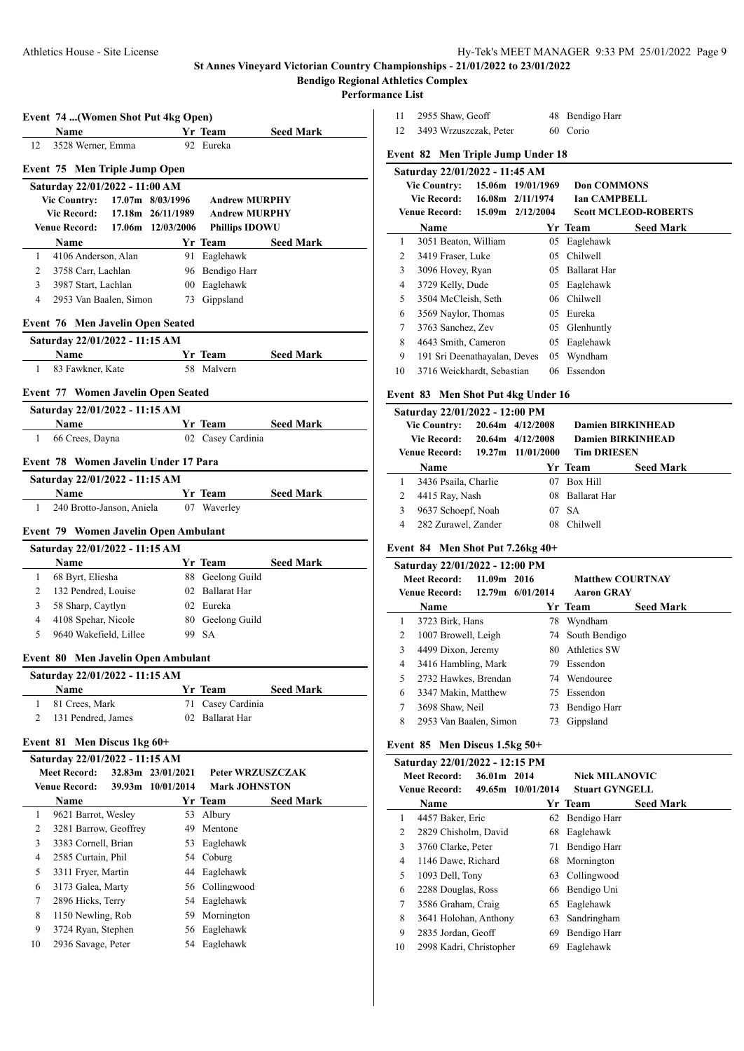# **Bendigo Regional Athletics Complex**

**Performance List**

|          | Name                                         |                    |                                        | Yr Team                                         | <b>Seed Mark</b> |
|----------|----------------------------------------------|--------------------|----------------------------------------|-------------------------------------------------|------------------|
| 12       | 3528 Werner, Emma                            |                    |                                        | 92 Eureka                                       |                  |
|          | Event 75 Men Triple Jump Open                |                    |                                        |                                                 |                  |
|          | Saturday 22/01/2022 - 11:00 AM               |                    |                                        |                                                 |                  |
|          | Vic Country: 17.07m 8/03/1996                |                    |                                        | <b>Andrew MURPHY</b>                            |                  |
|          | <b>Vic Record:</b>                           |                    | 17.18m 26/11/1989                      | <b>Andrew MURPHY</b>                            |                  |
|          | <b>Venue Record:</b>                         |                    | 17.06m 12/03/2006                      | <b>Phillips IDOWU</b>                           |                  |
|          | <b>Name</b>                                  |                    |                                        | Yr Team                                         | <b>Seed Mark</b> |
| 1        | 4106 Anderson, Alan                          |                    |                                        | 91 Eaglehawk                                    |                  |
| 2        | 3758 Carr, Lachlan                           |                    |                                        | 96 Bendigo Harr                                 |                  |
| 3        | 3987 Start, Lachlan                          |                    |                                        | 00 Eaglehawk                                    |                  |
| 4        | 2953 Van Baalen, Simon                       |                    |                                        | 73 Gippsland                                    |                  |
|          | Event 76 Men Javelin Open Seated             |                    |                                        |                                                 |                  |
|          | Saturday 22/01/2022 - 11:15 AM               |                    |                                        |                                                 |                  |
|          | Name                                         |                    |                                        | Yr Team                                         | <b>Seed Mark</b> |
| 1        | 83 Fawkner, Kate                             |                    |                                        | 58 Malvern                                      |                  |
|          | Event 77 Women Javelin Open Seated           |                    |                                        |                                                 |                  |
|          | Saturday 22/01/2022 - 11:15 AM               |                    |                                        |                                                 |                  |
|          | Name                                         |                    |                                        | Yr Team                                         | <b>Seed Mark</b> |
| 1        | 66 Crees, Dayna                              |                    |                                        | 02 Casey Cardinia                               |                  |
|          |                                              |                    |                                        |                                                 |                  |
|          | Event 78 Women Javelin Under 17 Para         |                    |                                        |                                                 |                  |
|          | Saturday 22/01/2022 - 11:15 AM               |                    |                                        |                                                 |                  |
|          | <b>Name</b>                                  |                    |                                        | Yr Team                                         | <b>Seed Mark</b> |
| 1        | 240 Brotto-Janson, Aniela                    |                    |                                        | 07 Waverley                                     |                  |
|          | Event 79 Women Javelin Open Ambulant         |                    |                                        |                                                 |                  |
|          | Saturday 22/01/2022 - 11:15 AM               |                    |                                        |                                                 |                  |
|          | Name                                         |                    |                                        | Yr Team                                         | <b>Seed Mark</b> |
| 1        | 68 Byrt, Eliesha                             |                    |                                        | 88 Geelong Guild                                |                  |
| 2        | 132 Pendred, Louise                          |                    |                                        | 02 Ballarat Har                                 |                  |
| 3        | 58 Sharp, Caytlyn                            |                    |                                        | 02 Eureka                                       |                  |
|          | 4108 Spehar, Nicole                          |                    |                                        | 80 Geelong Guild                                |                  |
| 4        |                                              |                    |                                        |                                                 |                  |
| 5        | 9640 Wakefield, Lillee                       |                    |                                        | 99 SA                                           |                  |
|          |                                              |                    |                                        |                                                 |                  |
|          | Event 80 Men Javelin Open Ambulant           |                    |                                        |                                                 |                  |
|          | Saturday 22/01/2022 - 11:15 AM               |                    |                                        |                                                 |                  |
| 1        | Name<br>81 Crees, Mark                       |                    |                                        | Yr Team<br>71 Casey Cardinia                    | <b>Seed Mark</b> |
| 2        | 131 Pendred, James                           |                    |                                        | 02 Ballarat Har                                 |                  |
|          |                                              |                    |                                        |                                                 |                  |
| Event 81 |                                              | Men Discus 1kg 60+ |                                        |                                                 |                  |
|          | Saturday 22/01/2022 - 11:15 AM               |                    |                                        |                                                 |                  |
|          | <b>Meet Record:</b><br><b>Venue Record:</b>  |                    | 32.83m 23/01/2021<br>39.93m 10/01/2014 | <b>Peter WRZUSZCZAK</b><br><b>Mark JOHNSTON</b> |                  |
|          |                                              |                    |                                        |                                                 |                  |
| 1        | Name                                         |                    | 53                                     | Yr Team<br>Albury                               | <b>Seed Mark</b> |
| 2        | 9621 Barrot, Wesley                          |                    | 49                                     | Mentone                                         |                  |
| 3        | 3281 Barrow, Geoffrey<br>3383 Cornell, Brian |                    | 53                                     | Eaglehawk                                       |                  |
| 4        |                                              |                    |                                        |                                                 |                  |
| 5        | 2585 Curtain, Phil                           |                    |                                        | 54 Coburg                                       |                  |
| 6        | 3311 Fryer, Martin                           |                    |                                        | 44 Eaglehawk<br>56 Collingwood                  |                  |
| 7        | 3173 Galea, Marty<br>2896 Hicks, Terry       |                    |                                        | 54 Eaglehawk                                    |                  |
| 8        | 1150 Newling, Rob                            |                    |                                        | 59 Mornington                                   |                  |

9 3724 Ryan, Stephen 56 Eaglehawk 10 2936 Savage, Peter 54 Eaglehawk

| 11                                       | 2955 Shaw, Geoff     |                                    |                  |                     | 48 Bendigo Harr          |                             |  |
|------------------------------------------|----------------------|------------------------------------|------------------|---------------------|--------------------------|-----------------------------|--|
| 12                                       |                      | 3493 Wrzuszczak, Peter             |                  |                     | 60 Corio                 |                             |  |
|                                          |                      | Event 82 Men Triple Jump Under 18  |                  |                     |                          |                             |  |
|                                          |                      | Saturday 22/01/2022 - 11:45 AM     |                  |                     |                          |                             |  |
| 15.06m 19/01/1969<br><b>Vic Country:</b> |                      |                                    |                  |                     | <b>Don COMMONS</b>       |                             |  |
| Vic Record: 16.08m 2/11/1974             |                      |                                    |                  | <b>Ian CAMPBELL</b> |                          |                             |  |
|                                          | <b>Venue Record:</b> |                                    | 15.09m 2/12/2004 |                     |                          | <b>Scott MCLEOD-ROBERTS</b> |  |
|                                          | Name                 |                                    |                  |                     | Yr Team                  | <b>Seed Mark</b>            |  |
| 1                                        |                      | 3051 Beaton, William               |                  | 05                  | Eaglehawk                |                             |  |
| 2                                        | 3419 Fraser, Luke    |                                    |                  | 0.5                 | Chilwell                 |                             |  |
| 3                                        | 3096 Hovey, Ryan     |                                    |                  | 05                  | Ballarat Har             |                             |  |
| 4                                        | 3729 Kelly, Dude     |                                    |                  |                     | 05 Eaglehawk             |                             |  |
| 5                                        |                      | 3504 McCleish, Seth                |                  | 06                  | Chilwell                 |                             |  |
| 6                                        |                      | 3569 Naylor, Thomas                |                  |                     | 05 Eureka                |                             |  |
| 7                                        | 3763 Sanchez, Zev    |                                    |                  | 05                  | Glenhuntly               |                             |  |
| 8                                        |                      | 4643 Smith, Cameron                |                  | 05                  | Eaglehawk                |                             |  |
| 9                                        |                      | 191 Sri Deenathayalan, Deves       |                  |                     | 05 Wyndham               |                             |  |
| 10                                       |                      | 3716 Weickhardt, Sebastian         |                  |                     | 06 Essendon              |                             |  |
|                                          |                      | Event 83 Men Shot Put 4kg Under 16 |                  |                     |                          |                             |  |
|                                          |                      | Saturday 22/01/2022 - 12:00 PM     |                  |                     |                          |                             |  |
|                                          | <b>Vic Country:</b>  |                                    | 20.64m 4/12/2008 |                     | <b>Damien BIRKINHEAD</b> |                             |  |
|                                          | <b>Vic Record:</b>   |                                    | 20.64m 4/12/2008 |                     | <b>Damien BIRKINHEAD</b> |                             |  |
|                                          | <b>Venue Record:</b> | 19.27m 11/01/2000                  |                  |                     | <b>Tim DRIESEN</b>       |                             |  |
|                                          | <b>BT</b>            |                                    |                  | $\mathbf{v}$        | m                        | $\sim$ 135                  |  |

|              | Name                  | Yr Team         | <b>Seed Mark</b> |
|--------------|-----------------------|-----------------|------------------|
| $\mathbf{1}$ | 3436 Psaila, Charlie  | 07 Box Hill     |                  |
|              | 2 4415 Ray, Nash      | 08 Ballarat Har |                  |
|              | 3 9637 Schoepf, Noah  | 07 SA           |                  |
|              | 4 282 Zurawel, Zander | 08 Chilwell     |                  |
|              |                       |                 |                  |

# **Event 84 Men Shot Put 7.26kg 40+**

|               | Saturday 22/01/2022 - 12:00 PM     |                    |                         |                  |                  |  |  |  |
|---------------|------------------------------------|--------------------|-------------------------|------------------|------------------|--|--|--|
|               | 11.09m 2016<br><b>Meet Record:</b> |                    | <b>Matthew COURTNAY</b> |                  |                  |  |  |  |
| Venue Record: |                                    | $12.79m$ 6/01/2014 | <b>Aaron GRAY</b>       |                  |                  |  |  |  |
|               | <b>Name</b>                        |                    |                         | Yr Team          | <b>Seed Mark</b> |  |  |  |
| 1             | 3723 Birk, Hans                    |                    | 78                      | Wyndham          |                  |  |  |  |
| 2             | 1007 Browell, Leigh                |                    |                         | 74 South Bendigo |                  |  |  |  |
| 3             | 4499 Dixon, Jeremy                 |                    | 80                      | Athletics SW     |                  |  |  |  |
| 4             | 3416 Hambling, Mark                |                    | 79.                     | Essendon         |                  |  |  |  |
| 5             | 2732 Hawkes, Brendan               |                    |                         | 74 Wendouree     |                  |  |  |  |
| 6             | 3347 Makin, Matthew                |                    |                         | 75 Essendon      |                  |  |  |  |
| 7             | 3698 Shaw, Neil                    |                    | 73                      | Bendigo Harr     |                  |  |  |  |
| 8             | 2953 Van Baalen, Simon             |                    | 73                      | Gippsland        |                  |  |  |  |
|               |                                    |                    |                         |                  |                  |  |  |  |

# **Event 85 Men Discus 1.5kg 50+**

| $\mathbf{u}$ , ent ov $\mathbf{u}$ in $\mathbf{u}$ is not in $\mathbf{v}$ . |                                |                   |                       |                 |                  |  |  |  |
|-----------------------------------------------------------------------------|--------------------------------|-------------------|-----------------------|-----------------|------------------|--|--|--|
|                                                                             | Saturday 22/01/2022 - 12:15 PM |                   |                       |                 |                  |  |  |  |
| 36.01m 2014<br><b>Meet Record:</b>                                          |                                |                   | <b>Nick MILANOVIC</b> |                 |                  |  |  |  |
| Venue Record:                                                               |                                | 49.65m 10/01/2014 | <b>Stuart GYNGELL</b> |                 |                  |  |  |  |
|                                                                             | Name                           |                   |                       | Yr Team         | <b>Seed Mark</b> |  |  |  |
| 1                                                                           | 4457 Baker, Eric               |                   |                       | 62 Bendigo Harr |                  |  |  |  |
| 2                                                                           | 2829 Chisholm, David           |                   | 68                    | Eaglehawk       |                  |  |  |  |
| 3                                                                           | 3760 Clarke, Peter             |                   | 71                    | Bendigo Harr    |                  |  |  |  |
| 4                                                                           | 1146 Dawe, Richard             |                   |                       | 68 Mornington   |                  |  |  |  |
| 5                                                                           | 1093 Dell, Tony                |                   |                       | 63 Collingwood  |                  |  |  |  |
| 6                                                                           | 2288 Douglas, Ross             |                   |                       | 66 Bendigo Uni  |                  |  |  |  |
| 7                                                                           | 3586 Graham, Craig             |                   | 65                    | Eaglehawk       |                  |  |  |  |
| 8                                                                           | 3641 Holohan, Anthony          |                   | 63                    | Sandringham     |                  |  |  |  |
| 9                                                                           | 2835 Jordan, Geoff             |                   | 69                    | Bendigo Harr    |                  |  |  |  |
| 10                                                                          | 2998 Kadri, Christopher        |                   | 69                    | Eaglehawk       |                  |  |  |  |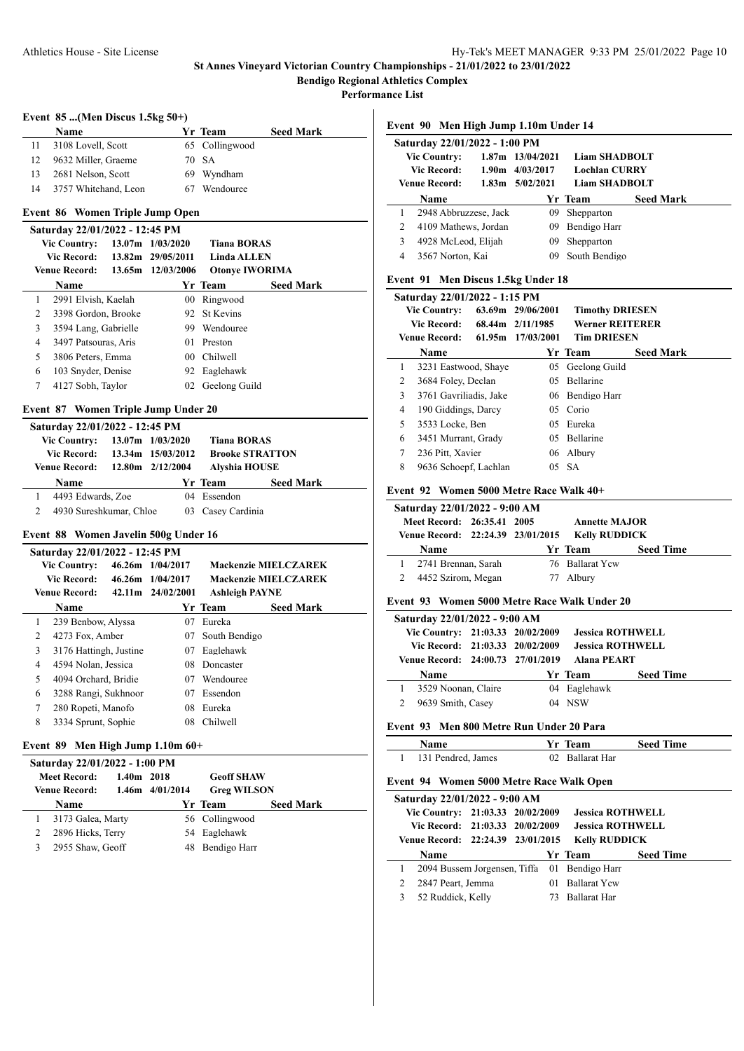**Performance List**

 $\overline{a}$ 

## **Event 85 ...(Men Discus 1.5kg 50+)**

|    | <b>Name</b>          | Yr Team        | <b>Seed Mark</b> |
|----|----------------------|----------------|------------------|
| 11 | 3108 Lovell, Scott   | 65 Collingwood |                  |
| 12 | 9632 Miller, Graeme  | 70 SA          |                  |
| 13 | 2681 Nelson, Scott   | 69 Wyndham     |                  |
| 14 | 3757 Whitehand, Leon | Wendouree      |                  |

#### **Event 86 Women Triple Jump Open**

| Saturday 22/01/2022 - 12:45 PM |                      |  |                   |                       |                  |  |
|--------------------------------|----------------------|--|-------------------|-----------------------|------------------|--|
|                                | <b>Vic Country:</b>  |  | 13.07m 1/03/2020  | <b>Tiana BORAS</b>    |                  |  |
|                                | <b>Vic Record:</b>   |  | 13.82m 29/05/2011 | <b>Linda ALLEN</b>    |                  |  |
|                                | <b>Venue Record:</b> |  | 13.65m 12/03/2006 | <b>Otonye IWORIMA</b> |                  |  |
|                                | <b>Name</b>          |  |                   | Yr Team               | <b>Seed Mark</b> |  |
|                                | 2991 Elvish, Kaelah  |  | 00                | Ringwood              |                  |  |
| 2                              | 3398 Gordon, Brooke  |  |                   | 92 St Kevins          |                  |  |
| 3                              | 3594 Lang, Gabrielle |  | 99                | Wendouree             |                  |  |
| 4                              | 3497 Patsouras, Aris |  | 01                | Preston               |                  |  |
| 5                              | 3806 Peters, Emma    |  | 00                | Chilwell              |                  |  |
| 6                              | 103 Snyder, Denise   |  |                   | 92 Eaglehawk          |                  |  |
|                                | 4127 Sobh, Taylor    |  |                   | 02 Geelong Guild      |                  |  |
|                                |                      |  |                   |                       |                  |  |

#### **Event 87 Women Triple Jump Under 20**

|                                                      | Saturday 22/01/2022 - 12:45 PM |  |                      |                        |                  |  |  |  |
|------------------------------------------------------|--------------------------------|--|----------------------|------------------------|------------------|--|--|--|
| <b>Vic Country:</b><br>Vic Record: 13.34m 15/03/2012 |                                |  | $13.07m$ $1/03/2020$ | <b>Tiana BORAS</b>     |                  |  |  |  |
|                                                      |                                |  |                      | <b>Brooke STRATTON</b> |                  |  |  |  |
|                                                      | Venue Record: 12.80m 2/12/2004 |  |                      | <b>Alyshia HOUSE</b>   |                  |  |  |  |
|                                                      |                                |  |                      |                        |                  |  |  |  |
|                                                      | <b>Name</b>                    |  |                      | Yr Team                | <b>Seed Mark</b> |  |  |  |
|                                                      | 4493 Edwards, Zoe              |  |                      | 04 Essendon            |                  |  |  |  |

#### **Event 88 Women Javelin 500g Under 16**

|                      | Saturday 22/01/2022 - 12:45 PM |                   |                       |                             |                             |
|----------------------|--------------------------------|-------------------|-----------------------|-----------------------------|-----------------------------|
|                      | <b>Vic Country:</b>            |                   | 46.26m 1/04/2017      |                             | <b>Mackenzie MIELCZAREK</b> |
| Vic Record:          |                                | 46.26m 1/04/2017  |                       | <b>Mackenzie MIELCZAREK</b> |                             |
| <b>Venue Record:</b> |                                | 42.11m 24/02/2001 | <b>Ashleigh PAYNE</b> |                             |                             |
|                      | Name                           |                   |                       | <b>Yr Team</b>              | <b>Seed Mark</b>            |
| 1                    | 239 Benbow, Alyssa             |                   | 07                    | Eureka                      |                             |
| 2                    | 4273 Fox, Amber                |                   | 07                    | South Bendigo               |                             |
| 3                    | 3176 Hattingh, Justine         |                   | 07                    | Eaglehawk                   |                             |
| 4                    | 4594 Nolan, Jessica            |                   | 08.                   | Doncaster                   |                             |
| 5                    | 4094 Orchard, Bridie           |                   | 07                    | Wendouree                   |                             |
| 6                    | 3288 Rangi, Sukhnoor           |                   | 07                    | Essendon                    |                             |
| 7                    | 280 Ropeti, Manofo             |                   | 08                    | Eureka                      |                             |
| 8                    | 3334 Sprunt, Sophie            |                   |                       | 08 Chilwell                 |                             |
|                      |                                |                   |                       |                             |                             |

## **Event 89 Men High Jump 1.10m 60+**

| Saturday 22/01/2022 - 1:00 PM |                   |              |                 |                    |                  |  |
|-------------------------------|-------------------|--------------|-----------------|--------------------|------------------|--|
|                               | Meet Record:      | $1.40m$ 2018 |                 | <b>Geoff SHAW</b>  |                  |  |
|                               | Venue Record:     |              | 1.46m 4/01/2014 | <b>Greg WILSON</b> |                  |  |
|                               | <b>Name</b>       |              |                 | Yr Team            | <b>Seed Mark</b> |  |
|                               | 3173 Galea, Marty |              |                 | 56 Collingwood     |                  |  |
|                               | 2896 Hicks, Terry |              |                 | 54 Eaglehawk       |                  |  |
|                               | 2955 Shaw, Geoff  |              |                 | 48 Bendigo Harr    |                  |  |
|                               |                   |              |                 |                    |                  |  |

**Event 90 Men High Jump 1.10m Under 14**

|              | Saturday 22/01/2022 - 1:00 PM                               |                     |                        |                  |
|--------------|-------------------------------------------------------------|---------------------|------------------------|------------------|
|              | <b>Vic Country:</b>                                         | 1.87m 13/04/2021    | <b>Liam SHADBOLT</b>   |                  |
|              | Vic Record:                                                 | $1.90m$ $4/03/2017$ | <b>Lochlan CURRY</b>   |                  |
|              | Venue Record:                                               | $1.83m$ $5/02/2021$ | <b>Liam SHADBOLT</b>   |                  |
|              | Name                                                        |                     | Yr Team                | <b>Seed Mark</b> |
| 1            | 2948 Abbruzzese, Jack                                       | 09                  | Shepparton             |                  |
| 2            | 4109 Mathews, Jordan                                        |                     | 09 Bendigo Harr        |                  |
| $\mathbf{3}$ | 4928 McLeod, Elijah                                         | 09                  | Shepparton             |                  |
| 4            | 3567 Norton, Kai                                            | 09                  | South Bendigo          |                  |
|              |                                                             |                     |                        |                  |
|              | Event 91 Men Discus 1.5kg Under 18                          |                     |                        |                  |
|              | Saturday 22/01/2022 - 1:15 PM                               |                     |                        |                  |
|              | <b>Vic Country:</b>                                         | 63.69m 29/06/2001   | <b>Timothy DRIESEN</b> |                  |
|              | Vic Record: 68.44m 2/11/1985                                |                     | <b>Werner REITERER</b> |                  |
|              | <b>Venue Record:</b>                                        | 61.95m 17/03/2001   | <b>Tim DRIESEN</b>     |                  |
|              | Name                                                        |                     | Yr Team                | <b>Seed Mark</b> |
|              |                                                             |                     |                        |                  |
| 1            | 3231 Eastwood, Shaye                                        | 0.5                 | Geelong Guild          |                  |
| 2            | 3684 Foley, Declan                                          | 0.5                 | <b>Bellarine</b>       |                  |
| 3            | 3761 Gavriliadis, Jake                                      |                     | 06 Bendigo Harr        |                  |
| 4            | 190 Giddings, Darcy                                         | 0.5                 | Corio                  |                  |
| 5            | 3533 Locke, Ben                                             |                     | 05 Eureka              |                  |
| 6            | 3451 Murrant, Grady                                         |                     | 05 Bellarine           |                  |
| 7            | 236 Pitt, Xavier                                            | 06                  | Albury                 |                  |
| 8            | 9636 Schoepf, Lachlan                                       |                     | $05$ SA                |                  |
|              | Event 92 Women 5000 Metre Race Walk 40+                     |                     |                        |                  |
|              | Saturday 22/01/2022 - 9:00 AM<br>Meet Record: 26:35.41 2005 |                     | <b>Annette MAJOR</b>   |                  |

|  | Meet Record: 26:35.41 2005 |                                                 | <b>Annette MAJOR</b> |                  |  |
|--|----------------------------|-------------------------------------------------|----------------------|------------------|--|
|  |                            | Venue Record: 22:24.39 23/01/2015 Kelly RUDDICK |                      |                  |  |
|  | <b>Name</b>                |                                                 | Yr Team              | <b>Seed Time</b> |  |
|  | 2741 Brennan, Sarah        |                                                 | 76 Ballarat Yew      |                  |  |
|  | 4452 Szirom, Megan         |                                                 | 77 Albury            |                  |  |

#### **Event 93 Women 5000 Metre Race Walk Under 20**

| Saturday 22/01/2022 - 9:00 AM     |                     |  |                         |                         |                  |  |  |  |
|-----------------------------------|---------------------|--|-------------------------|-------------------------|------------------|--|--|--|
| Vic Country: 21:03.33 20/02/2009  |                     |  | <b>Jessica ROTHWELL</b> |                         |                  |  |  |  |
| Vic Record: 21:03.33 20/02/2009   |                     |  |                         | <b>Jessica ROTHWELL</b> |                  |  |  |  |
| Venue Record: 24:00.73 27/01/2019 |                     |  | <b>Alana PEART</b>      |                         |                  |  |  |  |
|                                   |                     |  |                         |                         |                  |  |  |  |
|                                   | <b>Name</b>         |  |                         | Yr Team                 | <b>Seed Time</b> |  |  |  |
|                                   | 3529 Noonan, Claire |  |                         | 04 Eaglehawk            |                  |  |  |  |
|                                   | 9639 Smith, Casey   |  |                         | 04 NSW                  |                  |  |  |  |

## **Event 93 Men 800 Metre Run Under 20 Para**

| Name               | Yr Team         | <b>Seed Time</b> |
|--------------------|-----------------|------------------|
| 131 Pendred, James | 02 Ballarat Har |                  |

#### **Event 94 Women 5000 Metre Race Walk Open**

| Saturday 22/01/2022 - 9:00 AM |                                   |  |  |    |                                              |                  |  |
|-------------------------------|-----------------------------------|--|--|----|----------------------------------------------|------------------|--|
|                               | Vic Country: 21:03.33 20/02/2009  |  |  |    | <b>Jessica ROTHWELL</b>                      |                  |  |
|                               | Vic Record: 21:03.33 20/02/2009   |  |  |    | <b>Jessica ROTHWELL</b>                      |                  |  |
|                               | Venue Record: 22:24.39 23/01/2015 |  |  |    | <b>Kelly RUDDICK</b>                         |                  |  |
|                               | <b>Name</b>                       |  |  |    | Yr Team                                      | <b>Seed Time</b> |  |
|                               |                                   |  |  |    | 2094 Bussem Jorgensen, Tiffa 01 Bendigo Harr |                  |  |
|                               | 2847 Peart, Jemma                 |  |  |    | 01 Ballarat Yew                              |                  |  |
| 3                             | 52 Ruddick, Kelly                 |  |  | 73 | <b>Ballarat Har</b>                          |                  |  |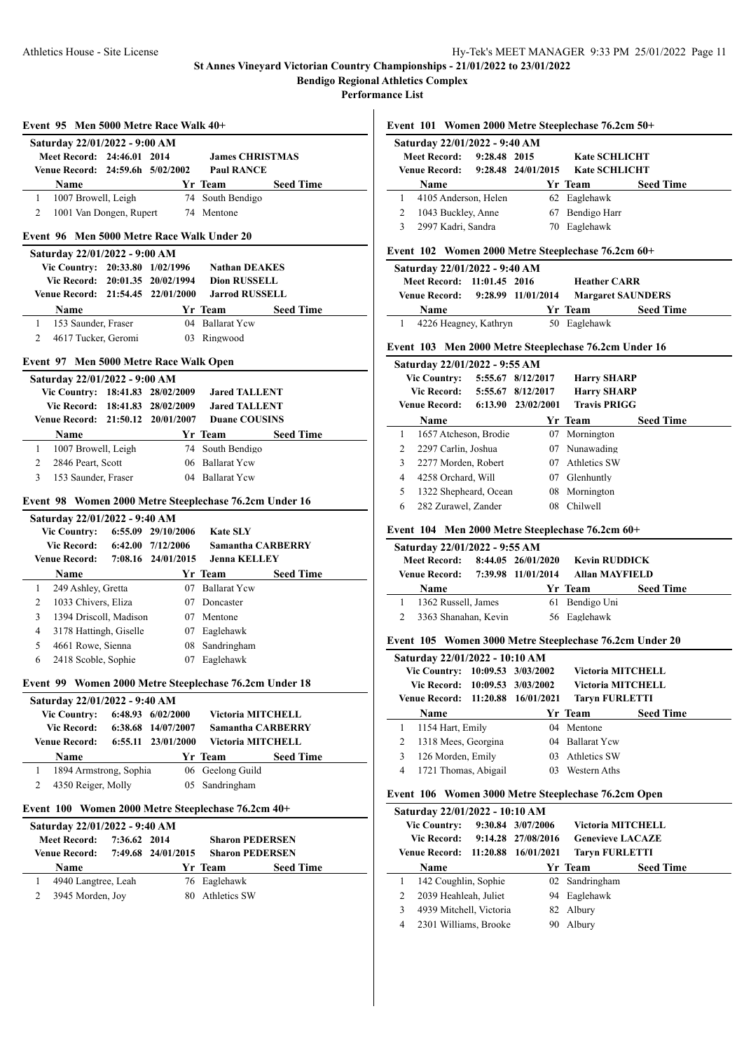**Performance List**

|                               |                                                  |              |                                          | Event 101 Women 2000 Metre Steeplechase 76.2cm 50+      |                  |  |  |
|-------------------------------|--------------------------------------------------|--------------|------------------------------------------|---------------------------------------------------------|------------------|--|--|
|                               | Saturday 22/01/2022 - 9:40 AM                    |              |                                          |                                                         |                  |  |  |
|                               | <b>Meet Record:</b>                              | 9:28.48 2015 |                                          | <b>Kate SCHLICHT</b>                                    |                  |  |  |
|                               | <b>Venue Record:</b>                             |              | 9:28.48 24/01/2015                       | <b>Kate SCHLICHT</b>                                    |                  |  |  |
|                               | Name                                             |              |                                          | Yr Team                                                 | <b>Seed Time</b> |  |  |
| 1                             | 4105 Anderson, Helen                             |              |                                          | 62 Eaglehawk                                            |                  |  |  |
| $\overline{2}$                | 1043 Buckley, Anne                               |              |                                          | 67 Bendigo Harr                                         |                  |  |  |
| 3                             | 2997 Kadri, Sandra                               |              |                                          | 70 Eaglehawk                                            |                  |  |  |
|                               | Event 102                                        |              |                                          | Women 2000 Metre Steeplechase 76.2cm 60+                |                  |  |  |
| Saturday 22/01/2022 - 9:40 AM |                                                  |              |                                          |                                                         |                  |  |  |
|                               | Meet Record: 11:01.45 2016                       |              |                                          | <b>Heather CARR</b>                                     |                  |  |  |
|                               | <b>Venue Record:</b>                             |              | 9:28.99 11/01/2014                       | <b>Margaret SAUNDERS</b>                                |                  |  |  |
|                               | Name                                             |              |                                          | Yr Team                                                 | <b>Seed Time</b> |  |  |
| 1                             | 4226 Heagney, Kathryn                            |              |                                          | 50 Eaglehawk                                            |                  |  |  |
|                               |                                                  |              |                                          | Event 103 Men 2000 Metre Steeplechase 76.2cm Under 16   |                  |  |  |
|                               | Saturday 22/01/2022 - 9:55 AM                    |              |                                          |                                                         |                  |  |  |
|                               | <b>Vic Country:</b>                              |              | 5:55.67 8/12/2017                        | <b>Harry SHARP</b>                                      |                  |  |  |
|                               | <b>Vic Record:</b>                               |              | 5:55.67 8/12/2017                        | <b>Harry SHARP</b>                                      |                  |  |  |
|                               | Venue Record:                                    |              | 6:13.90 23/02/2001                       | <b>Travis PRIGG</b>                                     |                  |  |  |
|                               | Name                                             |              |                                          | Yr Team                                                 | <b>Seed Time</b> |  |  |
| 1                             | 1657 Atcheson, Brodie                            |              |                                          | 07 Mornington                                           |                  |  |  |
| $\overline{2}$                | 2297 Carlin, Joshua                              |              |                                          | 07 Nunawading                                           |                  |  |  |
| 3                             | 2277 Morden, Robert                              |              |                                          | 07 Athletics SW                                         |                  |  |  |
| 4                             | 4258 Orchard, Will                               |              |                                          | 07 Glenhuntly                                           |                  |  |  |
| 5                             | 1322 Shepheard, Ocean                            |              |                                          | 08 Mornington                                           |                  |  |  |
| 6                             | 282 Zurawel, Zander                              |              |                                          | 08 Chilwell                                             |                  |  |  |
|                               |                                                  |              |                                          |                                                         |                  |  |  |
|                               |                                                  |              |                                          | Event 104 Men 2000 Metre Steeplechase 76.2cm 60+        |                  |  |  |
| Saturday 22/01/2022 - 9:55 AM |                                                  |              |                                          |                                                         |                  |  |  |
|                               |                                                  |              |                                          |                                                         |                  |  |  |
|                               | <b>Meet Record:</b><br><b>Venue Record:</b>      |              | 8:44.05 26/01/2020<br>7:39.98 11/01/2014 | <b>Kevin RUDDICK</b><br><b>Allan MAYFIELD</b>           |                  |  |  |
|                               |                                                  |              |                                          |                                                         |                  |  |  |
|                               | Name                                             |              |                                          |                                                         | <b>Seed Time</b> |  |  |
| 1                             | 1362 Russell, James                              |              |                                          | 61 Bendigo Uni                                          |                  |  |  |
| 2                             | 3363 Shanahan, Kevin                             |              |                                          | 56 Eaglehawk                                            |                  |  |  |
|                               |                                                  |              |                                          | Event 105 Women 3000 Metre Steeplechase 76.2cm Under 20 |                  |  |  |
|                               | Saturday 22/01/2022 - 10:10 AM                   |              |                                          |                                                         |                  |  |  |
|                               | Vic Country: 10:09.53 3/03/2002                  |              |                                          | <b>Victoria MITCHELL</b>                                |                  |  |  |
|                               | <b>Vic Record:</b>                               |              | 10:09.53 3/03/2002                       | Victoria MITCHELL                                       |                  |  |  |
|                               | <b>Venue Record:</b>                             | 11:20.88     | 16/01/2021                               | <b>Taryn FURLETTI</b>                                   |                  |  |  |
|                               | Name                                             |              |                                          | Yr Team                                                 | <b>Seed Time</b> |  |  |
| 1                             | 1154 Hart, Emily                                 |              | 04                                       | Mentone                                                 |                  |  |  |
| 2                             | 1318 Mees, Georgina                              |              | 04                                       | <b>Ballarat Yew</b>                                     |                  |  |  |
| 3                             | 126 Morden, Emily                                |              | 03                                       | Athletics SW                                            |                  |  |  |
| 4                             | 1721 Thomas, Abigail                             |              | 03                                       | Western Aths                                            |                  |  |  |
|                               |                                                  |              |                                          | Event 106 Women 3000 Metre Steeplechase 76.2cm Open     |                  |  |  |
|                               | Saturday 22/01/2022 - 10:10 AM                   |              |                                          |                                                         |                  |  |  |
|                               | <b>Vic Country:</b>                              |              | 9:30.84 3/07/2006                        | Victoria MITCHELL                                       |                  |  |  |
|                               | <b>Vic Record:</b>                               |              | 9:14.28 27/08/2016                       | <b>Genevieve LACAZE</b>                                 |                  |  |  |
|                               | <b>Venue Record:</b>                             |              | 11:20.88 16/01/2021                      | <b>Taryn FURLETTI</b>                                   |                  |  |  |
|                               | Name                                             |              |                                          | Yr Team                                                 | <b>Seed Time</b> |  |  |
| 1                             | 142 Coughlin, Sophie                             |              | 02                                       | Sandringham                                             |                  |  |  |
| 2                             | 2039 Heahleah, Juliet                            |              | 94                                       | Eaglehawk                                               |                  |  |  |
| 3                             |                                                  |              | 82                                       |                                                         |                  |  |  |
| 4                             | 4939 Mitchell, Victoria<br>2301 Williams, Brooke |              | 90                                       | Albury<br>Albury                                        |                  |  |  |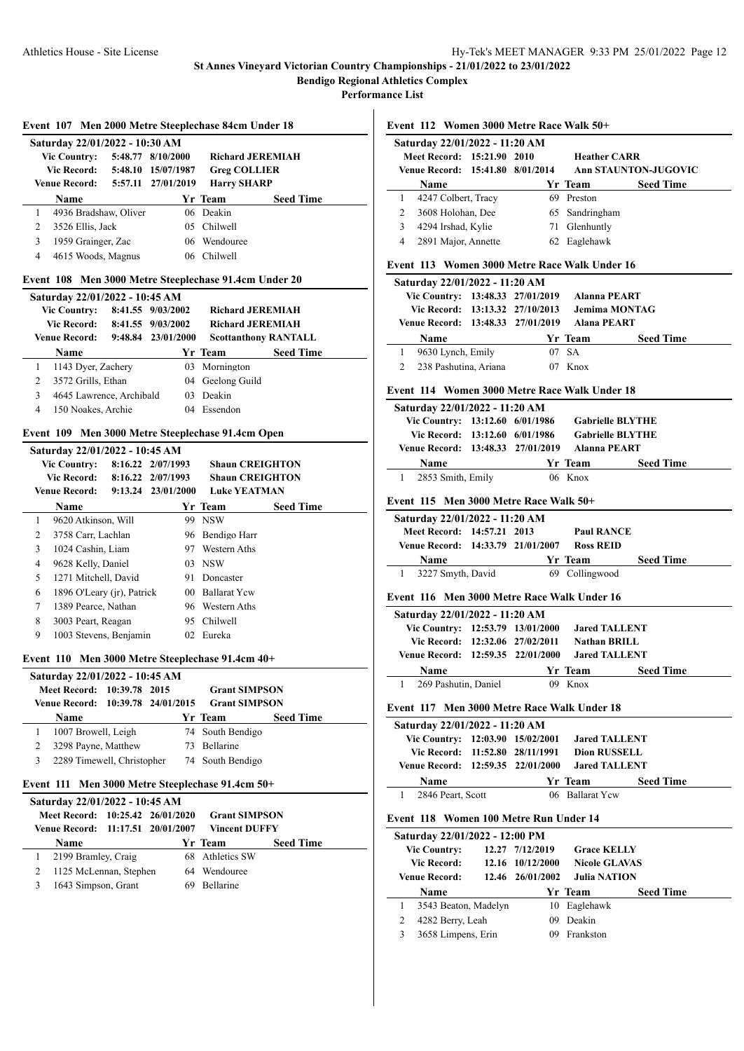**Event 112 Women 3000 Metre Race Walk 50+**

**Saturday 22/01/2022 - 11:20 AM**

#### **St Annes Vineyard Victorian Country Championships - 21/01/2022 to 23/01/2022 Bendigo Regional Athletics Complex**

**Performance List**

|                                                  |                                                                  |          |                                   | Event 107 Men 2000 Metre Steeplechase 84cm Under 18   |                             |  |  |  |
|--------------------------------------------------|------------------------------------------------------------------|----------|-----------------------------------|-------------------------------------------------------|-----------------------------|--|--|--|
|                                                  | Saturday 22/01/2022 - 10:30 AM                                   |          |                                   |                                                       |                             |  |  |  |
|                                                  | <b>Vic Country:</b>                                              |          | 5:48.77 8/10/2000                 | <b>Richard JEREMIAH</b>                               |                             |  |  |  |
|                                                  | <b>Vic Record:</b>                                               |          | 5:48.10 15/07/1987                | <b>Greg COLLIER</b>                                   |                             |  |  |  |
|                                                  | Venue Record:                                                    |          | 5:57.11 27/01/2019                | <b>Harry SHARP</b>                                    |                             |  |  |  |
|                                                  | Name                                                             |          |                                   | Yr Team                                               | <b>Seed Time</b>            |  |  |  |
| 1                                                | 4936 Bradshaw, Oliver                                            |          |                                   | 06 Deakin                                             |                             |  |  |  |
| 2                                                | 3526 Ellis, Jack                                                 |          |                                   | 05 Chilwell                                           |                             |  |  |  |
| 3                                                | 1959 Grainger, Zac                                               |          |                                   | 06 Wendouree                                          |                             |  |  |  |
| 4                                                | 4615 Woods, Magnus                                               |          |                                   | 06 Chilwell                                           |                             |  |  |  |
|                                                  |                                                                  |          |                                   | Event 108 Men 3000 Metre Steeplechase 91.4cm Under 20 |                             |  |  |  |
|                                                  | Saturday 22/01/2022 - 10:45 AM<br>Vic Country: 8:41.55 9/03/2002 |          |                                   | <b>Richard JEREMIAH</b>                               |                             |  |  |  |
|                                                  | Vic Record: 8:41.55 9/03/2002                                    |          |                                   | <b>Richard JEREMIAH</b>                               |                             |  |  |  |
|                                                  | <b>Venue Record:</b>                                             |          | 9:48.84 23/01/2000                |                                                       | <b>Scottanthony RANTALL</b> |  |  |  |
|                                                  | <b>Name</b>                                                      |          |                                   | Yr Team                                               | <b>Seed Time</b>            |  |  |  |
| 1                                                | 1143 Dyer, Zachery                                               |          |                                   | 03 Mornington                                         |                             |  |  |  |
| 2                                                | 3572 Grills, Ethan                                               |          |                                   | 04 Geelong Guild                                      |                             |  |  |  |
| 3                                                | 4645 Lawrence, Archibald                                         |          |                                   | 03 Deakin                                             |                             |  |  |  |
| $\overline{4}$                                   | 150 Noakes, Archie                                               |          |                                   | 04 Essendon                                           |                             |  |  |  |
|                                                  |                                                                  |          |                                   |                                                       |                             |  |  |  |
|                                                  |                                                                  |          |                                   | Event 109 Men 3000 Metre Steeplechase 91.4cm Open     |                             |  |  |  |
|                                                  | Saturday 22/01/2022 - 10:45 AM<br><b>Vic Country:</b>            |          | 8:16.22 2/07/1993                 | <b>Shaun CREIGHTON</b>                                |                             |  |  |  |
|                                                  | <b>Vic Record:</b>                                               |          | 8:16.22 2/07/1993                 | <b>Shaun CREIGHTON</b>                                |                             |  |  |  |
|                                                  | Venue Record: 9:13.24 23/01/2000                                 |          |                                   | <b>Luke YEATMAN</b>                                   |                             |  |  |  |
|                                                  | Name                                                             |          |                                   | Yr Team                                               | <b>Seed Time</b>            |  |  |  |
| 1                                                | 9620 Atkinson, Will                                              |          |                                   | 99 NSW                                                |                             |  |  |  |
| 2                                                | 3758 Carr, Lachlan                                               |          |                                   | 96 Bendigo Harr                                       |                             |  |  |  |
| 3                                                | 1024 Cashin, Liam                                                |          |                                   | 97 Western Aths                                       |                             |  |  |  |
| 4                                                | 9628 Kelly, Daniel                                               |          |                                   | 03 NSW                                                |                             |  |  |  |
| 5                                                | 1271 Mitchell, David                                             |          |                                   | 91 Doncaster                                          |                             |  |  |  |
| 6                                                | 1896 O'Leary (jr), Patrick                                       |          |                                   | 00 Ballarat Yew                                       |                             |  |  |  |
| 7                                                | 1389 Pearce, Nathan                                              |          |                                   | 96 Western Aths                                       |                             |  |  |  |
| 8                                                | 3003 Peart, Reagan                                               |          |                                   | 95 Chilwell                                           |                             |  |  |  |
| 9                                                | 1003 Stevens, Benjamin                                           |          |                                   | 02 Eureka                                             |                             |  |  |  |
|                                                  |                                                                  |          |                                   |                                                       |                             |  |  |  |
| Event 110 Men 3000 Metre Steeplechase 91.4cm 40+ |                                                                  |          |                                   |                                                       |                             |  |  |  |
|                                                  |                                                                  |          |                                   |                                                       |                             |  |  |  |
|                                                  | Saturday 22/01/2022 - 10:45 AM                                   |          | 2015                              |                                                       |                             |  |  |  |
|                                                  | <b>Meet Record:</b><br><b>Venue Record:</b>                      | 10:39.78 | 10:39.78 24/01/2015               | <b>Grant SIMPSON</b><br><b>Grant SIMPSON</b>          |                             |  |  |  |
|                                                  | Name                                                             |          |                                   | Yr Team                                               | <b>Seed Time</b>            |  |  |  |
| 1                                                |                                                                  |          |                                   |                                                       |                             |  |  |  |
| 2                                                | 1007 Browell, Leigh                                              |          |                                   | 74 South Bendigo<br>73 Bellarine                      |                             |  |  |  |
| 3                                                | 3298 Payne, Matthew<br>2289 Timewell, Christopher                |          |                                   |                                                       |                             |  |  |  |
|                                                  |                                                                  |          |                                   | 74 South Bendigo                                      |                             |  |  |  |
|                                                  | Event 111                                                        |          |                                   | Men 3000 Metre Steeplechase 91.4cm 50+                |                             |  |  |  |
|                                                  | Saturday 22/01/2022 - 10:45 AM                                   |          |                                   |                                                       |                             |  |  |  |
|                                                  | <b>Meet Record:</b><br><b>Venue Record:</b>                      | 11:17.51 | 10:25.42 26/01/2020<br>20/01/2007 | <b>Grant SIMPSON</b><br><b>Vincent DUFFY</b>          |                             |  |  |  |
|                                                  |                                                                  |          |                                   |                                                       |                             |  |  |  |
|                                                  | Name                                                             |          |                                   | Yr Team                                               | <b>Seed Time</b>            |  |  |  |
| $\mathbf{1}$                                     | 2199 Bramley, Craig                                              |          |                                   | 68 Athletics SW                                       |                             |  |  |  |
| 2<br>3                                           | 1125 McLennan, Stephen<br>1643 Simpson, Grant                    |          |                                   | 64 Wendouree<br>69 Bellarine                          |                             |  |  |  |

**Meet Record: 15:21.90 2010 Heather CARR Venue Record: 15:41.80 8/01/2014 Ann STAUNTON-JUGOVIC Name Yr Team Seed Time** 1 4247 Colbert, Tracy 69 Preston 2 3608 Holohan, Dee 65 Sandringham 3 4294 Irshad, Kylie 71 Glenhuntly 4 2891 Major, Annette 62 Eaglehawk **Event 113 Women 3000 Metre Race Walk Under 16 Saturday 22/01/2022 - 11:20 AM Vic Country: 13:48.33 27/01/2019 Alanna PEART Vic Record: 13:13.32 27/10/2013 Jemima MONTAG Venue Record: 13:48.33 27/01/2019 Alana PEART Name Yr Team Seed Time** 1 9630 Lynch, Emily 07 SA 2 238 Pashutina, Ariana 07 Knox **Event 114 Women 3000 Metre Race Walk Under 18 Saturday 22/01/2022 - 11:20 AM Vic Country: 13:12.60 6/01/1986 Gabrielle BLYTHE Vic Record: 13:12.60 6/01/1986 Gabrielle BLYTHE Venue Record: 13:48.33 27/01/2019 Alanna PEART Name Yr Team Seed Time** 1 2853 Smith, Emily 06 Knox **Event 115 Men 3000 Metre Race Walk 50+ Saturday 22/01/2022 - 11:20 AM Meet Record: 14:57.21 2013 Paul RANCE Venue Record: 14:33.79 21/01/2007 Ross REID Name Yr Team Seed Time** 1 3227 Smyth, David 69 Collingwood **Event 116 Men 3000 Metre Race Walk Under 16 Saturday 22/01/2022 - 11:20 AM Vic Country: 12:53.79 13/01/2000 Jared TALLENT Vic Record: 12:32.06 27/02/2011 Nathan BRILL Venue Record: 12:59.35 22/01/2000 Jared TALLENT Name Yr Team Seed Time** 1 269 Pashutin, Daniel 09 Knox **Event 117 Men 3000 Metre Race Walk Under 18 Saturday 22/01/2022 - 11:20 AM Vic Country: 12:03.90 15/02/2001 Jared TALLENT Vic Record: 11:52.80 28/11/1991 Dion RUSSELL Venue Record: 12:59.35 22/01/2000 Jared TALLENT Name Yr Team Seed Time** 1 2846 Peart, Scott 06 Ballarat Ycw **Event 118 Women 100 Metre Run Under 14 Saturday 22/01/2022 - 12:00 PM Vic Country: 12.27 7/12/2019 Grace KELLY Vic Record: 12.16 10/12/2000 Nicole GLAVAS Venue Record: 12.46 26/01/2002 Julia NATION Name Yr Team Seed Time** 1 3543 Beaton, Madelyn 10 Eaglehawk 2 4282 Berry, Leah 09 Deakin 3 3658 Limpens, Erin 09 Frankston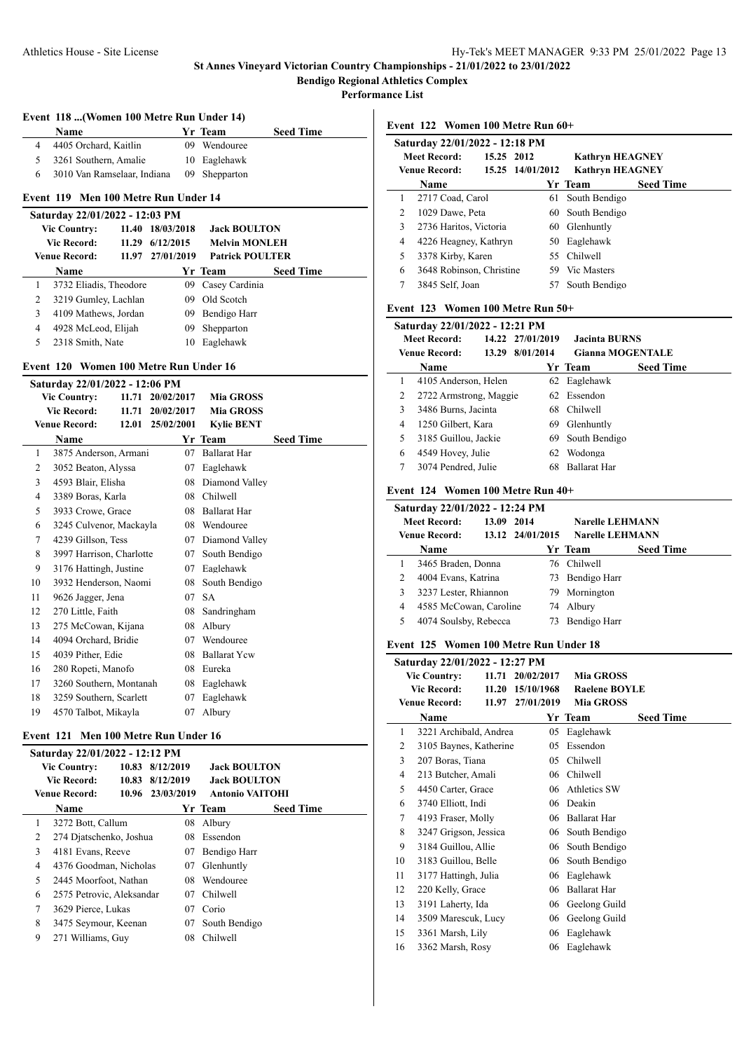**Performance List**

 $\overline{a}$ 

## **Event 118 ...(Women 100 Metre Run Under 14)**

| Name                        | Yr Team       | <b>Seed Time</b> |
|-----------------------------|---------------|------------------|
| 4 4405 Orchard, Kaitlin     | 09 Wendouree  |                  |
| 5 3261 Southern, Amalie     | 10 Eaglehawk  |                  |
| 3010 Van Ramselaar. Indiana | 09 Shepparton |                  |

# **Event 119 Men 100 Metre Run Under 14**

|                        | Saturday 22/01/2022 - 12:03 PM |            |                        |                      |                  |  |  |  |
|------------------------|--------------------------------|------------|------------------------|----------------------|------------------|--|--|--|
|                        | <b>Vic Country:</b>            | 11.40      | 18/03/2018             | <b>Jack BOULTON</b>  |                  |  |  |  |
|                        | Vic Record:<br>11.29           |            | 6/12/2015              | <b>Melvin MONLEH</b> |                  |  |  |  |
| Venue Record:<br>11.97 |                                | 27/01/2019 | <b>Patrick POULTER</b> |                      |                  |  |  |  |
|                        | <b>Name</b>                    |            |                        | Yr Team              | <b>Seed Time</b> |  |  |  |
| 1                      | 3732 Eliadis, Theodore         |            | 09                     | Casey Cardinia       |                  |  |  |  |
| 2                      | 3219 Gumley, Lachlan           |            | 09                     | Old Scotch           |                  |  |  |  |
| 3                      | 4109 Mathews, Jordan           |            | 09                     | Bendigo Harr         |                  |  |  |  |
| 4                      | 4928 McLeod, Elijah            |            | 09                     | Shepparton           |                  |  |  |  |
|                        | 2318 Smith, Nate               |            | 10                     | Eaglehawk            |                  |  |  |  |

#### **Event 120 Women 100 Metre Run Under 16**

| Saturday 22/01/2022 - 12:06 PM |                          |       |            |                     |                  |  |  |  |  |
|--------------------------------|--------------------------|-------|------------|---------------------|------------------|--|--|--|--|
|                                | <b>Vic Country:</b>      | 11.71 | 20/02/2017 | <b>Mia GROSS</b>    |                  |  |  |  |  |
|                                | <b>Vic Record:</b>       | 11.71 | 20/02/2017 | <b>Mia GROSS</b>    |                  |  |  |  |  |
|                                | <b>Venue Record:</b>     | 12.01 | 25/02/2001 | <b>Kylie BENT</b>   |                  |  |  |  |  |
|                                | Name                     |       |            | Yr Team             | <b>Seed Time</b> |  |  |  |  |
| 1                              | 3875 Anderson, Armani    |       | 07         | <b>Ballarat Har</b> |                  |  |  |  |  |
| 2                              | 3052 Beaton, Alyssa      |       | 07         | Eaglehawk           |                  |  |  |  |  |
| 3                              | 4593 Blair, Elisha       |       | 08         | Diamond Valley      |                  |  |  |  |  |
| 4                              | 3389 Boras, Karla        |       | 08         | Chilwell            |                  |  |  |  |  |
| 5                              | 3933 Crowe, Grace        |       | 08         | <b>Ballarat Har</b> |                  |  |  |  |  |
| 6                              | 3245 Culvenor, Mackayla  |       | 08         | Wendouree           |                  |  |  |  |  |
| 7                              | 4239 Gillson, Tess       |       | 07         | Diamond Valley      |                  |  |  |  |  |
| 8                              | 3997 Harrison, Charlotte |       | 07         | South Bendigo       |                  |  |  |  |  |
| 9                              | 3176 Hattingh, Justine   |       | 07         | Eaglehawk           |                  |  |  |  |  |
| 10                             | 3932 Henderson, Naomi    |       | 08         | South Bendigo       |                  |  |  |  |  |
| 11                             | 9626 Jagger, Jena        |       | 07         | <b>SA</b>           |                  |  |  |  |  |
| 12                             | 270 Little, Faith        |       | 08         | Sandringham         |                  |  |  |  |  |
| 13                             | 275 McCowan, Kijana      |       | 08         | Albury              |                  |  |  |  |  |
| 14                             | 4094 Orchard, Bridie     |       | 07         | Wendouree           |                  |  |  |  |  |
| 15                             | 4039 Pither, Edie        |       | 08         | <b>Ballarat Ycw</b> |                  |  |  |  |  |
| 16                             | 280 Ropeti, Manofo       |       | 08         | Eureka              |                  |  |  |  |  |
| 17                             | 3260 Southern, Montanah  |       | 08         | Eaglehawk           |                  |  |  |  |  |
| 18                             | 3259 Southern, Scarlett  |       | 07         | Eaglehawk           |                  |  |  |  |  |
| 19                             | 4570 Talbot, Mikayla     |       | 07         | Albury              |                  |  |  |  |  |
|                                |                          |       |            |                     |                  |  |  |  |  |

#### **Event 121 Men 100 Metre Run Under 16**

|   | Saturday 22/01/2022 - 12:12 PM |       |                  |    |                        |                  |  |  |  |
|---|--------------------------------|-------|------------------|----|------------------------|------------------|--|--|--|
|   | <b>Vic Country:</b>            | 10.83 | 8/12/2019        |    | <b>Jack BOULTON</b>    |                  |  |  |  |
|   | <b>Vic Record:</b>             | 10.83 | 8/12/2019        |    | <b>Jack BOULTON</b>    |                  |  |  |  |
|   | <b>Venue Record:</b>           |       | 10.96 23/03/2019 |    | <b>Antonio VAITOHI</b> |                  |  |  |  |
|   | <b>Name</b>                    |       |                  |    | Yr Team                | <b>Seed Time</b> |  |  |  |
| 1 | 3272 Bott, Callum              |       |                  | 08 | Albury                 |                  |  |  |  |
| 2 | 274 Djatschenko, Joshua        |       |                  | 08 | Essendon               |                  |  |  |  |
| 3 | 4181 Evans, Reeve              |       |                  | 07 | Bendigo Harr           |                  |  |  |  |
| 4 | 4376 Goodman, Nicholas         |       |                  | 07 | Glenhuntly             |                  |  |  |  |
| 5 | 2445 Moorfoot, Nathan          |       |                  | 08 | Wendouree              |                  |  |  |  |
| 6 | 2575 Petrovic, Aleksandar      |       |                  | 07 | Chilwell               |                  |  |  |  |
| 7 | 3629 Pierce, Lukas             |       |                  | 07 | Corio                  |                  |  |  |  |
| 8 | 3475 Seymour, Keenan           |       |                  | 07 | South Bendigo          |                  |  |  |  |
| 9 | 271 Williams, Guy              |       |                  | 08 | Chilwell               |                  |  |  |  |
|   |                                |       |                  |    |                        |                  |  |  |  |

**Event 122 Women 100 Metre Run 60+**

|                                                                    | Saturday 22/01/2022 - 12:18 PM |  |  |  |  |  |  |  |  |
|--------------------------------------------------------------------|--------------------------------|--|--|--|--|--|--|--|--|
| 15.25 2012<br><b>Meet Record:</b><br><b>Kathryn HEAGNEY</b>        |                                |  |  |  |  |  |  |  |  |
| 15.25 14/01/2012<br><b>Venue Record:</b><br><b>Kathryn HEAGNEY</b> |                                |  |  |  |  |  |  |  |  |
| <b>Seed Time</b><br>Yr Team<br><b>Name</b>                         |                                |  |  |  |  |  |  |  |  |
| 2717 Coad, Carol<br>South Bendigo<br>61                            |                                |  |  |  |  |  |  |  |  |
| 2<br>60 South Bendigo<br>1029 Dawe, Peta                           |                                |  |  |  |  |  |  |  |  |
| 3<br>2736 Haritos, Victoria<br>60 Glenhuntly                       |                                |  |  |  |  |  |  |  |  |
| 50 Eaglehawk<br>4226 Heagney, Kathryn<br>4                         |                                |  |  |  |  |  |  |  |  |
| 55 Chilwell<br>3378 Kirby, Karen<br>5                              |                                |  |  |  |  |  |  |  |  |
| 3648 Robinson, Christine<br>59 Vic Masters<br>6                    |                                |  |  |  |  |  |  |  |  |
| 7<br>3845 Self, Joan<br>South Bendigo                              |                                |  |  |  |  |  |  |  |  |

#### **Event 123 Women 100 Metre Run 50+**

| Saturday 22/01/2022 - 12:21 PM |                        |       |                  |                         |                  |  |  |
|--------------------------------|------------------------|-------|------------------|-------------------------|------------------|--|--|
|                                | <b>Meet Record:</b>    |       | 14.22 27/01/2019 | <b>Jacinta BURNS</b>    |                  |  |  |
|                                | <b>Venue Record:</b>   | 13.29 | 8/01/2014        | <b>Gianna MOGENTALE</b> |                  |  |  |
|                                | Name                   |       |                  | Yr Team                 | <b>Seed Time</b> |  |  |
| 1                              | 4105 Anderson, Helen   |       |                  | 62 Eaglehawk            |                  |  |  |
| 2                              | 2722 Armstrong, Maggie |       |                  | 62 Essendon             |                  |  |  |
| 3                              | 3486 Burns, Jacinta    |       |                  | 68 Chilwell             |                  |  |  |
| 4                              | 1250 Gilbert, Kara     |       | 69               | Glenhuntly              |                  |  |  |
| 5                              | 3185 Guillou, Jackie   |       | 69.              | South Bendigo           |                  |  |  |
| 6                              | 4549 Hovey, Julie      |       | 62               | Wodonga                 |                  |  |  |
| 7                              | 3074 Pendred, Julie    |       | 68               | <b>Ballarat Har</b>     |                  |  |  |

## **Event 124 Women 100 Metre Run 40+**

| Saturday 22/01/2022 - 12:24 PM |                                   |                  |                        |                  |  |  |  |
|--------------------------------|-----------------------------------|------------------|------------------------|------------------|--|--|--|
|                                | <b>Meet Record:</b><br>13.09 2014 |                  | <b>Narelle LEHMANN</b> |                  |  |  |  |
| <b>Venue Record:</b>           |                                   | 13.12 24/01/2015 | <b>Narelle LEHMANN</b> |                  |  |  |  |
|                                | <b>Name</b>                       |                  | Yr Team                | <b>Seed Time</b> |  |  |  |
|                                | 3465 Braden, Donna                |                  | 76 Chilwell            |                  |  |  |  |
| 2                              | 4004 Evans, Katrina               |                  | 73 Bendigo Harr        |                  |  |  |  |
| 3                              | 3237 Lester, Rhiannon             |                  | 79 Mornington          |                  |  |  |  |
| 4                              | 4585 McCowan, Caroline            |                  | 74 Albury              |                  |  |  |  |
| 5.                             | 4074 Soulsby, Rebecca             |                  | 73 Bendigo Harr        |                  |  |  |  |
|                                |                                   |                  |                        |                  |  |  |  |

#### **Event 125 Women 100 Metre Run Under 18**

|                | Saturday 22/01/2022 - 12:27 PM |       |            |                      |                  |
|----------------|--------------------------------|-------|------------|----------------------|------------------|
|                | <b>Vic Country:</b>            | 11.71 | 20/02/2017 | <b>Mia GROSS</b>     |                  |
|                | <b>Vic Record:</b>             | 11.20 | 15/10/1968 | <b>Raelene BOYLE</b> |                  |
|                | <b>Venue Record:</b>           | 11.97 | 27/01/2019 | <b>Mia GROSS</b>     |                  |
|                | Name                           |       |            | Yr Team              | <b>Seed Time</b> |
| 1              | 3221 Archibald, Andrea         |       | 05         | Eaglehawk            |                  |
| $\overline{c}$ | 3105 Baynes, Katherine         |       | 05         | Essendon             |                  |
| 3              | 207 Boras, Tiana               |       | 05         | Chilwell             |                  |
| 4              | 213 Butcher, Amali             |       | 06         | Chilwell             |                  |
| 5              | 4450 Carter, Grace             |       | 06         | Athletics SW         |                  |
| 6              | 3740 Elliott, Indi             |       | 06         | Deakin               |                  |
| 7              | 4193 Fraser, Molly             |       | 06         | <b>Ballarat Har</b>  |                  |
| 8              | 3247 Grigson, Jessica          |       | 06         | South Bendigo        |                  |
| 9              | 3184 Guillou, Allie            |       | 06         | South Bendigo        |                  |
| 10             | 3183 Guillou, Belle            |       | 06         | South Bendigo        |                  |
| 11             | 3177 Hattingh, Julia           |       | 06         | Eaglehawk            |                  |
| 12             | 220 Kelly, Grace               |       | 06         | <b>Ballarat Har</b>  |                  |
| 13             | 3191 Laherty, Ida              |       | 06         | Geelong Guild        |                  |
| 14             | 3509 Marescuk, Lucy            |       | 06         | Geelong Guild        |                  |
| 15             | 3361 Marsh, Lily               |       | 06         | Eaglehawk            |                  |
| 16             | 3362 Marsh, Rosy               |       | 06         | Eaglehawk            |                  |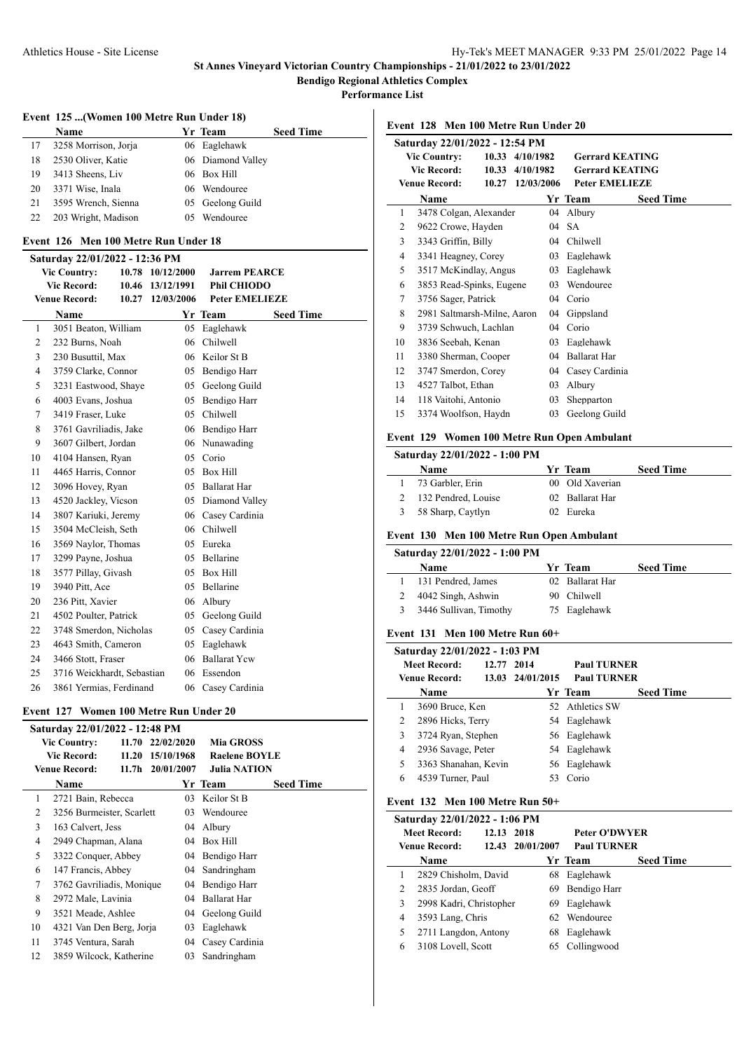**Performance List**

## **Event 125 ...(Women 100 Metre Run Under 18)**

|    | <b>Name</b>          |     | Yr Team           | <b>Seed Time</b> |
|----|----------------------|-----|-------------------|------------------|
| 17 | 3258 Morrison, Jorja |     | 06 Eaglehawk      |                  |
| 18 | 2530 Oliver, Katie   |     | 06 Diamond Valley |                  |
| 19 | 3413 Sheens, Liv     |     | 06 Box Hill       |                  |
| 20 | 3371 Wise, Inala     |     | 06 Wendouree      |                  |
| 21 | 3595 Wrench, Sienna  |     | 05 Geelong Guild  |                  |
| 22 | 203 Wright, Madison  | 05. | Wendouree         |                  |

## **Event 126 Men 100 Metre Run Under 18**

#### **Saturday 22/01/2022 - 12:36 PM**

| <b>Vic Country:</b> |                    | 10.78                      | 10/12/2000 | <b>Jarrem PEARCE</b> |                       |                  |
|---------------------|--------------------|----------------------------|------------|----------------------|-----------------------|------------------|
|                     | <b>Vic Record:</b> |                            | 10.46      | 13/12/1991           | <b>Phil CHIODO</b>    |                  |
|                     |                    | <b>Venue Record:</b>       | 10.27      | 12/03/2006           | <b>Peter EMELIEZE</b> |                  |
|                     |                    | Name                       |            |                      | Yr Team               | <b>Seed Time</b> |
|                     | 1                  | 3051 Beaton, William       |            | 05                   | Eaglehawk             |                  |
|                     | 2                  | 232 Burns, Noah            |            | 06                   | Chilwell              |                  |
|                     | 3                  | 230 Busuttil, Max          |            | 06                   | Keilor St B           |                  |
|                     | 4                  | 3759 Clarke, Connor        |            | 05                   | Bendigo Harr          |                  |
|                     | 5                  | 3231 Eastwood, Shaye       |            | 05                   | Geelong Guild         |                  |
|                     | 6                  | 4003 Evans, Joshua         |            | 05                   | Bendigo Harr          |                  |
|                     | 7                  | 3419 Fraser, Luke          |            | 05                   | Chilwell              |                  |
|                     | 8                  | 3761 Gavriliadis, Jake     |            | 06                   | Bendigo Harr          |                  |
|                     | 9                  | 3607 Gilbert, Jordan       |            | 06                   | Nunawading            |                  |
|                     | 10                 | 4104 Hansen, Ryan          |            | 05                   | Corio                 |                  |
|                     | 11                 | 4465 Harris, Connor        |            | 05                   | <b>Box Hill</b>       |                  |
|                     | 12                 | 3096 Hovey, Ryan           |            | 05                   | Ballarat Har          |                  |
|                     | 13                 | 4520 Jackley, Vicson       |            | 05                   | Diamond Valley        |                  |
|                     | 14                 | 3807 Kariuki, Jeremy       |            | 06                   | Casey Cardinia        |                  |
|                     | 15                 | 3504 McCleish, Seth        |            | 06                   | Chilwell              |                  |
|                     | 16                 | 3569 Naylor, Thomas        |            | 05                   | Eureka                |                  |
|                     | 17                 | 3299 Payne, Joshua         |            | 05                   | Bellarine             |                  |
|                     | 18                 | 3577 Pillay, Givash        |            | 05                   | <b>Box Hill</b>       |                  |
|                     | 19                 | 3940 Pitt, Ace             |            | 05                   | Bellarine             |                  |
|                     | 20                 | 236 Pitt, Xavier           |            | 06                   | Albury                |                  |
|                     | 21                 | 4502 Poulter, Patrick      |            | 05                   | Geelong Guild         |                  |
|                     | 22                 | 3748 Smerdon, Nicholas     |            | 05                   | Casey Cardinia        |                  |
|                     | 23                 | 4643 Smith, Cameron        |            | 05                   | Eaglehawk             |                  |
|                     | 24                 | 3466 Stott, Fraser         |            | 06                   | <b>Ballarat Yew</b>   |                  |
|                     | 25                 | 3716 Weickhardt, Sebastian |            | 06                   | Essendon              |                  |
|                     | 26                 | 3861 Yermias, Ferdinand    |            |                      | 06 Casey Cardinia     |                  |
|                     |                    |                            |            |                      |                       |                  |

## **Event 127 Women 100 Metre Run Under 20**

|    | Saturday 22/01/2022 - 12:48 PM |       |                  |                      |                  |
|----|--------------------------------|-------|------------------|----------------------|------------------|
|    | <b>Vic Country:</b>            |       | 11.70 22/02/2020 | <b>Mia GROSS</b>     |                  |
|    | <b>Vic Record:</b>             | 11.20 | 15/10/1968       | <b>Raelene BOYLE</b> |                  |
|    | <b>Venue Record:</b>           |       | 11.7h 20/01/2007 | <b>Julia NATION</b>  |                  |
|    | Name                           |       |                  | Yr Team              | <b>Seed Time</b> |
| 1  | 2721 Bain, Rebecca             |       | 03               | Keilor St B          |                  |
| 2  | 3256 Burmeister, Scarlett      |       | 03               | Wendouree            |                  |
| 3  | 163 Calvert, Jess              |       | 04               | Albury               |                  |
| 4  | 2949 Chapman, Alana            |       | 04               | Box Hill             |                  |
| 5  | 3322 Conquer, Abbey            |       |                  | 04 Bendigo Harr      |                  |
| 6  | 147 Francis, Abbey             |       |                  | 04 Sandringham       |                  |
| 7  | 3762 Gavriliadis, Monique      |       |                  | 04 Bendigo Harr      |                  |
| 8  | 2972 Male, Lavinia             |       | $04^{\circ}$     | Ballarat Har         |                  |
| 9  | 3521 Meade, Ashlee             |       |                  | 04 Geelong Guild     |                  |
| 10 | 4321 Van Den Berg, Jorja       |       | 03               | Eaglehawk            |                  |
| 11 | 3745 Ventura, Sarah            |       |                  | 04 Casey Cardinia    |                  |
| 12 | 3859 Wilcock, Katherine        |       | 03               | Sandringham          |                  |

**Event 128 Men 100 Metre Run Under 20**

|                              | Saturday 22/01/2022 - 12:54 PM |            |                                     |                        |                  |  |  |  |
|------------------------------|--------------------------------|------------|-------------------------------------|------------------------|------------------|--|--|--|
| <b>Vic Country:</b><br>10.33 |                                |            | 4/10/1982<br><b>Gerrard KEATING</b> |                        |                  |  |  |  |
|                              | <b>Vic Record:</b><br>10.33    | 4/10/1982  |                                     | <b>Gerrard KEATING</b> |                  |  |  |  |
|                              | <b>Venue Record:</b><br>10.27  | 12/03/2006 |                                     | <b>Peter EMELIEZE</b>  |                  |  |  |  |
|                              | Name                           |            |                                     | Yr Team                | <b>Seed Time</b> |  |  |  |
| 1                            | 3478 Colgan, Alexander         |            |                                     | 04 Albury              |                  |  |  |  |
| 2                            | 9622 Crowe, Hayden             |            |                                     | $04$ SA                |                  |  |  |  |
| 3                            | 3343 Griffin, Billy            |            |                                     | 04 Chilwell            |                  |  |  |  |
| 4                            | 3341 Heagney, Corey            |            | 03                                  | Eaglehawk              |                  |  |  |  |
| 5                            | 3517 McKindlay, Angus          |            | 03                                  | Eaglehawk              |                  |  |  |  |
| 6                            | 3853 Read-Spinks, Eugene       |            | 03                                  | Wendouree              |                  |  |  |  |
| 7                            | 3756 Sager, Patrick            |            | 04                                  | Corio                  |                  |  |  |  |
| 8                            | 2981 Saltmarsh-Milne, Aaron    |            | 04                                  | Gippsland              |                  |  |  |  |
| 9                            | 3739 Schwuch, Lachlan          |            |                                     | 04 Corio               |                  |  |  |  |
| 10                           | 3836 Seebah, Kenan             |            | 03                                  | Eaglehawk              |                  |  |  |  |
| 11                           | 3380 Sherman, Cooper           |            | 04                                  | <b>Ballarat Har</b>    |                  |  |  |  |
| 12                           | 3747 Smerdon, Corey            |            |                                     | 04 Casey Cardinia      |                  |  |  |  |
| 13                           | 4527 Talbot, Ethan             |            | 03                                  | Albury                 |                  |  |  |  |
| 14                           | 118 Vaitohi, Antonio           |            | 03                                  | Shepparton             |                  |  |  |  |
| 15                           | 3374 Woolfson, Haydn           |            | 03                                  | Geelong Guild          |                  |  |  |  |
|                              |                                |            |                                     |                        |                  |  |  |  |

#### **Event 129 Women 100 Metre Run Open Ambulant**

| Saturday 22/01/2022 - 1:00 PM |                 |                  |
|-------------------------------|-----------------|------------------|
| <b>Name</b>                   | Yr Team         | <b>Seed Time</b> |
| 73 Garbler, Erin              | 00 Old Xaverian |                  |
| 132 Pendred, Louise           | 02 Ballarat Har |                  |
| 58 Sharp, Caytlyn             | 02 Eureka       |                  |

## **Event 130 Men 100 Metre Run Open Ambulant**

|   | Saturday 22/01/2022 - 1:00 PM         |     |                 |                  |
|---|---------------------------------------|-----|-----------------|------------------|
|   | <b>Name</b>                           |     | Yr Team         | <b>Seed Time</b> |
|   | 131 Pendred, James                    |     | 02 Ballarat Har |                  |
|   | 4042 Singh, Ashwin                    | 90. | Chilwell        |                  |
| 3 | 3446 Sullivan, Timothy                |     | 75 Eaglehawk    |                  |
|   | Event $131$ Men $100$ Metre Run $60+$ |     |                 |                  |
|   | Saturday 22/01/2022 - 1:03 PM         |     |                 |                  |

|                                                           | Saturday 22/01/2022 - 1:03 PM |                                        |                    |                  |
|-----------------------------------------------------------|-------------------------------|----------------------------------------|--------------------|------------------|
| <b>Meet Record:</b><br>12.77 2014<br><b>Venue Record:</b> |                               |                                        | <b>Paul TURNER</b> |                  |
|                                                           |                               | 13.03 24/01/2015<br><b>Paul TURNER</b> |                    |                  |
|                                                           | Name                          |                                        | Yr Team            | <b>Seed Time</b> |
|                                                           | 3690 Bruce, Ken               |                                        | 52 Athletics SW    |                  |
| 2                                                         | 2896 Hicks, Terry             |                                        | 54 Eaglehawk       |                  |
| 3                                                         | 3724 Ryan, Stephen            |                                        | 56 Eaglehawk       |                  |
| 4                                                         | 2936 Savage, Peter            |                                        | 54 Eaglehawk       |                  |
| 5.                                                        | 3363 Shanahan, Kevin          |                                        | 56 Eaglehawk       |                  |
| 6                                                         | 4539 Turner, Paul             | 53                                     | Corio              |                  |

## **Event 132 Men 100 Metre Run 50+**

|   | Saturday 22/01/2022 - 1:06 PM |            |                  |                    |                  |  |  |  |
|---|-------------------------------|------------|------------------|--------------------|------------------|--|--|--|
|   | <b>Meet Record:</b>           | 12.13 2018 |                  | Peter O'DWYER      |                  |  |  |  |
|   | Venue Record:                 |            | 12.43 20/01/2007 | <b>Paul TURNER</b> |                  |  |  |  |
|   | Name                          |            |                  | Yr Team            | <b>Seed Time</b> |  |  |  |
|   | 2829 Chisholm, David          |            | 68               | Eaglehawk          |                  |  |  |  |
| 2 | 2835 Jordan, Geoff            |            | 69               | Bendigo Harr       |                  |  |  |  |
| 3 | 2998 Kadri, Christopher       |            | 69               | Eaglehawk          |                  |  |  |  |
| 4 | 3593 Lang, Chris              |            |                  | 62 Wendouree       |                  |  |  |  |
| 5 | 2711 Langdon, Antony          |            | 68               | Eaglehawk          |                  |  |  |  |
| 6 | 3108 Lovell, Scott            |            |                  | Collingwood        |                  |  |  |  |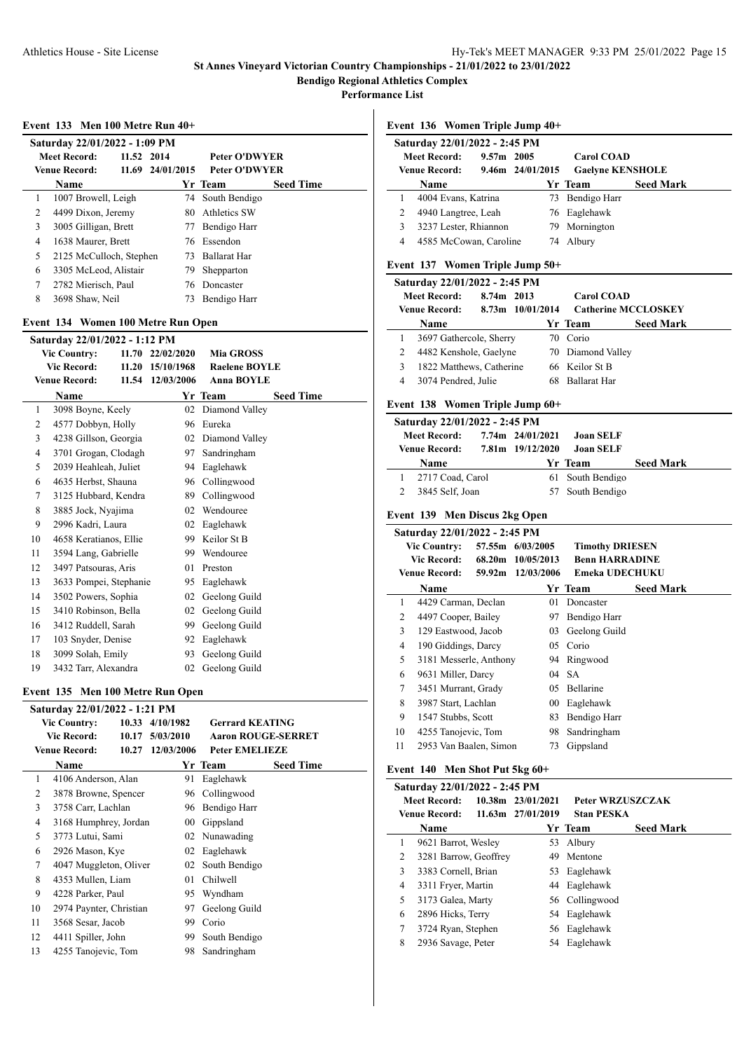**Bendigo Regional Athletics Complex**

**Performance List**

#### **Event 133 Men 100 Metre Run 40+**

| Saturday 22/01/2022 - 1:09 PM |                         |            |                  |                      |                  |  |  |
|-------------------------------|-------------------------|------------|------------------|----------------------|------------------|--|--|
|                               | Meet Record:            | 11.52 2014 |                  | <b>Peter O'DWYER</b> |                  |  |  |
|                               | <b>Venue Record:</b>    |            | 11.69 24/01/2015 | <b>Peter O'DWYER</b> |                  |  |  |
|                               | <b>Name</b>             |            |                  | Yr Team              | <b>Seed Time</b> |  |  |
| 1                             | 1007 Browell, Leigh     |            |                  | 74 South Bendigo     |                  |  |  |
| 2                             | 4499 Dixon, Jeremy      |            | 80.              | Athletics SW         |                  |  |  |
| 3                             | 3005 Gilligan, Brett    |            | 77               | Bendigo Harr         |                  |  |  |
| 4                             | 1638 Maurer, Brett      |            |                  | 76 Essendon          |                  |  |  |
| 5                             | 2125 McCulloch, Stephen |            | 73.              | <b>Ballarat Har</b>  |                  |  |  |
| 6                             | 3305 McLeod, Alistair   |            | 79.              | Shepparton           |                  |  |  |
| 7                             | 2782 Mierisch, Paul     |            |                  | 76 Doncaster         |                  |  |  |
| 8                             | 3698 Shaw, Neil         |            | 73               | Bendigo Harr         |                  |  |  |

#### **Event 134 Women 100 Metre Run Open**

|                              | Saturday 22/01/2022 - 1:12 PM |            |                  |                      |                  |  |  |  |  |
|------------------------------|-------------------------------|------------|------------------|----------------------|------------------|--|--|--|--|
| <b>Vic Country:</b><br>11.70 |                               | 22/02/2020 | <b>Mia GROSS</b> |                      |                  |  |  |  |  |
|                              | <b>Vic Record:</b>            |            | 11.20 15/10/1968 | <b>Raelene BOYLE</b> |                  |  |  |  |  |
|                              | <b>Venue Record:</b>          | 11.54      | 12/03/2006       | <b>Anna BOYLE</b>    |                  |  |  |  |  |
|                              | <b>Name</b>                   |            |                  | Yr Team              | <b>Seed Time</b> |  |  |  |  |
| 1                            | 3098 Boyne, Keely             |            | 02               | Diamond Valley       |                  |  |  |  |  |
| 2                            | 4577 Dobbyn, Holly            |            | 96               | Eureka               |                  |  |  |  |  |
| 3                            | 4238 Gillson, Georgia         |            | 02               | Diamond Valley       |                  |  |  |  |  |
| $\overline{4}$               | 3701 Grogan, Clodagh          |            | 97               | Sandringham          |                  |  |  |  |  |
| 5                            | 2039 Heahleah, Juliet         |            | 94               | Eaglehawk            |                  |  |  |  |  |
| 6                            | 4635 Herbst, Shauna           |            | 96               | Collingwood          |                  |  |  |  |  |
| 7                            | 3125 Hubbard, Kendra          |            | 89               | Collingwood          |                  |  |  |  |  |
| 8                            | 3885 Jock, Nyajima            |            | 02               | Wendouree            |                  |  |  |  |  |
| 9                            | 2996 Kadri, Laura             |            | 02               | Eaglehawk            |                  |  |  |  |  |
| 10                           | 4658 Keratianos, Ellie        |            | 99.              | Keilor St B          |                  |  |  |  |  |
| 11                           | 3594 Lang, Gabrielle          |            |                  | 99 Wendouree         |                  |  |  |  |  |
| 12                           | 3497 Patsouras, Aris          |            | 01               | Preston              |                  |  |  |  |  |
| 13                           | 3633 Pompei, Stephanie        |            | 95               | Eaglehawk            |                  |  |  |  |  |
| 14                           | 3502 Powers, Sophia           |            | 02               | Geelong Guild        |                  |  |  |  |  |
| 15                           | 3410 Robinson, Bella          |            | 02               | Geelong Guild        |                  |  |  |  |  |
| 16                           | 3412 Ruddell, Sarah           |            | 99               | Geelong Guild        |                  |  |  |  |  |
| 17                           | 103 Snyder, Denise            |            | 92               | Eaglehawk            |                  |  |  |  |  |
| 18                           | 3099 Solah, Emily             |            | 93               | Geelong Guild        |                  |  |  |  |  |
| 19                           | 3432 Tarr, Alexandra          |            | 02               | Geelong Guild        |                  |  |  |  |  |

## **Event 135 Men 100 Metre Run Open**

|                               | Saturday 22/01/2022 - 1:21 PM |            |                       |                           |                  |
|-------------------------------|-------------------------------|------------|-----------------------|---------------------------|------------------|
| <b>Vic Country:</b>           |                               |            | 10.33 4/10/1982       | <b>Gerrard KEATING</b>    |                  |
|                               | Vic Record:                   | 10.17      | 5/03/2010             | <b>Aaron ROUGE-SERRET</b> |                  |
| <b>Venue Record:</b><br>10.27 |                               | 12/03/2006 | <b>Peter EMELIEZE</b> |                           |                  |
|                               | Name                          |            |                       | Yr Team                   | <b>Seed Time</b> |
| 1                             | 4106 Anderson, Alan           |            | 91                    | Eaglehawk                 |                  |
| 2                             | 3878 Browne, Spencer          |            |                       | 96 Collingwood            |                  |
| 3                             | 3758 Carr, Lachlan            |            | 96                    | Bendigo Harr              |                  |
| 4                             | 3168 Humphrey, Jordan         |            | 00                    | Gippsland                 |                  |
| 5                             | 3773 Lutui, Sami              |            |                       | 02 Nunawading             |                  |
| 6                             | 2926 Mason, Kye               |            | 02                    | Eaglehawk                 |                  |
| 7                             | 4047 Muggleton, Oliver        |            | 02                    | South Bendigo             |                  |
| 8                             | 4353 Mullen, Liam             |            | 01                    | Chilwell                  |                  |
| 9                             | 4228 Parker, Paul             |            | 95                    | Wyndham                   |                  |
| 10                            | 2974 Paynter, Christian       |            | 97                    | Geelong Guild             |                  |
| 11                            | 3568 Sesar, Jacob             |            | 99                    | Corio                     |                  |
| 12                            | 4411 Spiller, John            |            | 99                    | South Bendigo             |                  |
| 13                            | 4255 Tanojevic, Tom           |            | 98                    | Sandringham               |                  |
|                               |                               |            |                       |                           |                  |

#### **Event 136 Women Triple Jump 40+**

|                                     | Saturday 22/01/2022 - 2:45 PM |                  |                         |                 |                  |  |  |  |
|-------------------------------------|-------------------------------|------------------|-------------------------|-----------------|------------------|--|--|--|
| <b>Meet Record:</b><br>$9.57m$ 2005 |                               |                  | <b>Carol COAD</b>       |                 |                  |  |  |  |
| <b>Venue Record:</b>                |                               | 9.46m 24/01/2015 | <b>Gaelyne KENSHOLE</b> |                 |                  |  |  |  |
|                                     | <b>Name</b>                   |                  |                         | Yr Team         | <b>Seed Mark</b> |  |  |  |
|                                     | 4004 Evans, Katrina           |                  |                         | 73 Bendigo Harr |                  |  |  |  |
|                                     | 4940 Langtree, Leah           |                  |                         | 76 Eaglehawk    |                  |  |  |  |
| 3                                   | 3237 Lester, Rhiannon         |                  | 79.                     | Mornington      |                  |  |  |  |
| 4                                   | 4585 McCowan, Caroline        |                  | 74                      | Albury          |                  |  |  |  |

## **Event 137 Women Triple Jump 50+**

|                     | Saturday 22/01/2022 - 2:45 PM |  |                                 |  |                     |                            |  |  |  |
|---------------------|-------------------------------|--|---------------------------------|--|---------------------|----------------------------|--|--|--|
| <b>Meet Record:</b> |                               |  | 8.74m 2013<br><b>Carol COAD</b> |  |                     |                            |  |  |  |
|                     | <b>Venue Record:</b>          |  | 8.73m 10/01/2014                |  |                     | <b>Catherine MCCLOSKEY</b> |  |  |  |
|                     | <b>Name</b>                   |  |                                 |  | Yr Team             | <b>Seed Mark</b>           |  |  |  |
|                     | 3697 Gathercole, Sherry       |  |                                 |  | 70 Corio            |                            |  |  |  |
| 2                   | 4482 Kenshole, Gaelyne        |  |                                 |  | 70 Diamond Valley   |                            |  |  |  |
|                     | 1822 Matthews, Catherine      |  |                                 |  | 66 Keilor St B      |                            |  |  |  |
|                     | 3074 Pendred, Julie           |  |                                 |  | <b>Ballarat Har</b> |                            |  |  |  |

## **Event 138 Women Triple Jump 60+**

| Saturday 22/01/2022 - 2:45 PM |                  |                  |                  |  |  |  |  |  |  |
|-------------------------------|------------------|------------------|------------------|--|--|--|--|--|--|
| Meet Record:                  | 7.74m 24/01/2021 | <b>Joan SELF</b> |                  |  |  |  |  |  |  |
| Venue Record:                 | 7.81m 19/12/2020 | <b>Joan SELF</b> |                  |  |  |  |  |  |  |
| Name                          |                  | Yr Team          | <b>Seed Mark</b> |  |  |  |  |  |  |
| 2717 Coad, Carol              |                  | 61 South Bendigo |                  |  |  |  |  |  |  |
| 3845 Self, Joan               |                  | 57 South Bendigo |                  |  |  |  |  |  |  |

#### **Event 139 Men Discus 2kg Open**

J.

|                | Saturday 22/01/2022 - 2:45 PM |                   |                   |                        |                  |  |  |  |  |
|----------------|-------------------------------|-------------------|-------------------|------------------------|------------------|--|--|--|--|
|                | <b>Vic Country:</b>           |                   | 57.55m 6/03/2005  | <b>Timothy DRIESEN</b> |                  |  |  |  |  |
|                | Vic Record:                   |                   | 68.20m 10/05/2013 | <b>Benn HARRADINE</b>  |                  |  |  |  |  |
| Venue Record:  |                               | 59.92m 12/03/2006 | Emeka UDECHUKU    |                        |                  |  |  |  |  |
|                | Name                          |                   |                   | Yr Team                | <b>Seed Mark</b> |  |  |  |  |
| 1              | 4429 Carman, Declan           |                   | 01                | Doncaster              |                  |  |  |  |  |
| 2              | 4497 Cooper, Bailey           |                   | 97                | Bendigo Harr           |                  |  |  |  |  |
| 3              | 129 Eastwood, Jacob           |                   | 03                | Geelong Guild          |                  |  |  |  |  |
| $\overline{4}$ | 190 Giddings, Darcy           |                   | 05.               | Corio                  |                  |  |  |  |  |
| 5              | 3181 Messerle, Anthony        |                   | 94                | Ringwood               |                  |  |  |  |  |
| 6              | 9631 Miller, Darcy            |                   |                   | $04$ SA                |                  |  |  |  |  |
| 7              | 3451 Murrant, Grady           |                   | 05                | <b>Bellarine</b>       |                  |  |  |  |  |
| 8              | 3987 Start, Lachlan           |                   | 00                | Eaglehawk              |                  |  |  |  |  |
| 9              | 1547 Stubbs, Scott            |                   | 83                | Bendigo Harr           |                  |  |  |  |  |
| 10             | 4255 Tanojevic, Tom           |                   | 98                | Sandringham            |                  |  |  |  |  |
| 11             | 2953 Van Baalen, Simon        |                   | 73                | Gippsland              |                  |  |  |  |  |
|                |                               |                   |                   |                        |                  |  |  |  |  |

## **Event 140 Men Shot Put 5kg 60+**

|   | Saturday 22/01/2022 - 2:45 PM |  |                               |                   |                  |  |  |  |  |
|---|-------------------------------|--|-------------------------------|-------------------|------------------|--|--|--|--|
|   | <b>Meet Record:</b>           |  | 10.38m 23/01/2021             | Peter WRZUSZCZAK  |                  |  |  |  |  |
|   | Venue Record:                 |  | $11.63 \text{m}$ $27/01/2019$ | <b>Stan PESKA</b> |                  |  |  |  |  |
|   | Name                          |  |                               | Yr Team           | <b>Seed Mark</b> |  |  |  |  |
| 1 | 9621 Barrot, Wesley           |  |                               | 53 Albury         |                  |  |  |  |  |
| 2 | 3281 Barrow, Geoffrey         |  | 49.                           | Mentone           |                  |  |  |  |  |
| 3 | 3383 Cornell, Brian           |  | 53                            | Eaglehawk         |                  |  |  |  |  |
| 4 | 3311 Fryer, Martin            |  |                               | 44 Eaglehawk      |                  |  |  |  |  |
| 5 | 3173 Galea, Marty             |  |                               | 56 Collingwood    |                  |  |  |  |  |
| 6 | 2896 Hicks, Terry             |  |                               | 54 Eaglehawk      |                  |  |  |  |  |
| 7 | 3724 Ryan, Stephen            |  |                               | 56 Eaglehawk      |                  |  |  |  |  |
| 8 | 2936 Savage, Peter            |  | 54                            | Eaglehawk         |                  |  |  |  |  |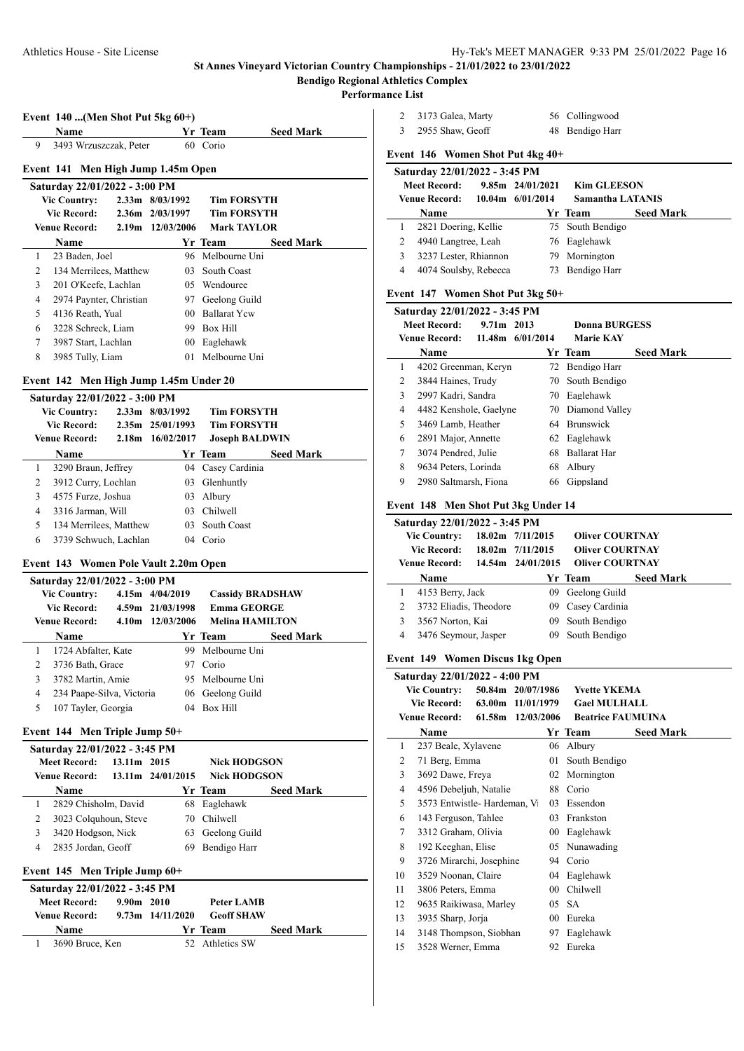# **Bendigo Regional Athletics Complex**

#### **Performance List**

|                | Event $140$ (Men Shot Put 5kg $60+)$<br>Name         |             |                          | Yr Team                 |                  |
|----------------|------------------------------------------------------|-------------|--------------------------|-------------------------|------------------|
| 9              | 3493 Wrzuszczak, Peter                               |             |                          | 60 Corio                | <b>Seed Mark</b> |
|                |                                                      |             |                          |                         |                  |
|                | Event 141                                            |             | Men High Jump 1.45m Open |                         |                  |
|                | Saturday 22/01/2022 - 3:00 PM<br><b>Vic Country:</b> |             | 2.33m 8/03/1992          | <b>Tim FORSYTH</b>      |                  |
|                | <b>Vic Record:</b>                                   |             | 2.36m 2/03/1997          | <b>Tim FORSYTH</b>      |                  |
|                | <b>Venue Record:</b>                                 |             | 2.19m 12/03/2006         | <b>Mark TAYLOR</b>      |                  |
|                | Name                                                 |             |                          | Yr Team                 | <b>Seed Mark</b> |
| 1              | 23 Baden, Joel                                       |             |                          | 96 Melbourne Uni        |                  |
| 2              | 134 Merrilees, Matthew                               |             | 03.                      | South Coast             |                  |
| 3              | 201 O'Keefe, Lachlan                                 |             |                          | 05 Wendouree            |                  |
| $\overline{4}$ | 2974 Paynter, Christian                              |             |                          | 97 Geelong Guild        |                  |
| 5              | 4136 Reath, Yual                                     |             |                          | 00 Ballarat Yew         |                  |
| 6              | 3228 Schreck, Liam                                   |             |                          | 99 Box Hill             |                  |
| 7              | 3987 Start, Lachlan                                  |             |                          | 00 Eaglehawk            |                  |
| 8              | 3985 Tully, Liam                                     |             |                          | 01 Melbourne Uni        |                  |
|                | Event 142 Men High Jump 1.45m Under 20               |             |                          |                         |                  |
|                | Saturday 22/01/2022 - 3:00 PM                        |             |                          |                         |                  |
|                | <b>Vic Country:</b>                                  |             | 2.33m 8/03/1992          | <b>Tim FORSYTH</b>      |                  |
|                | <b>Vic Record:</b>                                   |             | 2.35m 25/01/1993         | <b>Tim FORSYTH</b>      |                  |
|                | <b>Venue Record:</b>                                 |             | 2.18m 16/02/2017         | <b>Joseph BALDWIN</b>   |                  |
|                | Name                                                 |             |                          | Yr Team                 | <b>Seed Mark</b> |
| 1              | 3290 Braun, Jeffrey                                  |             |                          | 04 Casey Cardinia       |                  |
| 2              | 3912 Curry, Lochlan                                  |             |                          | 03 Glenhuntly           |                  |
| 3              | 4575 Furze, Joshua                                   |             |                          | 03 Albury               |                  |
| $\overline{4}$ | 3316 Jarman, Will                                    |             |                          | 03 Chilwell             |                  |
| 5              | 134 Merrilees, Matthew                               |             |                          | 03 South Coast          |                  |
| 6              | 3739 Schwuch, Lachlan                                |             |                          | 04 Corio                |                  |
|                | Event 143 Women Pole Vault 2.20m Open                |             |                          |                         |                  |
|                | Saturday 22/01/2022 - 3:00 PM                        |             |                          |                         |                  |
|                | <b>Vic Country:</b>                                  |             | $4.15m$ $4/04/2019$      | <b>Cassidy BRADSHAW</b> |                  |
|                | <b>Vic Record:</b>                                   |             | 4.59m 21/03/1998         | <b>Emma GEORGE</b>      |                  |
|                | <b>Venue Record:</b>                                 |             | 4.10m 12/03/2006         | <b>Melina HAMILTON</b>  |                  |
|                | <b>Name</b>                                          |             |                          | Yr Team                 | <b>Seed Mark</b> |
| 1              | 1724 Abfalter, Kate                                  |             |                          | 99 Melbourne Uni        |                  |
| 2              | 3736 Bath, Grace                                     |             |                          | 97 Corio                |                  |
| 3              | 3782 Martin, Amie                                    |             | 95                       | Melbourne Uni           |                  |
| 4              | 234 Paape-Silva, Victoria                            |             |                          | 06 Geelong Guild        |                  |
| 5              | 107 Tayler, Georgia                                  |             |                          | 04 Box Hill             |                  |
|                | Event 144 Men Triple Jump 50+                        |             |                          |                         |                  |
|                | Saturday 22/01/2022 - 3:45 PM                        |             |                          |                         |                  |
|                | <b>Meet Record:</b>                                  | 13.11m 2015 |                          | <b>Nick HODGSON</b>     |                  |
|                | <b>Venue Record:</b>                                 |             | 13.11m 24/01/2015        | Nick HODGSON            |                  |
|                | Name                                                 |             |                          | Yr Team                 | <b>Seed Mark</b> |
| 1              | 2829 Chisholm, David                                 |             |                          | 68 Eaglehawk            |                  |
| 2              | 3023 Colquhoun, Steve                                |             |                          | 70 Chilwell             |                  |
| 3              | 3420 Hodgson, Nick                                   |             |                          | 63 Geelong Guild        |                  |
| 4              | 2835 Jordan, Geoff                                   |             | 69                       | Bendigo Harr            |                  |
|                | Event 145 Men Triple Jump 60+                        |             |                          |                         |                  |
|                | Saturday 22/01/2022 - 3:45 PM                        |             |                          |                         |                  |
|                | <b>Meet Record:</b>                                  | 9.90m 2010  |                          | Peter LAMB              |                  |
|                | <b>Venue Record:</b>                                 |             | 9.73m 14/11/2020         | <b>Geoff SHAW</b>       |                  |
|                | Name                                                 |             |                          | Yr Team                 | <b>Seed Mark</b> |
| 1              | 3690 Bruce, Ken                                      |             |                          | 52 Athletics SW         |                  |

| 2<br>3              |                                           | 3173 Galea, Marty<br>2955 Shaw, Geoff      |                                             |                                        | 56 Collingwood<br>48 Bendigo Harr                |                  |
|---------------------|-------------------------------------------|--------------------------------------------|---------------------------------------------|----------------------------------------|--------------------------------------------------|------------------|
|                     |                                           |                                            |                                             |                                        |                                                  |                  |
|                     |                                           |                                            |                                             | Event 146 Women Shot Put 4kg 40+       |                                                  |                  |
|                     | <b>Meet Record:</b>                       |                                            | Saturday 22/01/2022 - 3:45 PM               | 9.85m 24/01/2021                       | <b>Kim GLEESON</b>                               |                  |
|                     |                                           | <b>Venue Record:</b>                       |                                             | 10.04m 6/01/2014                       | <b>Samantha LATANIS</b>                          |                  |
|                     | Name                                      |                                            |                                             |                                        | Yr Team                                          | <b>Seed Mark</b> |
| 1                   |                                           |                                            | 2821 Doering, Kellie                        |                                        | 75 South Bendigo                                 |                  |
| $\overline{2}$      |                                           |                                            | 4940 Langtree, Leah                         |                                        | 76 Eaglehawk                                     |                  |
| 3                   |                                           |                                            | 3237 Lester, Rhiannon                       |                                        | 79 Mornington                                    |                  |
| 4                   |                                           |                                            | 4074 Soulsby, Rebecca                       |                                        | 73 Bendigo Harr                                  |                  |
|                     |                                           |                                            |                                             | Event 147 Women Shot Put 3kg 50+       |                                                  |                  |
|                     |                                           |                                            | Saturday 22/01/2022 - 3:45 PM               |                                        |                                                  |                  |
|                     |                                           | <b>Meet Record:</b>                        | 9.71m 2013                                  |                                        | <b>Donna BURGESS</b>                             |                  |
|                     | <b>Venue Record:</b>                      |                                            |                                             | 11.48m 6/01/2014                       | <b>Marie KAY</b>                                 |                  |
|                     | Name                                      |                                            |                                             |                                        | Yr Team                                          | <b>Seed Mark</b> |
| 1                   |                                           |                                            | 4202 Greenman, Keryn                        |                                        | 72 Bendigo Harr                                  |                  |
| 2                   |                                           |                                            | 3844 Haines, Trudy                          |                                        | 70 South Bendigo                                 |                  |
| 3                   |                                           |                                            | 2997 Kadri, Sandra                          |                                        | 70 Eaglehawk                                     |                  |
| $\overline{4}$      |                                           |                                            | 4482 Kenshole, Gaelyne                      |                                        | 70 Diamond Valley                                |                  |
| 5                   |                                           |                                            | 3469 Lamb, Heather                          |                                        | 64 Brunswick                                     |                  |
| 6                   |                                           |                                            | 2891 Major, Annette                         |                                        | 62 Eaglehawk<br>68 Ballarat Har                  |                  |
| 7<br>8              |                                           |                                            | 3074 Pendred, Julie<br>9634 Peters, Lorinda |                                        | 68 Albury                                        |                  |
| 9                   |                                           |                                            | 2980 Saltmarsh, Fiona                       |                                        | 66 Gippsland                                     |                  |
|                     |                                           |                                            |                                             |                                        |                                                  |                  |
|                     |                                           |                                            |                                             | Event 148 Men Shot Put 3kg Under 14    |                                                  |                  |
|                     |                                           |                                            | Saturday 22/01/2022 - 3:45 PM               |                                        |                                                  |                  |
|                     |                                           | <b>Vic Country:</b>                        |                                             | 18.02m 7/11/2015                       | <b>Oliver COURTNAY</b>                           |                  |
|                     |                                           | <b>Vic Record:</b><br><b>Venue Record:</b> |                                             | 18.02m 7/11/2015<br>14.54m 24/01/2015  | <b>Oliver COURTNAY</b><br><b>Oliver COURTNAY</b> |                  |
|                     |                                           |                                            |                                             |                                        |                                                  | <b>Seed Mark</b> |
| 1                   | Name                                      | 4153 Berry, Jack                           |                                             |                                        | Yr Team<br>09 Geelong Guild                      |                  |
| 2                   |                                           |                                            | 3732 Eliadis, Theodore                      |                                        | 09 Casey Cardinia                                |                  |
|                     |                                           |                                            |                                             |                                        | 09 South Bendigo                                 |                  |
|                     |                                           |                                            |                                             |                                        |                                                  |                  |
| 3<br>$\overline{4}$ |                                           | 3567 Norton, Kai                           |                                             |                                        | 09 South Bendigo                                 |                  |
|                     |                                           |                                            | 3476 Seymour, Jasper                        |                                        |                                                  |                  |
|                     |                                           |                                            |                                             | Event 149 Women Discus 1kg Open        |                                                  |                  |
|                     |                                           |                                            | Saturday 22/01/2022 - 4:00 PM               |                                        |                                                  |                  |
|                     | <b>Vic Country:</b><br><b>Vic Record:</b> |                                            |                                             | 50.84m 20/07/1986<br>63.00m 11/01/1979 | <b>Yvette YKEMA</b><br><b>Gael MULHALL</b>       |                  |
|                     | <b>Venue Record:</b>                      |                                            | 61.58m                                      | 12/03/2006                             | <b>Beatrice FAUMUINA</b>                         |                  |
|                     | Name                                      |                                            |                                             |                                        | Yr Team                                          | <b>Seed Mark</b> |
| $\mathbf{1}$        |                                           |                                            | 237 Beale, Xylavene                         | 06                                     | Albury                                           |                  |
| $\mathbf{2}$        |                                           | 71 Berg, Emma                              |                                             | 01                                     | South Bendigo                                    |                  |
| 3                   |                                           | 3692 Dawe, Freya                           |                                             | 02                                     | Mornington                                       |                  |
| $\overline{4}$      |                                           |                                            | 4596 Debeljuh, Natalie                      |                                        | 88 Corio                                         |                  |
| 5                   |                                           |                                            | 3573 Entwistle-Hardeman, Vi                 |                                        | 03 Essendon                                      |                  |
| 6                   |                                           |                                            | 143 Ferguson, Tahlee                        |                                        | 03 Frankston                                     |                  |
| 7                   |                                           |                                            | 3312 Graham, Olivia                         |                                        | 00 Eaglehawk                                     |                  |
| 8                   |                                           | 192 Keeghan, Elise                         |                                             |                                        | 05 Nunawading                                    |                  |
| 9                   |                                           |                                            | 3726 Mirarchi, Josephine                    |                                        | 94 Corio                                         |                  |
| 10                  |                                           |                                            | 3529 Noonan, Claire                         |                                        | 04 Eaglehawk                                     |                  |
| 11                  |                                           |                                            | 3806 Peters, Emma                           |                                        | 00 Chilwell                                      |                  |
| 12                  |                                           |                                            | 9635 Raikiwasa, Marley                      | 05                                     | SA                                               |                  |
| 13                  |                                           | 3935 Sharp, Jorja                          |                                             |                                        | 00 Eureka                                        |                  |
| 14<br>15            |                                           |                                            | 3148 Thompson, Siobhan<br>3528 Werner, Emma | 97<br>92                               | Eaglehawk<br>Eureka                              |                  |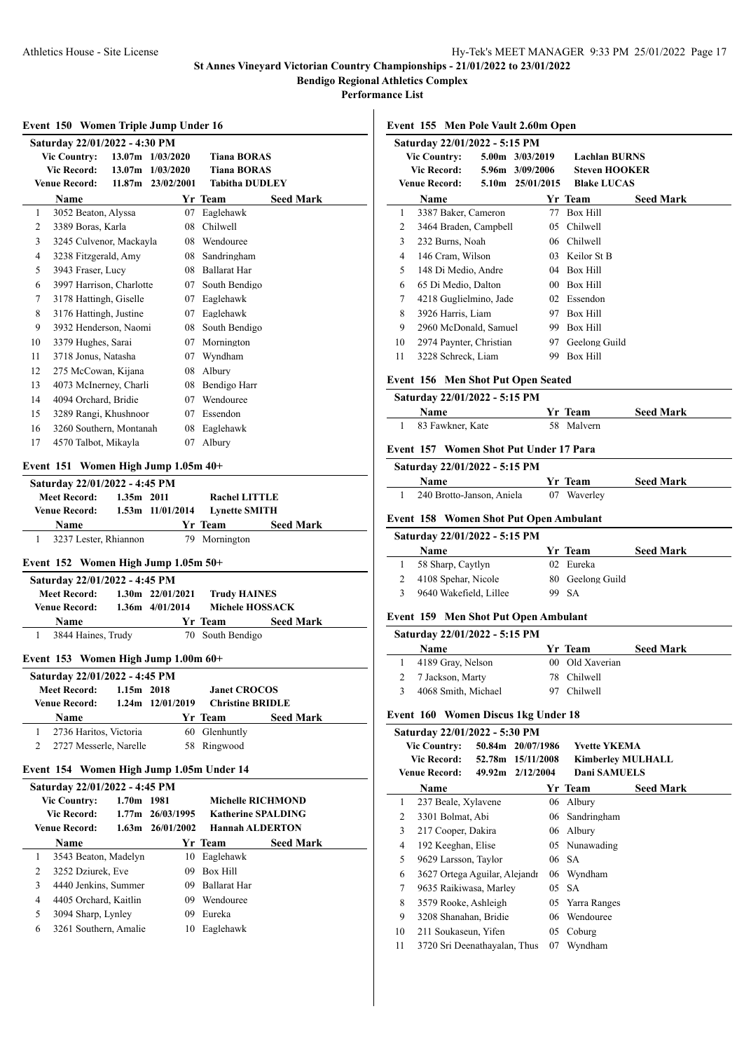**Performance List**

|  | Event 150 Women Triple Jump Under 16 |  |
|--|--------------------------------------|--|
|  |                                      |  |

|    | Saturday 22/01/2022 - 4:30 PM |                    |                   |                       |                  |  |  |  |  |
|----|-------------------------------|--------------------|-------------------|-----------------------|------------------|--|--|--|--|
|    | <b>Vic Country:</b>           |                    | 13.07m 1/03/2020  | <b>Tiana BORAS</b>    |                  |  |  |  |  |
|    | <b>Vic Record:</b>            | 13.07 <sub>m</sub> | 1/03/2020         | <b>Tiana BORAS</b>    |                  |  |  |  |  |
|    | <b>Venue Record:</b>          |                    | 11.87m 23/02/2001 | <b>Tabitha DUDLEY</b> |                  |  |  |  |  |
|    | Name                          |                    |                   | Yr Team               | <b>Seed Mark</b> |  |  |  |  |
| 1  | 3052 Beaton, Alyssa           |                    | 07                | Eaglehawk             |                  |  |  |  |  |
| 2  | 3389 Boras, Karla             |                    | 08                | Chilwell              |                  |  |  |  |  |
| 3  | 3245 Culvenor, Mackayla       |                    | 08                | Wendouree             |                  |  |  |  |  |
| 4  | 3238 Fitzgerald, Amy          |                    | 08                | Sandringham           |                  |  |  |  |  |
| 5  | 3943 Fraser, Lucy             |                    | 08                | <b>Ballarat Har</b>   |                  |  |  |  |  |
| 6  | 3997 Harrison, Charlotte      |                    | 07                | South Bendigo         |                  |  |  |  |  |
| 7  | 3178 Hattingh, Giselle        |                    | 07                | Eaglehawk             |                  |  |  |  |  |
| 8  | 3176 Hattingh, Justine        |                    | 07                | Eaglehawk             |                  |  |  |  |  |
| 9  | 3932 Henderson, Naomi         |                    | 08                | South Bendigo         |                  |  |  |  |  |
| 10 | 3379 Hughes, Sarai            |                    | 07                | Mornington            |                  |  |  |  |  |
| 11 | 3718 Jonus, Natasha           |                    | 07                | Wyndham               |                  |  |  |  |  |
| 12 | 275 McCowan, Kijana           |                    | 08                | Albury                |                  |  |  |  |  |
| 13 | 4073 McInerney, Charli        |                    | 08                | Bendigo Harr          |                  |  |  |  |  |
| 14 | 4094 Orchard, Bridie          |                    | 07                | Wendouree             |                  |  |  |  |  |
| 15 | 3289 Rangi, Khushnoor         |                    | 07                | Essendon              |                  |  |  |  |  |
| 16 | 3260 Southern, Montanah       |                    | 08                | Eaglehawk             |                  |  |  |  |  |
| 17 | 4570 Talbot, Mikayla          |                    | 07                | Albury                |                  |  |  |  |  |
|    |                               |                    |                   |                       |                  |  |  |  |  |

## **Event 151 Women High Jump 1.05m 40+**

| Saturday 22/01/2022 - 4:45 PM |                       |                      |                      |                  |  |  |  |  |  |
|-------------------------------|-----------------------|----------------------|----------------------|------------------|--|--|--|--|--|
| <b>Meet Record:</b>           | $1.35m$ 2011          |                      | Rachel LITTLE        |                  |  |  |  |  |  |
| Venue Record:                 |                       | $1.53m$ $11/01/2014$ | <b>Lynette SMITH</b> |                  |  |  |  |  |  |
| <b>Name</b>                   |                       |                      | <b>Yr Team</b>       | <b>Seed Mark</b> |  |  |  |  |  |
|                               | 3237 Lester, Rhiannon |                      | 79 Mornington        |                  |  |  |  |  |  |

#### **Event 152 Women High Jump 1.05m 50+**

| Saturday 22/01/2022 - 4:45 PM |  |                      |                     |                  |  |  |  |  |
|-------------------------------|--|----------------------|---------------------|------------------|--|--|--|--|
| <b>Meet Record:</b>           |  | $1.30m$ $22/01/2021$ | <b>Trudy HAINES</b> |                  |  |  |  |  |
| <b>Venue Record:</b>          |  | $1.36m$ $4/01/2014$  | Michele HOSSACK     |                  |  |  |  |  |
| <b>Name</b>                   |  |                      | Yr Team             | <b>Seed Mark</b> |  |  |  |  |
| 3844 Haines, Trudy            |  |                      | 70 South Bendigo    |                  |  |  |  |  |

#### **Event 153 Women High Jump 1.00m 60+**

|                                     | Saturday 22/01/2022 - 4:45 PM |                        |                       |                         |               |                  |  |  |  |  |
|-------------------------------------|-------------------------------|------------------------|-----------------------|-------------------------|---------------|------------------|--|--|--|--|
| <b>Meet Record:</b><br>$1.15m$ 2018 |                               |                        | <b>Janet CROCOS</b>   |                         |               |                  |  |  |  |  |
|                                     | <b>Venue Record:</b>          |                        | $1.24$ m $12/01/2019$ | <b>Christine BRIDLE</b> |               |                  |  |  |  |  |
|                                     |                               | <b>Name</b>            |                       |                         | Yr Team       | <b>Seed Mark</b> |  |  |  |  |
|                                     |                               | 2736 Haritos, Victoria |                       |                         | 60 Glenhuntly |                  |  |  |  |  |
|                                     |                               | 2727 Messerle, Narelle |                       |                         | 58 Ringwood   |                  |  |  |  |  |
|                                     |                               |                        |                       |                         |               |                  |  |  |  |  |

#### **Event 154 Women High Jump 1.05m Under 14**

|               | Saturday 22/01/2022 - 4:45 PM |              |                      |                           |                  |  |  |  |
|---------------|-------------------------------|--------------|----------------------|---------------------------|------------------|--|--|--|
|               | <b>Vic Country:</b>           | $1.70m$ 1981 |                      | <b>Michelle RICHMOND</b>  |                  |  |  |  |
|               | <b>Vic Record:</b>            |              | $1.77m$ $26/03/1995$ | <b>Katherine SPALDING</b> |                  |  |  |  |
|               | <b>Venue Record:</b>          |              | $1.63m$ $26/01/2002$ | <b>Hannah ALDERTON</b>    |                  |  |  |  |
|               | <b>Name</b>                   |              |                      | Yr Team                   | <b>Seed Mark</b> |  |  |  |
|               | 3543 Beaton, Madelyn          |              | 10                   | Eaglehawk                 |                  |  |  |  |
| 2             | 3252 Dziurek, Eve             |              | 09                   | Box Hill                  |                  |  |  |  |
| $\mathcal{F}$ | 4440 Jenkins, Summer          |              | 09                   | <b>Ballarat Har</b>       |                  |  |  |  |
| 4             | 4405 Orchard, Kaitlin         |              | 09                   | Wendouree                 |                  |  |  |  |
| 5             | 3094 Sharp, Lynley            |              | 09                   | Eureka                    |                  |  |  |  |
| 6             | 3261 Southern, Amalie         |              | 10                   | Eaglehawk                 |                  |  |  |  |
|               |                               |              |                      |                           |                  |  |  |  |

#### **Event 155 Men Pole Vault 2.60m Open**

|    | Saturday 22/01/2022 - 5:15 PM |  |                  |                    |                      |  |  |  |  |
|----|-------------------------------|--|------------------|--------------------|----------------------|--|--|--|--|
|    | <b>Vic Country:</b>           |  | 5.00m 3/03/2019  |                    | <b>Lachlan BURNS</b> |  |  |  |  |
|    | Vic Record:                   |  | 5.96m 3/09/2006  |                    | <b>Steven HOOKER</b> |  |  |  |  |
|    | Venue Record:                 |  | 5.10m 25/01/2015 | <b>Blake LUCAS</b> |                      |  |  |  |  |
|    | Name                          |  |                  | Yr Team            | <b>Seed Mark</b>     |  |  |  |  |
| 1  | 3387 Baker, Cameron           |  | 77               | Box Hill           |                      |  |  |  |  |
| 2  | 3464 Braden, Campbell         |  | 05               | Chilwell           |                      |  |  |  |  |
| 3  | 232 Burns, Noah               |  |                  | 06 Chilwell        |                      |  |  |  |  |
| 4  | 146 Cram, Wilson              |  |                  | 03 Keilor St B     |                      |  |  |  |  |
| 5  | 148 Di Medio, Andre           |  | 04               | Box Hill           |                      |  |  |  |  |
| 6  | 65 Di Medio, Dalton           |  | 00 <sup>°</sup>  | Box Hill           |                      |  |  |  |  |
| 7  | 4218 Guglielmino, Jade        |  | 02               | Essendon           |                      |  |  |  |  |
| 8  | 3926 Harris, Liam             |  | 97               | Box Hill           |                      |  |  |  |  |
| 9  | 2960 McDonald, Samuel         |  | 99               | Box Hill           |                      |  |  |  |  |
| 10 | 2974 Paynter, Christian       |  | 97               | Geelong Guild      |                      |  |  |  |  |
| 11 | 3228 Schreck, Liam            |  | 99               | <b>Box Hill</b>    |                      |  |  |  |  |
|    |                               |  |                  |                    |                      |  |  |  |  |

#### **Event 156 Men Shot Put Open Seated**

| Saturday 22/01/2022 - 5:15 PM |  |                |                  |  |  |
|-------------------------------|--|----------------|------------------|--|--|
| <b>Name</b>                   |  | <b>Yr</b> Team | <b>Seed Mark</b> |  |  |
| 83 Fawkner, Kate              |  | 58 Malvern     |                  |  |  |

## **Event 157 Women Shot Put Under 17 Para**

| Saturday 22/01/2022 - 5:15 PM |                |                  |
|-------------------------------|----------------|------------------|
| <b>Name</b>                   | <b>Yr</b> Team | <b>Seed Mark</b> |
| 240 Brotto-Janson, Aniela     | 07 Waverley    |                  |

#### **Event 158 Women Shot Put Open Ambulant**

#### **Saturday 22/01/2022 - 5:15 PM**

 $\overline{a}$ 

| <b>Name</b>            | Yr Team          | <b>Seed Mark</b> |
|------------------------|------------------|------------------|
| 58 Sharp, Caytlyn      | 02 Eureka        |                  |
| 4108 Spehar, Nicole    | 80 Geelong Guild |                  |
| 9640 Wakefield, Lillee | 99 SA            |                  |

#### **Event 159 Men Shot Put Open Ambulant**

| Saturday 22/01/2022 - 5:15 PM |  |  |
|-------------------------------|--|--|
|-------------------------------|--|--|

| <b>Name</b>         | Yr Team         | <b>Seed Mark</b> |
|---------------------|-----------------|------------------|
| 1 4189 Gray, Nelson | 00 Old Xaverian |                  |
| 2 7 Jackson, Marty  | 78 Chilwell     |                  |
| 4068 Smith, Michael | 97 Chilwell     |                  |

#### **Event 160 Women Discus 1kg Under 18**

|    | Saturday 22/01/2022 - 5:30 PM |                   |    |                          |                  |
|----|-------------------------------|-------------------|----|--------------------------|------------------|
|    | <b>Vic Country:</b>           | 50.84m 20/07/1986 |    | <b>Yvette YKEMA</b>      |                  |
|    | Vic Record:                   | 52.78m 15/11/2008 |    | <b>Kimberley MULHALL</b> |                  |
|    | Venue Record:                 | 49.92m 2/12/2004  |    | Dani SAMUELS             |                  |
|    | Name                          |                   |    | Yr Team                  | <b>Seed Mark</b> |
| 1  | 237 Beale, Xylavene           |                   | 06 | Albury                   |                  |
| 2  | 3301 Bolmat, Abi              |                   |    | 06 Sandringham           |                  |
| 3  | 217 Cooper, Dakira            |                   | 06 | Albury                   |                  |
| 4  | 192 Keeghan, Elise            |                   |    | 05 Nunawading            |                  |
| 5  | 9629 Larsson, Taylor          |                   |    | 06 SA                    |                  |
| 6  | 3627 Ortega Aguilar, Alejandr |                   |    | 06 Wyndham               |                  |
| 7  | 9635 Raikiwasa, Marley        |                   |    | 05 SA                    |                  |
| 8  | 3579 Rooke, Ashleigh          |                   |    | 05 Yarra Ranges          |                  |
| 9  | 3208 Shanahan, Bridie         |                   | 06 | Wendouree                |                  |
| 10 | 211 Soukaseun, Yifen          |                   | 05 | Coburg                   |                  |
| 11 | 3720 Sri Deenathayalan, Thus  |                   | 07 | Wyndham                  |                  |
|    |                               |                   |    |                          |                  |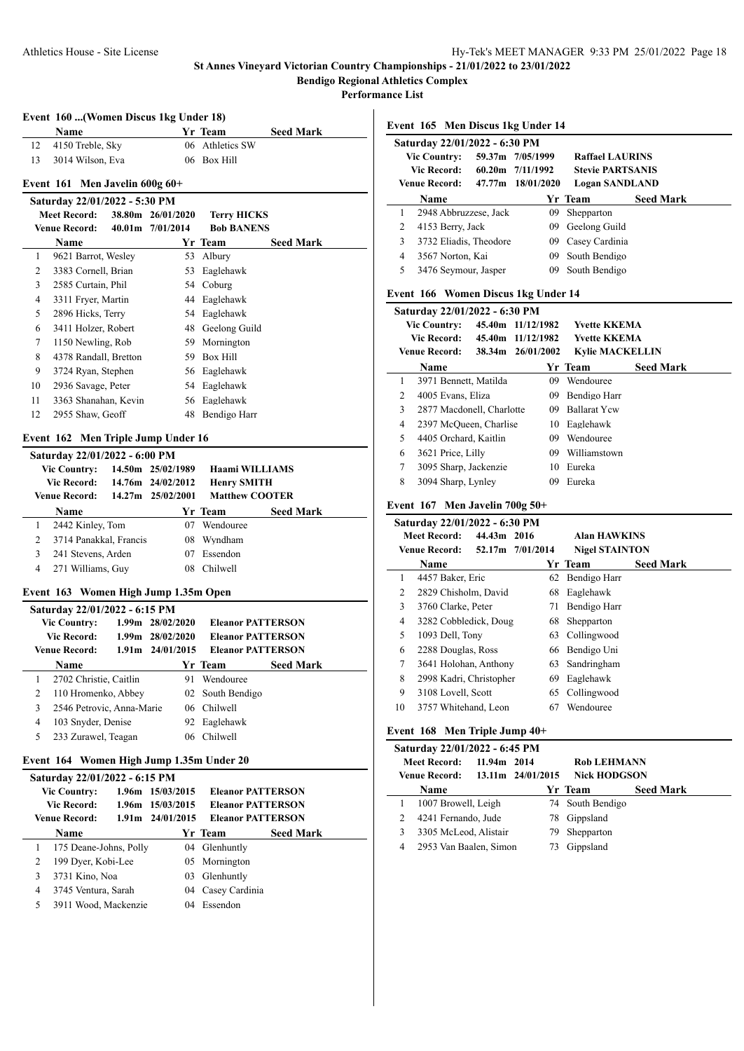**Performance List**

|  |  | Event 160  (Women Discus 1kg Under 18) |  |  |  |  |  |
|--|--|----------------------------------------|--|--|--|--|--|
|--|--|----------------------------------------|--|--|--|--|--|

|    | <b>Name</b>         | <b>Yr Team</b>  | <b>Seed Mark</b> |
|----|---------------------|-----------------|------------------|
|    | 12 4150 Treble, Sky | 06 Athletics SW |                  |
| 13 | 3014 Wilson, Eva    | 06 Box Hill     |                  |

# **Event 161 Men Javelin 600g 60+**

|    | Saturday 22/01/2022 - 5:30 PM |                   |                    |                  |
|----|-------------------------------|-------------------|--------------------|------------------|
|    | Meet Record:                  | 38.80m 26/01/2020 | <b>Terry HICKS</b> |                  |
|    | Venue Record:                 | 40.01m 7/01/2014  | <b>Bob BANENS</b>  |                  |
|    | <b>Name</b>                   |                   | Yr Team            | <b>Seed Mark</b> |
| 1  | 9621 Barrot, Wesley           | 53                | Albury             |                  |
| 2  | 3383 Cornell, Brian           |                   | 53 Eaglehawk       |                  |
| 3  | 2585 Curtain, Phil            |                   | 54 Coburg          |                  |
| 4  | 3311 Fryer, Martin            |                   | 44 Eaglehawk       |                  |
| 5. | 2896 Hicks, Terry             |                   | 54 Eaglehawk       |                  |
| 6  | 3411 Holzer, Robert           |                   | 48 Geelong Guild   |                  |
| 7  | 1150 Newling, Rob             | 59.               | Mornington         |                  |
| 8  | 4378 Randall, Bretton         | 59.               | Box Hill           |                  |
| 9  | 3724 Ryan, Stephen            |                   | 56 Eaglehawk       |                  |
| 10 | 2936 Savage, Peter            |                   | 54 Eaglehawk       |                  |
| 11 | 3363 Shanahan, Kevin          |                   | 56 Eaglehawk       |                  |
| 12 | 2955 Shaw, Geoff              | 48                | Bendigo Harr       |                  |
|    |                               |                   |                    |                  |

# **Event 162 Men Triple Jump Under 16**

|   | Name |                                                                   |                                                             |                                                                                                                        | <b>Seed Mark</b> |                                                                      |
|---|------|-------------------------------------------------------------------|-------------------------------------------------------------|------------------------------------------------------------------------------------------------------------------------|------------------|----------------------------------------------------------------------|
|   |      |                                                                   | 07                                                          | Wendouree                                                                                                              |                  |                                                                      |
| 2 |      |                                                                   | 08                                                          | Wyndham                                                                                                                |                  |                                                                      |
| 3 |      |                                                                   | 07                                                          | Essendon                                                                                                               |                  |                                                                      |
| 4 |      |                                                                   | 08.                                                         | <b>Chilwell</b>                                                                                                        |                  |                                                                      |
|   |      | <b>Vic Country:</b><br><b>Vic Record:</b><br><b>Venue Record:</b> | 2442 Kinley, Tom<br>241 Stevens, Arden<br>271 Williams, Guy | Saturday 22/01/2022 - 6:00 PM<br>14.50m 25/02/1989<br>14.76m 24/02/2012<br>14.27m 25/02/2001<br>3714 Panakkal, Francis | Yr Team          | <b>Haami WILLIAMS</b><br><b>Henry SMITH</b><br><b>Matthew COOTER</b> |

#### **Event 163 Women High Jump 1.35m Open**

|   | Saturday 22/01/2022 - 6:15 PM |                      |              |                          |                  |
|---|-------------------------------|----------------------|--------------|--------------------------|------------------|
|   | <b>Vic Country:</b>           | 1.99m 28/02/2020     |              | <b>Eleanor PATTERSON</b> |                  |
|   | Vic Record:                   | 1.99m 28/02/2020     |              | <b>Eleanor PATTERSON</b> |                  |
|   | <b>Venue Record:</b>          | $1.91m$ $24/01/2015$ |              | <b>Eleanor PATTERSON</b> |                  |
|   | <b>Name</b>                   |                      |              | Yr Team                  | <b>Seed Mark</b> |
|   | 2702 Christie, Caitlin        |                      | 91           | Wendouree                |                  |
| 2 | 110 Hromenko, Abbey           |                      |              | 02 South Bendigo         |                  |
| 3 | 2546 Petrovic, Anna-Marie     |                      | 06           | Chilwell                 |                  |
| 4 | 103 Snyder, Denise            |                      |              | 92 Eaglehawk             |                  |
| 5 | 233 Zurawel, Teagan           |                      | $06^{\circ}$ | Chilwell                 |                  |
|   |                               |                      |              |                          |                  |

## **Event 164 Women High Jump 1.35m Under 20**

|   | Saturday 22/01/2022 - 6:15 PM |                      |                          |                  |
|---|-------------------------------|----------------------|--------------------------|------------------|
|   | <b>Vic Country:</b>           | 1.96m 15/03/2015     | <b>Eleanor PATTERSON</b> |                  |
|   | <b>Vic Record:</b>            | 1.96m 15/03/2015     | <b>Eleanor PATTERSON</b> |                  |
|   | <b>Venue Record:</b>          | $1.91m$ $24/01/2015$ | <b>Eleanor PATTERSON</b> |                  |
|   | <b>Name</b>                   |                      | Yr Team                  | <b>Seed Mark</b> |
|   | 175 Deane-Johns, Polly        |                      | 04 Glenhuntly            |                  |
| 2 | 199 Dyer, Kobi-Lee            |                      | 05 Mornington            |                  |
| 3 | 3731 Kino, Noa                | 03 <sup>2</sup>      | Glenhuntly               |                  |
| 4 | 3745 Ventura, Sarah           |                      | 04 Casey Cardinia        |                  |
| 5 | 3911 Wood, Mackenzie          |                      | 04 Essendon              |                  |
|   |                               |                      |                          |                  |

**Event 165 Men Discus 1kg Under 14**

|                | Saturday 22/01/2022 - 6:30 PM                                    |                   |                                            |                  |
|----------------|------------------------------------------------------------------|-------------------|--------------------------------------------|------------------|
|                | <b>Vic Country:</b>                                              | 59.37m 7/05/1999  | <b>Raffael LAURINS</b>                     |                  |
|                | Vic Record: 60.20m 7/11/1992                                     |                   | <b>Stevie PARTSANIS</b>                    |                  |
|                | Venue Record: 47.77m 18/01/2020                                  |                   | <b>Logan SANDLAND</b>                      |                  |
|                | Name                                                             |                   | Yr Team                                    | <b>Seed Mark</b> |
| $\mathbf{1}$   | 2948 Abbruzzese, Jack                                            | 09                | Shepparton                                 |                  |
| 2              | 4153 Berry, Jack                                                 | 09                | Geelong Guild                              |                  |
| 3              | 3732 Eliadis, Theodore                                           | 09                | Casev Cardinia                             |                  |
| $\overline{4}$ | 3567 Norton, Kai                                                 | 09                | South Bendigo                              |                  |
| 5              | 3476 Seymour, Jasper                                             | 09                | South Bendigo                              |                  |
|                | Event 166 Women Discus 1kg Under 14                              |                   |                                            |                  |
|                |                                                                  |                   |                                            |                  |
|                | Saturday 22/01/2022 - 6:30 PM                                    |                   |                                            |                  |
|                | <b>Vic Country:</b>                                              | 45.40m 11/12/1982 | <b>Yvette KKEMA</b><br><b>Yvette KKEMA</b> |                  |
|                | Vic Record: 45.40m 11/12/1982<br>Venue Record: 38.34m 26/01/2002 |                   | <b>Kylie MACKELLIN</b>                     |                  |
|                | Name                                                             |                   | <b>Yr Team</b>                             | <b>Seed Mark</b> |
| 1              | 3971 Bennett, Matilda                                            | 09                | Wendouree                                  |                  |
| 2              | 4005 Evans, Eliza                                                | 09                | Bendigo Harr                               |                  |
| 3              | 2877 Macdonell, Charlotte                                        | 09                | <b>Ballarat Yew</b>                        |                  |
| $\overline{4}$ | 2397 McQueen, Charlise                                           |                   | 10 Eaglehawk                               |                  |
| 5              | 4405 Orchard, Kaitlin                                            |                   | 09 Wendouree                               |                  |
| 6              | 3621 Price, Lilly                                                |                   | 09 Williamstown                            |                  |
| 7              | 3095 Sharp, Jackenzie                                            | 10                | Eureka                                     |                  |

# **Event 167 Men Javelin 700g 50+**

|                | Saturday 22/01/2022 - 6:30 PM            |    |                       |                  |
|----------------|------------------------------------------|----|-----------------------|------------------|
|                | 44.43m 2016<br><b>Meet Record:</b>       |    | <b>Alan HAWKINS</b>   |                  |
|                | <b>Venue Record:</b><br>52.17m 7/01/2014 |    | <b>Nigel STAINTON</b> |                  |
|                | Name                                     |    | Yr Team               | <b>Seed Mark</b> |
| 1              | 4457 Baker, Eric                         |    | 62 Bendigo Harr       |                  |
| 2              | 2829 Chisholm, David                     | 68 | Eaglehawk             |                  |
| 3              | 3760 Clarke, Peter                       | 71 | Bendigo Harr          |                  |
| $\overline{4}$ | 3282 Cobbledick, Doug                    | 68 | Shepparton            |                  |
| 5              | 1093 Dell, Tony                          | 63 | Collingwood           |                  |
| 6              | 2288 Douglas, Ross                       |    | 66 Bendigo Uni        |                  |
| $\tau$         | 3641 Holohan, Anthony                    | 63 | Sandringham           |                  |
| 8              | 2998 Kadri, Christopher                  | 69 | Eaglehawk             |                  |
| 9              | 3108 Lovell, Scott                       | 65 | Collingwood           |                  |
| 10             | 3757 Whitehand, Leon                     | 67 | Wendouree             |                  |
|                |                                          |    |                       |                  |

#### **Event 168 Men Triple Jump 40+**

|                                    | Saturday 22/01/2022 - 6:45 PM |  |                    |                     |                  |  |  |  |  |
|------------------------------------|-------------------------------|--|--------------------|---------------------|------------------|--|--|--|--|
| <b>Meet Record:</b><br>11.94m 2014 |                               |  | <b>Rob LEHMANN</b> |                     |                  |  |  |  |  |
|                                    | <b>Venue Record:</b>          |  | 13.11m 24/01/2015  | <b>Nick HODGSON</b> |                  |  |  |  |  |
|                                    | <b>Name</b>                   |  |                    | Yr Team             | <b>Seed Mark</b> |  |  |  |  |
|                                    | 1007 Browell, Leigh           |  |                    | 74 South Bendigo    |                  |  |  |  |  |
|                                    | 4241 Fernando, Jude           |  | 78                 | Gippsland           |                  |  |  |  |  |
|                                    | 3305 McLeod, Alistair         |  | 79                 | Shepparton          |                  |  |  |  |  |
|                                    | 2953 Van Baalen, Simon        |  |                    | Gippsland           |                  |  |  |  |  |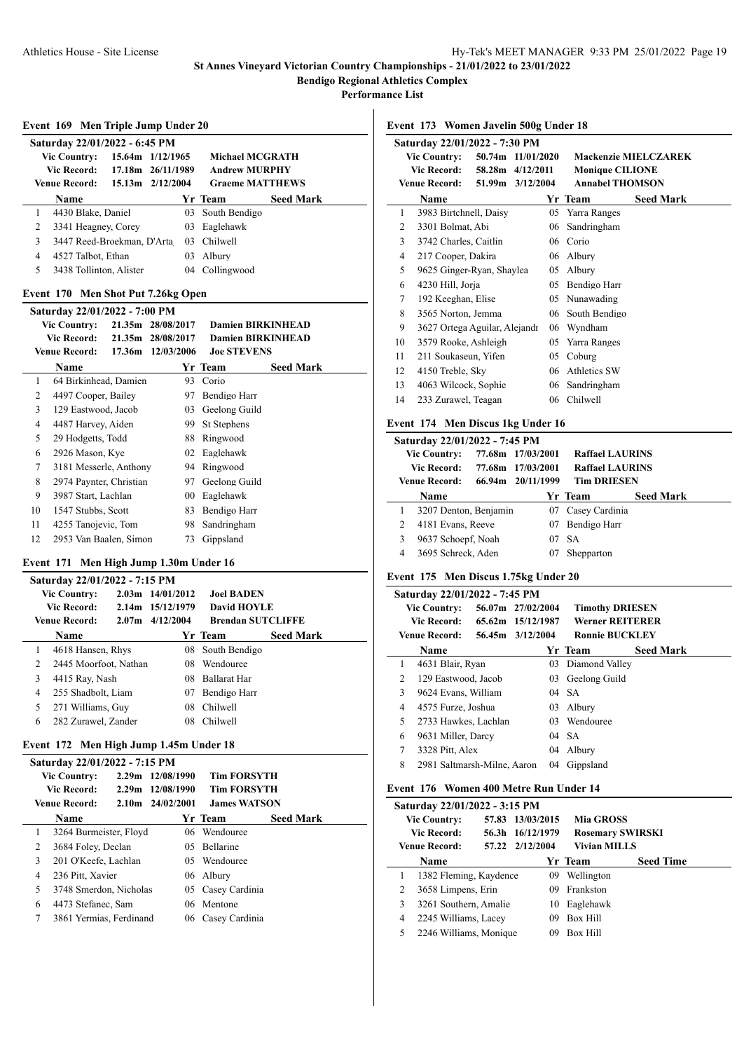**Performance List**

÷,

 $\overline{a}$ 

 $\overline{a}$ 

|                                                                                                       | Event 169 Men Triple Jump Under 20 |                   |                              |                          |                  |  |
|-------------------------------------------------------------------------------------------------------|------------------------------------|-------------------|------------------------------|--------------------------|------------------|--|
|                                                                                                       | Saturday 22/01/2022 - 6:45 PM      |                   |                              |                          |                  |  |
| <b>Vic Country:</b><br>15.64m 1/12/1965<br><b>Michael MCGRATH</b>                                     |                                    |                   |                              |                          |                  |  |
|                                                                                                       | <b>Vic Record:</b>                 | 17.18m            | 26/11/1989                   | <b>Andrew MURPHY</b>     |                  |  |
|                                                                                                       | <b>Venue Record:</b>               |                   | 15.13m 2/12/2004             | <b>Graeme MATTHEWS</b>   |                  |  |
|                                                                                                       | Name                               |                   |                              | Yr Team                  | <b>Seed Mark</b> |  |
| 1                                                                                                     | 4430 Blake, Daniel                 |                   |                              | 03 South Bendigo         |                  |  |
| 2                                                                                                     | 3341 Heagney, Corey                |                   | 03                           | Eaglehawk                |                  |  |
| 3                                                                                                     | 3447 Reed-Broekman, D'Arta         |                   | 03                           | Chilwell                 |                  |  |
| 4                                                                                                     | 4527 Talbot, Ethan                 |                   | 03                           | Albury                   |                  |  |
| 5                                                                                                     | 3438 Tollinton, Alister            |                   |                              | 04 Collingwood           |                  |  |
|                                                                                                       | Event 170                          |                   | Men Shot Put 7.26kg Open     |                          |                  |  |
|                                                                                                       |                                    |                   |                              |                          |                  |  |
| Saturday 22/01/2022 - 7:00 PM<br><b>Vic Country:</b><br>21.35m 28/08/2017<br><b>Damien BIRKINHEAD</b> |                                    |                   |                              |                          |                  |  |
|                                                                                                       | <b>Vic Record:</b>                 |                   | 21.35m 28/08/2017            | <b>Damien BIRKINHEAD</b> |                  |  |
| <b>Venue Record:</b><br>17.36m 12/03/2006<br><b>Joe STEVENS</b>                                       |                                    |                   |                              |                          |                  |  |
|                                                                                                       | Name                               |                   |                              | Yr Team                  | <b>Seed Mark</b> |  |
| 1                                                                                                     | 64 Birkinhead, Damien              |                   |                              | 93 Corio                 |                  |  |
| 2                                                                                                     | 4497 Cooper, Bailey                |                   |                              | 97 Bendigo Harr          |                  |  |
| 3                                                                                                     | 129 Eastwood, Jacob                |                   |                              | 03 Geelong Guild         |                  |  |
| 4                                                                                                     | 4487 Harvey, Aiden                 |                   |                              | 99 St Stephens           |                  |  |
| 5                                                                                                     | 29 Hodgetts, Todd                  |                   |                              | 88 Ringwood              |                  |  |
| 6                                                                                                     | 2926 Mason, Kye                    |                   |                              | 02 Eaglehawk             |                  |  |
| 7                                                                                                     | 3181 Messerle, Anthony             |                   |                              | 94 Ringwood              |                  |  |
| 8                                                                                                     | 2974 Paynter, Christian            |                   |                              | 97 Geelong Guild         |                  |  |
| 9                                                                                                     | 3987 Start, Lachlan                |                   |                              | 00 Eaglehawk             |                  |  |
| 10                                                                                                    | 1547 Stubbs, Scott                 |                   |                              | 83 Bendigo Harr          |                  |  |
| 11                                                                                                    | 4255 Tanojevic, Tom                |                   |                              | 98 Sandringham           |                  |  |
| 12                                                                                                    | 2953 Van Baalen, Simon             |                   | 73                           | Gippsland                |                  |  |
|                                                                                                       | Event 171                          |                   | Men High Jump 1.30m Under 16 |                          |                  |  |
|                                                                                                       | Saturday 22/01/2022 - 7:15 PM      |                   |                              |                          |                  |  |
|                                                                                                       | <b>Vic Country:</b>                |                   | 2.03m 14/01/2012             | <b>Joel BADEN</b>        |                  |  |
|                                                                                                       | <b>Vic Record:</b>                 | 2.14 <sub>m</sub> | 15/12/1979                   | <b>David HOYLE</b>       |                  |  |
|                                                                                                       | <b>Venue Record:</b>               | 2.07 <sub>m</sub> | 4/12/2004                    | <b>Brendan SUTCLIFFE</b> |                  |  |

|   | venue Kecora:         | $2.0/\text{m}$ 4/12/2004 | - Brendan SUTULITER |                  |
|---|-----------------------|--------------------------|---------------------|------------------|
|   | <b>Name</b>           |                          | Yr Team             | <b>Seed Mark</b> |
|   | 4618 Hansen, Rhys     |                          | 08 South Bendigo    |                  |
| 2 | 2445 Moorfoot, Nathan | 08                       | Wendouree           |                  |
| 3 | 4415 Ray, Nash        |                          | 08 Ballarat Har     |                  |
| 4 | 255 Shadbolt, Liam    | 07.                      | Bendigo Harr        |                  |
| 5 | 271 Williams, Guy     | 08.                      | Chilwell            |                  |
| 6 | 282 Zurawel, Zander   |                          | <b>Chilwell</b>     |                  |
|   |                       |                          |                     |                  |

## **Event 172 Men High Jump 1.45m Under 18**

|             | Saturday 22/01/2022 - 7:15 PM |                         |                    |                      |                     |                  |  |  |
|-------------|-------------------------------|-------------------------|--------------------|----------------------|---------------------|------------------|--|--|
|             |                               | <b>Vic Country:</b>     |                    | 2.29m 12/08/1990     | <b>Tim FORSYTH</b>  |                  |  |  |
| Vic Record: |                               | 2.29m 12/08/1990        | <b>Tim FORSYTH</b> |                      |                     |                  |  |  |
|             |                               | <b>Venue Record:</b>    |                    | $2.10m$ $24/02/2001$ | <b>James WATSON</b> |                  |  |  |
|             |                               | Name                    |                    |                      | Yr Team             | <b>Seed Mark</b> |  |  |
|             | 1                             | 3264 Burmeister, Floyd  |                    | 06                   | Wendouree           |                  |  |  |
|             | 2                             | 3684 Foley, Declan      |                    | $0.5^{\circ}$        | Bellarine           |                  |  |  |
|             | 3                             | 201 O'Keefe, Lachlan    |                    |                      | 05 Wendouree        |                  |  |  |
|             | 4                             | 236 Pitt, Xavier        |                    |                      | 06 Albury           |                  |  |  |
|             | 5                             | 3748 Smerdon, Nicholas  |                    |                      | 05 Casey Cardinia   |                  |  |  |
|             | 6                             | 4473 Stefanec, Sam      |                    |                      | 06 Mentone          |                  |  |  |
|             | 7                             | 3861 Yermias, Ferdinand |                    |                      | 06 Casey Cardinia   |                  |  |  |
|             |                               |                         |                    |                      |                     |                  |  |  |

**Event 173 Women Javelin 500g Under 18**

|    | Saturday 22/01/2022 - 7:30 PM |                   |           |     |                        |                             |  |  |
|----|-------------------------------|-------------------|-----------|-----|------------------------|-----------------------------|--|--|
|    | <b>Vic Country:</b>           | 50.74m 11/01/2020 |           |     |                        | <b>Mackenzie MIELCZAREK</b> |  |  |
|    | Vic Record:                   | 58.28m            | 4/12/2011 |     | <b>Monique CILIONE</b> |                             |  |  |
|    | <b>Venue Record:</b>          | 51.99m 3/12/2004  |           |     | <b>Annabel THOMSON</b> |                             |  |  |
|    | Name                          |                   |           |     | Yr Team                | <b>Seed Mark</b>            |  |  |
| 1  | 3983 Birtchnell, Daisy        |                   |           | 05  | Yarra Ranges           |                             |  |  |
| 2  | 3301 Bolmat, Abi              |                   |           | 06  | Sandringham            |                             |  |  |
| 3  | 3742 Charles, Caitlin         |                   |           | 06  | Corio                  |                             |  |  |
| 4  | 217 Cooper, Dakira            |                   |           | 06  | Albury                 |                             |  |  |
| 5  | 9625 Ginger-Ryan, Shaylea     |                   |           | 05  | Albury                 |                             |  |  |
| 6  | 4230 Hill, Jorja              |                   |           | 05. | Bendigo Harr           |                             |  |  |
| 7  | 192 Keeghan, Elise            |                   |           | 05. | Nunawading             |                             |  |  |
| 8  | 3565 Norton, Jemma            |                   |           |     | 06 South Bendigo       |                             |  |  |
| 9  | 3627 Ortega Aguilar, Alejandr |                   |           | 06  | Wyndham                |                             |  |  |
| 10 | 3579 Rooke, Ashleigh          |                   |           | 05  | Yarra Ranges           |                             |  |  |
| 11 | 211 Soukaseun, Yifen          |                   |           | 05  | Coburg                 |                             |  |  |
| 12 | 4150 Treble, Sky              |                   |           | 06  | Athletics SW           |                             |  |  |
| 13 | 4063 Wilcock, Sophie          |                   |           | 06  | Sandringham            |                             |  |  |
| 14 | 233 Zurawel, Teagan           |                   |           | 06  | Chilwell               |                             |  |  |
|    |                               |                   |           |     |                        |                             |  |  |

# **Event 174 Men Discus 1kg Under 16**

|                | Saturday 22/01/2022 - 7:45 PM |  |                   |                        |                  |  |  |  |  |
|----------------|-------------------------------|--|-------------------|------------------------|------------------|--|--|--|--|
|                | <b>Vic Country:</b>           |  | 77.68m 17/03/2001 | <b>Raffael LAURINS</b> |                  |  |  |  |  |
|                | Vic Record:                   |  | 77.68m 17/03/2001 | <b>Raffael LAURINS</b> |                  |  |  |  |  |
|                | Venue Record:                 |  | 66.94m 20/11/1999 | <b>Tim DRIESEN</b>     |                  |  |  |  |  |
|                | Name                          |  |                   | Yr Team                | <b>Seed Mark</b> |  |  |  |  |
| 1              | 3207 Denton, Benjamin         |  | 07                | Casey Cardinia         |                  |  |  |  |  |
| 2              | 4181 Evans, Reeve             |  | 07                | Bendigo Harr           |                  |  |  |  |  |
| 3              | 9637 Schoepf, Noah            |  | 07                | <b>SA</b>              |                  |  |  |  |  |
| $\overline{4}$ | 3695 Schreck, Aden            |  |                   | Shepparton             |                  |  |  |  |  |

## **Event 175 Men Discus 1.75kg Under 20**

|                     | Saturday 22/01/2022 - 7:45 PM |                   |                        |                        |                  |  |  |
|---------------------|-------------------------------|-------------------|------------------------|------------------------|------------------|--|--|
| <b>Vic Country:</b> |                               | 56.07m 27/02/2004 | <b>Timothy DRIESEN</b> |                        |                  |  |  |
|                     | Vic Record:                   |                   | 65.62m 15/12/1987      | <b>Werner REITERER</b> |                  |  |  |
|                     | Venue Record:                 |                   | 56.45m 3/12/2004       | <b>Ronnie BUCKLEY</b>  |                  |  |  |
|                     | Name                          |                   |                        | Yr Team                | <b>Seed Mark</b> |  |  |
| 1                   | 4631 Blair, Ryan              |                   |                        | 03 Diamond Valley      |                  |  |  |
| 2                   | 129 Eastwood, Jacob           |                   |                        | 03 Geelong Guild       |                  |  |  |
| 3                   | 9624 Evans, William           |                   |                        | 04 SA                  |                  |  |  |
| 4                   | 4575 Furze, Joshua            |                   | 03                     | Alburv                 |                  |  |  |
| 5                   | 2733 Hawkes, Lachlan          |                   |                        | 03 Wendouree           |                  |  |  |
| 6                   | 9631 Miller, Darcy            |                   |                        | $04$ SA                |                  |  |  |
| 7                   | 3328 Pitt, Alex               |                   | $^{04}$                | Alburv                 |                  |  |  |
| 8                   | 2981 Saltmarsh-Milne, Aaron   |                   | 04                     | Gippsland              |                  |  |  |

## **Event 176 Women 400 Metre Run Under 14**

|   | Saturday 22/01/2022 - 3:15 PM<br><b>Vic Country:</b><br>Vic Record:<br><b>Venue Record:</b> | 57.83 | 13/03/2015<br>56.3h 16/12/1979<br>57.22 2/12/2004 | <b>Mia GROSS</b><br><b>Vivian MILLS</b> | <b>Rosemary SWIRSKI</b> |
|---|---------------------------------------------------------------------------------------------|-------|---------------------------------------------------|-----------------------------------------|-------------------------|
|   | <b>Name</b>                                                                                 |       |                                                   | Yr Team                                 | <b>Seed Time</b>        |
| 1 | 1382 Fleming, Kaydence                                                                      |       | 09                                                | Wellington                              |                         |
| 2 | 3658 Limpens, Erin                                                                          |       | 09.                                               | Frankston                               |                         |
| 3 | 3261 Southern, Amalie                                                                       |       | 10                                                | Eaglehawk                               |                         |
| 4 | 2245 Williams, Lacey                                                                        |       | 09                                                | Box Hill                                |                         |
| 5 | 2246 Williams, Monique                                                                      |       | 09                                                | Box Hill                                |                         |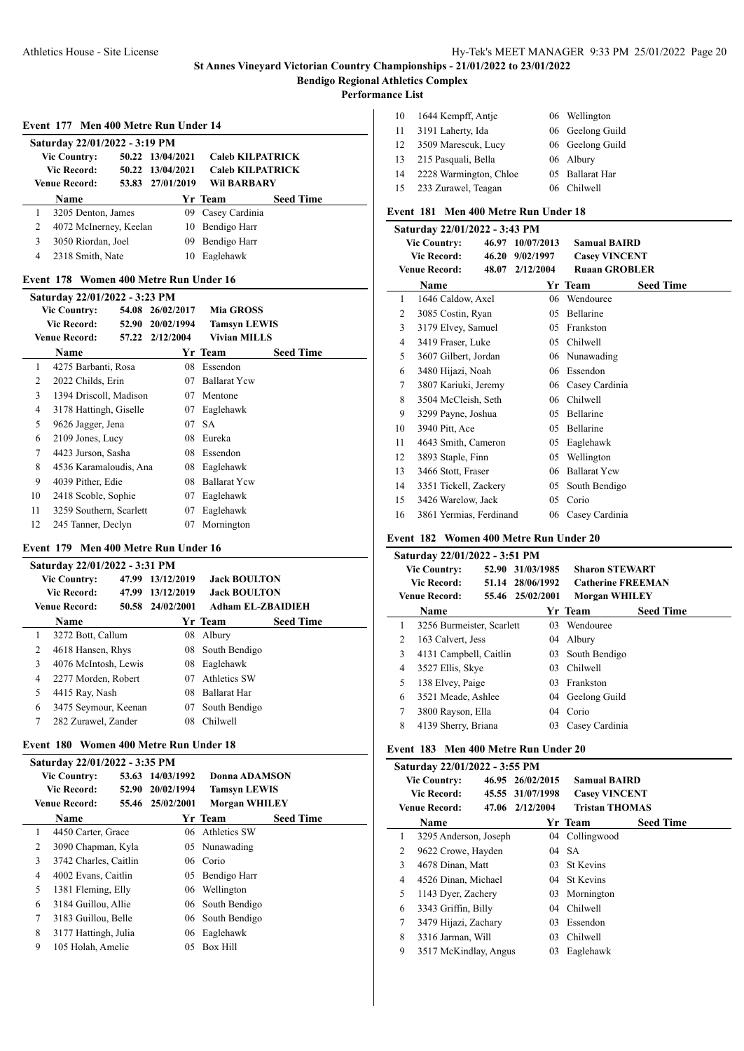**Performance List**

l.

| 10 | 1644 Kempff, Antie     | 06 Wellington    |
|----|------------------------|------------------|
| 11 | 3191 Laherty, Ida      | 06 Geelong Guild |
| 12 | 3509 Marescuk, Lucy    | 06 Geelong Guild |
| 13 | 215 Pasquali, Bella    | 06 Albury        |
| 14 | 2228 Warmington, Chloe | 05 Ballarat Har  |
| 15 | 233 Zurawel, Teagan    | Chilwell         |

#### **Event 181 Men 400 Metre Run Under 18**

|              | Saturday 22/01/2022 - 3:43 PM |  |                  |                      |                  |  |  |
|--------------|-------------------------------|--|------------------|----------------------|------------------|--|--|
|              | <b>Vic Country:</b>           |  | 46.97 10/07/2013 | <b>Samual BAIRD</b>  |                  |  |  |
|              | Vic Record:                   |  | 46.20 9/02/1997  | <b>Casey VINCENT</b> |                  |  |  |
|              | <b>Venue Record:</b>          |  | 48.07 2/12/2004  | <b>Ruaan GROBLER</b> |                  |  |  |
|              | Name                          |  |                  | Yr Team              | <b>Seed Time</b> |  |  |
| $\mathbf{1}$ | 1646 Caldow, Axel             |  | 06               | Wendouree            |                  |  |  |
| 2            | 3085 Costin, Ryan             |  | 05               | Bellarine            |                  |  |  |
| 3            | 3179 Elvey, Samuel            |  | 05               | Frankston            |                  |  |  |
| 4            | 3419 Fraser, Luke             |  | 05               | Chilwell             |                  |  |  |
| 5            | 3607 Gilbert, Jordan          |  |                  | 06 Nunawading        |                  |  |  |
| 6            | 3480 Hijazi, Noah             |  | 06               | Essendon             |                  |  |  |
| 7            | 3807 Kariuki, Jeremy          |  | 06               | Casey Cardinia       |                  |  |  |
| 8            | 3504 McCleish, Seth           |  | 06               | Chilwell             |                  |  |  |
| 9            | 3299 Payne, Joshua            |  | 05               | Bellarine            |                  |  |  |
| 10           | 3940 Pitt, Ace                |  | 05               | <b>Bellarine</b>     |                  |  |  |
| 11           | 4643 Smith, Cameron           |  | 05               | Eaglehawk            |                  |  |  |
| 12           | 3893 Staple, Finn             |  | 05               | Wellington           |                  |  |  |
| 13           | 3466 Stott, Fraser            |  | 06               | <b>Ballarat Ycw</b>  |                  |  |  |
| 14           | 3351 Tickell, Zackery         |  | 05               | South Bendigo        |                  |  |  |
| 15           | 3426 Warelow, Jack            |  | 05               | Corio                |                  |  |  |
| 16           | 3861 Yermias, Ferdinand       |  | 06               | Casey Cardinia       |                  |  |  |

#### **Event 182 Women 400 Metre Run Under 20**

|   | Saturday 22/01/2022 - 3:51 PM |                  |                          |                  |
|---|-------------------------------|------------------|--------------------------|------------------|
|   | <b>Vic Country:</b>           | 52.90 31/03/1985 | <b>Sharon STEWART</b>    |                  |
|   | <b>Vic Record:</b>            | 51.14 28/06/1992 | <b>Catherine FREEMAN</b> |                  |
|   | <b>Venue Record:</b>          | 55.46 25/02/2001 | <b>Morgan WHILEY</b>     |                  |
|   | <b>Name</b>                   |                  | Yr Team                  | <b>Seed Time</b> |
| 1 | 3256 Burmeister, Scarlett     | 03               | Wendouree                |                  |
| 2 | 163 Calvert, Jess             | 04               | Albury                   |                  |
| 3 | 4131 Campbell, Caitlin        | 03               | South Bendigo            |                  |
| 4 | 3527 Ellis, Skye              | 03               | <b>Chilwell</b>          |                  |
| 5 | 138 Elvey, Paige              | 03               | Frankston                |                  |
| 6 | 3521 Meade, Ashlee            |                  | 04 Geelong Guild         |                  |
| 7 | 3800 Rayson, Ella             | $04^{\circ}$     | Corio                    |                  |
| 8 | 4139 Sherry, Briana           | 03               | Casey Cardinia           |                  |

#### **Event 183 Men 400 Metre Run Under 20**

|        | Saturday 22/01/2022 - 3:55 PM |  |                  |                       |                  |  |
|--------|-------------------------------|--|------------------|-----------------------|------------------|--|
|        | <b>Vic Country:</b>           |  | 46.95 26/02/2015 | <b>Samual BAIRD</b>   |                  |  |
|        | Vic Record:                   |  | 45.55 31/07/1998 | <b>Casey VINCENT</b>  |                  |  |
|        | Venue Record:                 |  | 47.06 2/12/2004  | <b>Tristan THOMAS</b> |                  |  |
|        | Name                          |  |                  | Yr Team               | <b>Seed Time</b> |  |
| 1      | 3295 Anderson, Joseph         |  |                  | 04 Collingwood        |                  |  |
| 2      | 9622 Crowe, Hayden            |  | 04               | <b>SA</b>             |                  |  |
| 3      | 4678 Dinan, Matt              |  |                  | 03 St Kevins          |                  |  |
| 4      | 4526 Dinan, Michael           |  |                  | 04 St Kevins          |                  |  |
| 5      | 1143 Dyer, Zachery            |  | 03               | Mornington            |                  |  |
| 6      | 3343 Griffin, Billy           |  | 04               | Chilwell              |                  |  |
| $\tau$ | 3479 Hijazi, Zachary          |  | 03               | Essendon              |                  |  |
| 8      | 3316 Jarman, Will             |  | 03               | Chilwell              |                  |  |
| 9      | 3517 McKindlay, Angus         |  | 03               | Eaglehawk             |                  |  |

#### **Event 178 Women 400 Metre Run Under 16**

**Event 177 Men 400 Metre Run Under 14**

**Vic Country: 50.22 13/04/2021 Caleb KILPATRICK Vic Record: 50.22 13/04/2021 Caleb KILPATRICK Venue Record: 53.83 27/01/2019 Wil BARBARY**

 3205 Denton, James 09 Casey Cardinia 4072 McInerney, Keelan 10 Bendigo Harr 3050 Riordan, Joel 09 Bendigo Harr 2318 Smith, Nate 10 Eaglehawk

**Name Yr Team Seed Time**

**Saturday 22/01/2022 - 3:19 PM**

|    | Saturday 22/01/2022 - 3:23 PM |       |                 |                     |                  |  |  |
|----|-------------------------------|-------|-----------------|---------------------|------------------|--|--|
|    | <b>Vic Country:</b>           | 54.08 | 26/02/2017      | <b>Mia GROSS</b>    |                  |  |  |
|    | Vic Record:                   | 52.90 | 20/02/1994      | <b>Tamsyn LEWIS</b> |                  |  |  |
|    | <b>Venue Record:</b>          |       | 57.22 2/12/2004 | <b>Vivian MILLS</b> |                  |  |  |
|    | Name                          |       |                 | Yr Team             | <b>Seed Time</b> |  |  |
| 1  | 4275 Barbanti, Rosa           |       | 08              | Essendon            |                  |  |  |
| 2  | 2022 Childs, Erin             |       | 07              | <b>Ballarat Ycw</b> |                  |  |  |
| 3  | 1394 Driscoll, Madison        |       | 07              | Mentone             |                  |  |  |
| 4  | 3178 Hattingh, Giselle        |       | 07              | Eaglehawk           |                  |  |  |
| 5  | 9626 Jagger, Jena             |       | 07              | <b>SA</b>           |                  |  |  |
| 6  | 2109 Jones, Lucy              |       | 08              | Eureka              |                  |  |  |
| 7  | 4423 Jurson, Sasha            |       | 08              | Essendon            |                  |  |  |
| 8  | 4536 Karamaloudis, Ana        |       | 08              | Eaglehawk           |                  |  |  |
| 9  | 4039 Pither, Edie             |       | 08              | <b>Ballarat Ycw</b> |                  |  |  |
| 10 | 2418 Scoble, Sophie           |       | 07              | Eaglehawk           |                  |  |  |
| 11 | 3259 Southern, Scarlett       |       | 07              | Eaglehawk           |                  |  |  |
| 12 | 245 Tanner, Declyn            |       | 07              | Mornington          |                  |  |  |

#### **Event 179 Men 400 Metre Run Under 16**

|   | Saturday 22/01/2022 - 3:31 PM |  |                  |                          |                  |  |
|---|-------------------------------|--|------------------|--------------------------|------------------|--|
|   | <b>Vic Country:</b>           |  | 47.99 13/12/2019 | <b>Jack BOULTON</b>      |                  |  |
|   | <b>Vic Record:</b>            |  | 47.99 13/12/2019 | <b>Jack BOULTON</b>      |                  |  |
|   | <b>Venue Record:</b>          |  | 50.58 24/02/2001 | <b>Adham EL-ZBAIDIEH</b> |                  |  |
|   | Name                          |  |                  | Yr Team                  | <b>Seed Time</b> |  |
| 1 | 3272 Bott, Callum             |  | 08               | Albury                   |                  |  |
| 2 | 4618 Hansen, Rhys             |  |                  | 08 South Bendigo         |                  |  |
| 3 | 4076 McIntosh, Lewis          |  | 08               | Eaglehawk                |                  |  |
| 4 | 2277 Morden, Robert           |  | 07               | <b>Athletics SW</b>      |                  |  |
| 5 | 4415 Ray, Nash                |  | 08               | <b>Ballarat Har</b>      |                  |  |
| 6 | 3475 Seymour, Keenan          |  | 07               | South Bendigo            |                  |  |
| 7 | 282 Zurawel, Zander           |  | 08               | Chilwell                 |                  |  |
|   |                               |  |                  |                          |                  |  |

## **Event 180 Women 400 Metre Run Under 18**

|   | Saturday 22/01/2022 - 3:35 PM |                       |       |                  |                      |                  |
|---|-------------------------------|-----------------------|-------|------------------|----------------------|------------------|
|   |                               | <b>Vic Country:</b>   |       | 53.63 14/03/1992 | Donna ADAMSON        |                  |
|   |                               | <b>Vic Record:</b>    | 52.90 | 20/02/1994       | <b>Tamsyn LEWIS</b>  |                  |
|   |                               | Venue Record:         |       | 55.46 25/02/2001 | <b>Morgan WHILEY</b> |                  |
|   |                               | <b>Name</b>           |       |                  | Yr Team              | <b>Seed Time</b> |
| 1 |                               | 4450 Carter, Grace    |       |                  | 06 Athletics SW      |                  |
|   | 2                             | 3090 Chapman, Kyla    |       |                  | 05 Nunawading        |                  |
| 3 |                               | 3742 Charles, Caitlin |       |                  | 06 Corio             |                  |
| 4 |                               | 4002 Evans, Caitlin   |       |                  | 05 Bendigo Harr      |                  |
| 5 |                               | 1381 Fleming, Elly    |       |                  | 06 Wellington        |                  |
| 6 |                               | 3184 Guillou, Allie   |       |                  | 06 South Bendigo     |                  |
| 7 |                               | 3183 Guillou, Belle   |       |                  | 06 South Bendigo     |                  |
| 8 |                               | 3177 Hattingh, Julia  |       |                  | 06 Eaglehawk         |                  |
| 9 |                               | 105 Holah, Amelie     |       | 05               | Box Hill             |                  |
|   |                               |                       |       |                  |                      |                  |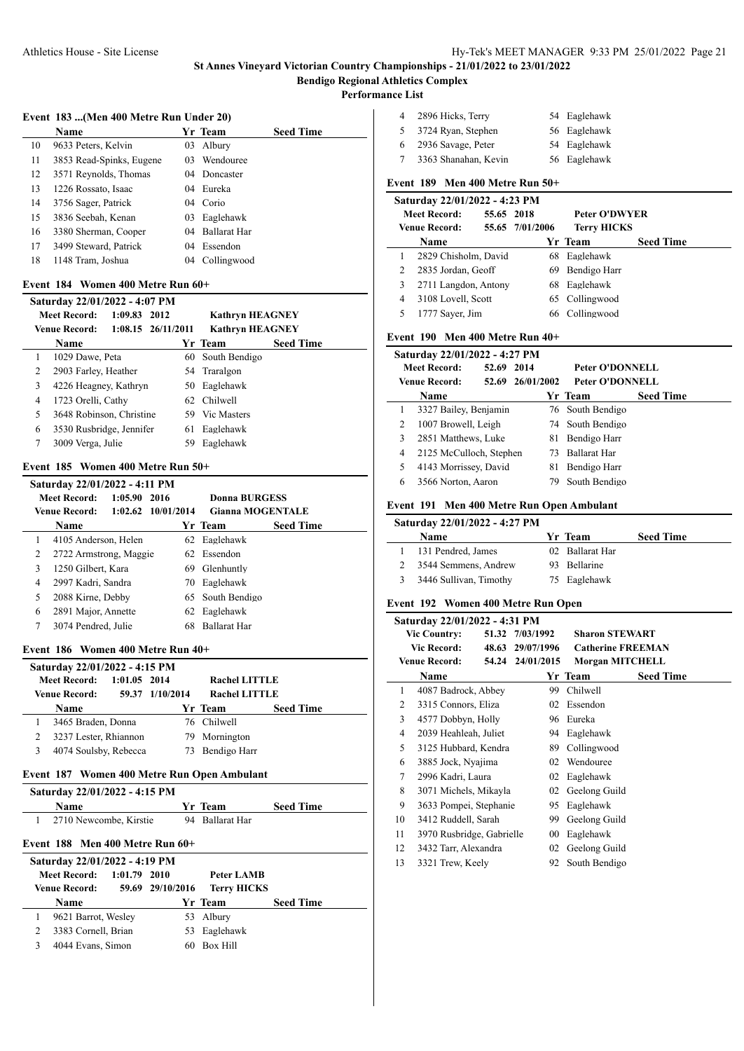**Performance List**

| Event 183 (Men 400 Metre Run Under 20) |
|----------------------------------------|
|----------------------------------------|

|    | <b>Name</b>              |         | Yr Team             | <b>Seed Time</b> |
|----|--------------------------|---------|---------------------|------------------|
| 10 | 9633 Peters, Kelvin      | 03      | Albury              |                  |
| 11 | 3853 Read-Spinks, Eugene | 03      | Wendouree           |                  |
| 12 | 3571 Reynolds, Thomas    | 04      | Doncaster           |                  |
| 13 | 1226 Rossato, Isaac      |         | 04 Eureka           |                  |
| 14 | 3756 Sager, Patrick      |         | 04 Corio            |                  |
| 15 | 3836 Seebah, Kenan       | 03      | Eaglehawk           |                  |
| 16 | 3380 Sherman, Cooper     | $^{04}$ | <b>Ballarat Har</b> |                  |
| 17 | 3499 Steward, Patrick    | 04      | Essendon            |                  |
| 18 | 1148 Tram, Joshua        | 04      | Collingwood         |                  |

#### **Event 184 Women 400 Metre Run 60+**

|   | Saturday 22/01/2022 - 4:07 PM |              |                        |                        |                  |  |  |
|---|-------------------------------|--------------|------------------------|------------------------|------------------|--|--|
|   | <b>Meet Record:</b>           | 1:09.83 2012 |                        | <b>Kathryn HEAGNEY</b> |                  |  |  |
|   | <b>Venue Record:</b>          |              | $1:08.15$ $26/11/2011$ | <b>Kathryn HEAGNEY</b> |                  |  |  |
|   | Name                          |              |                        | Yr Team                | <b>Seed Time</b> |  |  |
|   | 1029 Dawe, Peta               |              |                        | 60 South Bendigo       |                  |  |  |
| 2 | 2903 Farley, Heather          |              |                        | 54 Traralgon           |                  |  |  |
| 3 | 4226 Heagney, Kathryn         |              | 50.                    | Eaglehawk              |                  |  |  |
| 4 | 1723 Orelli, Cathy            |              |                        | 62 Chilwell            |                  |  |  |
| 5 | 3648 Robinson, Christine      |              |                        | 59 Vic Masters         |                  |  |  |
| 6 | 3530 Rusbridge, Jennifer      |              | 61                     | Eaglehawk              |                  |  |  |
|   | 3009 Verga, Julie             |              | 59                     | Eaglehawk              |                  |  |  |

#### **Event 185 Women 400 Metre Run 50+**

|   | Saturday 22/01/2022 - 4:11 PM                                      |         |      |               |                  |  |
|---|--------------------------------------------------------------------|---------|------|---------------|------------------|--|
|   | <b>Meet Record:</b>                                                | 1:05.90 | 2016 | Donna BURGESS |                  |  |
|   | $1:02.62$ $10/01/2014$<br><b>Gianna MOGENTALE</b><br>Venue Record: |         |      |               |                  |  |
|   | Name                                                               |         |      | Yr Team       | <b>Seed Time</b> |  |
|   | 4105 Anderson, Helen                                               |         |      | 62 Eaglehawk  |                  |  |
| 2 | 2722 Armstrong, Maggie                                             |         |      | 62 Essendon   |                  |  |
| 3 | 1250 Gilbert, Kara                                                 |         | 69   | Glenhuntly    |                  |  |
| 4 | 2997 Kadri, Sandra                                                 |         | 70   | Eaglehawk     |                  |  |
| 5 | 2088 Kirne, Debby                                                  |         | 65   | South Bendigo |                  |  |
| 6 | 2891 Major, Annette                                                |         | 62   | Eaglehawk     |                  |  |
| 7 | 3074 Pendred, Julie                                                |         | 68   | Ballarat Har  |                  |  |

#### **Event 186 Women 400 Metre Run 40+**

| Saturday 22/01/2022 - 4:15 PM |                       |                |                 |                      |                  |  |  |
|-------------------------------|-----------------------|----------------|-----------------|----------------------|------------------|--|--|
|                               | <b>Meet Record:</b>   | $1:01.05$ 2014 |                 | <b>Rachel LITTLE</b> |                  |  |  |
|                               | <b>Venue Record:</b>  |                | 59.37 1/10/2014 | <b>Rachel LITTLE</b> |                  |  |  |
|                               | <b>Name</b>           |                |                 | Yr Team              | <b>Seed Time</b> |  |  |
|                               | 3465 Braden, Donna    |                |                 | 76 Chilwell          |                  |  |  |
|                               | 3237 Lester, Rhiannon |                |                 | 79 Mornington        |                  |  |  |
|                               | 4074 Soulsby, Rebecca |                | 73              | Bendigo Harr         |                  |  |  |
|                               |                       |                |                 |                      |                  |  |  |

## **Event 187 Women 400 Metre Run Open Ambulant**

| Saturday 22/01/2022 - 4:15 PM |                 |                  |
|-------------------------------|-----------------|------------------|
| <b>Name</b>                   | Yr Team         | <b>Seed Time</b> |
| 1 2710 Newcombe, Kirstie      | 94 Ballarat Har |                  |

#### **Event 188 Men 400 Metre Run 60+**

| Saturday 22/01/2022 - 4:19 PM |                  |                    |                  |                |                      |  |  |
|-------------------------------|------------------|--------------------|------------------|----------------|----------------------|--|--|
|                               |                  | Peter LAMB         |                  | $1:01.79$ 2010 | <b>Meet Record:</b>  |  |  |
|                               |                  | <b>Terry HICKS</b> | 59.69 29/10/2016 |                | <b>Venue Record:</b> |  |  |
|                               | <b>Seed Time</b> | Yr Team            |                  |                | <b>Name</b>          |  |  |
|                               |                  | 53 Albury          |                  |                | 9621 Barrot, Wesley  |  |  |
|                               |                  | 53 Eaglehawk       |                  |                | 3383 Cornell, Brian  |  |  |
|                               |                  | 60 Box Hill        |                  |                | 4044 Evans, Simon    |  |  |
|                               |                  |                    |                  |                |                      |  |  |

| 4  | 2896 Hicks, Terry    | 54 Eaglehawk |
|----|----------------------|--------------|
|    | 3724 Ryan, Stephen   | 56 Eaglehawk |
| 6. | 2936 Savage, Peter   | 54 Eaglehawk |
|    | 3363 Shanahan, Kevin | 56 Eaglehawk |

## **Event 189 Men 400 Metre Run 50+**

| Saturday 22/01/2022 - 4:23 PM |                                   |                 |                      |                  |  |  |  |
|-------------------------------|-----------------------------------|-----------------|----------------------|------------------|--|--|--|
|                               | <b>Meet Record:</b><br>55.65 2018 |                 | <b>Peter O'DWYER</b> |                  |  |  |  |
|                               | <b>Venue Record:</b>              | 55.65 7/01/2006 | <b>Terry HICKS</b>   |                  |  |  |  |
|                               | Name                              |                 | Yr Team              | <b>Seed Time</b> |  |  |  |
|                               | 2829 Chisholm, David              |                 | 68 Eaglehawk         |                  |  |  |  |
| 2                             | 2835 Jordan, Geoff                |                 | 69 Bendigo Harr      |                  |  |  |  |
| 3                             | 2711 Langdon, Antony              |                 | 68 Eaglehawk         |                  |  |  |  |
| 4                             | 3108 Lovell, Scott                |                 | 65 Collingwood       |                  |  |  |  |
|                               | 1777 Sayer, Jim                   |                 | 66 Collingwood       |                  |  |  |  |

#### **Event 190 Men 400 Metre Run 40+**

| Saturday 22/01/2022 - 4:27 PM |                         |            |                  |                     |                  |  |  |
|-------------------------------|-------------------------|------------|------------------|---------------------|------------------|--|--|
|                               | <b>Meet Record:</b>     | 52.69 2014 |                  | Peter O'DONNELL     |                  |  |  |
|                               | <b>Venue Record:</b>    |            | 52.69 26/01/2002 | Peter O'DONNELL     |                  |  |  |
|                               | Name                    |            |                  | Yr Team             | <b>Seed Time</b> |  |  |
|                               | 3327 Bailey, Benjamin   |            |                  | 76 South Bendigo    |                  |  |  |
|                               | 1007 Browell, Leigh     |            |                  | 74 South Bendigo    |                  |  |  |
| 3                             | 2851 Matthews, Luke     |            | 81.              | Bendigo Harr        |                  |  |  |
| 4                             | 2125 McCulloch, Stephen |            | 73.              | <b>Ballarat Har</b> |                  |  |  |
| 5                             | 4143 Morrissey, David   |            | 81               | Bendigo Harr        |                  |  |  |
| 6                             | 3566 Norton, Aaron      |            | 79.              | South Bendigo       |                  |  |  |

## **Event 191 Men 400 Metre Run Open Ambulant**

## **Saturday 22/01/2022 - 4:27 PM**

| <b>Name</b>            | Yr Team         | <b>Seed Time</b> |
|------------------------|-----------------|------------------|
| 131 Pendred, James     | 02 Ballarat Har |                  |
| 3544 Semmens, Andrew   | 93 Bellarine    |                  |
| 3446 Sullivan, Timothy | 75 Eaglehawk    |                  |

## **Event 192 Women 400 Metre Run Open**

|                      | Saturday 22/01/2022 - 4:31 PM |            |                          |                       |                  |
|----------------------|-------------------------------|------------|--------------------------|-----------------------|------------------|
|                      | <b>Vic Country:</b>           |            | 51.32 7/03/1992          | <b>Sharon STEWART</b> |                  |
| Vic Record:<br>48.63 |                               | 29/07/1996 | <b>Catherine FREEMAN</b> |                       |                  |
|                      | <b>Venue Record:</b>          |            | 54.24 24/01/2015         | Morgan MITCHELL       |                  |
|                      | Name                          |            |                          | Yr Team               | <b>Seed Time</b> |
| 1                    | 4087 Badrock, Abbey           |            | 99                       | Chilwell              |                  |
| 2                    | 3315 Connors, Eliza           |            | 02                       | Essendon              |                  |
| 3                    | 4577 Dobbyn, Holly            |            | 96                       | Eureka                |                  |
| 4                    | 2039 Heahleah, Juliet         |            | 94                       | Eaglehawk             |                  |
| 5                    | 3125 Hubbard, Kendra          |            | 89                       | Collingwood           |                  |
| 6                    | 3885 Jock, Nyajima            |            | 02                       | Wendouree             |                  |
| 7                    | 2996 Kadri, Laura             |            | 02                       | Eaglehawk             |                  |
| 8                    | 3071 Michels, Mikayla         |            | 02                       | Geelong Guild         |                  |
| 9                    | 3633 Pompei, Stephanie        |            | 95                       | Eaglehawk             |                  |
| 10                   | 3412 Ruddell, Sarah           |            | 99                       | Geelong Guild         |                  |
| 11                   | 3970 Rusbridge, Gabrielle     |            | 00                       | Eaglehawk             |                  |
| 12                   | 3432 Tarr, Alexandra          |            | 02                       | Geelong Guild         |                  |
| 13                   | 3321 Trew, Keely              |            | 92                       | South Bendigo         |                  |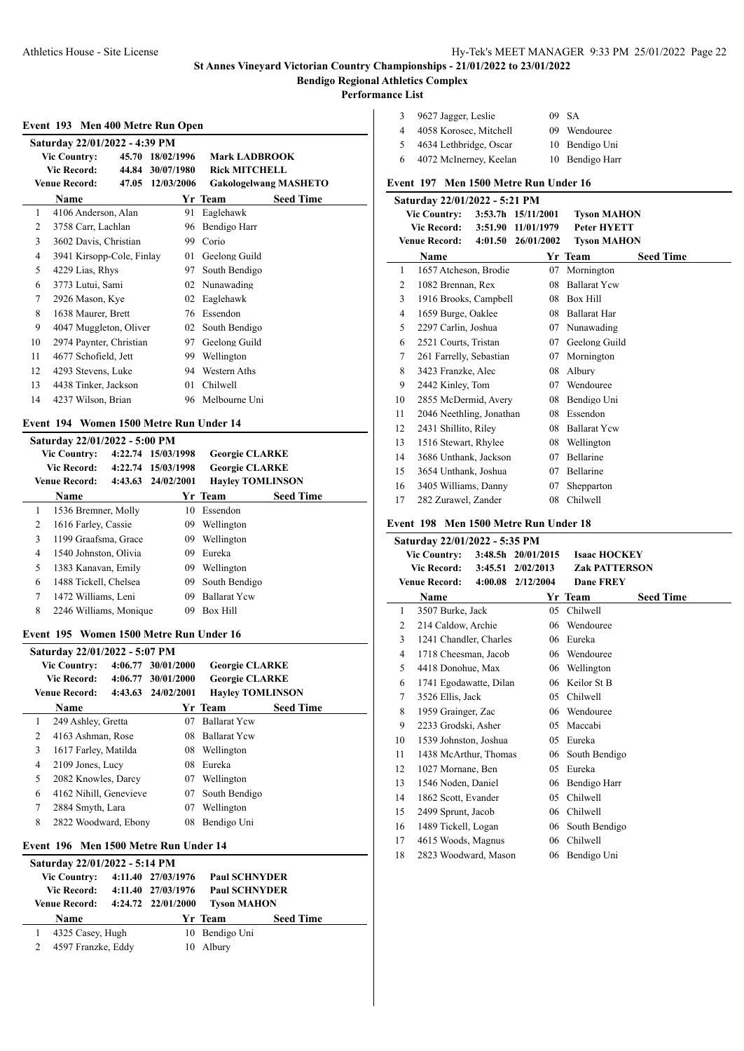**Performance List**

|  |  | Event 193 Men 400 Metre Run Open |  |
|--|--|----------------------------------|--|
|  |  |                                  |  |

| Saturday 22/01/2022 - 4:39 PM |                           |  |                  |                              |  |  |  |
|-------------------------------|---------------------------|--|------------------|------------------------------|--|--|--|
| <b>Vic Country:</b>           |                           |  | 45.70 18/02/1996 | <b>Mark LADBROOK</b>         |  |  |  |
|                               | Vic Record:               |  | 44.84 30/07/1980 | <b>Rick MITCHELL</b>         |  |  |  |
|                               | <b>Venue Record:</b>      |  | 47.05 12/03/2006 | <b>Gakologelwang MASHETO</b> |  |  |  |
|                               | Name                      |  |                  | <b>Seed Time</b><br>Yr Team  |  |  |  |
| 1                             | 4106 Anderson, Alan       |  | 91               | Eaglehawk                    |  |  |  |
| 2                             | 3758 Carr, Lachlan        |  | 96               | Bendigo Harr                 |  |  |  |
| 3                             | 3602 Davis, Christian     |  | 99               | Corio                        |  |  |  |
| 4                             | 3941 Kirsopp-Cole, Finlay |  | 01               | Geelong Guild                |  |  |  |
| 5                             | 4229 Lias, Rhys           |  | 97               | South Bendigo                |  |  |  |
| 6                             | 3773 Lutui, Sami          |  |                  | 02 Nunawading                |  |  |  |
| 7                             | 2926 Mason, Kye           |  | 02               | Eaglehawk                    |  |  |  |
| 8                             | 1638 Maurer, Brett        |  | 76               | Essendon                     |  |  |  |
| 9                             | 4047 Muggleton, Oliver    |  | 02               | South Bendigo                |  |  |  |
| 10                            | 2974 Paynter, Christian   |  | 97               | Geelong Guild                |  |  |  |
| 11                            | 4677 Schofield, Jett      |  | 99               | Wellington                   |  |  |  |
| 12                            | 4293 Stevens, Luke        |  |                  | 94 Western Aths              |  |  |  |
| 13                            | 4438 Tinker, Jackson      |  | 01               | Chilwell                     |  |  |  |
| 14                            | 4237 Wilson, Brian        |  | 96               | Melbourne Uni                |  |  |  |

#### **Event 194 Women 1500 Metre Run Under 14**

|   | Saturday 22/01/2022 - 5:00 PM |                    |                         |                  |  |
|---|-------------------------------|--------------------|-------------------------|------------------|--|
|   | <b>Vic Country:</b>           | 4:22.74 15/03/1998 | <b>Georgie CLARKE</b>   |                  |  |
|   | Vic Record:                   | 4:22.74 15/03/1998 | <b>Georgie CLARKE</b>   |                  |  |
|   | Venue Record:                 | 4:43.63 24/02/2001 | <b>Hayley TOMLINSON</b> |                  |  |
|   | Name                          |                    | Yr Team                 | <b>Seed Time</b> |  |
| 1 | 1536 Bremner, Molly           | 10                 | Essendon                |                  |  |
| 2 | 1616 Farley, Cassie           | 09.                | Wellington              |                  |  |
| 3 | 1199 Graafsma, Grace          | 09                 | Wellington              |                  |  |
| 4 | 1540 Johnston, Olivia         | 09                 | Eureka                  |                  |  |
| 5 | 1383 Kanavan, Emily           | 09                 | Wellington              |                  |  |
| 6 | 1488 Tickell, Chelsea         | 09.                | South Bendigo           |                  |  |
| 7 | 1472 Williams, Leni           | 09                 | <b>Ballarat Yew</b>     |                  |  |
| 8 | 2246 Williams, Monique        | 09                 | Box Hill                |                  |  |

#### **Event 195 Women 1500 Metre Run Under 16**

|                | Saturday 22/01/2022 - 5:07 PM |         |                    |                         |                  |
|----------------|-------------------------------|---------|--------------------|-------------------------|------------------|
|                | <b>Vic Country:</b>           | 4:06.77 | 30/01/2000         | <b>Georgie CLARKE</b>   |                  |
|                | <b>Vic Record:</b>            |         | 4:06.77 30/01/2000 | <b>Georgie CLARKE</b>   |                  |
|                | Venue Record:                 |         | 4:43.63 24/02/2001 | <b>Hayley TOMLINSON</b> |                  |
|                | Name                          |         |                    | Yr Team                 | <b>Seed Time</b> |
| 1              | 249 Ashley, Gretta            |         | 07                 | <b>Ballarat Yew</b>     |                  |
| $\mathfrak{D}$ | 4163 Ashman, Rose             |         | 08                 | <b>Ballarat Yew</b>     |                  |
| 3              | 1617 Farley, Matilda          |         | 08                 | Wellington              |                  |
| 4              | 2109 Jones, Lucy              |         | 08                 | Eureka                  |                  |
| 5              | 2082 Knowles, Darcy           |         | 07                 | Wellington              |                  |
| 6              | 4162 Nihill, Genevieve        |         | 07                 | South Bendigo           |                  |
| 7              | 2884 Smyth, Lara              |         | 07                 | Wellington              |                  |
| 8              | 2822 Woodward, Ebony          |         | 08                 | Bendigo Uni             |                  |
|                |                               |         |                    |                         |                  |

## **Event 196 Men 1500 Metre Run Under 14**

| Saturday 22/01/2022 - 5:14 PM |                    |                      |                  |
|-------------------------------|--------------------|----------------------|------------------|
| <b>Vic Country:</b>           | 4:11.40 27/03/1976 | <b>Paul SCHNYDER</b> |                  |
| Vic Record:                   | 4:11.40 27/03/1976 | <b>Paul SCHNYDER</b> |                  |
| <b>Venue Record:</b>          | 4:24.72 22/01/2000 | <b>Tyson MAHON</b>   |                  |
|                               |                    |                      |                  |
| <b>Name</b>                   |                    | Yr Team              | <b>Seed Time</b> |
| 4325 Casey, Hugh              | 10                 | Bendigo Uni          |                  |
| 4597 Franzke, Eddy            | 10                 | Albury               |                  |

| 3 | 9627 Jagger, Leslie    | 09 SA           |
|---|------------------------|-----------------|
|   | 4058 Korosec, Mitchell | 09 Wendouree    |
|   | 4634 Lethbridge, Oscar | 10 Bendigo Uni  |
| 6 | 4072 McInerney, Keelan | 10 Bendigo Harr |

## **Event 197 Men 1500 Metre Run Under 16**

|                | Saturday 22/01/2022 - 5:21 PM |         |                        |                     |                  |
|----------------|-------------------------------|---------|------------------------|---------------------|------------------|
|                | <b>Vic Country:</b>           |         | $3:53.7h$ $15/11/2001$ | <b>Tyson MAHON</b>  |                  |
|                | <b>Vic Record:</b>            | 3:51.90 | 11/01/1979             | <b>Peter HYETT</b>  |                  |
|                | <b>Venue Record:</b>          | 4:01.50 | 26/01/2002             | <b>Tyson MAHON</b>  |                  |
|                | Name                          |         |                        | Yr Team             | <b>Seed Time</b> |
| 1              | 1657 Atcheson, Brodie         |         | 07                     | Mornington          |                  |
| 2              | 1082 Brennan, Rex             |         | 08                     | <b>Ballarat Yew</b> |                  |
| 3              | 1916 Brooks, Campbell         |         | 08                     | <b>Box Hill</b>     |                  |
| $\overline{4}$ | 1659 Burge, Oaklee            |         | 08                     | <b>Ballarat Har</b> |                  |
| 5              | 2297 Carlin, Joshua           |         | 07                     | Nunawading          |                  |
| 6              | 2521 Courts, Tristan          |         | 07                     | Geelong Guild       |                  |
| 7              | 261 Farrelly, Sebastian       |         | 07                     | Mornington          |                  |
| 8              | 3423 Franzke, Alec            |         | 08                     | Albury              |                  |
| 9              | 2442 Kinley, Tom              |         | 07                     | Wendouree           |                  |
| 10             | 2855 McDermid, Avery          |         | 08                     | Bendigo Uni         |                  |
| 11             | 2046 Neethling, Jonathan      |         | 08                     | Essendon            |                  |
| 12             | 2431 Shillito, Riley          |         | 08                     | <b>Ballarat Yew</b> |                  |
| 13             | 1516 Stewart, Rhylee          |         | 08                     | Wellington          |                  |
| 14             | 3686 Unthank, Jackson         |         | 07                     | Bellarine           |                  |
| 15             | 3654 Unthank, Joshua          |         | 07                     | Bellarine           |                  |
| 16             | 3405 Williams, Danny          |         | 07                     | Shepparton          |                  |
| 17             | 282 Zurawel, Zander           |         | 08                     | Chilwell            |                  |

#### **Event 198 Men 1500 Metre Run Under 18**

| Saturday 22/01/2022 - 5:35 PM |                               |  |                        |                      |                  |  |  |
|-------------------------------|-------------------------------|--|------------------------|----------------------|------------------|--|--|
|                               | <b>Vic Country:</b>           |  | $3:48.5h$ $20/01/2015$ | <b>Isaac HOCKEY</b>  |                  |  |  |
|                               | Vic Record: 3:45.51 2/02/2013 |  |                        | <b>Zak PATTERSON</b> |                  |  |  |
|                               | <b>Venue Record:</b>          |  | 4:00.08 2/12/2004      | <b>Dane FREY</b>     |                  |  |  |
|                               | Name                          |  |                        | Yr Team              | <b>Seed Time</b> |  |  |
| 1                             | 3507 Burke, Jack              |  | 05                     | Chilwell             |                  |  |  |
| 2                             | 214 Caldow, Archie            |  | 06                     | Wendouree            |                  |  |  |
| 3                             | 1241 Chandler, Charles        |  | 06                     | Eureka               |                  |  |  |
| $\overline{4}$                | 1718 Cheesman, Jacob          |  |                        | 06 Wendouree         |                  |  |  |
| 5                             | 4418 Donohue, Max             |  |                        | 06 Wellington        |                  |  |  |
| 6                             | 1741 Egodawatte, Dilan        |  | 06                     | Keilor St B          |                  |  |  |
| 7                             | 3526 Ellis, Jack              |  | 05                     | Chilwell             |                  |  |  |
| 8                             | 1959 Grainger, Zac            |  |                        | 06 Wendouree         |                  |  |  |
| 9                             | 2233 Grodski, Asher           |  | 05                     | Maccabi              |                  |  |  |
| 10                            | 1539 Johnston, Joshua         |  | 05                     | Eureka               |                  |  |  |
| 11                            | 1438 McArthur, Thomas         |  | 06                     | South Bendigo        |                  |  |  |
| 12                            | 1027 Mornane, Ben             |  | 05                     | Eureka               |                  |  |  |
| 13                            | 1546 Noden, Daniel            |  | 06                     | Bendigo Harr         |                  |  |  |
| 14                            | 1862 Scott, Evander           |  | 05                     | Chilwell             |                  |  |  |
| 15                            | 2499 Sprunt, Jacob            |  |                        | 06 Chilwell          |                  |  |  |
| 16                            | 1489 Tickell, Logan           |  | 06                     | South Bendigo        |                  |  |  |
| 17                            | 4615 Woods, Magnus            |  | 06                     | Chilwell             |                  |  |  |
| 18                            | 2823 Woodward, Mason          |  |                        | 06 Bendigo Uni       |                  |  |  |
|                               |                               |  |                        |                      |                  |  |  |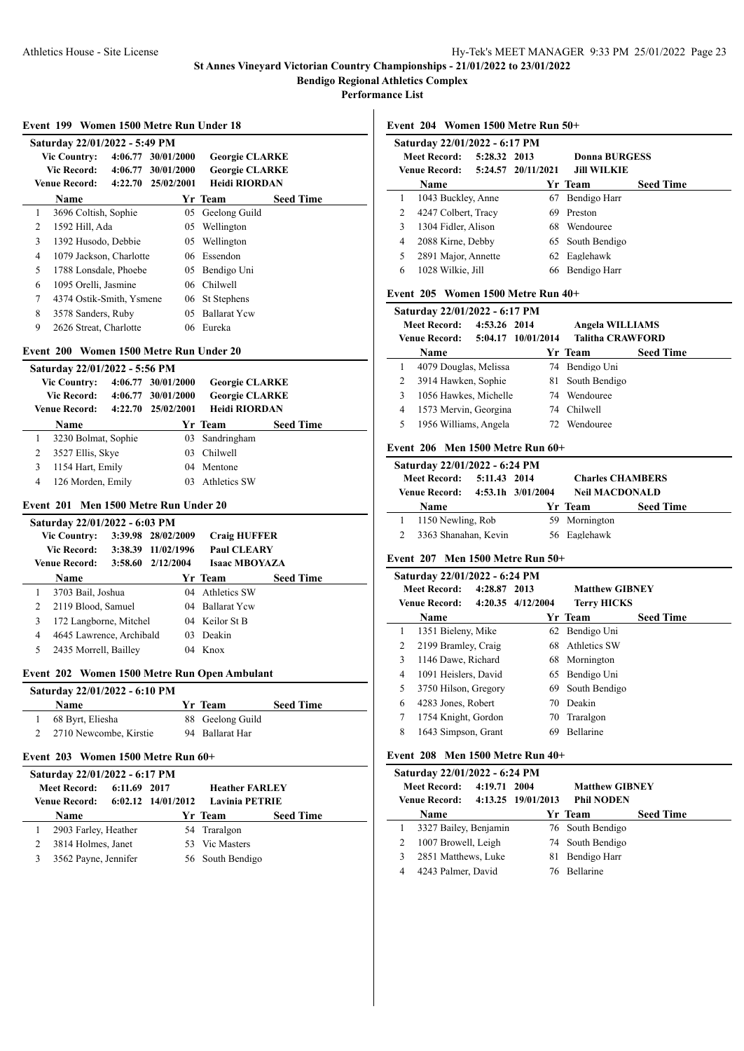**Performance List**

|                | Saturday 22/01/2022 - 5:49 PM                        |              |                    |                                               |                  |
|----------------|------------------------------------------------------|--------------|--------------------|-----------------------------------------------|------------------|
|                | <b>Vic Country:</b>                                  |              | 4:06.77 30/01/2000 | <b>Georgie CLARKE</b>                         |                  |
|                | <b>Vic Record:</b>                                   |              | 4:06.77 30/01/2000 | <b>Georgie CLARKE</b><br><b>Heidi RIORDAN</b> |                  |
|                | Venue Record:                                        |              | 4:22.70 25/02/2001 |                                               |                  |
| 1              | Name<br>3696 Coltish, Sophie                         |              |                    | Yr Team<br>05 Geelong Guild                   | <b>Seed Time</b> |
| 2              | 1592 Hill, Ada                                       |              |                    |                                               |                  |
| 3              |                                                      |              |                    | 05 Wellington<br>05 Wellington                |                  |
| 4              | 1392 Husodo, Debbie<br>1079 Jackson, Charlotte       |              |                    | 06 Essendon                                   |                  |
| 5              | 1788 Lonsdale, Phoebe                                |              |                    | 05 Bendigo Uni                                |                  |
| 6              | 1095 Orelli, Jasmine                                 |              |                    | 06 Chilwell                                   |                  |
| 7              | 4374 Ostik-Smith, Ysmene                             |              |                    | 06 St Stephens                                |                  |
| 8              | 3578 Sanders, Ruby                                   |              |                    | 05 Ballarat Ycw                               |                  |
| 9              | 2626 Streat, Charlotte                               |              |                    | 06 Eureka                                     |                  |
|                | Event 200 Women 1500 Metre Run Under 20              |              |                    |                                               |                  |
|                | Saturday 22/01/2022 - 5:56 PM                        |              |                    |                                               |                  |
|                | <b>Vic Country:</b>                                  |              | 4:06.77 30/01/2000 | <b>Georgie CLARKE</b>                         |                  |
|                | <b>Vic Record:</b>                                   |              | 4:06.77 30/01/2000 | <b>Georgie CLARKE</b>                         |                  |
|                | <b>Venue Record:</b>                                 |              | 4:22.70 25/02/2001 | <b>Heidi RIORDAN</b>                          |                  |
|                | Name                                                 |              |                    | Yr Team                                       | <b>Seed Time</b> |
| 1              | 3230 Bolmat, Sophie                                  |              |                    | 03 Sandringham                                |                  |
| 2              | 3527 Ellis, Skye                                     |              |                    | 03 Chilwell                                   |                  |
| 3              | 1154 Hart, Emily                                     |              |                    | 04 Mentone                                    |                  |
| 4              | 126 Morden, Emily                                    |              |                    | 03 Athletics SW                               |                  |
|                | Event 201 Men 1500 Metre Run Under 20                |              |                    |                                               |                  |
|                | Saturday 22/01/2022 - 6:03 PM                        |              |                    |                                               |                  |
|                | <b>Vic Country:</b>                                  |              | 3:39.98 28/02/2009 | <b>Craig HUFFER</b>                           |                  |
|                |                                                      |              |                    |                                               |                  |
|                | <b>Vic Record:</b>                                   |              | 3:38.39 11/02/1996 | <b>Paul CLEARY</b>                            |                  |
|                | <b>Venue Record:</b>                                 |              | 3:58.60 2/12/2004  | <b>Isaac MBOYAZA</b>                          |                  |
|                | Name                                                 |              |                    | Yr Team                                       | <b>Seed Time</b> |
| 1              | 3703 Bail, Joshua                                    |              |                    | 04 Athletics SW                               |                  |
| $\overline{2}$ | 2119 Blood, Samuel                                   |              |                    | 04 Ballarat Yew                               |                  |
| 3              | 172 Langborne, Mitchel                               |              |                    | 04 Keilor St B                                |                  |
| 4              | 4645 Lawrence, Archibald                             |              | 03                 | Deakin                                        |                  |
| 5              | 2435 Morrell, Bailley                                |              |                    | 04 Knox                                       |                  |
|                |                                                      |              |                    | Event 202 Women 1500 Metre Run Open Ambulant  |                  |
|                | Saturday 22/01/2022 - 6:10 PM                        |              |                    |                                               |                  |
|                | Name                                                 |              |                    | Yr Team                                       | <b>Seed Time</b> |
| 1<br>2         | 68 Byrt, Eliesha                                     |              |                    | 88 Geelong Guild<br>94 Ballarat Har           |                  |
|                | 2710 Newcombe, Kirstie                               |              |                    |                                               |                  |
|                | Event 203 Women 1500 Metre Run 60+                   |              |                    |                                               |                  |
|                | Saturday 22/01/2022 - 6:17 PM<br><b>Meet Record:</b> |              |                    | <b>Heather FARLEY</b>                         |                  |
|                | <b>Venue Record:</b>                                 | 6:11.69 2017 | 6:02.12 14/01/2012 | <b>Lavinia PETRIE</b>                         |                  |
|                | Name                                                 |              |                    | Yr Team                                       | <b>Seed Time</b> |
| 1              | 2903 Farley, Heather                                 |              |                    | 54 Traralgon                                  |                  |
| 2              | 3814 Holmes, Janet                                   |              |                    | 53 Vic Masters                                |                  |
| 3              | 3562 Payne, Jennifer                                 |              |                    | 56 South Bendigo                              |                  |

**Event 204 Women 1500 Metre Run 50+**

|                                     | Saturday 22/01/2022 - 6:17 PM |               |                    |                  |                  |
|-------------------------------------|-------------------------------|---------------|--------------------|------------------|------------------|
| 5:28.32 2013<br><b>Meet Record:</b> |                               | Donna BURGESS |                    |                  |                  |
|                                     | Venue Record:                 |               | 5:24.57 20/11/2021 | Jill WILKIE      |                  |
|                                     | Name                          |               |                    | Yr Team          | <b>Seed Time</b> |
| 1                                   | 1043 Buckley, Anne            |               | 67                 | Bendigo Harr     |                  |
| 2                                   | 4247 Colbert, Tracy           |               | 69                 | Preston          |                  |
| 3                                   | 1304 Fidler, Alison           |               | 68                 | Wendouree        |                  |
| 4                                   | 2088 Kirne, Debby             |               |                    | 65 South Bendigo |                  |
| 5                                   | 2891 Major, Annette           |               | 62                 | Eaglehawk        |                  |
| 6                                   | 1028 Wilkie, Jill             |               | 66                 | Bendigo Harr     |                  |
|                                     |                               |               |                    |                  |                  |

## **Event 205 Women 1500 Metre Run 40+**

|   | Saturday 22/01/2022 - 6:17 PM    |              |                         |                  |
|---|----------------------------------|--------------|-------------------------|------------------|
|   | <b>Meet Record:</b>              | 4:53.26 2014 | <b>Angela WILLIAMS</b>  |                  |
|   | Venue Record: 5:04.17 10/01/2014 |              | <b>Talitha CRAWFORD</b> |                  |
|   | Name                             |              | Yr Team                 | <b>Seed Time</b> |
| 1 | 4079 Douglas, Melissa            |              | 74 Bendigo Uni          |                  |
| 2 | 3914 Hawken, Sophie              |              | 81 South Bendigo        |                  |
| 3 | 1056 Hawkes, Michelle            |              | 74 Wendouree            |                  |
| 4 | 1573 Mervin, Georgina            |              | 74 Chilwell             |                  |
| 5 | 1956 Williams, Angela            |              | 72 Wendouree            |                  |

#### **Event 206 Men 1500 Metre Run 60+**

| Saturday 22/01/2022 - 6:24 PM |              |                   |                         |                  |
|-------------------------------|--------------|-------------------|-------------------------|------------------|
| <b>Meet Record:</b>           | 5:11.43 2014 |                   | <b>Charles CHAMBERS</b> |                  |
| Venue Record:                 |              | 4:53.1h 3/01/2004 | <b>Neil MACDONALD</b>   |                  |
| Name                          |              |                   | Yr Team                 | <b>Seed Time</b> |
|                               |              |                   |                         |                  |
| 1150 Newling, Rob             |              |                   | 59 Mornington           |                  |

## **Event 207 Men 1500 Metre Run 50+**

|   | Saturday 22/01/2022 - 6:24 PM |                   |                       |                  |
|---|-------------------------------|-------------------|-----------------------|------------------|
|   | <b>Meet Record:</b>           | 4:28.87 2013      | <b>Matthew GIBNEY</b> |                  |
|   | <b>Venue Record:</b>          | 4:20.35 4/12/2004 | <b>Terry HICKS</b>    |                  |
|   | Name                          |                   | Yr Team               | <b>Seed Time</b> |
| 1 | 1351 Bieleny, Mike            |                   | 62 Bendigo Uni        |                  |
| 2 | 2199 Bramley, Craig           |                   | 68 Athletics SW       |                  |
| 3 | 1146 Dawe, Richard            |                   | 68 Mornington         |                  |
| 4 | 1091 Heislers, David          |                   | 65 Bendigo Uni        |                  |
| 5 | 3750 Hilson, Gregory          | 69.               | South Bendigo         |                  |
| 6 | 4283 Jones, Robert            | 70                | Deakin                |                  |
| 7 | 1754 Knight, Gordon           |                   | 70 Traralgon          |                  |
| 8 | 1643 Simpson, Grant           | 69                | <b>Bellarine</b>      |                  |

## **Event 208 Men 1500 Metre Run 40+**

|   | Saturday 22/01/2022 - 6:24 PM    |              |     |                       |                  |  |  |
|---|----------------------------------|--------------|-----|-----------------------|------------------|--|--|
|   | <b>Meet Record:</b>              | 4:19.71 2004 |     | <b>Matthew GIBNEY</b> |                  |  |  |
|   | Venue Record: 4:13.25 19/01/2013 |              |     | <b>Phil NODEN</b>     |                  |  |  |
|   | Name                             |              |     | Yr Team               | <b>Seed Time</b> |  |  |
| 1 | 3327 Bailey, Benjamin            |              |     | 76 South Bendigo      |                  |  |  |
| 2 | 1007 Browell, Leigh              |              |     | 74 South Bendigo      |                  |  |  |
| 3 | 2851 Matthews, Luke              |              | 81. | Bendigo Harr          |                  |  |  |
| 4 | 4243 Palmer, David               |              |     | <b>Bellarine</b>      |                  |  |  |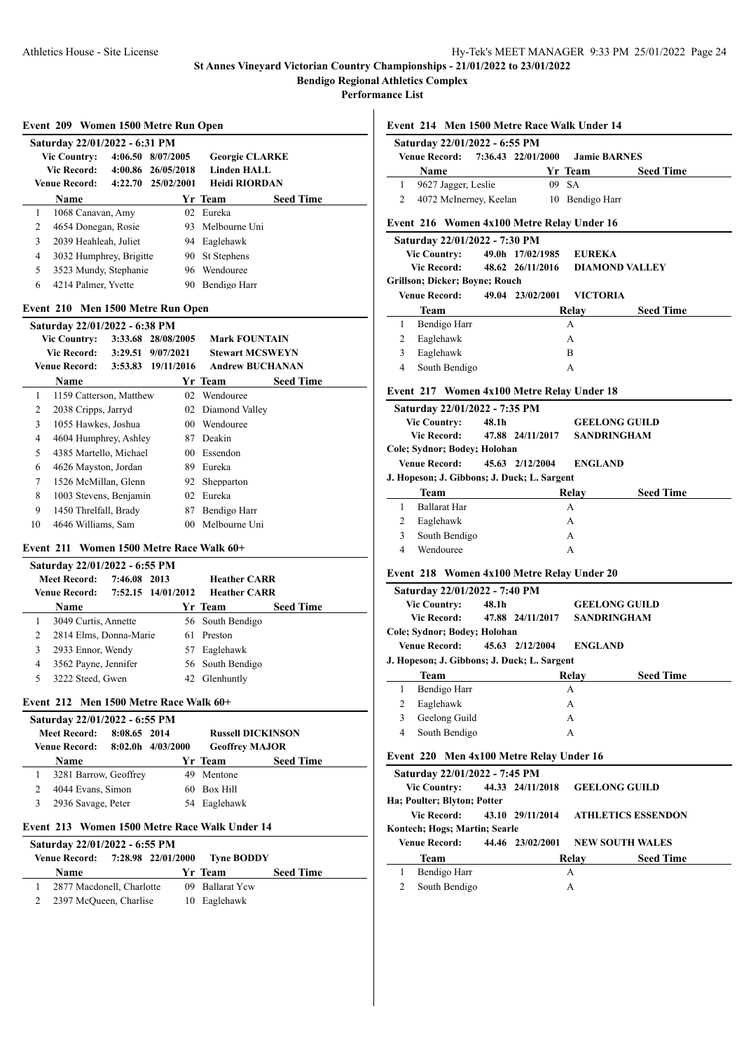**Bendigo Regional Athletics Complex**

**Performance List**

|  | Event 209 Women 1500 Metre Run Open |  |  |
|--|-------------------------------------|--|--|
|  |                                     |  |  |

|   | Saturday 22/01/2022 - 6:31 PM |         |                    |                       |                  |  |
|---|-------------------------------|---------|--------------------|-----------------------|------------------|--|
|   | <b>Vic Country:</b>           |         | 4:06.50 8/07/2005  | <b>Georgie CLARKE</b> |                  |  |
|   | <b>Vic Record:</b>            |         | 4:00.86 26/05/2018 | <b>Linden HALL</b>    |                  |  |
|   | Venue Record:                 | 4:22.70 | 25/02/2001         | Heidi RIORDAN         |                  |  |
|   | <b>Name</b>                   |         |                    | Yr Team               | <b>Seed Time</b> |  |
| 1 | 1068 Canavan, Amy             |         |                    | 02 Eureka             |                  |  |
| 2 | 4654 Donegan, Rosie           |         |                    | 93 Melbourne Uni      |                  |  |
| 3 | 2039 Heahleah, Juliet         |         |                    | 94 Eaglehawk          |                  |  |
| 4 | 3032 Humphrey, Brigitte       |         | 90.                | St Stephens           |                  |  |
| 5 | 3523 Mundy, Stephanie         |         | 96.                | Wendouree             |                  |  |
| 6 | 4214 Palmer, Yvette           |         | 90                 | Bendigo Harr          |                  |  |

#### **Event 210 Men 1500 Metre Run Open**

|    | Saturday 22/01/2022 - 6:38 PM |         |                    |                        |                  |
|----|-------------------------------|---------|--------------------|------------------------|------------------|
|    | <b>Vic Country:</b>           |         | 3:33.68 28/08/2005 | <b>Mark FOUNTAIN</b>   |                  |
|    | Vic Record:                   | 3:29.51 | 9/07/2021          | <b>Stewart MCSWEYN</b> |                  |
|    | <b>Venue Record:</b>          | 3:53.83 | 19/11/2016         | <b>Andrew BUCHANAN</b> |                  |
|    | Name                          |         |                    | Yr Team                | <b>Seed Time</b> |
| 1  | 1159 Catterson, Matthew       |         | 02                 | Wendouree              |                  |
| 2  | 2038 Cripps, Jarryd           |         | 02                 | Diamond Valley         |                  |
| 3  | 1055 Hawkes, Joshua           |         | 00                 | Wendouree              |                  |
| 4  | 4604 Humphrey, Ashley         |         | 87                 | Deakin                 |                  |
| 5  | 4385 Martello, Michael        |         | 00                 | Essendon               |                  |
| 6  | 4626 Mayston, Jordan          |         | 89                 | Eureka                 |                  |
| 7  | 1526 McMillan, Glenn          |         | 92                 | Shepparton             |                  |
| 8  | 1003 Stevens, Benjamin        |         | 02                 | Eureka                 |                  |
| 9  | 1450 Threlfall, Brady         |         | 87                 | Bendigo Harr           |                  |
| 10 | 4646 Williams, Sam            |         | 00                 | Melbourne Uni          |                  |
|    |                               |         |                    |                        |                  |

## **Event 211 Women 1500 Metre Race Walk 60+**

|   | Saturday 22/01/2022 - 6:55 PM |              |                    |                     |                  |  |  |  |  |
|---|-------------------------------|--------------|--------------------|---------------------|------------------|--|--|--|--|
|   | <b>Meet Record:</b>           | 7:46.08 2013 |                    | <b>Heather CARR</b> |                  |  |  |  |  |
|   | <b>Venue Record:</b>          |              | 7:52.15 14/01/2012 | <b>Heather CARR</b> |                  |  |  |  |  |
|   | <b>Name</b>                   |              |                    | Yr Team             | <b>Seed Time</b> |  |  |  |  |
|   | 3049 Curtis, Annette          |              |                    | 56 South Bendigo    |                  |  |  |  |  |
| 2 | 2814 Elms, Donna-Marie        |              | 61.                | Preston             |                  |  |  |  |  |
| 3 | 2933 Ennor, Wendy             |              | 57.                | Eaglehawk           |                  |  |  |  |  |
| 4 | 3562 Payne, Jennifer          |              |                    | 56 South Bendigo    |                  |  |  |  |  |
|   | 3222 Steed, Gwen              |              |                    | 42 Glenhuntly       |                  |  |  |  |  |
|   |                               |              |                    |                     |                  |  |  |  |  |

## **Event 212 Men 1500 Metre Race Walk 60+**

| Saturday 22/01/2022 - 6:55 PM |                       |              |                   |                          |                  |  |  |  |  |
|-------------------------------|-----------------------|--------------|-------------------|--------------------------|------------------|--|--|--|--|
|                               | <b>Meet Record:</b>   | 8:08.65 2014 |                   | <b>Russell DICKINSON</b> |                  |  |  |  |  |
|                               | Venue Record:         |              | 8:02.0h 4/03/2000 | <b>Geoffrey MAJOR</b>    |                  |  |  |  |  |
|                               | <b>Name</b>           |              |                   | Yr Team                  | <b>Seed Time</b> |  |  |  |  |
|                               | 3281 Barrow, Geoffrey |              |                   | Mentone                  |                  |  |  |  |  |
|                               | 4044 Evans, Simon     |              | 60.               | Box Hill                 |                  |  |  |  |  |
|                               | 2936 Savage, Peter    |              | 54                | Eaglehawk                |                  |  |  |  |  |
|                               |                       |              |                   |                          |                  |  |  |  |  |

#### **Event 213 Women 1500 Metre Race Walk Under 14**

Ĭ.

| Saturday 22/01/2022 - 6:55 PM |                           |  |  |                                             |                  |  |  |  |  |
|-------------------------------|---------------------------|--|--|---------------------------------------------|------------------|--|--|--|--|
|                               |                           |  |  | Venue Record: 7:28.98 22/01/2000 Tyne BODDY |                  |  |  |  |  |
|                               | <b>Name</b>               |  |  | Yr Team                                     | <b>Seed Time</b> |  |  |  |  |
|                               | 2877 Macdonell, Charlotte |  |  | 09 Ballarat Yew                             |                  |  |  |  |  |
|                               | 2397 McQueen, Charlise    |  |  | 10 Eaglehawk                                |                  |  |  |  |  |

## **Event 214 Men 1500 Metre Race Walk Under 14**

| Saturday 22/01/2022 - 6:55 PM |                        |  |                    |                     |                  |  |  |  |  |
|-------------------------------|------------------------|--|--------------------|---------------------|------------------|--|--|--|--|
|                               | Venue Record:          |  | 7:36.43 22/01/2000 | <b>Jamie BARNES</b> |                  |  |  |  |  |
|                               | Name                   |  |                    | Yr Team             | <b>Seed Time</b> |  |  |  |  |
|                               | 9627 Jagger, Leslie    |  |                    | 09 SA               |                  |  |  |  |  |
|                               | 4072 McInerney, Keelan |  |                    | 10 Bendigo Harr     |                  |  |  |  |  |

# **Event 216 Women 4x100 Metre Relay Under 16**

|                      | Saturday 22/01/2022 - 7:30 PM  |       |                  |                       |  |
|----------------------|--------------------------------|-------|------------------|-----------------------|--|
|                      | <b>Vic Country:</b>            |       | 49.0h 17/02/1985 | <b>EUREKA</b>         |  |
| Vic Record:          |                                |       | 48.62 26/11/2016 | <b>DIAMOND VALLEY</b> |  |
|                      | Grillson; Dicker; Boyne; Rouch |       |                  |                       |  |
| <b>Venue Record:</b> |                                |       | 49.04 23/02/2001 | <b>VICTORIA</b>       |  |
| Team                 |                                | Relay |                  | <b>Seed Time</b>      |  |
| L                    | Bendigo Harr                   |       |                  | А                     |  |
| $\overline{2}$       | Eaglehawk                      |       | A                |                       |  |
| 3                    | Eaglehawk                      |       | в                |                       |  |
| 4                    | South Bendigo                  |       |                  | А                     |  |
|                      |                                |       |                  |                       |  |

## **Event 217 Women 4x100 Metre Relay Under 18**

|                              | Saturday 22/01/2022 - 7:35 PM               |       |                 |                |                      |  |  |  |  |  |
|------------------------------|---------------------------------------------|-------|-----------------|----------------|----------------------|--|--|--|--|--|
|                              | <b>Vic Country:</b>                         | 48.1h |                 |                | <b>GEELONG GUILD</b> |  |  |  |  |  |
| Vic Record: 47.88 24/11/2017 |                                             |       |                 |                | <b>SANDRINGHAM</b>   |  |  |  |  |  |
|                              | Cole; Sydnor; Bodey; Holohan                |       |                 |                |                      |  |  |  |  |  |
| Venue Record:                |                                             |       | 45.63 2/12/2004 | <b>ENGLAND</b> |                      |  |  |  |  |  |
|                              | J. Hopeson; J. Gibbons; J. Duck; L. Sargent |       |                 |                |                      |  |  |  |  |  |
|                              | <b>Team</b>                                 |       |                 | Relav          | <b>Seed Time</b>     |  |  |  |  |  |
|                              | <b>Ballarat Har</b>                         |       |                 | A              |                      |  |  |  |  |  |
| 2                            | Eaglehawk                                   |       |                 | A              |                      |  |  |  |  |  |
| 3                            | South Bendigo                               |       |                 | A              |                      |  |  |  |  |  |
|                              | Wendouree                                   |       |                 | А              |                      |  |  |  |  |  |

## **Event 218 Women 4x100 Metre Relay Under 20**

|                                                              | Saturday 22/01/2022 - 7:40 PM               |                    |                      |       |                  |
|--------------------------------------------------------------|---------------------------------------------|--------------------|----------------------|-------|------------------|
| <b>Vic Country:</b><br>48.1h<br>Vic Record: 47.88 24/11/2017 |                                             |                    | <b>GEELONG GUILD</b> |       |                  |
|                                                              |                                             | <b>SANDRINGHAM</b> |                      |       |                  |
|                                                              | Cole; Sydnor; Bodey; Holohan                |                    |                      |       |                  |
| Venue Record:                                                |                                             | 45.63 2/12/2004    | <b>ENGLAND</b>       |       |                  |
|                                                              | J. Hopeson; J. Gibbons; J. Duck; L. Sargent |                    |                      |       |                  |
|                                                              | Team                                        |                    |                      | Relay | <b>Seed Time</b> |
| 1                                                            | Bendigo Harr                                |                    |                      | A     |                  |
| 2                                                            | Eaglehawk                                   |                    |                      | A     |                  |
| 3                                                            | Geelong Guild                               |                    |                      | A     |                  |
| 4                                                            | South Bendigo                               |                    |                      | A     |                  |
|                                                              | Event 220 Men 4x100 Metre Relay Under 16    |                    |                      |       |                  |
|                                                              | Saturday 22/01/2022 - 7:45 PM               |                    |                      |       |                  |

|                      | $D$ <b>attai dav</b> EE(01)E0EE (1.70 1.111 |  |                  |       |                                     |  |  |  |  |  |
|----------------------|---------------------------------------------|--|------------------|-------|-------------------------------------|--|--|--|--|--|
| <b>Vic Country:</b>  |                                             |  | 44.33 24/11/2018 |       | <b>GEELONG GUILD</b>                |  |  |  |  |  |
|                      | Ha; Poulter; Blyton; Potter                 |  |                  |       |                                     |  |  |  |  |  |
| Vic Record:          |                                             |  |                  |       | 43.10 29/11/2014 ATHLETICS ESSENDON |  |  |  |  |  |
|                      | Kontech; Hogs; Martin; Searle               |  |                  |       |                                     |  |  |  |  |  |
| <b>Venue Record:</b> |                                             |  | 44.46 23/02/2001 |       | <b>NEW SOUTH WALES</b>              |  |  |  |  |  |
| Team                 |                                             |  |                  | Relay | <b>Seed Time</b>                    |  |  |  |  |  |
|                      | Bendigo Harr                                |  |                  | A     |                                     |  |  |  |  |  |
|                      | South Bendigo                               |  |                  | А     |                                     |  |  |  |  |  |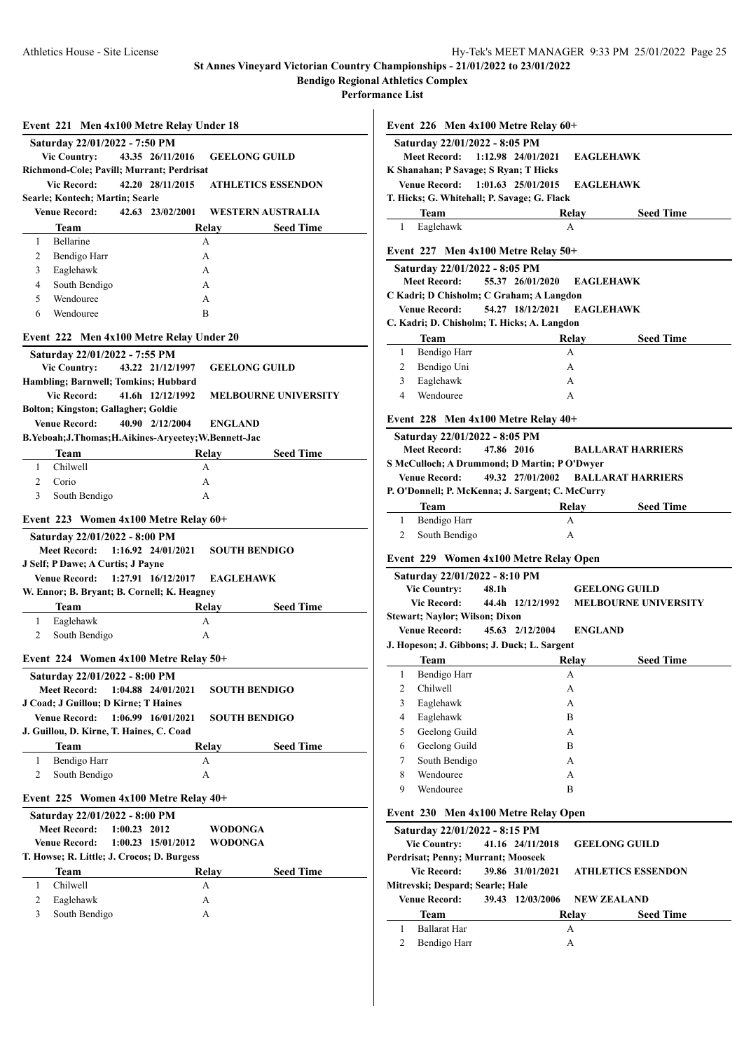**Bendigo Regional Athletics Complex**

**Performance List**

|                     |                                             | Event 221 Men 4x100 Metre Relay Under 18              |                           |                             |
|---------------------|---------------------------------------------|-------------------------------------------------------|---------------------------|-----------------------------|
|                     | Saturday 22/01/2022 - 7:50 PM               |                                                       |                           |                             |
|                     | <b>Vic Country:</b>                         | 43.35 26/11/2016                                      | <b>GEELONG GUILD</b>      |                             |
|                     |                                             | Richmond-Cole; Pavill; Murrant; Perdrisat             |                           |                             |
|                     | <b>Vic Record:</b>                          | 42.20 28/11/2015                                      | <b>ATHLETICS ESSENDON</b> |                             |
|                     | Searle; Kontech; Martin; Searle             |                                                       |                           |                             |
|                     | <b>Venue Record:</b>                        | 42.63 23/02/2001                                      | WESTERN AUSTRALIA         |                             |
|                     | <b>Team</b>                                 |                                                       | Relav                     | <b>Seed Time</b>            |
| 1                   | Bellarine                                   |                                                       | A                         |                             |
| 2                   | Bendigo Harr                                |                                                       | А                         |                             |
| 3                   | Eaglehawk                                   |                                                       | A                         |                             |
| $\overline{4}$      | South Bendigo                               |                                                       | A                         |                             |
| 5                   | Wendouree                                   |                                                       | A                         |                             |
| 6                   | Wendouree                                   |                                                       | B                         |                             |
|                     |                                             | Event 222 Men 4x100 Metre Relay Under 20              |                           |                             |
|                     | Saturday 22/01/2022 - 7:55 PM               |                                                       |                           |                             |
|                     | <b>Vic Country:</b>                         | 43.22 21/12/1997                                      | <b>GEELONG GUILD</b>      |                             |
|                     |                                             | Hambling; Barnwell; Tomkins; Hubbard                  |                           |                             |
|                     | <b>Vic Record:</b>                          | 41.6h 12/12/1992                                      |                           | <b>MELBOURNE UNIVERSITY</b> |
|                     | <b>Bolton; Kingston; Gallagher; Goldie</b>  |                                                       |                           |                             |
|                     | <b>Venue Record:</b>                        | 40.90 2/12/2004                                       | <b>ENGLAND</b>            |                             |
|                     |                                             | B.Yeboah; J.Thomas; H.Aikines-Aryeetey; W.Bennett-Jac |                           |                             |
|                     | Team                                        |                                                       | Relay                     | <b>Seed Time</b>            |
| 1                   | Chilwell                                    |                                                       | A                         |                             |
| $\overline{c}$      | Corio                                       |                                                       | A                         |                             |
| 3                   | South Bendigo                               |                                                       | A                         |                             |
|                     |                                             | Event 223 Women 4x100 Metre Relay 60+                 |                           |                             |
|                     | Saturday 22/01/2022 - 8:00 PM               |                                                       |                           |                             |
|                     | <b>Meet Record:</b>                         | $1:16.92$ $24/01/2021$                                | <b>SOUTH BENDIGO</b>      |                             |
|                     | J Self; P Dawe; A Curtis; J Payne           |                                                       |                           |                             |
|                     |                                             |                                                       |                           |                             |
|                     |                                             |                                                       |                           |                             |
|                     |                                             | Venue Record: 1:27.91 16/12/2017                      | <b>EAGLEHAWK</b>          |                             |
|                     |                                             | W. Ennor; B. Bryant; B. Cornell; K. Heagney           |                           |                             |
|                     | Team                                        |                                                       | Relav                     | <b>Seed Time</b>            |
| 1<br>2              | Eaglehawk                                   |                                                       | A<br>A                    |                             |
|                     | South Bendigo                               |                                                       |                           |                             |
|                     |                                             | Event 224 Women 4x100 Metre Relay 50+                 |                           |                             |
|                     | Saturday 22/01/2022 - 8:00 PM               |                                                       |                           |                             |
|                     | <b>Meet Record:</b>                         | 1:04.88 24/01/2021                                    | <b>SOUTH BENDIGO</b>      |                             |
|                     | J Coad; J Guillou; D Kirne; T Haines        |                                                       |                           |                             |
|                     | <b>Venue Record:</b>                        | 1:06.99 16/01/2021                                    | <b>SOUTH BENDIGO</b>      |                             |
|                     |                                             | J. Guillou, D. Kirne, T. Haines, C. Coad              |                           |                             |
|                     | Team                                        |                                                       | <b>Relay</b>              | <b>Seed Time</b>            |
| 1                   | Bendigo Harr                                |                                                       | А                         |                             |
| 2                   | South Bendigo                               |                                                       | А                         |                             |
|                     |                                             |                                                       |                           |                             |
|                     |                                             | Event 225 Women 4x100 Metre Relay 40+                 |                           |                             |
|                     | Saturday 22/01/2022 - 8:00 PM               |                                                       |                           |                             |
|                     | <b>Meet Record:</b><br><b>Venue Record:</b> | $1:00.23$ 2012                                        | WODONGA                   |                             |
|                     |                                             | 1:00.23 15/01/2012                                    | WODONGA                   |                             |
|                     |                                             | T. Howse; R. Little; J. Crocos; D. Burgess            |                           |                             |
|                     | Team                                        |                                                       | Relay                     | <b>Seed Time</b>            |
| 1                   | Chilwell                                    |                                                       | А                         |                             |
| $\overline{c}$<br>3 | Eaglehawk<br>South Bendigo                  |                                                       | А<br>А                    |                             |

|                     | Event $226$ Men $4x100$ Metre Relay $60+$                |                     |                  |                             |
|---------------------|----------------------------------------------------------|---------------------|------------------|-----------------------------|
|                     | Saturday 22/01/2022 - 8:05 PM                            |                     |                  |                             |
|                     | <b>Meet Record:</b>                                      | 1:12.98 24/01/2021  | <b>EAGLEHAWK</b> |                             |
|                     | K Shanahan; P Savage; S Ryan; T Hicks                    |                     |                  |                             |
|                     | Venue Record: 1:01.63 25/01/2015                         |                     | <b>EAGLEHAWK</b> |                             |
|                     | T. Hicks; G. Whitehall; P. Savage; G. Flack              |                     |                  |                             |
|                     | <b>Team</b>                                              |                     | Relay            | <b>Seed Time</b>            |
| 1                   | Eaglehawk                                                |                     | A                |                             |
|                     | Event $227$ Men $4x100$ Metre Relay $50+$                |                     |                  |                             |
|                     | Saturday 22/01/2022 - 8:05 PM                            |                     |                  |                             |
|                     | <b>Meet Record:</b>                                      | 55.37 26/01/2020    | <b>EAGLEHAWK</b> |                             |
|                     | C Kadri; D Chisholm; C Graham; A Langdon                 |                     |                  |                             |
|                     | <b>Venue Record:</b>                                     | 54.27 18/12/2021    | <b>EAGLEHAWK</b> |                             |
|                     | C. Kadri; D. Chisholm; T. Hicks; A. Langdon              |                     |                  |                             |
|                     | Team                                                     |                     | Relay            | <b>Seed Time</b>            |
| 1                   | Bendigo Harr                                             |                     | A                |                             |
| 2                   | Bendigo Uni                                              |                     | A                |                             |
| 3                   | Eaglehawk                                                |                     | A                |                             |
| $\overline{4}$      | Wendouree                                                |                     | A                |                             |
|                     | Event 228 Men 4x100 Metre Relay 40+                      |                     |                  |                             |
|                     | Saturday 22/01/2022 - 8:05 PM                            |                     |                  |                             |
|                     | <b>Meet Record:</b>                                      | 47.86 2016          |                  | <b>BALLARAT HARRIERS</b>    |
|                     | S McCulloch; A Drummond; D Martin; P O'Dwyer             |                     |                  |                             |
|                     | Venue Record:                                            | 49.32 27/01/2002    |                  | <b>BALLARAT HARRIERS</b>    |
|                     | P. O'Donnell; P. McKenna; J. Sargent; C. McCurry         |                     |                  |                             |
|                     | Team                                                     |                     | Relay            | <b>Seed Time</b>            |
| 1                   | Bendigo Harr                                             |                     | A                |                             |
| 2                   | South Bendigo                                            |                     | A                |                             |
|                     | Event 229 Women 4x100 Metre Relay Open                   |                     |                  |                             |
|                     | Saturday 22/01/2022 - 8:10 PM                            |                     |                  |                             |
|                     | <b>Vic Country:</b>                                      | 48.1h               |                  | <b>GEELONG GUILD</b>        |
|                     | <b>Vic Record:</b>                                       | 44.4h 12/12/1992    |                  | <b>MELBOURNE UNIVERSITY</b> |
|                     | <b>Stewart; Naylor; Wilson; Dixon</b>                    |                     |                  |                             |
|                     | <b>Venue Record:</b>                                     | 45.63 2/12/2004     | <b>ENGLAND</b>   |                             |
|                     | J. Hopeson; J. Gibbons; J. Duck; L. Sargent              |                     |                  |                             |
|                     | <b>Team</b>                                              |                     | Relav            | <b>Seed Time</b>            |
| 1<br>$\overline{c}$ | Bendigo Harr<br>Chilwell                                 |                     | А                |                             |
|                     |                                                          |                     | А                |                             |
| 3                   | Eaglehawk                                                |                     | A                |                             |
| 4<br>5              | Eaglehawk<br>Geelong Guild                               |                     | B                |                             |
|                     | Geelong Guild                                            |                     | А<br>B           |                             |
| 6<br>7              | South Bendigo                                            |                     | А                |                             |
| 8                   | Wendouree                                                |                     | А                |                             |
| 9                   | Wendouree                                                |                     | B                |                             |
|                     |                                                          |                     |                  |                             |
|                     | Event 230 Men 4x100 Metre Relay Open                     |                     |                  |                             |
|                     | Saturday 22/01/2022 - 8:15 PM                            |                     |                  |                             |
|                     | <b>Vic Country:</b>                                      | 41.16 24/11/2018    |                  | <b>GEELONG GUILD</b>        |
|                     | Perdrisat; Penny; Murrant; Mooseek<br><b>Vic Record:</b> |                     |                  |                             |
|                     | Mitrevski; Despard; Searle; Hale                         | 39.86 31/01/2021    |                  | <b>ATHLETICS ESSENDON</b>   |
|                     | <b>Venue Record:</b>                                     | 39.43<br>12/03/2006 |                  | <b>NEW ZEALAND</b>          |
|                     | Team                                                     |                     | Relay            | <b>Seed Time</b>            |
| 1                   | <b>Ballarat Har</b>                                      |                     | А                |                             |
| $\overline{c}$      | Bendigo Harr                                             |                     | А                |                             |
|                     |                                                          |                     |                  |                             |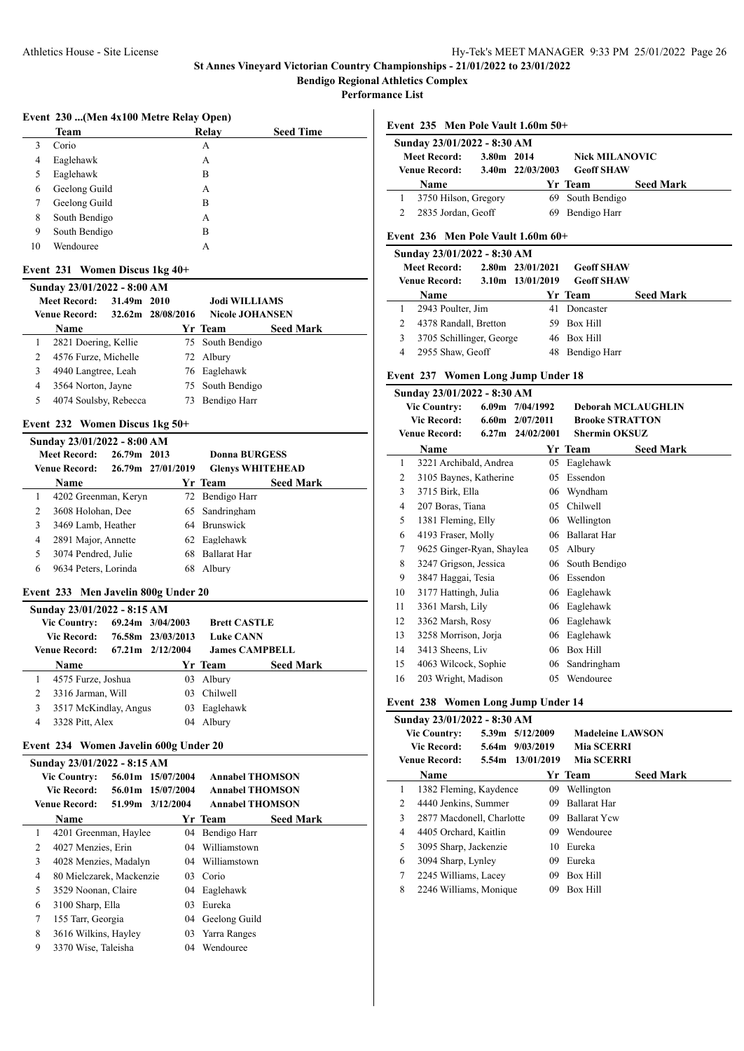**Bendigo Regional Athletics Complex**

**Performance List**

## **Event 230 ...(Men 4x100 Metre Relay Open)**

|    | <b>Team</b>   | Relay | <b>Seed Time</b> |
|----|---------------|-------|------------------|
| 3  | Corio         | А     |                  |
| 4  | Eaglehawk     | А     |                  |
| 5  | Eaglehawk     | B     |                  |
| 6  | Geelong Guild | А     |                  |
|    | Geelong Guild | B     |                  |
| 8  | South Bendigo | А     |                  |
| 9  | South Bendigo | B     |                  |
| 10 | Wendouree     | А     |                  |

#### **Event 231 Women Discus 1kg 40+**

| Sunday 23/01/2022 - 8:00 AM |                       |             |                   |                        |                  |  |  |  |  |
|-----------------------------|-----------------------|-------------|-------------------|------------------------|------------------|--|--|--|--|
|                             | <b>Meet Record:</b>   | 31.49m 2010 |                   | <b>Jodi WILLIAMS</b>   |                  |  |  |  |  |
|                             | <b>Venue Record:</b>  |             | 32.62m 28/08/2016 | <b>Nicole JOHANSEN</b> |                  |  |  |  |  |
|                             | <b>Name</b>           |             |                   | Yr Team                | <b>Seed Mark</b> |  |  |  |  |
| 1                           | 2821 Doering, Kellie  |             |                   | 75 South Bendigo       |                  |  |  |  |  |
|                             | 4576 Furze, Michelle  |             |                   | 72 Albury              |                  |  |  |  |  |
| 3                           | 4940 Langtree, Leah   |             |                   | 76 Eaglehawk           |                  |  |  |  |  |
| 4                           | 3564 Norton, Jayne    |             |                   | 75 South Bendigo       |                  |  |  |  |  |
| 5                           | 4074 Soulsby, Rebecca |             | 73                | Bendigo Harr           |                  |  |  |  |  |
|                             |                       |             |                   |                        |                  |  |  |  |  |

## **Event 232 Women Discus 1kg 50+**

| Sunday 23/01/2022 - 8:00 AM |                      |             |                   |                         |                  |  |  |  |  |  |
|-----------------------------|----------------------|-------------|-------------------|-------------------------|------------------|--|--|--|--|--|
|                             | Meet Record:         | 26.79m 2013 |                   | Donna BURGESS           |                  |  |  |  |  |  |
|                             | <b>Venue Record:</b> |             | 26.79m 27/01/2019 | <b>Glenys WHITEHEAD</b> |                  |  |  |  |  |  |
|                             | <b>Name</b>          |             |                   | Yr Team                 | <b>Seed Mark</b> |  |  |  |  |  |
|                             | 4202 Greenman, Keryn |             |                   | 72 Bendigo Harr         |                  |  |  |  |  |  |
| 2                           | 3608 Holohan, Dee    |             |                   | 65 Sandringham          |                  |  |  |  |  |  |
| 3                           | 3469 Lamb, Heather   |             |                   | 64 Brunswick            |                  |  |  |  |  |  |
| 4                           | 2891 Major, Annette  |             |                   | 62 Eaglehawk            |                  |  |  |  |  |  |
| 5                           | 3074 Pendred, Julie  |             | 68                | <b>Ballarat Har</b>     |                  |  |  |  |  |  |
| 6                           | 9634 Peters, Lorinda |             | 68                | Albury                  |                  |  |  |  |  |  |
|                             |                      |             |                   |                         |                  |  |  |  |  |  |

#### **Event 233 Men Javelin 800g Under 20**

| Sunday 23/01/2022 - 8:15 AM |                       |  |                               |                     |                       |  |  |  |  |
|-----------------------------|-----------------------|--|-------------------------------|---------------------|-----------------------|--|--|--|--|
|                             | <b>Vic Country:</b>   |  | 69.24m 3/04/2003              | <b>Brett CASTLE</b> |                       |  |  |  |  |
|                             | Vic Record:           |  | 76.58m 23/03/2013             | <b>Luke CANN</b>    |                       |  |  |  |  |
|                             | Venue Record:         |  | $67.21 \text{ m}$ $2/12/2004$ |                     | <b>James CAMPBELL</b> |  |  |  |  |
|                             | <b>Name</b>           |  |                               | Yr Team             | <b>Seed Mark</b>      |  |  |  |  |
|                             | 4575 Furze, Joshua    |  |                               | 03 Albury           |                       |  |  |  |  |
| 2                           | 3316 Jarman, Will     |  |                               | 03 Chilwell         |                       |  |  |  |  |
| 3                           | 3517 McKindlay, Angus |  | 03.                           | Eaglehawk           |                       |  |  |  |  |
| 4                           | 3328 Pitt, Alex       |  | 04                            | Albury              |                       |  |  |  |  |
|                             |                       |  |                               |                     |                       |  |  |  |  |

## **Event 234 Women Javelin 600g Under 20**

|   | Sunday 23/01/2022 - 8:15 AM |                   |  |    |                        |                  |  |  |  |
|---|-----------------------------|-------------------|--|----|------------------------|------------------|--|--|--|
|   | <b>Vic Country:</b>         | 56.01m 15/07/2004 |  |    | <b>Annabel THOMSON</b> |                  |  |  |  |
|   | Vic Record:                 | 56.01m 15/07/2004 |  |    | <b>Annabel THOMSON</b> |                  |  |  |  |
|   | <b>Venue Record:</b>        | 51.99m 3/12/2004  |  |    | <b>Annabel THOMSON</b> |                  |  |  |  |
|   | Name                        |                   |  |    | Yr Team                | <b>Seed Mark</b> |  |  |  |
| 1 | 4201 Greenman, Haylee       |                   |  | 04 | Bendigo Harr           |                  |  |  |  |
| 2 | 4027 Menzies, Erin          |                   |  |    | 04 Williamstown        |                  |  |  |  |
| 3 | 4028 Menzies, Madalyn       |                   |  |    | 04 Williamstown        |                  |  |  |  |
| 4 | 80 Mielczarek, Mackenzie    |                   |  | 03 | Corio                  |                  |  |  |  |
| 5 | 3529 Noonan, Claire         |                   |  |    | 04 Eaglehawk           |                  |  |  |  |
| 6 | 3100 Sharp, Ella            |                   |  | 03 | Eureka                 |                  |  |  |  |
| 7 | 155 Tarr, Georgia           |                   |  |    | 04 Geelong Guild       |                  |  |  |  |
| 8 | 3616 Wilkins, Hayley        |                   |  |    | 03 Yarra Ranges        |                  |  |  |  |
| 9 | 3370 Wise, Taleisha         |                   |  | 04 | Wendouree              |                  |  |  |  |
|   |                             |                   |  |    |                        |                  |  |  |  |

#### **Event 235 Men Pole Vault 1.60m 50+**

| Sunday 23/01/2022 - 8:30 AM |            |                       |                       |                  |  |  |
|-----------------------------|------------|-----------------------|-----------------------|------------------|--|--|
| <b>Meet Record:</b>         | 3.80m 2014 |                       | <b>Nick MILANOVIC</b> |                  |  |  |
| Venue Record:               |            | $3.40$ m $22/03/2003$ | <b>Geoff SHAW</b>     |                  |  |  |
| <b>Name</b>                 |            |                       | Yr Team               | <b>Seed Mark</b> |  |  |
|                             |            |                       | 69 South Bendigo      |                  |  |  |
| 3750 Hilson, Gregory        |            |                       |                       |                  |  |  |
| 2835 Jordan, Geoff          |            | 69.                   | Bendigo Harr          |                  |  |  |

## **Event 236 Men Pole Vault 1.60m 60+**

|   | Sunday 23/01/2022 - 8:30 AM |  |                      |                   |                  |  |
|---|-----------------------------|--|----------------------|-------------------|------------------|--|
|   | <b>Meet Record:</b>         |  | $2.80m$ $23/01/2021$ | <b>Geoff SHAW</b> |                  |  |
|   | Venue Record:               |  | 3.10m 13/01/2019     | <b>Geoff SHAW</b> |                  |  |
|   | <b>Name</b>                 |  |                      | Yr Team           | <b>Seed Mark</b> |  |
|   | 2943 Poulter, Jim           |  | 41                   | Doncaster         |                  |  |
|   | 4378 Randall, Bretton       |  |                      | 59 Box Hill       |                  |  |
| 3 | 3705 Schillinger, George    |  |                      | 46 Box Hill       |                  |  |
|   | 2955 Shaw, Geoff            |  |                      | Bendigo Harr      |                  |  |

## **Event 237 Women Long Jump Under 18**

|    | Sunday 23/01/2022 - 8:30 AM |       |                  |    |                           |                  |  |
|----|-----------------------------|-------|------------------|----|---------------------------|------------------|--|
|    | <b>Vic Country:</b>         | 6.09m | 7/04/1992        |    | <b>Deborah MCLAUGHLIN</b> |                  |  |
|    | <b>Vic Record:</b>          |       | 6.60m 2/07/2011  |    | <b>Brooke STRATTON</b>    |                  |  |
|    | <b>Venue Record:</b>        |       | 6.27m 24/02/2001 |    | <b>Shermin OKSUZ</b>      |                  |  |
|    | Name                        |       |                  |    | Yr Team                   | <b>Seed Mark</b> |  |
| 1  | 3221 Archibald, Andrea      |       |                  | 05 | Eaglehawk                 |                  |  |
| 2  | 3105 Baynes, Katherine      |       | 05               |    | Essendon                  |                  |  |
| 3  | 3715 Birk, Ella             |       |                  | 06 | Wyndham                   |                  |  |
| 4  | 207 Boras, Tiana            |       | 05               |    | Chilwell                  |                  |  |
| 5  | 1381 Fleming, Elly          |       |                  | 06 | Wellington                |                  |  |
| 6  | 4193 Fraser, Molly          |       |                  | 06 | <b>Ballarat Har</b>       |                  |  |
| 7  | 9625 Ginger-Ryan, Shaylea   |       | 05               |    | Albury                    |                  |  |
| 8  | 3247 Grigson, Jessica       |       |                  | 06 | South Bendigo             |                  |  |
| 9  | 3847 Haggai, Tesia          |       |                  | 06 | Essendon                  |                  |  |
| 10 | 3177 Hattingh, Julia        |       |                  | 06 | Eaglehawk                 |                  |  |
| 11 | 3361 Marsh, Lily            |       |                  | 06 | Eaglehawk                 |                  |  |
| 12 | 3362 Marsh, Rosy            |       |                  | 06 | Eaglehawk                 |                  |  |
| 13 | 3258 Morrison, Jorja        |       | 06               |    | Eaglehawk                 |                  |  |
| 14 | 3413 Sheens, Liv            |       | 06               |    | <b>Box Hill</b>           |                  |  |
| 15 | 4063 Wilcock, Sophie        |       |                  | 06 | Sandringham               |                  |  |
| 16 | 203 Wright, Madison         |       | 05               |    | Wendouree                 |                  |  |

## **Event 238 Women Long Jump Under 14**

| <b>Seed Mark</b><br><b>Yr Team</b><br>Name<br>1382 Fleming, Kaydence<br>1<br>09<br>Wellington<br>2<br>4440 Jenkins, Summer<br><b>Ballarat Har</b><br>09<br>3<br><b>Ballarat Ycw</b><br>2877 Macdonell, Charlotte<br>09<br>Wendouree<br>4405 Orchard, Kaitlin<br>4<br>09.<br>5<br>3095 Sharp, Jackenzie<br>Eureka<br>10<br>Eureka<br>3094 Sharp, Lynley<br>09<br>6<br>7<br>Box Hill<br>2245 Williams, Lacey<br>09<br>8<br>Box Hill<br>2246 Williams, Monique<br>09 | <b>Vic Country:</b><br><b>Vic Record:</b><br><b>Venue Record:</b> |  | Sunday 23/01/2022 - 8:30 AM<br>5.39m 5/12/2009<br>5.64m 9/03/2019<br>5.54m 13/01/2019 |  | <b>Madeleine LAWSON</b><br><b>Mia SCERRI</b><br><b>Mia SCERRI</b> |  |  |
|-------------------------------------------------------------------------------------------------------------------------------------------------------------------------------------------------------------------------------------------------------------------------------------------------------------------------------------------------------------------------------------------------------------------------------------------------------------------|-------------------------------------------------------------------|--|---------------------------------------------------------------------------------------|--|-------------------------------------------------------------------|--|--|
|                                                                                                                                                                                                                                                                                                                                                                                                                                                                   |                                                                   |  |                                                                                       |  |                                                                   |  |  |
|                                                                                                                                                                                                                                                                                                                                                                                                                                                                   |                                                                   |  |                                                                                       |  |                                                                   |  |  |
|                                                                                                                                                                                                                                                                                                                                                                                                                                                                   |                                                                   |  |                                                                                       |  |                                                                   |  |  |
|                                                                                                                                                                                                                                                                                                                                                                                                                                                                   |                                                                   |  |                                                                                       |  |                                                                   |  |  |
|                                                                                                                                                                                                                                                                                                                                                                                                                                                                   |                                                                   |  |                                                                                       |  |                                                                   |  |  |
|                                                                                                                                                                                                                                                                                                                                                                                                                                                                   |                                                                   |  |                                                                                       |  |                                                                   |  |  |
|                                                                                                                                                                                                                                                                                                                                                                                                                                                                   |                                                                   |  |                                                                                       |  |                                                                   |  |  |
|                                                                                                                                                                                                                                                                                                                                                                                                                                                                   |                                                                   |  |                                                                                       |  |                                                                   |  |  |
|                                                                                                                                                                                                                                                                                                                                                                                                                                                                   |                                                                   |  |                                                                                       |  |                                                                   |  |  |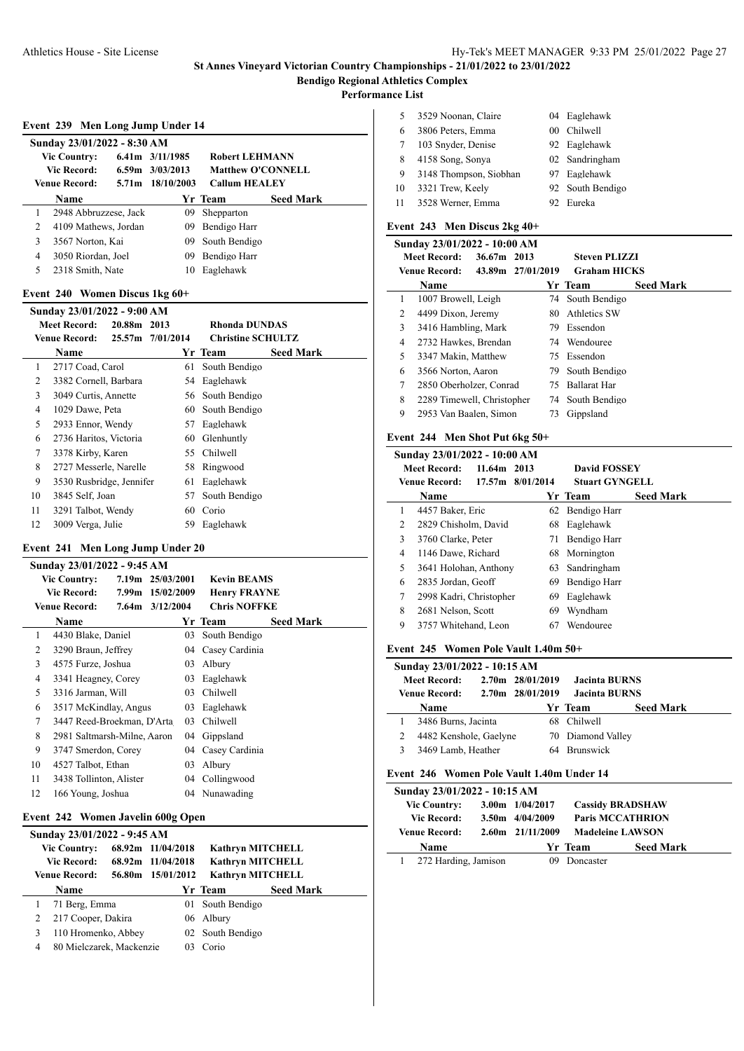**Performance List**

 $\overline{a}$ 

|   | Event 239 Men Long Jump Under 14 |                     |                          |                  |  |
|---|----------------------------------|---------------------|--------------------------|------------------|--|
|   | Sunday 23/01/2022 - 8:30 AM      |                     |                          |                  |  |
|   | <b>Vic Country:</b>              | $6.41m$ $3/11/1985$ | <b>Robert LEHMANN</b>    |                  |  |
|   | Vic Record:                      | $6.59m$ $3/03/2013$ | <b>Matthew O'CONNELL</b> |                  |  |
|   | <b>Venue Record:</b>             | 5.71 m 18/10/2003   | <b>Callum HEALEY</b>     |                  |  |
|   | <b>Name</b>                      |                     | Yr Team                  | <b>Seed Mark</b> |  |
| 1 | 2948 Abbruzzese, Jack            | 09                  | Shepparton               |                  |  |
| 2 | 4109 Mathews, Jordan             | 09                  | Bendigo Harr             |                  |  |
| 3 | 3567 Norton, Kai                 | 09                  | South Bendigo            |                  |  |
| 4 | 3050 Riordan, Joel               | 09                  | Bendigo Harr             |                  |  |
| 5 | 2318 Smith, Nate                 | 10                  | Eaglehawk                |                  |  |

#### **Event 240 Women Discus 1kg 60+**

|    | Sunday 23/01/2022 - 9:00 AM |             |                  |                          |                  |
|----|-----------------------------|-------------|------------------|--------------------------|------------------|
|    | <b>Meet Record:</b>         | 20.88m 2013 |                  | <b>Rhonda DUNDAS</b>     |                  |
|    | <b>Venue Record:</b>        |             | 25.57m 7/01/2014 | <b>Christine SCHULTZ</b> |                  |
|    | Name                        |             |                  | Yr Team                  | <b>Seed Mark</b> |
| 1  | 2717 Coad, Carol            |             | 61               | South Bendigo            |                  |
| 2  | 3382 Cornell, Barbara       |             |                  | 54 Eaglehawk             |                  |
| 3  | 3049 Curtis, Annette        |             |                  | 56 South Bendigo         |                  |
| 4  | 1029 Dawe, Peta             |             | 60               | South Bendigo            |                  |
| 5  | 2933 Ennor, Wendy           |             | 57               | Eaglehawk                |                  |
| 6  | 2736 Haritos, Victoria      |             | 60               | Glenhuntly               |                  |
| 7  | 3378 Kirby, Karen           |             | 55.              | Chilwell                 |                  |
| 8  | 2727 Messerle, Narelle      |             | 58               | Ringwood                 |                  |
| 9  | 3530 Rusbridge, Jennifer    |             | 61               | Eaglehawk                |                  |
| 10 | 3845 Self, Joan             |             | 57               | South Bendigo            |                  |
| 11 | 3291 Talbot, Wendy          |             | 60               | Corio                    |                  |
| 12 | 3009 Verga, Julie           |             | 59               | Eaglehawk                |                  |

## **Event 241 Men Long Jump Under 20**

|    | Sunday 23/01/2022 - 9:45 AM |                  |     |                     |                  |
|----|-----------------------------|------------------|-----|---------------------|------------------|
|    | <b>Vic Country:</b>         | 7.19m 25/03/2001 |     | <b>Kevin BEAMS</b>  |                  |
|    | <b>Vic Record:</b>          | 7.99m 15/02/2009 |     | <b>Henry FRAYNE</b> |                  |
|    | <b>Venue Record:</b>        | 7.64m 3/12/2004  |     | <b>Chris NOFFKE</b> |                  |
|    | <b>Name</b>                 |                  |     | Yr Team             | <b>Seed Mark</b> |
| 1  | 4430 Blake, Daniel          |                  | 03. | South Bendigo       |                  |
| 2  | 3290 Braun, Jeffrey         |                  | 04  | Casey Cardinia      |                  |
| 3  | 4575 Furze, Joshua          |                  | 03  | Albury              |                  |
| 4  | 3341 Heagney, Corey         |                  | 03  | Eaglehawk           |                  |
| 5  | 3316 Jarman, Will           |                  | 03  | Chilwell            |                  |
| 6  | 3517 McKindlay, Angus       |                  | 03  | Eaglehawk           |                  |
| 7  | 3447 Reed-Broekman, D'Arta  |                  | 03  | Chilwell            |                  |
| 8  | 2981 Saltmarsh-Milne, Aaron |                  | 04  | Gippsland           |                  |
| 9  | 3747 Smerdon, Corey         |                  | 04  | Casey Cardinia      |                  |
| 10 | 4527 Talbot, Ethan          |                  | 03  | Albury              |                  |
| 11 | 3438 Tollinton, Alister     |                  | 04  | Collingwood         |                  |
| 12 | 166 Young, Joshua           |                  |     | 04 Nunawading       |                  |

## **Event 242 Women Javelin 600g Open**

|   | Sunday 23/01/2022 - 9:45 AM |                   |                         |                  |
|---|-----------------------------|-------------------|-------------------------|------------------|
|   | <b>Vic Country:</b>         | 68.92m 11/04/2018 | <b>Kathryn MITCHELL</b> |                  |
|   | <b>Vic Record:</b>          | 68.92m 11/04/2018 | <b>Kathryn MITCHELL</b> |                  |
|   | Venue Record:               | 56.80m 15/01/2012 | <b>Kathryn MITCHELL</b> |                  |
|   | Name                        |                   | Yr Team                 | <b>Seed Mark</b> |
|   | 71 Berg, Emma               |                   | 01 South Bendigo        |                  |
| 2 | 217 Cooper, Dakira          |                   | 06 Albury               |                  |
| 3 | 110 Hromenko, Abbey         |                   | 02 South Bendigo        |                  |
| 4 | 80 Mielczarek, Mackenzie    | 03                | Corio                   |                  |
|   |                             |                   |                         |                  |

| 5  | 3529 Noonan, Claire    | 04 Eaglehawk     |
|----|------------------------|------------------|
| 6  | 3806 Peters, Emma      | 00 Chilwell      |
| 7  | 103 Snyder, Denise     | 92 Eaglehawk     |
| 8  | 4158 Song, Sonya       | 02 Sandringham   |
| 9  | 3148 Thompson, Siobhan | 97 Eaglehawk     |
| 10 | 3321 Trew, Keely       | 92 South Bendigo |
| 11 | 3528 Werner, Emma      | 92 Eureka        |

## **Event 243 Men Discus 2kg 40+**

|   | Sunday 23/01/2022 - 10:00 AM |             |                   |                      |                  |
|---|------------------------------|-------------|-------------------|----------------------|------------------|
|   | <b>Meet Record:</b>          | 36.67m 2013 |                   | <b>Steven PLIZZI</b> |                  |
|   | <b>Venue Record:</b>         |             | 43.89m 27/01/2019 | <b>Graham HICKS</b>  |                  |
|   | <b>Name</b>                  |             |                   | Yr Team              | <b>Seed Mark</b> |
| 1 | 1007 Browell, Leigh          |             |                   | 74 South Bendigo     |                  |
| 2 | 4499 Dixon, Jeremy           |             | 80.               | Athletics SW         |                  |
| 3 | 3416 Hambling, Mark          |             | 79.               | Essendon             |                  |
| 4 | 2732 Hawkes, Brendan         |             |                   | 74 Wendouree         |                  |
| 5 | 3347 Makin, Matthew          |             |                   | 75 Essendon          |                  |
| 6 | 3566 Norton, Aaron           |             |                   | 79 South Bendigo     |                  |
| 7 | 2850 Oberholzer, Conrad      |             | 75                | Ballarat Har         |                  |
| 8 | 2289 Timewell, Christopher   |             |                   | 74 South Bendigo     |                  |
| 9 | 2953 Van Baalen, Simon       |             | 73                | Gippsland            |                  |

# **Event 244 Men Shot Put 6kg 50+**

|   | Sunday 23/01/2022 - 10:00 AM |             |                  |                       |                  |  |
|---|------------------------------|-------------|------------------|-----------------------|------------------|--|
|   | <b>Meet Record:</b>          | 11.64m 2013 |                  | <b>David FOSSEY</b>   |                  |  |
|   | Venue Record:                |             | 17.57m 8/01/2014 | <b>Stuart GYNGELL</b> |                  |  |
|   | <b>Name</b>                  |             |                  | Yr Team               | <b>Seed Mark</b> |  |
| 1 | 4457 Baker, Eric             |             |                  | 62 Bendigo Harr       |                  |  |
| 2 | 2829 Chisholm, David         |             | 68               | Eaglehawk             |                  |  |
| 3 | 3760 Clarke, Peter           |             | 71               | Bendigo Harr          |                  |  |
| 4 | 1146 Dawe, Richard           |             |                  | 68 Mornington         |                  |  |
| 5 | 3641 Holohan, Anthony        |             | 63               | Sandringham           |                  |  |
| 6 | 2835 Jordan, Geoff           |             | 69               | Bendigo Harr          |                  |  |
| 7 | 2998 Kadri, Christopher      |             | 69               | Eaglehawk             |                  |  |
| 8 | 2681 Nelson, Scott           |             | 69               | Wyndham               |                  |  |
| 9 | 3757 Whitehand, Leon         |             | 67               | Wendouree             |                  |  |

#### **Event 245 Women Pole Vault 1.40m 50+**

| Sunday 23/01/2022 - 10:15 AM |                                      |  |                                      |                                              |                  |  |  |
|------------------------------|--------------------------------------|--|--------------------------------------|----------------------------------------------|------------------|--|--|
|                              | Meet Record:<br><b>Venue Record:</b> |  | 2.70m 28/01/2019<br>2.70m 28/01/2019 | <b>Jacinta BURNS</b><br><b>Jacinta BURNS</b> |                  |  |  |
|                              | Name                                 |  |                                      | <b>Yr Team</b>                               | <b>Seed Mark</b> |  |  |
|                              | 3486 Burns, Jacinta                  |  |                                      | 68 Chilwell                                  |                  |  |  |
|                              | 4482 Kenshole, Gaelyne               |  |                                      | 70 Diamond Valley                            |                  |  |  |
|                              | 3469 Lamb, Heather                   |  |                                      | 64 Brunswick                                 |                  |  |  |

## **Event 246 Women Pole Vault 1.40m Under 14**

| Sunday 23/01/2022 - 10:15 AM |  |                       |           |                         |  |  |  |
|------------------------------|--|-----------------------|-----------|-------------------------|--|--|--|
| <b>Vic Country:</b>          |  | $3.00m$ $1/04/2017$   |           | <b>Cassidy BRADSHAW</b> |  |  |  |
| <b>Vic Record:</b>           |  | $3.50m$ $4/04/2009$   |           | <b>Paris MCCATHRION</b> |  |  |  |
| <b>Venue Record:</b>         |  | $2.60$ m $21/11/2009$ |           | <b>Madeleine LAWSON</b> |  |  |  |
| <b>Name</b>                  |  |                       | Yr Team   | <b>Seed Mark</b>        |  |  |  |
| 272 Harding, Jamison         |  | 09                    | Doncaster |                         |  |  |  |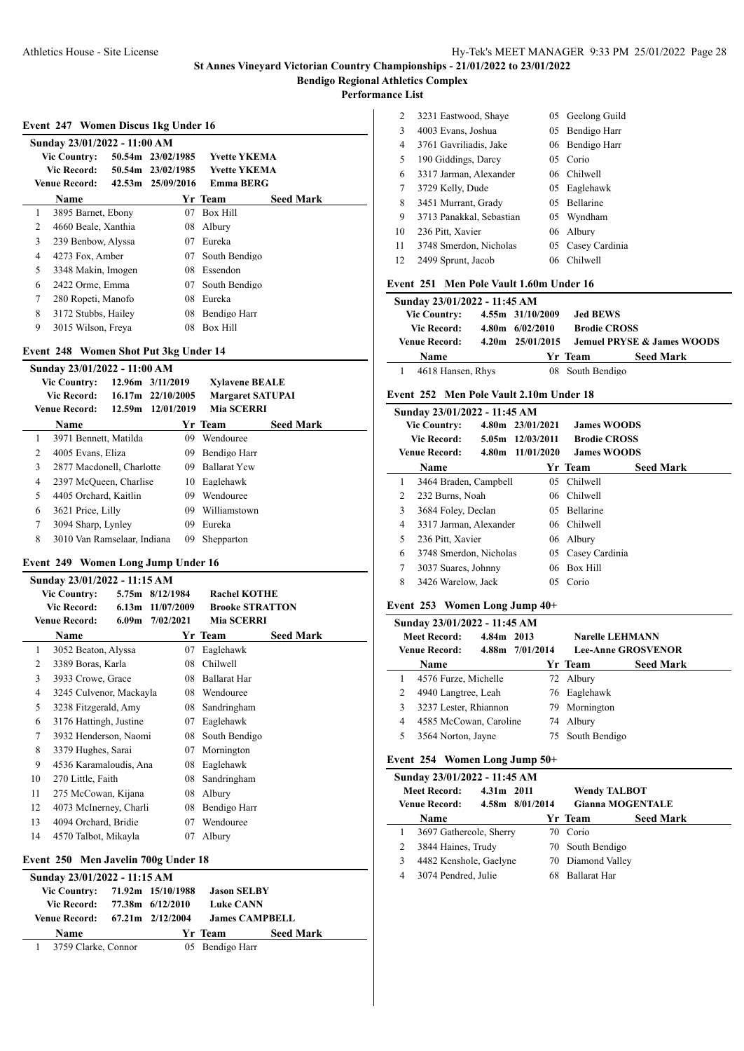**Performance List**

|  | Event 247 Women Discus 1kg Under 16 |  |  |
|--|-------------------------------------|--|--|
|  |                                     |  |  |

|   | Sunday 23/01/2022 - 11:00 AM |                   |                     |                  |
|---|------------------------------|-------------------|---------------------|------------------|
|   | <b>Vic Country:</b>          | 50.54m 23/02/1985 | <b>Yvette YKEMA</b> |                  |
|   | Vic Record:                  | 50.54m 23/02/1985 | <b>Yvette YKEMA</b> |                  |
|   | <b>Venue Record:</b>         | 42.53m 25/09/2016 | Emma BERG           |                  |
|   | Name                         |                   | Yr Team             | <b>Seed Mark</b> |
| 1 | 3895 Barnet, Ebony           | 07                | <b>Box Hill</b>     |                  |
| 2 | 4660 Beale, Xanthia          | 08                | Albury              |                  |
| 3 | 239 Benbow, Alyssa           | 07                | Eureka              |                  |
| 4 | 4273 Fox, Amber              | 07                | South Bendigo       |                  |
| 5 | 3348 Makin, Imogen           | 08                | Essendon            |                  |
| 6 | 2422 Orme, Emma              | 07                | South Bendigo       |                  |
| 7 | 280 Ropeti, Manofo           | 08                | Eureka              |                  |
| 8 | 3172 Stubbs, Hailey          | 08                | Bendigo Harr        |                  |
| 9 | 3015 Wilson, Freya           | 08                | <b>Box Hill</b>     |                  |

## **Event 248 Women Shot Put 3kg Under 14**

|   | Sunday 23/01/2022 - 11:00 AM |                   |                         |                  |  |
|---|------------------------------|-------------------|-------------------------|------------------|--|
|   | <b>Vic Country:</b>          | 12.96m 3/11/2019  | <b>Xylavene BEALE</b>   |                  |  |
|   | Vic Record:                  | 16.17m 22/10/2005 | <b>Margaret SATUPAI</b> |                  |  |
|   | <b>Venue Record:</b>         | 12.59m 12/01/2019 | <b>Mia SCERRI</b>       |                  |  |
|   | Name                         |                   | Yr Team                 | <b>Seed Mark</b> |  |
|   | 3971 Bennett, Matilda        | 09.               | Wendouree               |                  |  |
| 2 | 4005 Evans, Eliza            | 09.               | Bendigo Harr            |                  |  |
| 3 | 2877 Macdonell, Charlotte    | 09.               | <b>Ballarat Yew</b>     |                  |  |
| 4 | 2397 McQueen, Charlise       | 10                | Eaglehawk               |                  |  |
| 5 | 4405 Orchard, Kaitlin        | 09.               | Wendouree               |                  |  |
| 6 | 3621 Price, Lilly            | 09.               | Williamstown            |                  |  |
| 7 | 3094 Sharp, Lynley           | 09                | Eureka                  |                  |  |
| 8 | 3010 Van Ramselaar, Indiana  | 09                | Shepparton              |                  |  |

#### **Event 249 Women Long Jump Under 16**

|    | Sunday 23/01/2022 - 11:15 AM |                   |            |                        |                  |
|----|------------------------------|-------------------|------------|------------------------|------------------|
|    | <b>Vic Country:</b>          | 5.75m             | 8/12/1984  | <b>Rachel KOTHE</b>    |                  |
|    | <b>Vic Record:</b>           | 6.13 <sub>m</sub> | 11/07/2009 | <b>Brooke STRATTON</b> |                  |
|    | <b>Venue Record:</b>         | 6.09 <sub>m</sub> | 7/02/2021  | <b>Mia SCERRI</b>      |                  |
|    | Name                         |                   |            | Yr Team                | <b>Seed Mark</b> |
| 1  | 3052 Beaton, Alyssa          |                   | 07         | Eaglehawk              |                  |
| 2  | 3389 Boras, Karla            |                   | 08         | Chilwell               |                  |
| 3  | 3933 Crowe, Grace            |                   | 08         | Ballarat Har           |                  |
| 4  | 3245 Culvenor, Mackayla      |                   | 08         | Wendouree              |                  |
| 5  | 3238 Fitzgerald, Amy         |                   | 08         | Sandringham            |                  |
| 6  | 3176 Hattingh, Justine       |                   | 07         | Eaglehawk              |                  |
| 7  | 3932 Henderson, Naomi        |                   | 08         | South Bendigo          |                  |
| 8  | 3379 Hughes, Sarai           |                   | 07         | Mornington             |                  |
| 9  | 4536 Karamaloudis, Ana       |                   | 08         | Eaglehawk              |                  |
| 10 | 270 Little, Faith            |                   | 08         | Sandringham            |                  |
| 11 | 275 McCowan, Kijana          |                   | 08         | Albury                 |                  |
| 12 | 4073 McInerney, Charli       |                   | 08         | Bendigo Harr           |                  |
| 13 | 4094 Orchard, Bridie         |                   | 07         | Wendouree              |                  |
| 14 | 4570 Talbot, Mikayla         |                   | 07         | Albury                 |                  |

## **Event 250 Men Javelin 700g Under 18**

| Sunday 23/01/2022 - 11:15 AM   |  |  |                       |                  |  |  |  |  |
|--------------------------------|--|--|-----------------------|------------------|--|--|--|--|
| Vic Country: 71.92m 15/10/1988 |  |  | <b>Jason SELBY</b>    |                  |  |  |  |  |
| Vic Record: 77.38m 6/12/2010   |  |  | <b>Luke CANN</b>      |                  |  |  |  |  |
| Venue Record: 67.21m 2/12/2004 |  |  | <b>James CAMPBELL</b> |                  |  |  |  |  |
| <b>Name</b>                    |  |  | Yr Team               | <b>Seed Mark</b> |  |  |  |  |
| 1 3759 Clarke, Connor          |  |  | 05 Bendigo Harr       |                  |  |  |  |  |

| 2  | 3231 Eastwood, Shaye     |     | 05 Geelong Guild |
|----|--------------------------|-----|------------------|
| 3  | 4003 Evans, Joshua       |     | 05 Bendigo Harr  |
| 4  | 3761 Gavriliadis, Jake   |     | 06 Bendigo Harr  |
| 5  | 190 Giddings, Darcy      | 05. | Corio            |
| 6  | 3317 Jarman, Alexander   | 06. | Chilwell         |
| 7  | 3729 Kelly, Dude         |     | 05 Eaglehawk     |
| 8  | 3451 Murrant, Grady      |     | 05 Bellarine     |
| 9  | 3713 Panakkal, Sebastian |     | 05 Wyndham       |
| 10 | 236 Pitt, Xavier         |     | 06 Albury        |
| 11 | 3748 Smerdon, Nicholas   | 05. | Casey Cardinia   |
| 12 | 2499 Sprunt, Jacob       | 06  | Chilwell         |

#### **Event 251 Men Pole Vault 1.60m Under 16**

| Sunday 23/01/2022 - 11:45 AM |  |                      |                     |                                       |  |  |
|------------------------------|--|----------------------|---------------------|---------------------------------------|--|--|
| <b>Vic Country:</b>          |  | 4.55m 31/10/2009     | <b>Jed BEWS</b>     |                                       |  |  |
| <b>Vic Record:</b>           |  | $4.80m$ 6/02/2010    | <b>Brodie CROSS</b> |                                       |  |  |
| <b>Venue Record:</b>         |  | $4.20m$ $25/01/2015$ |                     | <b>Jemuel PRYSE &amp; James WOODS</b> |  |  |
| <b>Name</b>                  |  |                      | Yr Team             | <b>Seed Mark</b>                      |  |  |
| 4618 Hansen, Rhys            |  |                      | 08 South Bendigo    |                                       |  |  |

#### **Event 252 Men Pole Vault 2.10m Under 18**

|                | Sunday 23/01/2022 - 11:45 AM |       |                  |                     |                  |
|----------------|------------------------------|-------|------------------|---------------------|------------------|
|                | <b>Vic Country:</b>          |       | 4.80m 23/01/2021 | <b>James WOODS</b>  |                  |
|                | Vic Record:                  |       | 5.05m 12/03/2011 | <b>Brodie CROSS</b> |                  |
|                | <b>Venue Record:</b>         | 4.80m | 11/01/2020       | <b>James WOODS</b>  |                  |
|                | <b>Name</b>                  |       |                  | Yr Team             | <b>Seed Mark</b> |
| 1              | 3464 Braden, Campbell        |       | 05.              | Chilwell            |                  |
| $\mathfrak{D}$ | 232 Burns, Noah              |       |                  | 06 Chilwell         |                  |
| 3              | 3684 Foley, Declan           |       | 05               | Bellarine           |                  |
| 4              | 3317 Jarman, Alexander       |       |                  | 06 Chilwell         |                  |
| 5              | 236 Pitt, Xavier             |       |                  | 06 Albury           |                  |
| 6              | 3748 Smerdon, Nicholas       |       |                  | 05 Casey Cardinia   |                  |
| 7              | 3037 Suares, Johnny          |       | 06               | Box Hill            |                  |
| 8              | 3426 Warelow, Jack           |       | 05               | Corio               |                  |

#### **Event 253 Women Long Jump 40+**

| Sunday 23/01/2022 - 11:45 AM |                        |            |                 |                        |                           |  |  |
|------------------------------|------------------------|------------|-----------------|------------------------|---------------------------|--|--|
|                              | <b>Meet Record:</b>    | 4.84m 2013 |                 | <b>Narelle LEHMANN</b> |                           |  |  |
|                              | <b>Venue Record:</b>   |            | 4.88m 7/01/2014 |                        | <b>Lee-Anne GROSVENOR</b> |  |  |
|                              | Name                   |            |                 | Yr Team                | <b>Seed Mark</b>          |  |  |
|                              | 4576 Furze, Michelle   |            |                 | 72 Albury              |                           |  |  |
| 2                            | 4940 Langtree, Leah    |            |                 | 76 Eaglehawk           |                           |  |  |
| 3                            | 3237 Lester, Rhiannon  |            |                 | 79 Mornington          |                           |  |  |
| 4                            | 4585 McCowan, Caroline |            |                 | 74 Albury              |                           |  |  |
|                              | 3564 Norton, Jayne     |            |                 | 75 South Bendigo       |                           |  |  |

#### **Event 254 Women Long Jump 50+**

|                      | Sunday 23/01/2022 - 11:45 AM |                 |                         |                     |                     |  |  |  |
|----------------------|------------------------------|-----------------|-------------------------|---------------------|---------------------|--|--|--|
|                      | <b>Meet Record:</b>          | 4.31m 2011      |                         |                     | <b>Wendy TALBOT</b> |  |  |  |
| <b>Venue Record:</b> |                              | 4.58m 8/01/2014 | <b>Gianna MOGENTALE</b> |                     |                     |  |  |  |
|                      | Name                         |                 |                         | Yr Team             | <b>Seed Mark</b>    |  |  |  |
|                      | 3697 Gathercole, Sherry      |                 | 70.                     | Corio               |                     |  |  |  |
|                      | 3844 Haines, Trudy           |                 |                         | 70 South Bendigo    |                     |  |  |  |
|                      | 4482 Kenshole, Gaelyne       |                 |                         | 70 Diamond Valley   |                     |  |  |  |
|                      | 3074 Pendred, Julie          |                 |                         | <b>Ballarat Har</b> |                     |  |  |  |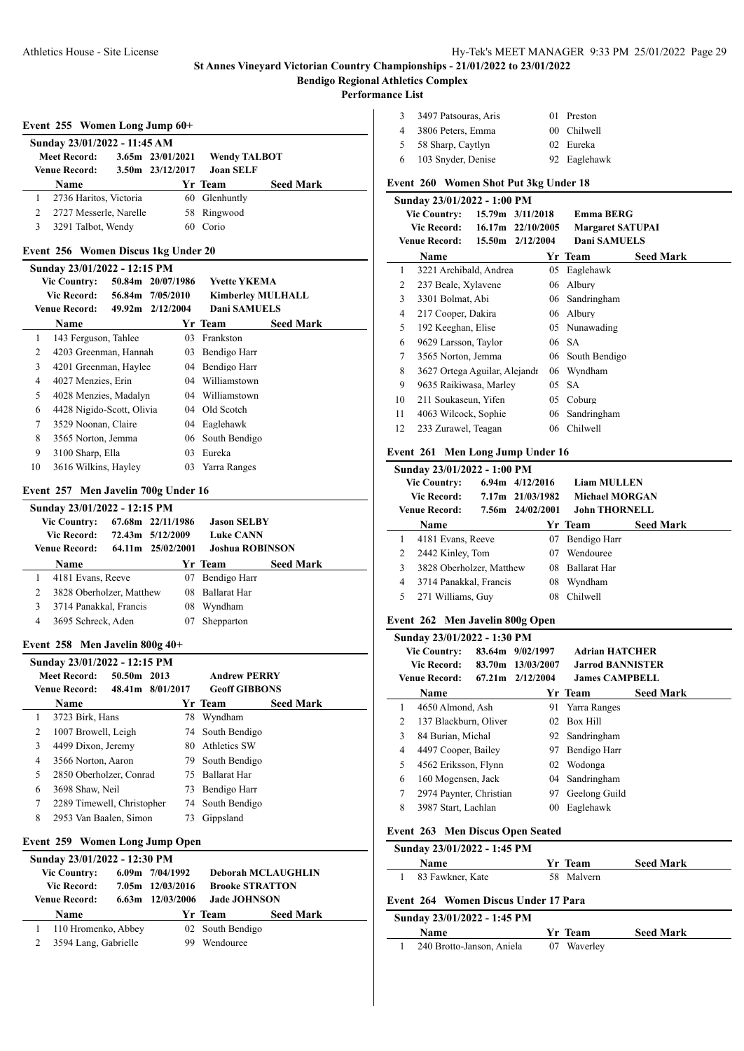**Performance List**

 $\overline{a}$ 

 $\overline{a}$ 

## **Event 255 Women Long Jump 60+**

| Sunday 23/01/2022 - 11:45 AM |                        |  |                      |                     |                  |  |  |  |
|------------------------------|------------------------|--|----------------------|---------------------|------------------|--|--|--|
|                              | <b>Meet Record:</b>    |  | $3.65m$ $23/01/2021$ | <b>Wendy TALBOT</b> |                  |  |  |  |
|                              | <b>Venue Record:</b>   |  | 3.50m 23/12/2017     | <b>Joan SELF</b>    |                  |  |  |  |
|                              | <b>Name</b>            |  |                      | Yr Team             | <b>Seed Mark</b> |  |  |  |
|                              | 2736 Haritos, Victoria |  |                      | 60 Glenhuntly       |                  |  |  |  |
|                              | 2727 Messerle, Narelle |  |                      | 58 Ringwood         |                  |  |  |  |
|                              | 3291 Talbot, Wendy     |  | 60                   | Corio               |                  |  |  |  |

#### **Event 256 Women Discus 1kg Under 20**

|    | Sunday 23/01/2022 - 12:15 PM |  |                   |     |                          |                  |  |  |
|----|------------------------------|--|-------------------|-----|--------------------------|------------------|--|--|
|    | <b>Vic Country:</b>          |  | 50.84m 20/07/1986 |     | <b>Yvette YKEMA</b>      |                  |  |  |
|    | <b>Vic Record:</b>           |  | 56.84m 7/05/2010  |     | <b>Kimberley MULHALL</b> |                  |  |  |
|    | <b>Venue Record:</b>         |  | 49.92m 2/12/2004  |     | <b>Dani SAMUELS</b>      |                  |  |  |
|    | Name                         |  |                   |     | Yr Team                  | <b>Seed Mark</b> |  |  |
| 1  | 143 Ferguson, Tahlee         |  |                   | 03  | Frankston                |                  |  |  |
| 2  | 4203 Greenman, Hannah        |  |                   | 03  | Bendigo Harr             |                  |  |  |
| 3  | 4201 Greenman, Haylee        |  |                   |     | 04 Bendigo Harr          |                  |  |  |
| 4  | 4027 Menzies, Erin           |  |                   | 04  | Williamstown             |                  |  |  |
| 5  | 4028 Menzies, Madalyn        |  |                   |     | 04 Williamstown          |                  |  |  |
| 6  | 4428 Nigido-Scott, Olivia    |  |                   | 04  | Old Scotch               |                  |  |  |
| 7  | 3529 Noonan, Claire          |  |                   | 04  | Eaglehawk                |                  |  |  |
| 8  | 3565 Norton, Jemma           |  |                   | 06. | South Bendigo            |                  |  |  |
| 9  | 3100 Sharp, Ella             |  |                   | 03  | Eureka                   |                  |  |  |
| 10 | 3616 Wilkins, Hayley         |  |                   | 03  | Yarra Ranges             |                  |  |  |

## **Event 257 Men Javelin 700g Under 16**

| Sunday 23/01/2022 - 12:15 PM |                          |  |                   |                        |                  |  |  |  |
|------------------------------|--------------------------|--|-------------------|------------------------|------------------|--|--|--|
|                              | <b>Vic Country:</b>      |  | 67.68m 22/11/1986 | <b>Jason SELBY</b>     |                  |  |  |  |
|                              | Vic Record:              |  | 72.43m 5/12/2009  | <b>Luke CANN</b>       |                  |  |  |  |
|                              | Venue Record:            |  | 64.11m 25/02/2001 | <b>Joshua ROBINSON</b> |                  |  |  |  |
|                              | <b>Name</b>              |  |                   | Yr Team                | <b>Seed Mark</b> |  |  |  |
|                              | 4181 Evans, Reeve        |  | 07                | Bendigo Harr           |                  |  |  |  |
| 2                            | 3828 Oberholzer, Matthew |  | 08.               | <b>Ballarat Har</b>    |                  |  |  |  |
| 3                            | 3714 Panakkal, Francis   |  | 08                | Wyndham                |                  |  |  |  |
| 4                            | 3695 Schreck, Aden       |  | 07                | Shepparton             |                  |  |  |  |
|                              |                          |  |                   |                        |                  |  |  |  |

#### **Event 258 Men Javelin 800g 40+**

|   | Sunday 23/01/2022 - 12:15 PM |                  |  |     |                      |                  |  |  |
|---|------------------------------|------------------|--|-----|----------------------|------------------|--|--|
|   | <b>Meet Record:</b>          | 50.50m 2013      |  |     | <b>Andrew PERRY</b>  |                  |  |  |
|   | <b>Venue Record:</b>         | 48.41m 8/01/2017 |  |     | <b>Geoff GIBBONS</b> |                  |  |  |
|   | Name                         |                  |  |     | Yr Team              | <b>Seed Mark</b> |  |  |
|   | 3723 Birk, Hans              |                  |  | 78  | Wyndham              |                  |  |  |
| 2 | 1007 Browell, Leigh          |                  |  |     | 74 South Bendigo     |                  |  |  |
| 3 | 4499 Dixon, Jeremy           |                  |  |     | 80 Athletics SW      |                  |  |  |
| 4 | 3566 Norton, Aaron           |                  |  | 79. | South Bendigo        |                  |  |  |
| 5 | 2850 Oberholzer, Conrad      |                  |  | 75  | <b>Ballarat Har</b>  |                  |  |  |
| 6 | 3698 Shaw, Neil              |                  |  | 73  | Bendigo Harr         |                  |  |  |
| 7 | 2289 Timewell, Christopher   |                  |  |     | 74 South Bendigo     |                  |  |  |
| 8 | 2953 Van Baalen, Simon       |                  |  | 73  | Gippsland            |                  |  |  |

# **Event 259 Women Long Jump Open**

| Sunday 23/01/2022 - 12:30 PM |             |                                             |                                                               |                             |  |  |  |
|------------------------------|-------------|---------------------------------------------|---------------------------------------------------------------|-----------------------------|--|--|--|
| <b>Vic Country:</b>          |             |                                             | <b>Deborah MCLAUGHLIN</b>                                     |                             |  |  |  |
| <b>Vic Record:</b>           |             |                                             | <b>Brooke STRATTON</b>                                        |                             |  |  |  |
| Venue Record:                |             |                                             | <b>Jade JOHNSON</b>                                           |                             |  |  |  |
|                              |             |                                             |                                                               | <b>Seed Mark</b>            |  |  |  |
|                              |             |                                             |                                                               |                             |  |  |  |
|                              |             |                                             | Wendouree                                                     |                             |  |  |  |
|                              | <b>Name</b> | 110 Hromenko, Abbey<br>3594 Lang, Gabrielle | $6.09m$ $7/04/1992$<br>7.05m 12/03/2016<br>$6.63m$ 12/03/2006 | Yr Team<br>02 South Bendigo |  |  |  |

| 3 | 3497 Patsouras, Aris | 01 Preston   |
|---|----------------------|--------------|
| 4 | 3806 Peters, Emma    | 00 Chilwell  |
| 5 | 58 Sharp, Caytlyn    | 02 Eureka    |
| 6 | 103 Snyder, Denise   | 92 Eaglehawk |

## **Event 260 Women Shot Put 3kg Under 18**

|    | Sunday 23/01/2022 - 1:00 PM   |                     |    |                         |                  |
|----|-------------------------------|---------------------|----|-------------------------|------------------|
|    | <b>Vic Country:</b>           | 15.79m 3/11/2018    |    | <b>Emma BERG</b>        |                  |
|    | <b>Vic Record:</b>            | $16.17m$ 22/10/2005 |    | <b>Margaret SATUPAI</b> |                  |
|    | <b>Venue Record:</b>          | 15.50m 2/12/2004    |    | Dani SAMUELS            |                  |
|    | <b>Name</b>                   |                     |    | Yr Team                 | <b>Seed Mark</b> |
| 1  | 3221 Archibald, Andrea        |                     | 05 | Eaglehawk               |                  |
| 2  | 237 Beale, Xylavene           |                     | 06 | Albury                  |                  |
| 3  | 3301 Bolmat, Abi              |                     | 06 | Sandringham             |                  |
| 4  | 217 Cooper, Dakira            |                     | 06 | Albury                  |                  |
| 5  | 192 Keeghan, Elise            |                     |    | 05 Nunawading           |                  |
| 6  | 9629 Larsson, Taylor          |                     |    | 06 SA                   |                  |
| 7  | 3565 Norton, Jemma            |                     |    | 06 South Bendigo        |                  |
| 8  | 3627 Ortega Aguilar, Alejandr |                     |    | 06 Wyndham              |                  |
| 9  | 9635 Raikiwasa, Marley        |                     | 05 | <b>SA</b>               |                  |
| 10 | 211 Soukaseun, Yifen          |                     | 05 | Coburg                  |                  |
| 11 | 4063 Wilcock, Sophie          |                     | 06 | Sandringham             |                  |
| 12 | 233 Zurawel, Teagan           |                     | 06 | <b>Chilwell</b>         |                  |
|    |                               |                     |    |                         |                  |

#### **Event 261 Men Long Jump Under 16**

|   | Sunday 23/01/2022 - 1:00 PM |  |                     |                       |                  |  |  |  |
|---|-----------------------------|--|---------------------|-----------------------|------------------|--|--|--|
|   | <b>Vic Country:</b>         |  | $6.94m$ $4/12/2016$ | <b>Liam MULLEN</b>    |                  |  |  |  |
|   | <b>Vic Record:</b>          |  | 7.17m 21/03/1982    | <b>Michael MORGAN</b> |                  |  |  |  |
|   | <b>Venue Record:</b>        |  | 7.56m 24/02/2001    | <b>John THORNELL</b>  |                  |  |  |  |
|   | Name                        |  |                     | Yr Team               | <b>Seed Mark</b> |  |  |  |
| 1 | 4181 Evans, Reeve           |  | 07                  | Bendigo Harr          |                  |  |  |  |
| 2 | 2442 Kinley, Tom            |  | 07                  | Wendouree             |                  |  |  |  |
| 3 | 3828 Oberholzer, Matthew    |  | 08                  | <b>Ballarat Har</b>   |                  |  |  |  |
| 4 | 3714 Panakkal, Francis      |  | 08                  | Wyndham               |                  |  |  |  |
| 5 | 271 Williams, Guy           |  | 08                  | <b>Chilwell</b>       |                  |  |  |  |
|   |                             |  |                     |                       |                  |  |  |  |

## **Event 262 Men Javelin 800g Open**

|   | Sunday 23/01/2022 - 1:30 PM |  |                               |                         |                  |  |  |  |
|---|-----------------------------|--|-------------------------------|-------------------------|------------------|--|--|--|
|   | <b>Vic Country:</b>         |  | 83.64m 9/02/1997              | <b>Adrian HATCHER</b>   |                  |  |  |  |
|   | Vic Record:                 |  | 83.70m 13/03/2007             | <b>Jarrod BANNISTER</b> |                  |  |  |  |
|   | Venue Record:               |  | $67.21 \text{ m}$ $2/12/2004$ | <b>James CAMPBELL</b>   |                  |  |  |  |
|   | Name                        |  |                               | Yr Team                 | <b>Seed Mark</b> |  |  |  |
|   | 4650 Almond, Ash            |  | 91.                           | Yarra Ranges            |                  |  |  |  |
| 2 | 137 Blackburn, Oliver       |  |                               | 02 Box Hill             |                  |  |  |  |
| 3 | 84 Burian, Michal           |  |                               | 92 Sandringham          |                  |  |  |  |
| 4 | 4497 Cooper, Bailey         |  | 97                            | Bendigo Harr            |                  |  |  |  |
| 5 | 4562 Eriksson, Flynn        |  |                               | 02 Wodonga              |                  |  |  |  |
| 6 | 160 Mogensen, Jack          |  | 04                            | Sandringham             |                  |  |  |  |
| 7 | 2974 Paynter, Christian     |  | 97                            | Geelong Guild           |                  |  |  |  |
| 8 | 3987 Start, Lachlan         |  | 00                            | Eaglehawk               |                  |  |  |  |

# **Event 263 Men Discus Open Seated**

| Sunday 23/01/2022 - 1:45 PM |                  |  |                |                  |
|-----------------------------|------------------|--|----------------|------------------|
|                             | <b>Name</b>      |  | <b>Yr</b> Team | <b>Seed Mark</b> |
|                             | 83 Fawkner, Kate |  | 58 Malvern     |                  |

## **Event 264 Women Discus Under 17 Para**

#### **Sunday 23/01/2022 - 1:45 PM**

| <b>Name</b>               | Yr Team     | <b>Seed Mark</b> |
|---------------------------|-------------|------------------|
| 240 Brotto-Janson, Aniela | 07 Waverley |                  |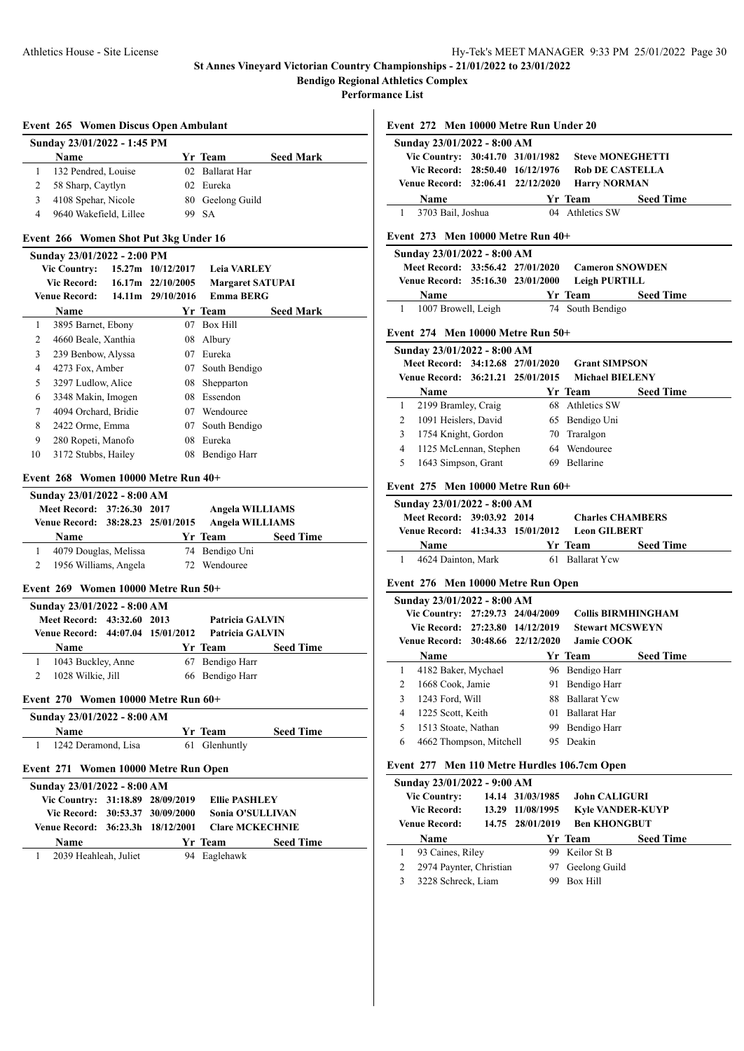**Bendigo Regional Athletics Complex**

**Performance List**

## **Event 265 Women Discus Open Ambulant**

|   | Sunday 23/01/2022 - 1:45 PM |                  |                  |
|---|-----------------------------|------------------|------------------|
|   | <b>Name</b>                 | Yr Team          | <b>Seed Mark</b> |
|   | 132 Pendred, Louise         | 02 Ballarat Har  |                  |
|   | 58 Sharp, Caytlyn           | 02 Eureka        |                  |
|   | 4108 Spehar, Nicole         | 80 Geelong Guild |                  |
| 4 | 9640 Wakefield, Lillee      | 99 SA            |                  |

#### **Event 266 Women Shot Put 3kg Under 16**

#### **Sunday 23/01/2022 - 2:00 PM**

| <b>Vic Country:</b> |                      |        | 15.27m 10/12/2017   | <b>Leia VARLEY</b>      |                  |
|---------------------|----------------------|--------|---------------------|-------------------------|------------------|
|                     | <b>Vic Record:</b>   |        | $16.17m$ 22/10/2005 | <b>Margaret SATUPAI</b> |                  |
|                     | <b>Venue Record:</b> | 14.11m | 29/10/2016          | <b>Emma BERG</b>        |                  |
|                     | Name                 |        |                     | Yr Team                 | <b>Seed Mark</b> |
| 1                   | 3895 Barnet, Ebony   |        | 07                  | <b>Box Hill</b>         |                  |
| 2                   | 4660 Beale, Xanthia  |        | 08                  | Albury                  |                  |
| 3                   | 239 Benbow, Alyssa   |        | 07                  | Eureka                  |                  |
| 4                   | 4273 Fox, Amber      |        | 07.                 | South Bendigo           |                  |
| 5                   | 3297 Ludlow, Alice   |        | 08                  | Shepparton              |                  |
| 6                   | 3348 Makin, Imogen   |        | 08.                 | Essendon                |                  |
| 7                   | 4094 Orchard, Bridie |        | 07                  | Wendouree               |                  |
| 8                   | 2422 Orme, Emma      |        | 07                  | South Bendigo           |                  |
| 9                   | 280 Ropeti, Manofo   |        | 08                  | Eureka                  |                  |
| 10                  | 3172 Stubbs, Hailey  |        | 08                  | Bendigo Harr            |                  |

#### **Event 268 Women 10000 Metre Run 40+**

| Sunday 23/01/2022 - 8:00 AM       |                            |  |  |                 |                  |  |  |
|-----------------------------------|----------------------------|--|--|-----------------|------------------|--|--|
|                                   | Meet Record: 37:26.30 2017 |  |  | Angela WILLIAMS |                  |  |  |
| Venue Record: 38:28.23 25/01/2015 |                            |  |  | Angela WILLIAMS |                  |  |  |
|                                   |                            |  |  |                 |                  |  |  |
|                                   | <b>Name</b>                |  |  | Yr Team         | <b>Seed Time</b> |  |  |
|                                   | 4079 Douglas, Melissa      |  |  | 74 Bendigo Uni  |                  |  |  |

#### **Event 269 Women 10000 Metre Run 50+**

|                                                                 | Sunday 23/01/2022 - 8:00 AM |                                           |  |                 |                  |
|-----------------------------------------------------------------|-----------------------------|-------------------------------------------|--|-----------------|------------------|
| Meet Record: 43:32.60 2013<br>Venue Record: 44:07.04 15/01/2012 |                             | <b>Patricia GALVIN</b><br>Patricia GALVIN |  |                 |                  |
|                                                                 | <b>Name</b>                 |                                           |  | Yr Team         | <b>Seed Time</b> |
|                                                                 | 1043 Buckley, Anne          |                                           |  | 67 Bendigo Harr |                  |
|                                                                 | 1028 Wilkie, Jill           |                                           |  | 66 Bendigo Harr |                  |

## **Event 270 Women 10000 Metre Run 60+**

| Sunday 23/01/2022 - 8:00 AM |                     |  |               |                  |
|-----------------------------|---------------------|--|---------------|------------------|
|                             | <b>Name</b>         |  | Yr Team       | <b>Seed Time</b> |
|                             | 1242 Deramond, Lisa |  | 61 Glenhuntly |                  |

#### **Event 271 Women 10000 Metre Run Open**

| Sunday 23/01/2022 - 8:00 AM                           |  |  |                      |                         |  |  |  |  |
|-------------------------------------------------------|--|--|----------------------|-------------------------|--|--|--|--|
| Vic Country: 31:18.89 28/09/2019                      |  |  | <b>Ellie PASHLEY</b> |                         |  |  |  |  |
| Vic Record: 30:53.37 30/09/2000                       |  |  |                      | <b>Sonia O'SULLIVAN</b> |  |  |  |  |
| Venue Record: 36:23.3h 18/12/2001     Clare MCKECHNIE |  |  |                      |                         |  |  |  |  |
| <b>Name</b>                                           |  |  | Yr Team              | <b>Seed Time</b>        |  |  |  |  |
| 2039 Heahleah, Juliet                                 |  |  | 94 Eaglehawk         |                         |  |  |  |  |

| Event 272 Men 10000 Metre Run Under 20       |                  |                             |  |
|----------------------------------------------|------------------|-----------------------------|--|
| Sunday 23/01/2022 - 8:00 AM                  |                  |                             |  |
| Vic Country: 30:41.70 31/01/1982             |                  | <b>Steve MONEGHETTI</b>     |  |
| Vic Record: 28:50.40 16/12/1976              |                  | <b>Rob DE CASTELLA</b>      |  |
| Venue Record: 32:06.41 22/12/2020            |                  | <b>Harry NORMAN</b>         |  |
| Name                                         |                  | Yr Team<br><b>Seed Time</b> |  |
| 3703 Bail, Joshua<br>1                       |                  | 04 Athletics SW             |  |
| Event 273 Men 10000 Metre Run 40+            |                  |                             |  |
| Sunday 23/01/2022 - 8:00 AM                  |                  |                             |  |
| Meet Record: 33:56.42 27/01/2020             |                  | <b>Cameron SNOWDEN</b>      |  |
| Venue Record: 35:16.30 23/01/2000            |                  | <b>Leigh PURTILL</b>        |  |
| Name                                         |                  | <b>Seed Time</b><br>Yr Team |  |
| 1007 Browell, Leigh<br>$\mathbf{1}$          |                  | 74 South Bendigo            |  |
| Event 274 Men 10000 Metre Run 50+            |                  |                             |  |
| Sunday 23/01/2022 - 8:00 AM                  |                  |                             |  |
| Meet Record: 34:12.68 27/01/2020             |                  | <b>Grant SIMPSON</b>        |  |
| Venue Record: 36:21.21 25/01/2015            |                  | <b>Michael BIELENY</b>      |  |
| Name                                         |                  | <b>Seed Time</b><br>Yr Team |  |
| 2199 Bramley, Craig<br>$\mathbf{1}$          |                  | 68 Athletics SW             |  |
| 1091 Heislers, David<br>2                    |                  | 65 Bendigo Uni              |  |
| 1754 Knight, Gordon<br>$\mathbf{3}$          |                  | 70 Traralgon                |  |
| 1125 McLennan, Stephen<br>$\overline{4}$     |                  | 64 Wendouree                |  |
| 1643 Simpson, Grant<br>5                     |                  | 69 Bellarine                |  |
| Event 275 Men 10000 Metre Run 60+            |                  |                             |  |
| Sunday 23/01/2022 - 8:00 AM                  |                  |                             |  |
| Meet Record: 39:03.92 2014                   |                  | <b>Charles CHAMBERS</b>     |  |
| Venue Record: 41:34.33 15/01/2012            |                  | <b>Leon GILBERT</b>         |  |
| <b>Name</b>                                  |                  | Yr Team<br><b>Seed Time</b> |  |
| 4624 Dainton, Mark<br>1                      |                  | 61 Ballarat Yew             |  |
| Event 276 Men 10000 Metre Run Open           |                  |                             |  |
| Sunday 23/01/2022 - 8:00 AM                  |                  |                             |  |
| Vic Country: 27:29.73 24/04/2009             |                  | <b>Collis BIRMHINGHAM</b>   |  |
| Vic Record: 27:23.80 14/12/2019              |                  | <b>Stewart MCSWEYN</b>      |  |
| Venue Record: 30:48.66 22/12/2020            |                  | <b>Jamie COOK</b>           |  |
| Name                                         |                  | <b>Seed Time</b><br>Yr Team |  |
| 4182 Baker, Mychael<br>1                     | 96               | Bendigo Harr                |  |
| 1668 Cook, Jamie<br>2                        | 91               | Bendigo Harr                |  |
| 1243 Ford, Will<br>3                         | 88               | <b>Ballarat Yew</b>         |  |
| $\overline{4}$<br>1225 Scott, Keith          | 01               | Ballarat Har                |  |
| 1513 Stoate, Nathan<br>5                     |                  | 99 Bendigo Harr             |  |
| 4662 Thompson, Mitchell<br>6                 |                  | 95 Deakin                   |  |
| Event 277 Men 110 Metre Hurdles 106.7cm Open |                  |                             |  |
| Sunday 23/01/2022 - 9:00 AM                  |                  |                             |  |
| <b>Vic Country:</b>                          | 14.14 31/03/1985 | <b>John CALIGURI</b>        |  |
| <b>Vic Record:</b>                           | 13.29 11/08/1995 | <b>Kyle VANDER-KUYP</b>     |  |

**Venue Record: 14.75 28/01/2019 Ben KHONGBUT**

1 93 Caines, Riley 99 Keilor St B 2 2974 Paynter, Christian 97 Geelong Guild 3 3228 Schreck, Liam 99 Box Hill

**Name Yr Team Seed Time**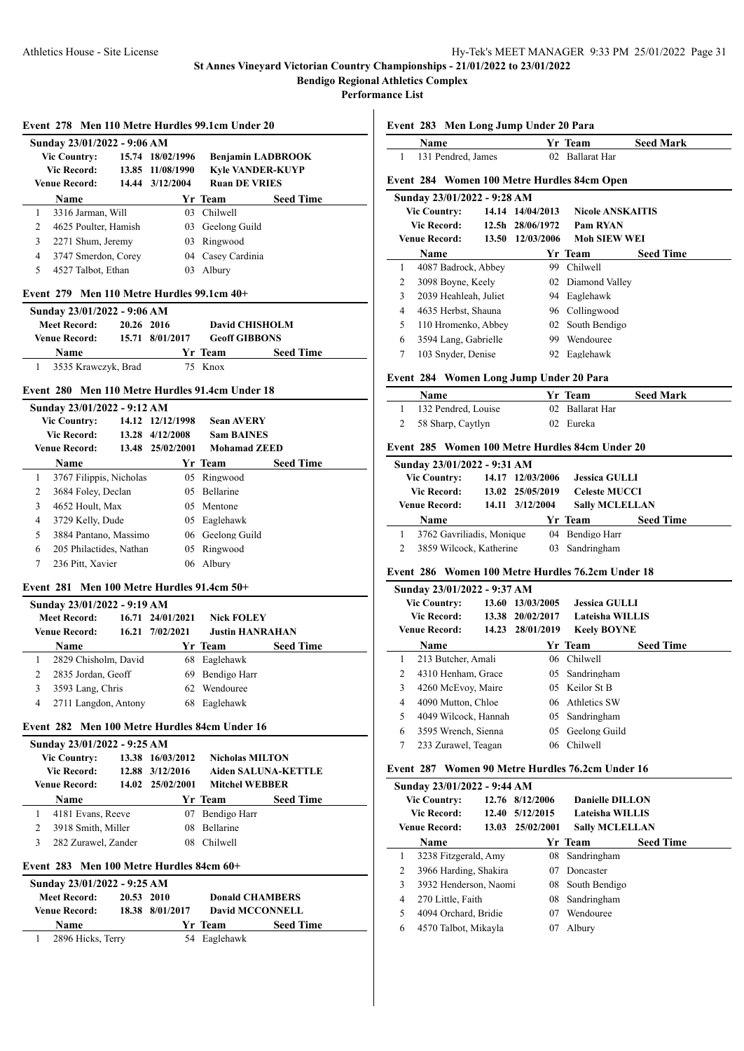**Performance List**

|   | Sunday 23/01/2022 - 9:06 AM |                  |                          |                  |
|---|-----------------------------|------------------|--------------------------|------------------|
|   | <b>Vic Country:</b>         | 15.74 18/02/1996 | <b>Benjamin LADBROOK</b> |                  |
|   | Vic Record:                 | 13.85 11/08/1990 | <b>Kyle VANDER-KUYP</b>  |                  |
|   | <b>Venue Record:</b>        | 14.44 3/12/2004  | <b>Ruan DE VRIES</b>     |                  |
|   | Name                        |                  | Yr Team                  | <b>Seed Time</b> |
| 1 | 3316 Jarman, Will           |                  | 03 Chilwell              |                  |
| 2 | 4625 Poulter, Hamish        |                  | 03 Geelong Guild         |                  |
| 3 | 2271 Shum, Jeremy           |                  | 03 Ringwood              |                  |
| 4 | 3747 Smerdon, Corey         |                  | 04 Casey Cardinia        |                  |
| 5 | 4527 Talbot, Ethan          | 03.              | Albury                   |                  |

| <b>Meet Record:</b>   | 20.26 2016 |                 | <b>David CHISHOLM</b> |                      |
|-----------------------|------------|-----------------|-----------------------|----------------------|
| <b>Venue Record:</b>  |            | 15.71 8/01/2017 |                       | <b>Geoff GIBBONS</b> |
| <b>Name</b>           |            |                 | Yr Team               | <b>Seed Time</b>     |
| 1 3535 Krawczyk, Brad |            |                 | 75 Knox               |                      |

#### **Event 280 Men 110 Metre Hurdles 91.4cm Under 18**

## **Sunday 23/01/2022 - 9:12 AM Vic Country: 14.12 12/12/1998 Sean AVERY Vic Record: 13.28 4/12/2008 Sam BAINES Venue Record: 13.48 25/02/2001 Mohamad ZEED Name Yr Team Seed Time** 1 3767 Filippis, Nicholas 05 Ringwood 2 3684 Foley, Declan 05 Bellarine 3 4652 Hoult, Max 05 Mentone 4 3729 Kelly, Dude 05 Eaglehawk 5 3884 Pantano, Massimo 06 Geelong Guild 6 205 Philactides, Nathan 05 Ringwood 7 236 Pitt, Xavier 06 Albury

#### **Event 281 Men 100 Metre Hurdles 91.4cm 50+**

| Sunday 23/01/2022 - 9:19 AM |                      |       |                  |                        |                  |  |  |
|-----------------------------|----------------------|-------|------------------|------------------------|------------------|--|--|
|                             | <b>Meet Record:</b>  |       | 16.71 24/01/2021 | <b>Nick FOLEY</b>      |                  |  |  |
|                             | <b>Venue Record:</b> | 16.21 | 7/02/2021        | <b>Justin HANRAHAN</b> |                  |  |  |
|                             | <b>Name</b>          |       |                  | Yr Team                | <b>Seed Time</b> |  |  |
|                             | 2829 Chisholm, David |       |                  | 68 Eaglehawk           |                  |  |  |
|                             | 2835 Jordan, Geoff   |       |                  | 69 Bendigo Harr        |                  |  |  |
|                             | 3593 Lang, Chris     |       | 62.              | Wendouree              |                  |  |  |
| 4                           | 2711 Langdon, Antony |       | 68               | Eaglehawk              |                  |  |  |
|                             |                      |       |                  |                        |                  |  |  |

#### **Event 282 Men 100 Metre Hurdles 84cm Under 16**

| Sunday 23/01/2022 - 9:25 AM |                     |                  |                            |                  |  |  |
|-----------------------------|---------------------|------------------|----------------------------|------------------|--|--|
| <b>Vic Country:</b>         |                     | 13.38 16/03/2012 | <b>Nicholas MILTON</b>     |                  |  |  |
| <b>Vic Record:</b>          |                     | 12.88 3/12/2016  | <b>Aiden SALUNA-KETTLE</b> |                  |  |  |
| <b>Venue Record:</b>        |                     | 14.02 25/02/2001 | <b>Mitchel WEBBER</b>      |                  |  |  |
| Name                        |                     |                  | Yr Team                    | <b>Seed Time</b> |  |  |
| 4181 Evans, Reeve           |                     | 07               | Bendigo Harr               |                  |  |  |
| 3918 Smith, Miller          |                     | 08               | <b>Bellarine</b>           |                  |  |  |
|                             | 282 Zurawel, Zander | 08               | <b>Chilwell</b>            |                  |  |  |
|                             |                     |                  |                            |                  |  |  |

## **Event 283 Men 100 Metre Hurdles 84cm 60+**

| Sunday 23/01/2022 - 9:25 AM       |  |                        |                        |                  |  |  |  |  |
|-----------------------------------|--|------------------------|------------------------|------------------|--|--|--|--|
| 20.53 2010<br><b>Meet Record:</b> |  | <b>Donald CHAMBERS</b> |                        |                  |  |  |  |  |
| <b>Venue Record:</b>              |  | 18.38 8/01/2017        | <b>David MCCONNELL</b> |                  |  |  |  |  |
| Name                              |  |                        | Yr Team                | <b>Seed Time</b> |  |  |  |  |
| 2896 Hicks, Terry                 |  |                        | 54 Eaglehawk           |                  |  |  |  |  |

|   |      |                             |       | Event 283 Men Long Jump Under 20 Para |                                             |                  |
|---|------|-----------------------------|-------|---------------------------------------|---------------------------------------------|------------------|
|   | Name |                             |       |                                       | Yr Team                                     | <b>Seed Mark</b> |
| 1 |      | 131 Pendred, James          |       |                                       | 02 Ballarat Har                             |                  |
|   |      |                             |       |                                       | Event 284 Women 100 Metre Hurdles 84cm Open |                  |
|   |      | Sunday 23/01/2022 - 9:28 AM |       |                                       |                                             |                  |
|   |      | <b>Vic Country:</b>         | 14.14 | 14/04/2013                            | <b>Nicole ANSKAITIS</b>                     |                  |
|   |      | Vic Record:                 |       | 12.5h 28/06/1972                      | Pam RYAN                                    |                  |
|   |      | Venue Record: -             |       | 13.50 12/03/2006                      | <b>Moh SIEW WEI</b>                         |                  |
|   | Name |                             |       |                                       | Yr Team                                     | <b>Seed Time</b> |
| 1 |      | 4087 Badrock, Abbey         |       | 99.                                   | Chilwell                                    |                  |
| 2 |      | 3098 Boyne, Keely           |       |                                       | 02 Diamond Valley                           |                  |
| 3 |      | 2039 Heahleah, Juliet       |       | 94.                                   | Eaglehawk                                   |                  |
| 4 |      | 4635 Herbst, Shauna         |       | 96                                    | Collingwood                                 |                  |
| 5 |      | 110 Hromenko, Abbey         |       | 02                                    | South Bendigo                               |                  |
| 6 |      | 3594 Lang, Gabrielle        |       | 99.                                   | Wendouree                                   |                  |
| 7 |      | 103 Snyder, Denise          |       |                                       | 92 Eaglehawk                                |                  |
|   |      |                             |       |                                       |                                             |                  |

#### **Event 284 Women Long Jump Under 20 Para**

| <b>Name</b>         | Yr Team         | <b>Seed Mark</b> |
|---------------------|-----------------|------------------|
| 132 Pendred, Louise | 02 Ballarat Har |                  |
| 2 58 Sharp, Caytlyn | 02 Eureka       |                  |

#### **Event 285 Women 100 Metre Hurdles 84cm Under 20**

|                     | Sunday 23/01/2022 - 9:31 AM            |                  |                      |                       |                  |  |  |  |  |  |
|---------------------|----------------------------------------|------------------|----------------------|-----------------------|------------------|--|--|--|--|--|
| <b>Vic Country:</b> |                                        | 14.17 12/03/2006 | <b>Jessica GULLI</b> |                       |                  |  |  |  |  |  |
|                     | 13.02 25/05/2019<br><b>Vic Record:</b> |                  |                      | <b>Celeste MUCCI</b>  |                  |  |  |  |  |  |
|                     | <b>Venue Record:</b>                   |                  | 14.11 3/12/2004      | <b>Sally MCLELLAN</b> |                  |  |  |  |  |  |
|                     | Name                                   |                  |                      | Yr Team               | <b>Seed Time</b> |  |  |  |  |  |
|                     | 3762 Gavriliadis, Monique              |                  |                      | 04 Bendigo Harr       |                  |  |  |  |  |  |
|                     | 3859 Wilcock, Katherine                |                  |                      | 03 Sandringham        |                  |  |  |  |  |  |

## **Event 286 Women 100 Metre Hurdles 76.2cm Under 18**

|   | Sunday 23/01/2022 - 9:37 AM   |                  |                             |  |  |  |  |  |  |
|---|-------------------------------|------------------|-----------------------------|--|--|--|--|--|--|
|   | 13.60<br><b>Vic Country:</b>  | 13/03/2005       | <b>Jessica GULLI</b>        |  |  |  |  |  |  |
|   | Vic Record:                   | 13.38 20/02/2017 | <b>Lateisha WILLIS</b>      |  |  |  |  |  |  |
|   | <b>Venue Record:</b><br>14.23 | 28/01/2019       | <b>Keelv BOYNE</b>          |  |  |  |  |  |  |
|   | Name                          |                  | <b>Seed Time</b><br>Yr Team |  |  |  |  |  |  |
| 1 | 213 Butcher, Amali            |                  | 06 Chilwell                 |  |  |  |  |  |  |
| 2 | 4310 Henham, Grace            | 05.              | Sandringham                 |  |  |  |  |  |  |
| 3 | 4260 McEvoy, Maire            |                  | 05 Keilor St B              |  |  |  |  |  |  |
| 4 | 4090 Mutton, Chloe            |                  | 06 Athletics SW             |  |  |  |  |  |  |
| 5 | 4049 Wilcock, Hannah          | 05               | Sandringham                 |  |  |  |  |  |  |
| 6 | 3595 Wrench, Sienna           | 05               | Geelong Guild               |  |  |  |  |  |  |
| 7 | 233 Zurawel, Teagan           |                  | 06 Chilwell                 |  |  |  |  |  |  |
|   |                               |                  |                             |  |  |  |  |  |  |

## **Event 287 Women 90 Metre Hurdles 76.2cm Under 16**

|   | Sunday 23/01/2022 - 9:44 AM |       |                 |                        |                  |
|---|-----------------------------|-------|-----------------|------------------------|------------------|
|   | <b>Vic Country:</b>         |       | 12.76 8/12/2006 | <b>Danielle DILLON</b> |                  |
|   | <b>Vic Record:</b>          | 12.40 | 5/12/2015       | Lateisha WILLIS        |                  |
|   | <b>Venue Record:</b>        | 13.03 | 25/02/2001      | <b>Sally MCLELLAN</b>  |                  |
|   | Name                        |       |                 | Yr Team                | <b>Seed Time</b> |
| 1 | 3238 Fitzgerald, Amy        |       | 08              | Sandringham            |                  |
| 2 | 3966 Harding, Shakira       |       | 07              | Doncaster              |                  |
| 3 | 3932 Henderson, Naomi       |       | 08              | South Bendigo          |                  |
| 4 | 270 Little, Faith           |       | 08              | Sandringham            |                  |
| 5 | 4094 Orchard, Bridie        |       | 07              | Wendouree              |                  |
| 6 | 4570 Talbot, Mikayla        |       | 07              | Albury                 |                  |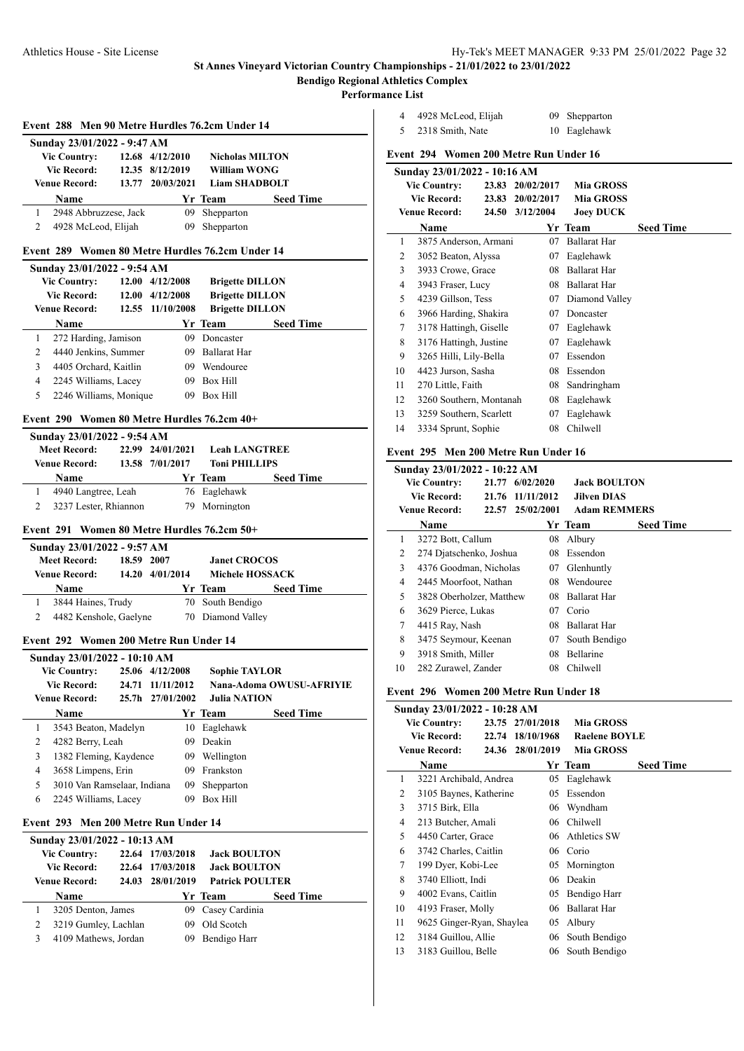**Bendigo Regional Athletics Complex**

**Performance List**

 $\overline{a}$ 

J.

|             | Event 288 Men 90 Metre Hurdles 76.2cm Under 14 |       |                         |                                                  |                  |  |  |  |  |
|-------------|------------------------------------------------|-------|-------------------------|--------------------------------------------------|------------------|--|--|--|--|
|             | Sunday 23/01/2022 - 9:47 AM                    |       |                         |                                                  |                  |  |  |  |  |
|             | <b>Vic Country:</b>                            |       | 12.68 4/12/2010         | <b>Nicholas MILTON</b>                           |                  |  |  |  |  |
| Vic Record: | William WONG                                   |       |                         |                                                  |                  |  |  |  |  |
|             | Venue Record:                                  | 13.77 | 20/03/2021              | <b>Liam SHADBOLT</b>                             |                  |  |  |  |  |
|             | Name                                           |       |                         | Yr Team                                          | <b>Seed Time</b> |  |  |  |  |
| 1           | 2948 Abbruzzese, Jack                          |       | 09                      | Shepparton                                       |                  |  |  |  |  |
| 2           | 4928 McLeod, Elijah                            |       | 09                      | Shepparton                                       |                  |  |  |  |  |
|             |                                                |       |                         | Event 289 Women 80 Metre Hurdles 76.2cm Under 14 |                  |  |  |  |  |
|             |                                                |       |                         |                                                  |                  |  |  |  |  |
|             | Sunday 23/01/2022 - 9:54 AM                    |       |                         |                                                  |                  |  |  |  |  |
|             | <b>Vic Country:</b>                            |       | $12.00 \quad 4/12/2008$ | <b>Brigette DILLON</b>                           |                  |  |  |  |  |
|             | <b>Vic Record:</b>                             |       | $12.00 \quad 4/12/2008$ | <b>Brigette DILLON</b>                           |                  |  |  |  |  |
|             | <b>Venue Record:</b>                           |       | 12.55 11/10/2008        | <b>Brigette DILLON</b>                           |                  |  |  |  |  |
|             | Name                                           |       |                         | Yr Team                                          | <b>Seed Time</b> |  |  |  |  |
|             |                                                |       |                         |                                                  |                  |  |  |  |  |
| 1           | 272 Harding, Jamison                           |       | 09                      | Doncaster                                        |                  |  |  |  |  |
| 2           | 4440 Jenkins, Summer                           |       | 09.                     | Ballarat Har                                     |                  |  |  |  |  |
| 3           | 4405 Orchard, Kaitlin                          |       |                         | 09 Wendouree                                     |                  |  |  |  |  |
| 4           | 2245 Williams, Lacey                           |       | 09.                     | <b>Box Hill</b>                                  |                  |  |  |  |  |

#### **Event 290 Women 80 Metre Hurdles 76.2cm 40+**

|                     | Sunday 23/01/2022 - 9:54 AM |                  |                      |                      |                  |  |  |  |  |  |
|---------------------|-----------------------------|------------------|----------------------|----------------------|------------------|--|--|--|--|--|
| <b>Meet Record:</b> |                             | 22.99 24/01/2021 | <b>Leah LANGTREE</b> |                      |                  |  |  |  |  |  |
|                     | <b>Venue Record:</b>        |                  | 13.58 7/01/2017      | <b>Toni PHILLIPS</b> |                  |  |  |  |  |  |
|                     |                             |                  |                      |                      |                  |  |  |  |  |  |
|                     | <b>Name</b>                 |                  |                      | Yr Team              | <b>Seed Time</b> |  |  |  |  |  |
|                     | 4940 Langtree, Leah         |                  |                      | 76 Eaglehawk         |                  |  |  |  |  |  |

#### **Event 291 Women 80 Metre Hurdles 76.2cm 50+**

| Sunday 23/01/2022 - 9:57 AM       |                        |           |                        |                   |                  |  |  |  |  |  |
|-----------------------------------|------------------------|-----------|------------------------|-------------------|------------------|--|--|--|--|--|
| 18.59 2007<br><b>Meet Record:</b> |                        |           | <b>Janet CROCOS</b>    |                   |                  |  |  |  |  |  |
| <b>Venue Record:</b><br>14.20     |                        | 4/01/2014 | <b>Michele HOSSACK</b> |                   |                  |  |  |  |  |  |
|                                   | <b>Name</b>            |           |                        | Yr Team           | <b>Seed Time</b> |  |  |  |  |  |
|                                   | 3844 Haines, Trudy     |           |                        | 70 South Bendigo  |                  |  |  |  |  |  |
|                                   | 4482 Kenshole, Gaelyne |           |                        | 70 Diamond Valley |                  |  |  |  |  |  |

## **Event 292 Women 200 Metre Run Under 14**

|   | Sunday 23/01/2022 - 10:10 AM |       |                  |                      |                          |  |  |  |
|---|------------------------------|-------|------------------|----------------------|--------------------------|--|--|--|
|   | <b>Vic Country:</b>          |       | 25.06 4/12/2008  | <b>Sophie TAYLOR</b> |                          |  |  |  |
|   | <b>Vic Record:</b>           | 24.71 | 11/11/2012       |                      | Nana-Adoma OWUSU-AFRIYIE |  |  |  |
|   | <b>Venue Record:</b>         |       | 25.7h 27/01/2002 | <b>Julia NATION</b>  |                          |  |  |  |
|   | <b>Name</b>                  |       |                  | Yr Team              | <b>Seed Time</b>         |  |  |  |
| 1 | 3543 Beaton, Madelyn         |       | 10               | Eaglehawk            |                          |  |  |  |
| 2 | 4282 Berry, Leah             |       | 09               | Deakin               |                          |  |  |  |
| 3 | 1382 Fleming, Kaydence       |       | 09.              | Wellington           |                          |  |  |  |
| 4 | 3658 Limpens, Erin           |       | 09.              | Frankston            |                          |  |  |  |
| 5 | 3010 Van Ramselaar, Indiana  |       | 09               | Shepparton           |                          |  |  |  |
| 6 | 2245 Williams, Lacey         |       | 09               | Box Hill             |                          |  |  |  |
|   |                              |       |                  |                      |                          |  |  |  |

#### **Event 293 Men 200 Metre Run Under 14**

|   | Sunday 23/01/2022 - 10:13 AM |       |                  |                        |                  |  |  |  |  |  |
|---|------------------------------|-------|------------------|------------------------|------------------|--|--|--|--|--|
|   | <b>Vic Country:</b>          |       | 22.64 17/03/2018 | <b>Jack BOULTON</b>    |                  |  |  |  |  |  |
|   | Vic Record:                  |       | 22.64 17/03/2018 | <b>Jack BOULTON</b>    |                  |  |  |  |  |  |
|   | <b>Venue Record:</b>         | 24.03 | 28/01/2019       | <b>Patrick POULTER</b> |                  |  |  |  |  |  |
|   | Name                         |       |                  | Yr Team                | <b>Seed Time</b> |  |  |  |  |  |
|   | 3205 Denton, James           |       |                  | 09 Casey Cardinia      |                  |  |  |  |  |  |
|   | 3219 Gumley, Lachlan         |       | 09.              | Old Scotch             |                  |  |  |  |  |  |
| 3 | 4109 Mathews, Jordan         |       | 09               | Bendigo Harr           |                  |  |  |  |  |  |
|   |                              |       |                  |                        |                  |  |  |  |  |  |

| 4  | 4928 McLeod, Elijah                    |       | 09         | Shepparton          |                  |  |  |  |
|----|----------------------------------------|-------|------------|---------------------|------------------|--|--|--|
| 5  | 2318 Smith, Nate                       |       | 10         | Eaglehawk           |                  |  |  |  |
|    | Event 294 Women 200 Metre Run Under 16 |       |            |                     |                  |  |  |  |
|    | Sunday 23/01/2022 - 10:16 AM           |       |            |                     |                  |  |  |  |
|    | <b>Vic Country:</b>                    | 23.83 | 20/02/2017 | <b>Mia GROSS</b>    |                  |  |  |  |
|    | <b>Vic Record:</b>                     | 23.83 | 20/02/2017 | <b>Mia GROSS</b>    |                  |  |  |  |
|    | <b>Venue Record:</b>                   | 24.50 | 3/12/2004  | <b>Joey DUCK</b>    |                  |  |  |  |
|    | Name                                   |       |            | Yr Team             | <b>Seed Time</b> |  |  |  |
| 1  | 3875 Anderson, Armani                  |       | 07         | <b>Ballarat Har</b> |                  |  |  |  |
| 2  | 3052 Beaton, Alyssa                    |       | 07         | Eaglehawk           |                  |  |  |  |
| 3  | 3933 Crowe, Grace                      |       | 08         | <b>Ballarat Har</b> |                  |  |  |  |
| 4  | 3943 Fraser, Lucy                      |       | 08         | <b>Ballarat Har</b> |                  |  |  |  |
| 5  | 4239 Gillson, Tess                     |       | 07         | Diamond Valley      |                  |  |  |  |
| 6  | 3966 Harding, Shakira                  |       | 07         | Doncaster           |                  |  |  |  |
| 7  | 3178 Hattingh, Giselle                 |       | 07         | Eaglehawk           |                  |  |  |  |
| 8  | 3176 Hattingh, Justine                 |       | 07         | Eaglehawk           |                  |  |  |  |
| 9  | 3265 Hilli, Lily-Bella                 |       | 07         | Essendon            |                  |  |  |  |
| 10 | 4423 Jurson, Sasha                     |       | 08         | Essendon            |                  |  |  |  |
| 11 | 270 Little, Faith                      |       | 08         | Sandringham         |                  |  |  |  |

#### **Event 295 Men 200 Metre Run Under 16**

12 3260 Southern, Montanah 08 Eaglehawk 13 3259 Southern, Scarlett 07 Eaglehawk 14 3334 Sprunt, Sophie 08 Chilwell

|    | Sunday 23/01/2022 - 10:22 AM |       |            |    |                     |                  |  |  |  |
|----|------------------------------|-------|------------|----|---------------------|------------------|--|--|--|
|    | <b>Vic Country:</b>          | 21.77 | 6/02/2020  |    | <b>Jack BOULTON</b> |                  |  |  |  |
|    | Vic Record:                  | 21.76 | 11/11/2012 |    | <b>Jilven DIAS</b>  |                  |  |  |  |
|    | <b>Venue Record:</b>         | 22.57 | 25/02/2001 |    | <b>Adam REMMERS</b> |                  |  |  |  |
|    | Name                         |       |            |    | Yr Team             | <b>Seed Time</b> |  |  |  |
| 1  | 3272 Bott, Callum            |       |            | 08 | Albury              |                  |  |  |  |
| 2  | 274 Djatschenko, Joshua      |       |            | 08 | Essendon            |                  |  |  |  |
| 3  | 4376 Goodman, Nicholas       |       |            | 07 | Glenhuntly          |                  |  |  |  |
| 4  | 2445 Moorfoot. Nathan        |       |            | 08 | Wendouree           |                  |  |  |  |
| 5  | 3828 Oberholzer, Matthew     |       |            | 08 | <b>Ballarat Har</b> |                  |  |  |  |
| 6  | 3629 Pierce, Lukas           |       |            | 07 | Corio               |                  |  |  |  |
| 7  | 4415 Ray, Nash               |       |            | 08 | <b>Ballarat Har</b> |                  |  |  |  |
| 8  | 3475 Seymour, Keenan         |       |            | 07 | South Bendigo       |                  |  |  |  |
| 9  | 3918 Smith, Miller           |       |            | 08 | <b>Bellarine</b>    |                  |  |  |  |
| 10 | 282 Zurawel, Zander          |       |            | 08 | Chilwell            |                  |  |  |  |

#### **Event 296 Women 200 Metre Run Under 18**

|                     | Sunday 23/01/2022 - 10:28 AM |                  |                      |                  |
|---------------------|------------------------------|------------------|----------------------|------------------|
| <b>Vic Country:</b> |                              | 23.75 27/01/2018 | <b>Mia GROSS</b>     |                  |
|                     | Vic Record:                  | 22.74 18/10/1968 | <b>Raelene BOYLE</b> |                  |
|                     | Venue Record:                | 24.36 28/01/2019 | <b>Mia GROSS</b>     |                  |
|                     | Name                         |                  | Yr Team              | <b>Seed Time</b> |
| 1                   | 3221 Archibald, Andrea       | 05               | Eaglehawk            |                  |
| 2                   | 3105 Baynes, Katherine       | 05               | Essendon             |                  |
| 3                   | 3715 Birk, Ella              |                  | 06 Wyndham           |                  |
| 4                   | 213 Butcher, Amali           | 06               | Chilwell             |                  |
| 5                   | 4450 Carter, Grace           | 06.              | Athletics SW         |                  |
| 6                   | 3742 Charles, Caitlin        | 06               | Corio                |                  |
| 7                   | 199 Dyer, Kobi-Lee           | 05               | Mornington           |                  |
| 8                   | 3740 Elliott, Indi           | 06               | Deakin               |                  |
| 9                   | 4002 Evans, Caitlin          | 05               | Bendigo Harr         |                  |
| 10                  | 4193 Fraser, Molly           | 06               | <b>Ballarat Har</b>  |                  |
| 11                  | 9625 Ginger-Ryan, Shaylea    | 05               | Albury               |                  |
| 12                  | 3184 Guillou, Allie          | 06               | South Bendigo        |                  |
| 13                  | 3183 Guillou, Belle          | 06               | South Bendigo        |                  |
|                     |                              |                  |                      |                  |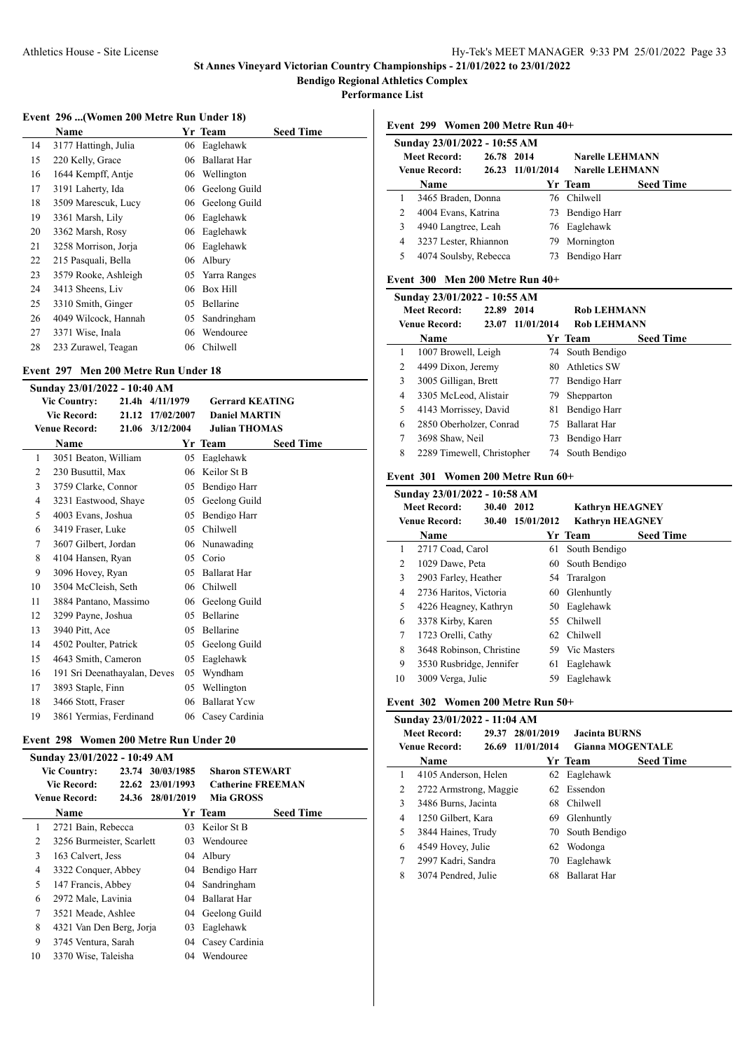**Performance List**

# **Event 296 ...(Women 200 Metre Run Under 18)**

|    | Event 290 mj women 200 metre isan enger 10) |     |                  |                  |
|----|---------------------------------------------|-----|------------------|------------------|
|    | Name                                        |     | Yr Team          | <b>Seed Time</b> |
| 14 | 3177 Hattingh, Julia                        | 06  | Eaglehawk        |                  |
| 15 | 220 Kelly, Grace                            | 06  | Ballarat Har     |                  |
| 16 | 1644 Kempff, Antje                          |     | 06 Wellington    |                  |
| 17 | 3191 Laherty, Ida                           | 06. | Geelong Guild    |                  |
| 18 | 3509 Marescuk, Lucy                         |     | 06 Geelong Guild |                  |
| 19 | 3361 Marsh, Lily                            | 06  | Eaglehawk        |                  |
| 20 | 3362 Marsh, Rosy                            | 06  | Eaglehawk        |                  |
| 21 | 3258 Morrison, Jorja                        | 06  | Eaglehawk        |                  |
| 22 | 215 Pasquali, Bella                         | 06  | Albury           |                  |
| 23 | 3579 Rooke, Ashleigh                        |     | 05 Yarra Ranges  |                  |
| 24 | 3413 Sheens, Liv                            | 06  | <b>Box Hill</b>  |                  |
| 25 | 3310 Smith, Ginger                          | 05  | Bellarine        |                  |
| 26 | 4049 Wilcock, Hannah                        | 05  | Sandringham      |                  |
| 27 | 3371 Wise, Inala                            | 06  | Wendouree        |                  |
| 28 | 233 Zurawel, Teagan                         | 06  | Chilwell         |                  |

## **Event 297 Men 200 Metre Run Under 18**

|    | Sunday 23/01/2022 - 10:40 AM |       |                  |                        |                  |  |  |  |  |
|----|------------------------------|-------|------------------|------------------------|------------------|--|--|--|--|
|    | <b>Vic Country:</b>          |       | 21.4h 4/11/1979  | <b>Gerrard KEATING</b> |                  |  |  |  |  |
|    | <b>Vic Record:</b>           |       | 21.12 17/02/2007 | <b>Daniel MARTIN</b>   |                  |  |  |  |  |
|    | <b>Venue Record:</b>         | 21.06 | 3/12/2004        | <b>Julian THOMAS</b>   |                  |  |  |  |  |
|    | Name                         |       |                  | Yr Team                | <b>Seed Time</b> |  |  |  |  |
| 1  | 3051 Beaton, William         |       | 05               | Eaglehawk              |                  |  |  |  |  |
| 2  | 230 Busuttil, Max            |       | 06               | Keilor St B            |                  |  |  |  |  |
| 3  | 3759 Clarke, Connor          |       | 05               | Bendigo Harr           |                  |  |  |  |  |
| 4  | 3231 Eastwood, Shaye         |       | 05               | Geelong Guild          |                  |  |  |  |  |
| 5  | 4003 Evans, Joshua           |       | 05               | Bendigo Harr           |                  |  |  |  |  |
| 6  | 3419 Fraser, Luke            |       | 05               | Chilwell               |                  |  |  |  |  |
| 7  | 3607 Gilbert, Jordan         |       |                  | 06 Nunawading          |                  |  |  |  |  |
| 8  | 4104 Hansen, Ryan            |       | 05               | Corio                  |                  |  |  |  |  |
| 9  | 3096 Hovey, Ryan             |       | 05               | <b>Ballarat Har</b>    |                  |  |  |  |  |
| 10 | 3504 McCleish, Seth          |       | 06               | Chilwell               |                  |  |  |  |  |
| 11 | 3884 Pantano, Massimo        |       | 06               | Geelong Guild          |                  |  |  |  |  |
| 12 | 3299 Payne, Joshua           |       | 05               | Bellarine              |                  |  |  |  |  |
| 13 | 3940 Pitt, Ace               |       | 05               | Bellarine              |                  |  |  |  |  |
| 14 | 4502 Poulter, Patrick        |       | 05               | Geelong Guild          |                  |  |  |  |  |
| 15 | 4643 Smith, Cameron          |       | 05               | Eaglehawk              |                  |  |  |  |  |
| 16 | 191 Sri Deenathayalan, Deves |       | 05               | Wyndham                |                  |  |  |  |  |
| 17 | 3893 Staple, Finn            |       | 05               | Wellington             |                  |  |  |  |  |
| 18 | 3466 Stott, Fraser           |       | 06               | <b>Ballarat Ycw</b>    |                  |  |  |  |  |
| 19 | 3861 Yermias, Ferdinand      |       |                  | 06 Casey Cardinia      |                  |  |  |  |  |

## **Event 298 Women 200 Metre Run Under 20**

| Sunday 23/01/2022 - 10:49 AM |                           |       |                  |                          |                  |  |  |  |  |
|------------------------------|---------------------------|-------|------------------|--------------------------|------------------|--|--|--|--|
|                              | <b>Vic Country:</b>       | 23.74 | 30/03/1985       | <b>Sharon STEWART</b>    |                  |  |  |  |  |
|                              | <b>Vic Record:</b>        |       | 22.62 23/01/1993 | <b>Catherine FREEMAN</b> |                  |  |  |  |  |
|                              | <b>Venue Record:</b>      |       | 24.36 28/01/2019 | <b>Mia GROSS</b>         |                  |  |  |  |  |
|                              | <b>Name</b>               |       |                  | Yr Team                  | <b>Seed Time</b> |  |  |  |  |
| 1                            | 2721 Bain, Rebecca        |       | 03               | Keilor St B              |                  |  |  |  |  |
| 2                            | 3256 Burmeister, Scarlett |       | 03               | Wendouree                |                  |  |  |  |  |
| 3                            | 163 Calvert, Jess         |       | 04               | Albury                   |                  |  |  |  |  |
| 4                            | 3322 Conquer, Abbey       |       | 04               | Bendigo Harr             |                  |  |  |  |  |
| 5                            | 147 Francis, Abbey        |       | (14)             | Sandringham              |                  |  |  |  |  |
| 6                            | 2972 Male, Lavinia        |       | 04               | <b>Ballarat Har</b>      |                  |  |  |  |  |
| 7                            | 3521 Meade, Ashlee        |       | 04               | Geelong Guild            |                  |  |  |  |  |
| 8                            | 4321 Van Den Berg, Jorja  |       | 03               | Eaglehawk                |                  |  |  |  |  |
| 9                            | 3745 Ventura, Sarah       |       | $04^{\circ}$     | Casey Cardinia           |                  |  |  |  |  |
| 10                           | 3370 Wise, Taleisha       |       | 04               | Wendouree                |                  |  |  |  |  |

**Event 299 Women 200 Metre Run 40+**

| Sunday 23/01/2022 - 10:55 AM |                                       |            |                  |                        |                        |                  |  |  |
|------------------------------|---------------------------------------|------------|------------------|------------------------|------------------------|------------------|--|--|
| <b>Meet Record:</b>          | 26.78 2014                            |            |                  | <b>Narelle LEHMANN</b> |                        |                  |  |  |
|                              | Venue Record:                         | 26.23      | 11/01/2014       |                        | <b>Narelle LEHMANN</b> |                  |  |  |
|                              | Name                                  |            |                  |                        | Yr Team                | <b>Seed Time</b> |  |  |
| 1                            | 3465 Braden, Donna                    |            |                  | 76                     | Chilwell               |                  |  |  |
| 2                            | 4004 Evans, Katrina                   |            |                  | 73                     | Bendigo Harr           |                  |  |  |
| 3                            | 4940 Langtree, Leah                   |            |                  | 76                     | Eaglehawk              |                  |  |  |
| 4                            | 3237 Lester, Rhiannon                 |            |                  | 79                     | Mornington             |                  |  |  |
| 5                            | 4074 Soulsby, Rebecca                 |            |                  | 73                     | Bendigo Harr           |                  |  |  |
|                              | Event $300$ Men $200$ Metre Run $40+$ |            |                  |                        |                        |                  |  |  |
|                              | Sunday 23/01/2022 - 10:55 AM          |            |                  |                        |                        |                  |  |  |
|                              | <b>Meet Record:</b>                   | 22.89      | 2014             |                        | <b>Rob LEHMANN</b>     |                  |  |  |
|                              | <b>Venue Record:</b>                  | 23.07      | 11/01/2014       |                        | <b>Rob LEHMANN</b>     |                  |  |  |
|                              | Name                                  |            |                  |                        | Yr Team                | <b>Seed Time</b> |  |  |
| 1                            | 1007 Browell, Leigh                   |            |                  | 74                     | South Bendigo          |                  |  |  |
| 2                            | 4499 Dixon, Jeremy                    |            |                  | 80                     | Athletics SW           |                  |  |  |
| 3                            | 3005 Gilligan, Brett                  |            |                  |                        | 77 Bendigo Harr        |                  |  |  |
| 4                            | 3305 McLeod, Alistair                 |            |                  | 79                     | Shepparton             |                  |  |  |
| 5                            | 4143 Morrissey, David                 |            |                  |                        | 81 Bendigo Harr        |                  |  |  |
| 6                            | 2850 Oberholzer, Conrad               |            |                  |                        | 75 Ballarat Har        |                  |  |  |
| 7                            | 3698 Shaw, Neil                       |            |                  |                        | 73 Bendigo Harr        |                  |  |  |
| 8                            | 2289 Timewell, Christopher            |            |                  | 74                     | South Bendigo          |                  |  |  |
|                              | Event 301 Women 200 Metre Run 60+     |            |                  |                        |                        |                  |  |  |
|                              | Sunday 23/01/2022 - 10:58 AM          |            |                  |                        |                        |                  |  |  |
|                              | <b>Meet Record:</b>                   | 30.40 2012 |                  |                        | <b>Kathryn HEAGNEY</b> |                  |  |  |
|                              | <b>Venue Record:</b>                  |            | 30.40 15/01/2012 |                        | <b>Kathryn HEAGNEY</b> |                  |  |  |
|                              | Name                                  |            |                  |                        | Yr Team                | <b>Seed Time</b> |  |  |
| 1                            | 2717 Coad, Carol                      |            |                  | 61                     | South Bendigo          |                  |  |  |
| 2                            | 1029 Dawe, Peta                       |            |                  |                        | 60 South Bendigo       |                  |  |  |
| 3                            | 2903 Farley, Heather                  |            |                  |                        | 54 Traralgon           |                  |  |  |
| 4                            | 2736 Haritos, Victoria                |            |                  |                        | 60 Glenhuntly          |                  |  |  |
| 5                            | 4226 Heagney, Kathryn                 |            |                  |                        | 50 Eaglehawk           |                  |  |  |
| 6                            | 3378 Kirby, Karen                     |            |                  | 55                     | Chilwell               |                  |  |  |
| 7                            | 1723 Orelli, Cathy                    |            |                  | 62                     | Chilwell               |                  |  |  |
| 8                            | 3648 Robinson, Christine              |            |                  | 59                     | Vic Masters            |                  |  |  |

# **Event 302 Women 200 Metre Run 50+**

 3530 Rusbridge, Jennifer 61 Eaglehawk 3009 Verga, Julie 59 Eaglehawk

| Sunday 23/01/2022 - 11:04 AM |                        |                  |                      |                     |                         |  |  |  |  |
|------------------------------|------------------------|------------------|----------------------|---------------------|-------------------------|--|--|--|--|
| <b>Meet Record:</b>          |                        | 29.37 28/01/2019 | <b>Jacinta BURNS</b> |                     |                         |  |  |  |  |
|                              | <b>Venue Record:</b>   | 26.69            | 11/01/2014           |                     | <b>Gianna MOGENTALE</b> |  |  |  |  |
|                              | <b>Name</b>            |                  |                      | Yr Team             | <b>Seed Time</b>        |  |  |  |  |
| 1                            | 4105 Anderson, Helen   |                  |                      | 62 Eaglehawk        |                         |  |  |  |  |
| 2                            | 2722 Armstrong, Maggie |                  |                      | 62 Essendon         |                         |  |  |  |  |
| 3                            | 3486 Burns, Jacinta    |                  | 68                   | Chilwell            |                         |  |  |  |  |
| 4                            | 1250 Gilbert, Kara     |                  | 69                   | Glenhuntly          |                         |  |  |  |  |
| 5                            | 3844 Haines, Trudy     |                  |                      | 70 South Bendigo    |                         |  |  |  |  |
| 6                            | 4549 Hovey, Julie      |                  |                      | 62 Wodonga          |                         |  |  |  |  |
| 7                            | 2997 Kadri, Sandra     |                  | 70                   | Eaglehawk           |                         |  |  |  |  |
| 8                            | 3074 Pendred, Julie    |                  | 68                   | <b>Ballarat Har</b> |                         |  |  |  |  |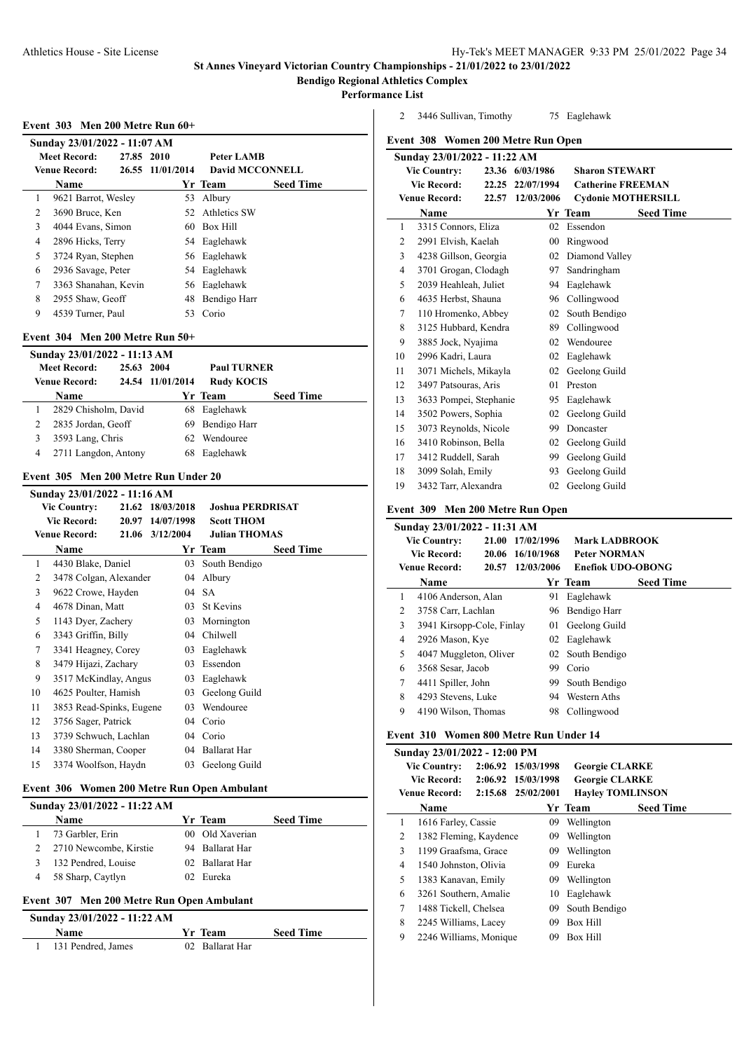**Bendigo Regional Athletics Complex**

**Performance List**

 $\overline{\phantom{0}}$ 

 $\overline{a}$ 

**Event 303 Men 200 Metre Run 60+**

|   | Sunday 23/01/2022 - 11:07 AM |            |                  |                 |                  |  |  |  |  |  |
|---|------------------------------|------------|------------------|-----------------|------------------|--|--|--|--|--|
|   | <b>Meet Record:</b>          | 27.85 2010 |                  | Peter LAMB      |                  |  |  |  |  |  |
|   | <b>Venue Record:</b>         |            | 26.55 11/01/2014 | David MCCONNELL |                  |  |  |  |  |  |
|   | <b>Name</b>                  |            |                  | Yr Team         | <b>Seed Time</b> |  |  |  |  |  |
| 1 | 9621 Barrot, Wesley          |            |                  | 53 Albury       |                  |  |  |  |  |  |
| 2 | 3690 Bruce, Ken              |            |                  | 52 Athletics SW |                  |  |  |  |  |  |
| 3 | 4044 Evans, Simon            |            |                  | 60 Box Hill     |                  |  |  |  |  |  |
| 4 | 2896 Hicks, Terry            |            |                  | 54 Eaglehawk    |                  |  |  |  |  |  |
| 5 | 3724 Ryan, Stephen           |            |                  | 56 Eaglehawk    |                  |  |  |  |  |  |
| 6 | 2936 Savage, Peter           |            |                  | 54 Eaglehawk    |                  |  |  |  |  |  |
| 7 | 3363 Shanahan, Kevin         |            |                  | 56 Eaglehawk    |                  |  |  |  |  |  |
| 8 | 2955 Shaw, Geoff             |            | 48               | Bendigo Harr    |                  |  |  |  |  |  |
| 9 | 4539 Turner, Paul            |            | 53               | Corio           |                  |  |  |  |  |  |

## **Event 304 Men 200 Metre Run 50+**

|                                   | Sunday 23/01/2022 - 11:13 AM |  |                    |                   |                  |  |  |  |  |  |
|-----------------------------------|------------------------------|--|--------------------|-------------------|------------------|--|--|--|--|--|
| <b>Meet Record:</b><br>25.63 2004 |                              |  | <b>Paul TURNER</b> |                   |                  |  |  |  |  |  |
|                                   | <b>Venue Record:</b>         |  | 24.54 11/01/2014   | <b>Rudy KOCIS</b> |                  |  |  |  |  |  |
|                                   | <b>Name</b>                  |  |                    | Yr Team           | <b>Seed Time</b> |  |  |  |  |  |
|                                   | 2829 Chisholm, David         |  |                    | 68 Eaglehawk      |                  |  |  |  |  |  |
|                                   | 2835 Jordan, Geoff           |  |                    | 69 Bendigo Harr   |                  |  |  |  |  |  |
|                                   | 3593 Lang, Chris             |  | 62.                | Wendouree         |                  |  |  |  |  |  |
| 4                                 | 2711 Langdon, Antony         |  | 68                 | Eaglehawk         |                  |  |  |  |  |  |

## **Event 305 Men 200 Metre Run Under 20**

|    | Sunday 23/01/2022 - 11:16 AM |  |                  |                         |                  |  |  |  |  |  |
|----|------------------------------|--|------------------|-------------------------|------------------|--|--|--|--|--|
|    | <b>Vic Country:</b>          |  | 21.62 18/03/2018 | <b>Joshua PERDRISAT</b> |                  |  |  |  |  |  |
|    | Vic Record:                  |  | 20.97 14/07/1998 | <b>Scott THOM</b>       |                  |  |  |  |  |  |
|    | <b>Venue Record:</b>         |  | 21.06 3/12/2004  | <b>Julian THOMAS</b>    |                  |  |  |  |  |  |
|    | Name                         |  |                  | Yr Team                 | <b>Seed Time</b> |  |  |  |  |  |
| 1  | 4430 Blake, Daniel           |  | 03               | South Bendigo           |                  |  |  |  |  |  |
| 2  | 3478 Colgan, Alexander       |  | 04               | Albury                  |                  |  |  |  |  |  |
| 3  | 9622 Crowe, Hayden           |  |                  | 04 SA                   |                  |  |  |  |  |  |
| 4  | 4678 Dinan, Matt             |  | 03               | St Kevins               |                  |  |  |  |  |  |
| 5  | 1143 Dyer, Zachery           |  | 03               | Mornington              |                  |  |  |  |  |  |
| 6  | 3343 Griffin, Billy          |  | 04               | Chilwell                |                  |  |  |  |  |  |
| 7  | 3341 Heagney, Corey          |  | 03               | Eaglehawk               |                  |  |  |  |  |  |
| 8  | 3479 Hijazi, Zachary         |  |                  | 03 Essendon             |                  |  |  |  |  |  |
| 9  | 3517 McKindlay, Angus        |  | 03               | Eaglehawk               |                  |  |  |  |  |  |
| 10 | 4625 Poulter, Hamish         |  | 03               | Geelong Guild           |                  |  |  |  |  |  |
| 11 | 3853 Read-Spinks, Eugene     |  | 03               | Wendouree               |                  |  |  |  |  |  |
| 12 | 3756 Sager, Patrick          |  | 04               | Corio                   |                  |  |  |  |  |  |
| 13 | 3739 Schwuch, Lachlan        |  |                  | 04 Corio                |                  |  |  |  |  |  |
| 14 | 3380 Sherman, Cooper         |  |                  | 04 Ballarat Har         |                  |  |  |  |  |  |
| 15 | 3374 Woolfson, Haydn         |  | 03               | Geelong Guild           |                  |  |  |  |  |  |
|    |                              |  |                  |                         |                  |  |  |  |  |  |

## **Event 306 Women 200 Metre Run Open Ambulant**

| Sunday 23/01/2022 - 11:22 AM |     |                 |                  |
|------------------------------|-----|-----------------|------------------|
| <b>Name</b>                  |     | Yr Team         | <b>Seed Time</b> |
| 73 Garbler, Erin             |     | 00 Old Xaverian |                  |
| 2710 Newcombe, Kirstie       |     | 94 Ballarat Har |                  |
| 132 Pendred, Louise          |     | 02 Ballarat Har |                  |
| 58 Sharp, Caytlyn            | 02. | Eureka          |                  |
|                              |     |                 |                  |

# **Event 307 Men 200 Metre Run Open Ambulant**

| Sunday 23/01/2022 - 11:22 AM |  |                 |                  |  |  |  |  |
|------------------------------|--|-----------------|------------------|--|--|--|--|
| <b>Name</b>                  |  | <b>Yr</b> Team  | <b>Seed Time</b> |  |  |  |  |
| 131 Pendred, James           |  | 02 Ballarat Har |                  |  |  |  |  |

3446 Sullivan, Timothy 75 Eaglehawk

**Event 308 Women 200 Metre Run Open**

| Sunday 23/01/2022 - 11:22 AM |                        |       |                  |                           |                  |  |  |  |
|------------------------------|------------------------|-------|------------------|---------------------------|------------------|--|--|--|
|                              | <b>Vic Country:</b>    | 23.36 | 6/03/1986        | <b>Sharon STEWART</b>     |                  |  |  |  |
|                              | <b>Vic Record:</b>     |       | 22.25 22/07/1994 | <b>Catherine FREEMAN</b>  |                  |  |  |  |
|                              | <b>Venue Record:</b>   | 22.57 | 12/03/2006       | <b>Cydonie MOTHERSILL</b> |                  |  |  |  |
|                              | Name                   |       |                  | Yr Team                   | <b>Seed Time</b> |  |  |  |
| 1                            | 3315 Connors, Eliza    |       | 02               | Essendon                  |                  |  |  |  |
| $\overline{c}$               | 2991 Elvish, Kaelah    |       | 0 <sup>0</sup>   | Ringwood                  |                  |  |  |  |
| 3                            | 4238 Gillson, Georgia  |       | 02               | Diamond Valley            |                  |  |  |  |
| $\overline{4}$               | 3701 Grogan, Clodagh   |       | 97               | Sandringham               |                  |  |  |  |
| 5                            | 2039 Heahleah, Juliet  |       | 94               | Eaglehawk                 |                  |  |  |  |
| 6                            | 4635 Herbst, Shauna    |       | 96               | Collingwood               |                  |  |  |  |
| 7                            | 110 Hromenko, Abbey    |       | 02               | South Bendigo             |                  |  |  |  |
| 8                            | 3125 Hubbard, Kendra   |       | 89               | Collingwood               |                  |  |  |  |
| 9                            | 3885 Jock, Nyajima     |       | 02               | Wendouree                 |                  |  |  |  |
| 10                           | 2996 Kadri, Laura      |       | 02               | Eaglehawk                 |                  |  |  |  |
| 11                           | 3071 Michels, Mikayla  |       | 02               | Geelong Guild             |                  |  |  |  |
| 12                           | 3497 Patsouras, Aris   |       | 01               | Preston                   |                  |  |  |  |
| 13                           | 3633 Pompei, Stephanie |       | 95               | Eaglehawk                 |                  |  |  |  |
| 14                           | 3502 Powers, Sophia    |       | 02               | Geelong Guild             |                  |  |  |  |
| 15                           | 3073 Reynolds, Nicole  |       | 99               | Doncaster                 |                  |  |  |  |
| 16                           | 3410 Robinson, Bella   |       | 02               | Geelong Guild             |                  |  |  |  |
| 17                           | 3412 Ruddell, Sarah    |       | 99               | Geelong Guild             |                  |  |  |  |
| 18                           | 3099 Solah, Emily      |       | 93               | Geelong Guild             |                  |  |  |  |
| 19                           | 3432 Tarr, Alexandra   |       | 02               | Geelong Guild             |                  |  |  |  |

## **Event 309 Men 200 Metre Run Open**

|                     | Sunday 23/01/2022 - 11:31 AM |       |                  |     |                          |                  |  |  |  |
|---------------------|------------------------------|-------|------------------|-----|--------------------------|------------------|--|--|--|
| <b>Vic Country:</b> |                              | 21.00 | 17/02/1996       |     | <b>Mark LADBROOK</b>     |                  |  |  |  |
|                     | <b>Vic Record:</b>           |       | 20.06 16/10/1968 |     | <b>Peter NORMAN</b>      |                  |  |  |  |
|                     | <b>Venue Record:</b>         |       | 20.57 12/03/2006 |     | <b>Enefiok UDO-OBONG</b> |                  |  |  |  |
|                     | Name                         |       |                  |     | Yr Team                  | <b>Seed Time</b> |  |  |  |
| 1                   | 4106 Anderson, Alan          |       |                  | 91  | Eaglehawk                |                  |  |  |  |
| 2                   | 3758 Carr, Lachlan           |       |                  |     | 96 Bendigo Harr          |                  |  |  |  |
| 3                   | 3941 Kirsopp-Cole, Finlay    |       |                  | 01  | Geelong Guild            |                  |  |  |  |
| 4                   | 2926 Mason, Kye              |       |                  | 02  | Eaglehawk                |                  |  |  |  |
| 5                   | 4047 Muggleton, Oliver       |       |                  |     | 02 South Bendigo         |                  |  |  |  |
| 6                   | 3568 Sesar, Jacob            |       |                  | 99. | Corio                    |                  |  |  |  |
| 7                   | 4411 Spiller, John           |       |                  | 99. | South Bendigo            |                  |  |  |  |
| 8                   | 4293 Stevens, Luke           |       |                  | 94  | Western Aths             |                  |  |  |  |
| 9                   | 4190 Wilson, Thomas          |       |                  | 98  | Collingwood              |                  |  |  |  |
|                     |                              |       |                  |     |                          |                  |  |  |  |

#### **Event 310 Women 800 Metre Run Under 14**

|   | Sunday 23/01/2022 - 12:00 PM |  |                    |                         |                  |  |  |  |  |
|---|------------------------------|--|--------------------|-------------------------|------------------|--|--|--|--|
|   | <b>Vic Country:</b>          |  | 2:06.92 15/03/1998 | <b>Georgie CLARKE</b>   |                  |  |  |  |  |
|   | <b>Vic Record:</b>           |  | 2:06.92 15/03/1998 | <b>Georgie CLARKE</b>   |                  |  |  |  |  |
|   | <b>Venue Record:</b>         |  | 2:15.68 25/02/2001 | <b>Hayley TOMLINSON</b> |                  |  |  |  |  |
|   | Name                         |  |                    | Yr Team                 | <b>Seed Time</b> |  |  |  |  |
| 1 | 1616 Farley, Cassie          |  | 09                 | Wellington              |                  |  |  |  |  |
| 2 | 1382 Fleming, Kaydence       |  | 09                 | Wellington              |                  |  |  |  |  |
| 3 | 1199 Graafsma, Grace         |  | 09                 | Wellington              |                  |  |  |  |  |
| 4 | 1540 Johnston, Olivia        |  | 09                 | Eureka                  |                  |  |  |  |  |
| 5 | 1383 Kanavan, Emily          |  | 09                 | Wellington              |                  |  |  |  |  |
| 6 | 3261 Southern, Amalie        |  | 10                 | Eaglehawk               |                  |  |  |  |  |
| 7 | 1488 Tickell, Chelsea        |  | 09                 | South Bendigo           |                  |  |  |  |  |
| 8 | 2245 Williams, Lacey         |  | 09                 | <b>Box Hill</b>         |                  |  |  |  |  |
| 9 | 2246 Williams, Monique       |  | 09                 | Box Hill                |                  |  |  |  |  |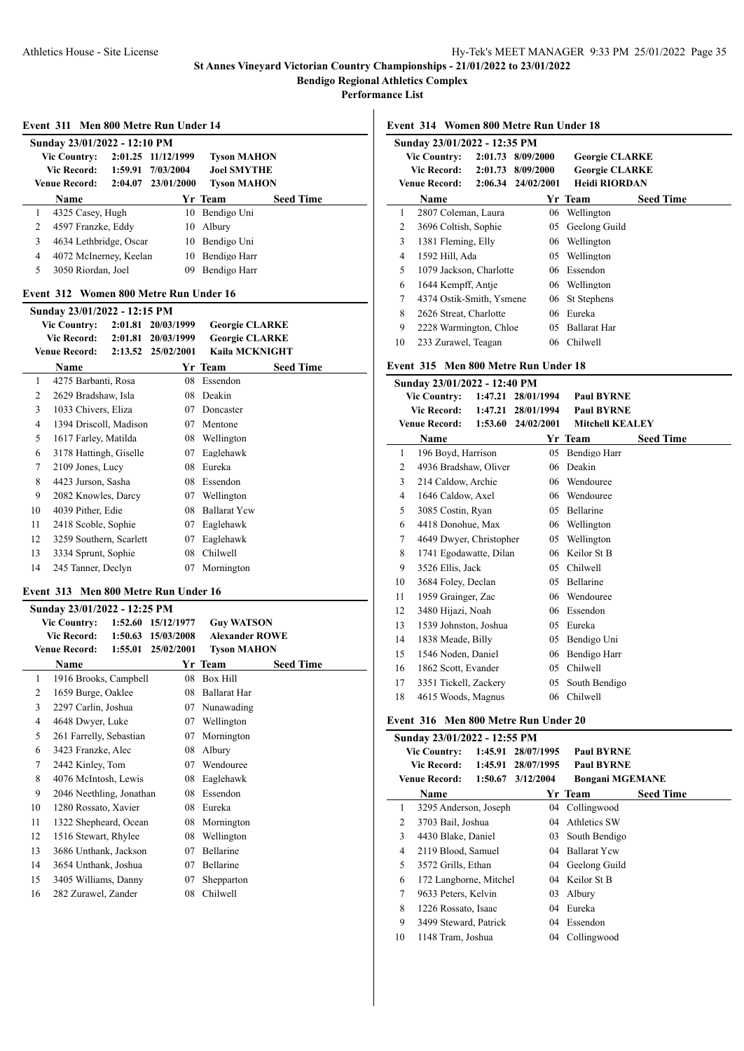**Performance List**

|   | Event 311 Men 800 Metre Run Under 14   |         |                    |                       |                  |
|---|----------------------------------------|---------|--------------------|-----------------------|------------------|
|   | Sunday 23/01/2022 - 12:10 PM           |         |                    |                       |                  |
|   | <b>Vic Country:</b>                    |         | 2:01.25 11/12/1999 | <b>Tyson MAHON</b>    |                  |
|   | Vic Record: 1:59.91                    |         | 7/03/2004          | <b>Joel SMYTHE</b>    |                  |
|   | Venue Record:                          |         | 2:04.07 23/01/2000 | <b>Tyson MAHON</b>    |                  |
|   | Name                                   |         |                    | Yr Team               | <b>Seed Time</b> |
| 1 | 4325 Casey, Hugh                       |         | 10                 | Bendigo Uni           |                  |
| 2 | 4597 Franzke, Eddy                     |         | 10                 | Albury                |                  |
| 3 | 4634 Lethbridge, Oscar                 |         | 10                 | Bendigo Uni           |                  |
| 4 | 4072 McInerney, Keelan                 |         | 10                 | Bendigo Harr          |                  |
| 5 | 3050 Riordan, Joel                     |         | 09                 | Bendigo Harr          |                  |
|   | Event 312 Women 800 Metre Run Under 16 |         |                    |                       |                  |
|   | Sunday 23/01/2022 - 12:15 PM           |         |                    |                       |                  |
|   | Vic Country: 2:01.81 20/03/1999        |         |                    | <b>Georgie CLARKE</b> |                  |
|   | <b>Vic Record:</b>                     | 2:01.81 | 20/03/1999         | <b>Georgie CLARKE</b> |                  |
|   | <b>Venue Record:</b>                   |         | 2:13.52 25/02/2001 | <b>Kaila MCKNIGHT</b> |                  |
|   | Name                                   |         |                    | Yr Team               | <b>Seed Time</b> |
| 1 | 4275 Barbanti, Rosa                    |         | 08                 | Essendon              |                  |
| 2 | 2629 Bradshaw, Isla                    |         | 08                 | Deakin                |                  |
| 3 | 1033 Chivers, Eliza                    |         | 07                 | Doncaster             |                  |

|    | <b>Vic Country:</b>     | 2:01.81 | 20/03/1999 | <b>Georgie CLARKE</b> |                  |
|----|-------------------------|---------|------------|-----------------------|------------------|
|    | <b>Vic Record:</b>      | 2:01.81 | 20/03/1999 | <b>Georgie CLARKE</b> |                  |
|    | <b>Venue Record:</b>    | 2:13.52 | 25/02/2001 | Kaila MCKNIGHT        |                  |
|    | Name                    |         |            | Yr Team               | <b>Seed Time</b> |
| 1  | 4275 Barbanti, Rosa     |         | 08         | Essendon              |                  |
| 2  | 2629 Bradshaw, Isla     |         | 08         | Deakin                |                  |
| 3  | 1033 Chivers, Eliza     |         | 07         | Doncaster             |                  |
| 4  | 1394 Driscoll, Madison  |         | 07         | Mentone               |                  |
| 5  | 1617 Farley, Matilda    |         | 08         | Wellington            |                  |
| 6  | 3178 Hattingh, Giselle  |         | 07         | Eaglehawk             |                  |
| 7  | 2109 Jones, Lucy        |         | 08         | Eureka                |                  |
| 8  | 4423 Jurson, Sasha      |         | 08         | Essendon              |                  |
| 9  | 2082 Knowles, Darcy     |         | 07         | Wellington            |                  |
| 10 | 4039 Pither, Edie       |         | 08         | <b>Ballarat Ycw</b>   |                  |
| 11 | 2418 Scoble, Sophie     |         | 07         | Eaglehawk             |                  |
| 12 | 3259 Southern, Scarlett |         | 07         | Eaglehawk             |                  |
| 13 | 3334 Sprunt, Sophie     |         | 08         | Chilwell              |                  |
| 14 | 245 Tanner, Declyn      |         | 07         | Mornington            |                  |
|    |                         |         |            |                       |                  |

# **Event 313 Men 800 Metre Run Under 16**

|    | Sunday 23/01/2022 - 12:25 PM |         |            |                       |                  |
|----|------------------------------|---------|------------|-----------------------|------------------|
|    | <b>Vic Country:</b>          | 1:52.60 | 15/12/1977 | <b>Guy WATSON</b>     |                  |
|    | <b>Vic Record:</b>           | 1:50.63 | 15/03/2008 | <b>Alexander ROWE</b> |                  |
|    | <b>Venue Record:</b>         | 1:55.01 | 25/02/2001 | Tyson MAHON           |                  |
|    | Name                         |         |            | Yr Team               | <b>Seed Time</b> |
| 1  | 1916 Brooks, Campbell        |         | 08         | <b>Box Hill</b>       |                  |
| 2  | 1659 Burge, Oaklee           |         | 08         | <b>Ballarat Har</b>   |                  |
| 3  | 2297 Carlin, Joshua          |         | 07         | Nunawading            |                  |
| 4  | 4648 Dwyer, Luke             |         | 07         | Wellington            |                  |
| 5  | 261 Farrelly, Sebastian      |         | 07         | Mornington            |                  |
| 6  | 3423 Franzke, Alec           |         | 08         | Albury                |                  |
| 7  | 2442 Kinley, Tom             |         | 07         | Wendouree             |                  |
| 8  | 4076 McIntosh, Lewis         |         | 08         | Eaglehawk             |                  |
| 9  | 2046 Neethling, Jonathan     |         | 08         | Essendon              |                  |
| 10 | 1280 Rossato, Xavier         |         | 08         | Eureka                |                  |
| 11 | 1322 Shepheard, Ocean        |         | 08         | Mornington            |                  |
| 12 | 1516 Stewart, Rhylee         |         | 08         | Wellington            |                  |
| 13 | 3686 Unthank, Jackson        |         | 07         | <b>Bellarine</b>      |                  |
| 14 | 3654 Unthank, Joshua         |         | 07         | Bellarine             |                  |
| 15 | 3405 Williams, Danny         |         | 07         | Shepparton            |                  |
| 16 | 282 Zurawel, Zander          |         | 08         | Chilwell              |                  |
|    |                              |         |            |                       |                  |

**Event 314 Women 800 Metre Run Under 18**

|                     | Sunday 23/01/2022 - 12:35 PM |         |                        |                       |                  |
|---------------------|------------------------------|---------|------------------------|-----------------------|------------------|
| <b>Vic Country:</b> |                              | 2:01.73 | 8/09/2000              | <b>Georgie CLARKE</b> |                  |
|                     | Vic Record:                  | 2:01.73 | 8/09/2000              | <b>Georgie CLARKE</b> |                  |
|                     | <b>Venue Record:</b>         |         | $2:06.34$ $24/02/2001$ | Heidi RIORDAN         |                  |
|                     | <b>Name</b>                  |         |                        | Yr Team               | <b>Seed Time</b> |
| 1                   | 2807 Coleman, Laura          |         | 06                     | Wellington            |                  |
| 2                   | 3696 Coltish, Sophie         |         | 05                     | Geelong Guild         |                  |
| 3                   | 1381 Fleming, Elly           |         | 06                     | Wellington            |                  |
| $\overline{4}$      | 1592 Hill, Ada               |         | 05                     | Wellington            |                  |
| 5                   | 1079 Jackson, Charlotte      |         | 06                     | Essendon              |                  |
| 6                   | 1644 Kempff, Antie           |         | 06                     | Wellington            |                  |
| 7                   | 4374 Ostik-Smith, Ysmene     |         | 06                     | St Stephens           |                  |
| 8                   | 2626 Streat, Charlotte       |         | 06                     | Eureka                |                  |
| 9                   | 2228 Warmington, Chloe       |         | 05                     | <b>Ballarat Har</b>   |                  |
| 10                  | 233 Zurawel, Teagan          |         | 06                     | Chilwell              |                  |

## **Event 315 Men 800 Metre Run Under 18**

|    | Sunday 23/01/2022 - 12:40 PM |         |            |                        |                  |
|----|------------------------------|---------|------------|------------------------|------------------|
|    | <b>Vic Country:</b>          | 1:47.21 | 28/01/1994 | <b>Paul BYRNE</b>      |                  |
|    | <b>Vic Record:</b>           | 1:47.21 | 28/01/1994 | <b>Paul BYRNE</b>      |                  |
|    | <b>Venue Record:</b>         | 1:53.60 | 24/02/2001 | <b>Mitchell KEALEY</b> |                  |
|    | Name                         |         |            | Yr Team                | <b>Seed Time</b> |
| 1  | 196 Boyd, Harrison           |         | 05         | Bendigo Harr           |                  |
| 2  | 4936 Bradshaw, Oliver        |         | 06         | Deakin                 |                  |
| 3  | 214 Caldow, Archie           |         | 06         | Wendouree              |                  |
| 4  | 1646 Caldow, Axel            |         | 06         | Wendouree              |                  |
| 5  | 3085 Costin, Ryan            |         | 05         | Bellarine              |                  |
| 6  | 4418 Donohue, Max            |         | 06         | Wellington             |                  |
| 7  | 4649 Dwyer, Christopher      |         | 05         | Wellington             |                  |
| 8  | 1741 Egodawatte, Dilan       |         | 06         | Keilor St B            |                  |
| 9  | 3526 Ellis, Jack             |         | 05         | Chilwell               |                  |
| 10 | 3684 Foley, Declan           |         | 05         | Bellarine              |                  |
| 11 | 1959 Grainger, Zac           |         | 06         | Wendouree              |                  |
| 12 | 3480 Hijazi, Noah            |         | 06         | Essendon               |                  |
| 13 | 1539 Johnston, Joshua        |         | 05         | Eureka                 |                  |
| 14 | 1838 Meade, Billy            |         | 05         | Bendigo Uni            |                  |
| 15 | 1546 Noden, Daniel           |         | 06         | Bendigo Harr           |                  |
| 16 | 1862 Scott, Evander          |         | 05         | Chilwell               |                  |
| 17 | 3351 Tickell, Zackery        |         | 05         | South Bendigo          |                  |
| 18 | 4615 Woods, Magnus           |         | 06         | Chilwell               |                  |
|    |                              |         |            |                        |                  |

## **Event 316 Men 800 Metre Run Under 20**

|    | Sunday 23/01/2022 - 12:55 PM |         |            |                        |                  |
|----|------------------------------|---------|------------|------------------------|------------------|
|    | <b>Vic Country:</b>          | 1:45.91 | 28/07/1995 | <b>Paul BYRNE</b>      |                  |
|    | <b>Vic Record:</b>           | 1:45.91 | 28/07/1995 | <b>Paul BYRNE</b>      |                  |
|    | <b>Venue Record:</b>         | 1:50.67 | 3/12/2004  | <b>Bongani MGEMANE</b> |                  |
|    | Name                         |         |            | Yr Team                | <b>Seed Time</b> |
| 1  | 3295 Anderson, Joseph        |         | 04         | Collingwood            |                  |
| 2  | 3703 Bail, Joshua            |         | $^{04}$    | Athletics SW           |                  |
| 3  | 4430 Blake, Daniel           |         | 03         | South Bendigo          |                  |
| 4  | 2119 Blood, Samuel           |         | 04         | <b>Ballarat Ycw</b>    |                  |
| 5  | 3572 Grills, Ethan           |         |            | 04 Geelong Guild       |                  |
| 6  | 172 Langborne, Mitchel       |         | 04         | Keilor St B            |                  |
| 7  | 9633 Peters, Kelvin          |         | 03         | Albury                 |                  |
| 8  | 1226 Rossato, Isaac          |         | 04         | Eureka                 |                  |
| 9  | 3499 Steward, Patrick        |         | 04         | Essendon               |                  |
| 10 | 1148 Tram, Joshua            |         | 04         | Collingwood            |                  |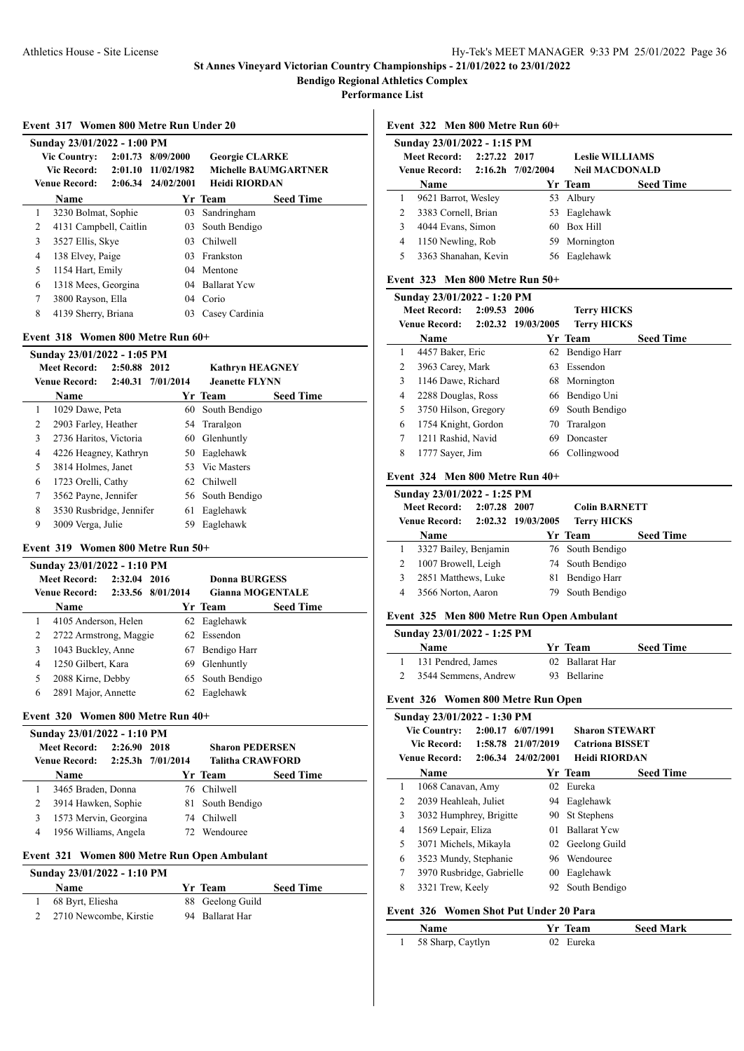**Performance List**

#### **Event 317 Women 800 Metre Run Under 20**

|                     | Sunday 23/01/2022 - 1:00 PM |                   |                        |                      |                             |
|---------------------|-----------------------------|-------------------|------------------------|----------------------|-----------------------------|
| <b>Vic Country:</b> |                             | 2:01.73 8/09/2000 | <b>Georgie CLARKE</b>  |                      |                             |
|                     | Vic Record:                 |                   | 2:01.10 11/02/1982     |                      | <b>Michelle BAUMGARTNER</b> |
|                     | <b>Venue Record:</b>        |                   | $2:06.34$ $24/02/2001$ | <b>Heidi RIORDAN</b> |                             |
|                     | <b>Name</b>                 |                   |                        | Yr Team              | <b>Seed Time</b>            |
| 1                   | 3230 Bolmat, Sophie         |                   | 03                     | Sandringham          |                             |
| 2                   | 4131 Campbell, Caitlin      |                   | 03                     | South Bendigo        |                             |
| 3                   | 3527 Ellis, Skye            |                   | 03                     | Chilwell             |                             |
| 4                   | 138 Elvey, Paige            |                   | 03.                    | Frankston            |                             |
| 5                   | 1154 Hart, Emily            |                   | 04                     | Mentone              |                             |
| 6                   | 1318 Mees, Georgina         |                   | 04                     | <b>Ballarat Yew</b>  |                             |
| 7                   | 3800 Rayson, Ella           |                   | 04                     | Corio                |                             |
| 8                   | 4139 Sherry, Briana         |                   | 03                     | Casey Cardinia       |                             |

## **Event 318 Women 800 Metre Run 60+**

|   | Sunday 23/01/2022 - 1:05 PM |              |                   |                        |                  |  |
|---|-----------------------------|--------------|-------------------|------------------------|------------------|--|
|   | <b>Meet Record:</b>         | 2:50.88 2012 |                   | <b>Kathryn HEAGNEY</b> |                  |  |
|   | <b>Venue Record:</b>        |              | 2:40.31 7/01/2014 | <b>Jeanette FLYNN</b>  |                  |  |
|   | Name                        |              |                   | Yr Team                | <b>Seed Time</b> |  |
| 1 | 1029 Dawe, Peta             |              |                   | 60 South Bendigo       |                  |  |
| 2 | 2903 Farley, Heather        |              |                   | 54 Traralgon           |                  |  |
| 3 | 2736 Haritos, Victoria      |              | 60                | Glenhuntly             |                  |  |
| 4 | 4226 Heagney, Kathryn       |              |                   | 50 Eaglehawk           |                  |  |
| 5 | 3814 Holmes, Janet          |              |                   | 53 Vic Masters         |                  |  |
| 6 | 1723 Orelli, Cathy          |              |                   | 62 Chilwell            |                  |  |
| 7 | 3562 Payne, Jennifer        |              |                   | 56 South Bendigo       |                  |  |
| 8 | 3530 Rusbridge, Jennifer    |              | 61                | Eaglehawk              |                  |  |
| 9 | 3009 Verga, Julie           |              | 59.               | Eaglehawk              |                  |  |

## **Event 319 Women 800 Metre Run 50+**

|   | Sunday 23/01/2022 - 1:10 PM |              |                   |                  |                         |  |
|---|-----------------------------|--------------|-------------------|------------------|-------------------------|--|
|   | <b>Meet Record:</b>         | 2:32.04 2016 |                   | Donna BURGESS    |                         |  |
|   | <b>Venue Record:</b>        |              | 2:33.56 8/01/2014 |                  | <b>Gianna MOGENTALE</b> |  |
|   | <b>Name</b>                 |              |                   | Yr Team          | <b>Seed Time</b>        |  |
|   | 4105 Anderson, Helen        |              |                   | 62 Eaglehawk     |                         |  |
| 2 | 2722 Armstrong, Maggie      |              |                   | 62 Essendon      |                         |  |
| 3 | 1043 Buckley, Anne          |              | 67.               | Bendigo Harr     |                         |  |
| 4 | 1250 Gilbert, Kara          |              | 69                | Glenhuntly       |                         |  |
| 5 | 2088 Kirne, Debby           |              |                   | 65 South Bendigo |                         |  |
| 6 | 2891 Major, Annette         |              | 62                | Eaglehawk        |                         |  |
|   |                             |              |                   |                  |                         |  |

## **Event 320 Women 800 Metre Run 40+**

|   | Sunday 23/01/2022 - 1:10 PM     |                |     |                         |                  |
|---|---------------------------------|----------------|-----|-------------------------|------------------|
|   | <b>Meet Record:</b>             | $2:26.90$ 2018 |     | <b>Sharon PEDERSEN</b>  |                  |
|   | Venue Record: 2:25.3h 7/01/2014 |                |     | <b>Talitha CRAWFORD</b> |                  |
|   | <b>Name</b>                     |                |     | Yr Team                 | <b>Seed Time</b> |
|   | 3465 Braden, Donna              |                |     | 76 Chilwell             |                  |
| 2 | 3914 Hawken, Sophie             |                |     | 81 South Bendigo        |                  |
| 3 | 1573 Mervin, Georgina           |                | 74  | <b>Chilwell</b>         |                  |
| 4 | 1956 Williams, Angela           |                | 72. | Wendouree               |                  |
|   |                                 |                |     |                         |                  |

# **Event 321 Women 800 Metre Run Open Ambulant**

#### **Sunday 23/01/2022 - 1:10 PM**

| <b>Name</b>              | Yr Team          | <b>Seed Time</b> |
|--------------------------|------------------|------------------|
| 1 68 Byrt, Eliesha       | 88 Geelong Guild |                  |
| 2 2710 Newcombe, Kirstie | 94 Ballarat Har  |                  |

#### **Event 322 Men 800 Metre Run 60+**

|   | Sunday 23/01/2022 - 1:15 PM<br>Meet Record: 2:27.22 2017<br>Venue Record: 2:16.2h 7/02/2004 |     | <b>Leslie WILLIAMS</b><br><b>Neil MACDONALD</b> |                  |
|---|---------------------------------------------------------------------------------------------|-----|-------------------------------------------------|------------------|
|   | Name                                                                                        |     | Yr Team                                         | <b>Seed Time</b> |
| 1 | 9621 Barrot, Wesley                                                                         |     | 53 Albury                                       |                  |
| 2 | 3383 Cornell, Brian                                                                         |     | 53 Eaglehawk                                    |                  |
| 3 | 4044 Evans, Simon                                                                           | 60. | <b>Box Hill</b>                                 |                  |
| 4 | 1150 Newling, Rob                                                                           |     | 59 Mornington                                   |                  |
| 5 | 3363 Shanahan, Kevin                                                                        |     | 56 Eaglehawk                                    |                  |
|   | Event 323 Men 800 Metre Run 50+                                                             |     |                                                 |                  |

|   | Sunday 23/01/2022 - 1:20 PM |              |                    |                    |                  |
|---|-----------------------------|--------------|--------------------|--------------------|------------------|
|   | <b>Meet Record:</b>         | 2:09.53 2006 |                    | <b>Terry HICKS</b> |                  |
|   | Venue Record:               |              | 2:02.32 19/03/2005 | <b>Terry HICKS</b> |                  |
|   | Name                        |              |                    | Yr Team            | <b>Seed Time</b> |
| 1 | 4457 Baker, Eric            |              | 62                 | Bendigo Harr       |                  |
| 2 | 3963 Carey, Mark            |              | 63                 | Essendon           |                  |
| 3 | 1146 Dawe, Richard          |              | 68                 | Mornington         |                  |
| 4 | 2288 Douglas, Ross          |              |                    | 66 Bendigo Uni     |                  |
| 5 | 3750 Hilson, Gregory        |              | 69.                | South Bendigo      |                  |
| 6 | 1754 Knight, Gordon         |              | 70                 | Traralgon          |                  |
| 7 | 1211 Rashid, Navid          |              | 69                 | Doncaster          |                  |
| 8 | 1777 Sayer, Jim             |              | 66                 | Collingwood        |                  |

#### **Event 324 Men 800 Metre Run 40+**

| 2:07.28 2007<br><b>Meet Record:</b><br><b>Colin BARNETT</b><br>2:02.32 19/03/2005<br><b>Terry HICKS</b><br><b>Venue Record:</b> | Sunday 23/01/2022 - 1:25 PM |  |  |  |  |  |
|---------------------------------------------------------------------------------------------------------------------------------|-----------------------------|--|--|--|--|--|
|                                                                                                                                 |                             |  |  |  |  |  |
|                                                                                                                                 |                             |  |  |  |  |  |
| Yr Team<br><b>Seed Time</b><br>Name                                                                                             |                             |  |  |  |  |  |
| 3327 Bailey, Benjamin<br>76 South Bendigo                                                                                       |                             |  |  |  |  |  |
| 1007 Browell, Leigh<br>74 South Bendigo                                                                                         |                             |  |  |  |  |  |
| 2851 Matthews, Luke<br>Bendigo Harr<br>3<br>81                                                                                  |                             |  |  |  |  |  |
| South Bendigo<br>3566 Norton, Aaron<br>4<br>79.                                                                                 |                             |  |  |  |  |  |

## **Event 325 Men 800 Metre Run Open Ambulant**

## **Sunday 23/01/2022 - 1:25 PM**

 $\overline{a}$ 

| <b>Name</b>          | <b>Seed Time</b><br>Yr Team |  |
|----------------------|-----------------------------|--|
| 131 Pendred, James   | 02 Ballarat Har             |  |
| 3544 Semmens, Andrew | 93 Bellarine                |  |

## **Event 326 Women 800 Metre Run Open**

|   | Sunday 23/01/2022 - 1:30 PM |         |                        |                        |                  |
|---|-----------------------------|---------|------------------------|------------------------|------------------|
|   | <b>Vic Country:</b>         | 2:00.17 | 6/07/1991              | <b>Sharon STEWART</b>  |                  |
|   | Vic Record:                 | 1:58.78 | 21/07/2019             | <b>Catriona BISSET</b> |                  |
|   | <b>Venue Record:</b>        |         | $2:06.34$ $24/02/2001$ | Heidi RIORDAN          |                  |
|   | <b>Name</b>                 |         |                        | Yr Team                | <b>Seed Time</b> |
| 1 | 1068 Canavan, Amy           |         | 02                     | Eureka                 |                  |
| 2 | 2039 Heahleah, Juliet       |         |                        | 94 Eaglehawk           |                  |
| 3 | 3032 Humphrey, Brigitte     |         | 90.                    | St Stephens            |                  |
| 4 | 1569 Lepair, Eliza          |         | 01                     | <b>Ballarat Ycw</b>    |                  |
| 5 | 3071 Michels, Mikayla       |         |                        | 02 Geelong Guild       |                  |
| 6 | 3523 Mundy, Stephanie       |         | 96.                    | Wendouree              |                  |
| 7 | 3970 Rusbridge, Gabrielle   |         | 00                     | Eaglehawk              |                  |
| 8 | 3321 Trew, Keely            |         | 92                     | South Bendigo          |                  |
|   |                             |         |                        |                        |                  |

## **Event 326 Women Shot Put Under 20 Para**

| <b>Name</b> |                   | Yr Team    | <b>Seed Mark</b> |
|-------------|-------------------|------------|------------------|
|             | 58 Sharp, Caytlyn | 02. Eureka |                  |